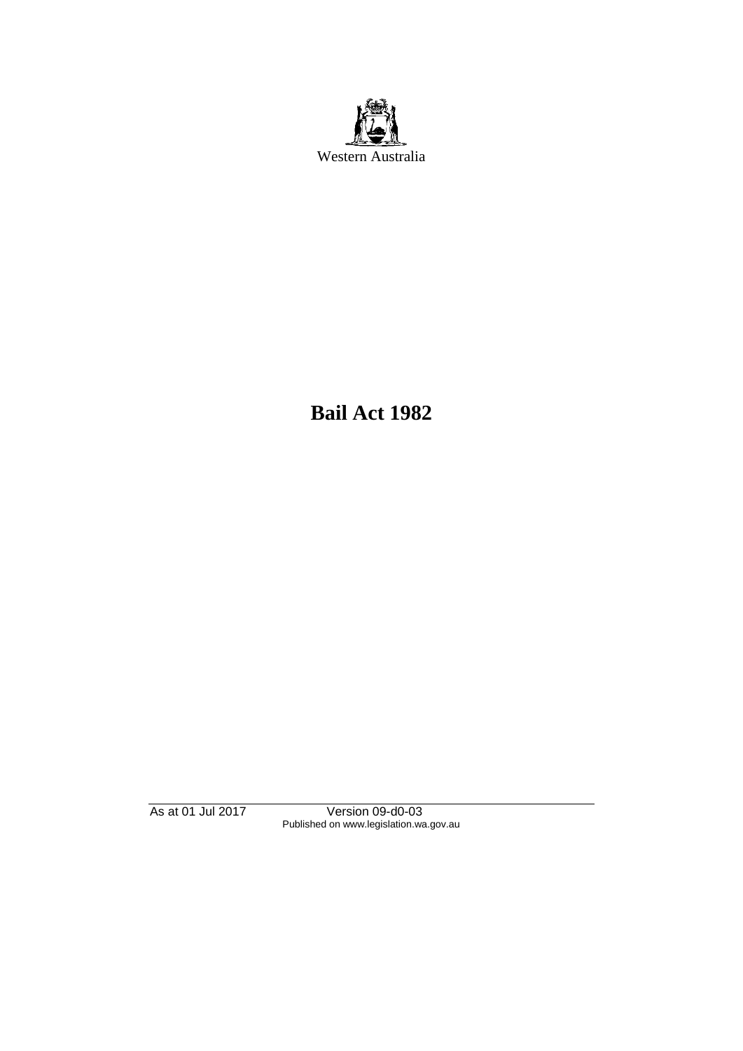

**Bail Act 1982**

As at 01 Jul 2017 Version 09-d0-03 Published on www.legislation.wa.gov.au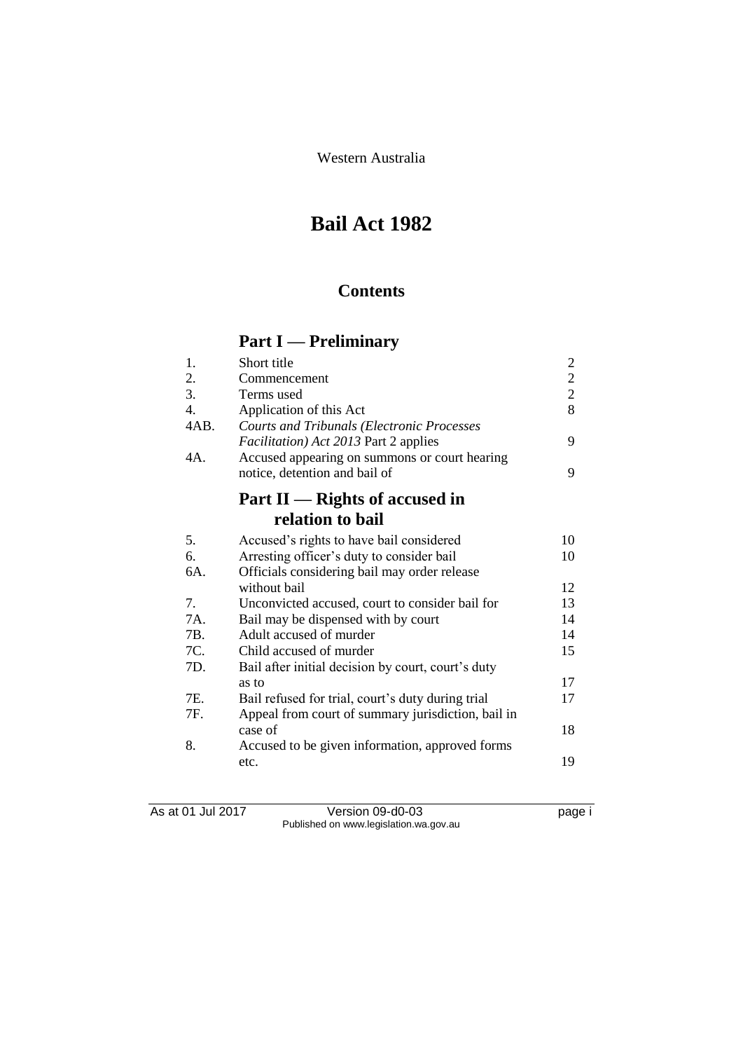Western Australia

# **Bail Act 1982**

# **Contents**

# **Part I — Preliminary**

| 1.               | Short title                                        | $\overline{c}$ |
|------------------|----------------------------------------------------|----------------|
| 2.               | Commencement                                       | $\overline{2}$ |
| 3.               | Terms used                                         | $\overline{2}$ |
| $\overline{4}$ . | Application of this Act                            | 8              |
| 4AB.             | <b>Courts and Tribunals (Electronic Processes</b>  |                |
|                  | <i>Facilitation</i> ) Act 2013 Part 2 applies      | 9              |
| 4A.              | Accused appearing on summons or court hearing      |                |
|                  | notice, detention and bail of                      | 9              |
|                  | Part $II$ — Rights of accused in                   |                |
|                  | relation to bail                                   |                |
| 5.               | Accused's rights to have bail considered           | 10             |
| 6.               | Arresting officer's duty to consider bail          | 10             |
| 6A.              | Officials considering bail may order release       |                |
|                  | without bail                                       | 12             |
| 7.               | Unconvicted accused, court to consider bail for    | 13             |
| 7A.              | Bail may be dispensed with by court                | 14             |
| 7B.              | Adult accused of murder                            | 14             |
| 7C.              | Child accused of murder                            | 15             |
| 7D.              | Bail after initial decision by court, court's duty |                |
|                  | as to                                              | 17             |
| 7E.              | Bail refused for trial, court's duty during trial  | 17             |
| 7F.              | Appeal from court of summary jurisdiction, bail in |                |
|                  | case of                                            | 18             |
| 8.               | Accused to be given information, approved forms    |                |
|                  | etc.                                               | 19             |

As at 01 Jul 2017 Version 09-d0-03 page i Published on www.legislation.wa.gov.au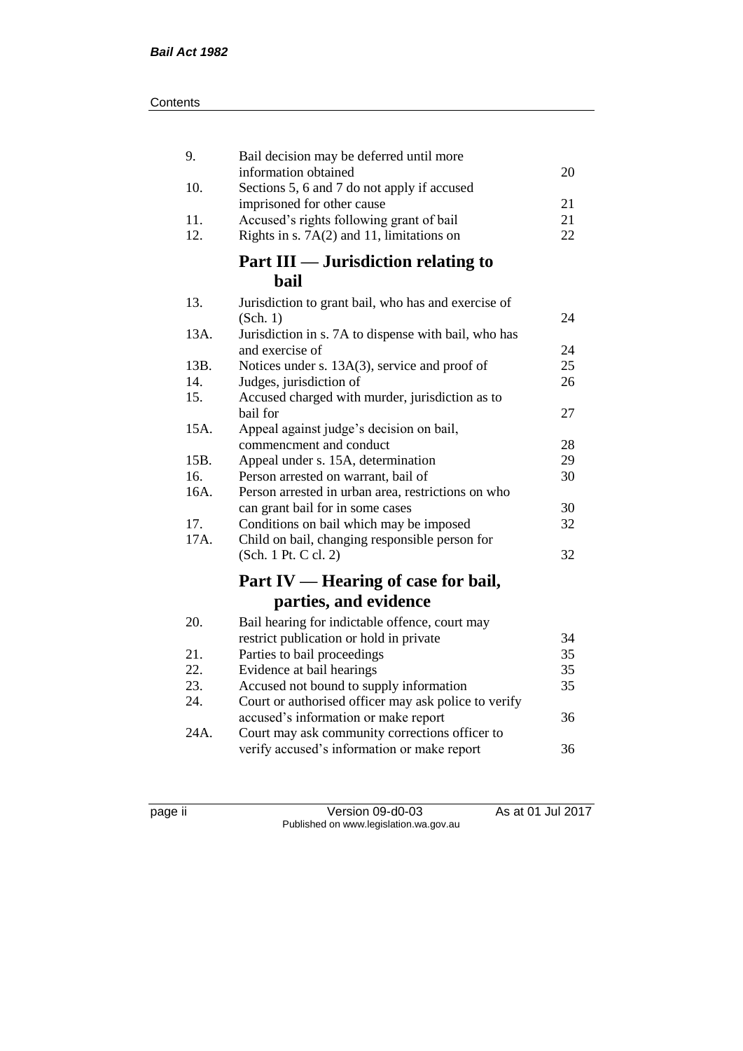| 9.   | Bail decision may be deferred until more             |    |
|------|------------------------------------------------------|----|
|      | information obtained                                 | 20 |
| 10.  | Sections 5, 6 and 7 do not apply if accused          |    |
|      | imprisoned for other cause                           | 21 |
| 11.  | Accused's rights following grant of bail             | 21 |
| 12.  | Rights in s. $7A(2)$ and 11, limitations on          | 22 |
|      | Part III — Jurisdiction relating to                  |    |
|      | hail                                                 |    |
| 13.  | Jurisdiction to grant bail, who has and exercise of  |    |
|      | (Sch. 1)                                             | 24 |
| 13A. | Jurisdiction in s. 7A to dispense with bail, who has |    |
|      | and exercise of                                      | 24 |
| 13B. | Notices under s. 13A(3), service and proof of        | 25 |
| 14.  | Judges, jurisdiction of                              | 26 |
| 15.  | Accused charged with murder, jurisdiction as to      |    |
|      | bail for                                             | 27 |
| 15A. | Appeal against judge's decision on bail,             |    |
|      | commencment and conduct                              | 28 |
| 15B. | Appeal under s. 15A, determination                   | 29 |
| 16.  | Person arrested on warrant, bail of                  | 30 |
| 16A. | Person arrested in urban area, restrictions on who   |    |
|      | can grant bail for in some cases                     | 30 |
| 17.  | Conditions on bail which may be imposed              | 32 |
| 17A. | Child on bail, changing responsible person for       |    |
|      | (Sch. 1 Pt. C cl. 2)                                 | 32 |
|      | Part IV — Hearing of case for bail,                  |    |
|      | parties, and evidence                                |    |
| 20.  | Bail hearing for indictable offence, court may       |    |
|      | restrict publication or hold in private              | 34 |
| 21.  | Parties to bail proceedings                          | 35 |
| 22.  | Evidence at bail hearings                            | 35 |
| 23.  | Accused not bound to supply information              | 35 |
| 24.  | Court or authorised officer may ask police to verify |    |
|      | accused's information or make report                 | 36 |
| 24A. | Court may ask community corrections officer to       |    |
|      | verify accused's information or make report          | 36 |

page ii Version 09-d0-03 As at 01 Jul 2017 Published on www.legislation.wa.gov.au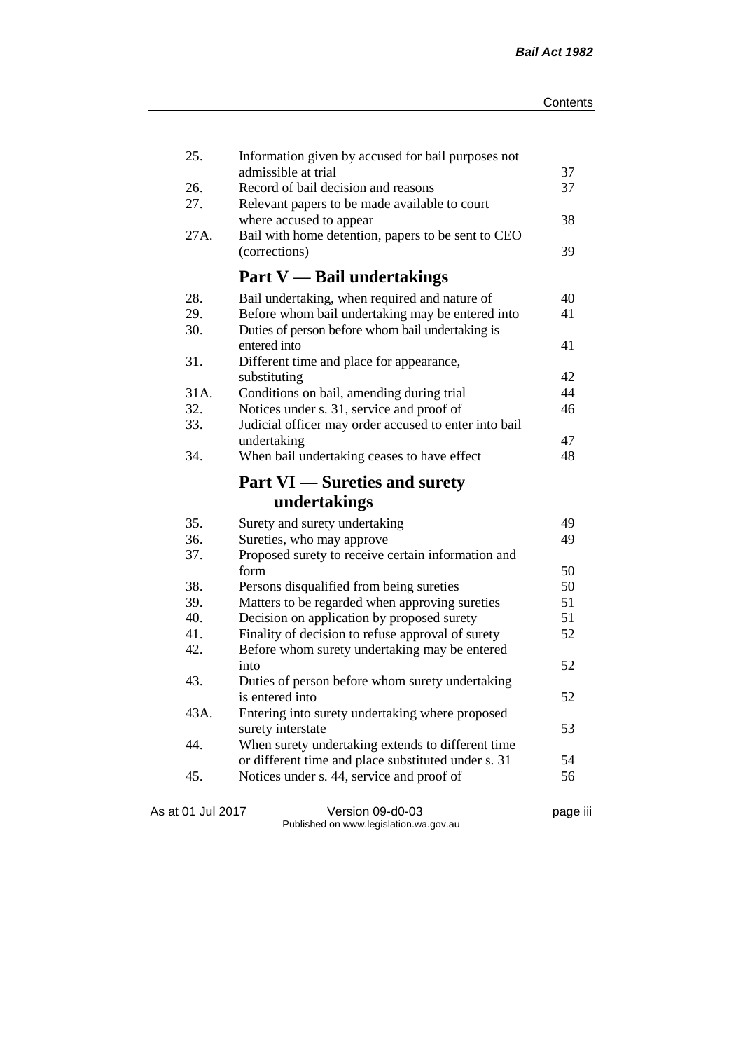| 25.  | Information given by accused for bail purposes not<br>admissible at trial |          |
|------|---------------------------------------------------------------------------|----------|
| 26.  | Record of bail decision and reasons                                       | 37<br>37 |
| 27.  | Relevant papers to be made available to court                             |          |
|      | where accused to appear                                                   | 38       |
| 27A. | Bail with home detention, papers to be sent to CEO                        |          |
|      | (corrections)                                                             | 39       |
|      | <b>Part V</b> — Bail undertakings                                         |          |
| 28.  | Bail undertaking, when required and nature of                             | 40       |
| 29.  | Before whom bail undertaking may be entered into                          | 41       |
| 30.  | Duties of person before whom bail undertaking is                          |          |
|      | entered into                                                              | 41       |
| 31.  | Different time and place for appearance,                                  |          |
|      | substituting                                                              | 42       |
| 31A. | Conditions on bail, amending during trial                                 | 44       |
| 32.  | Notices under s. 31, service and proof of                                 | 46       |
| 33.  | Judicial officer may order accused to enter into bail                     |          |
|      | undertaking                                                               | 47       |
| 34.  | When bail undertaking ceases to have effect                               | 48       |
|      | <b>Part VI</b> — Sureties and surety                                      |          |
|      |                                                                           |          |
|      | undertakings                                                              |          |
| 35.  | Surety and surety undertaking                                             | 49       |
| 36.  | Sureties, who may approve                                                 | 49       |
| 37.  | Proposed surety to receive certain information and                        |          |
|      | form                                                                      | 50       |
| 38.  | Persons disqualified from being sureties                                  | 50       |
| 39.  | Matters to be regarded when approving sureties                            | 51       |
| 40.  | Decision on application by proposed surety                                | 51       |
| 41.  | Finality of decision to refuse approval of surety                         | 52       |
| 42.  | Before whom surety undertaking may be entered                             |          |
|      | into                                                                      | 52       |
| 43.  | Duties of person before whom surety undertaking                           |          |
|      | is entered into                                                           | 52       |
| 43A. | Entering into surety undertaking where proposed                           |          |
|      | surety interstate                                                         | 53       |
| 44.  | When surety undertaking extends to different time                         |          |
|      | or different time and place substituted under s. 31                       | 54       |
| 45.  | Notices under s. 44, service and proof of                                 | 56       |

As at 01 Jul 2017 Version 09-d0-03 page iii Published on www.legislation.wa.gov.au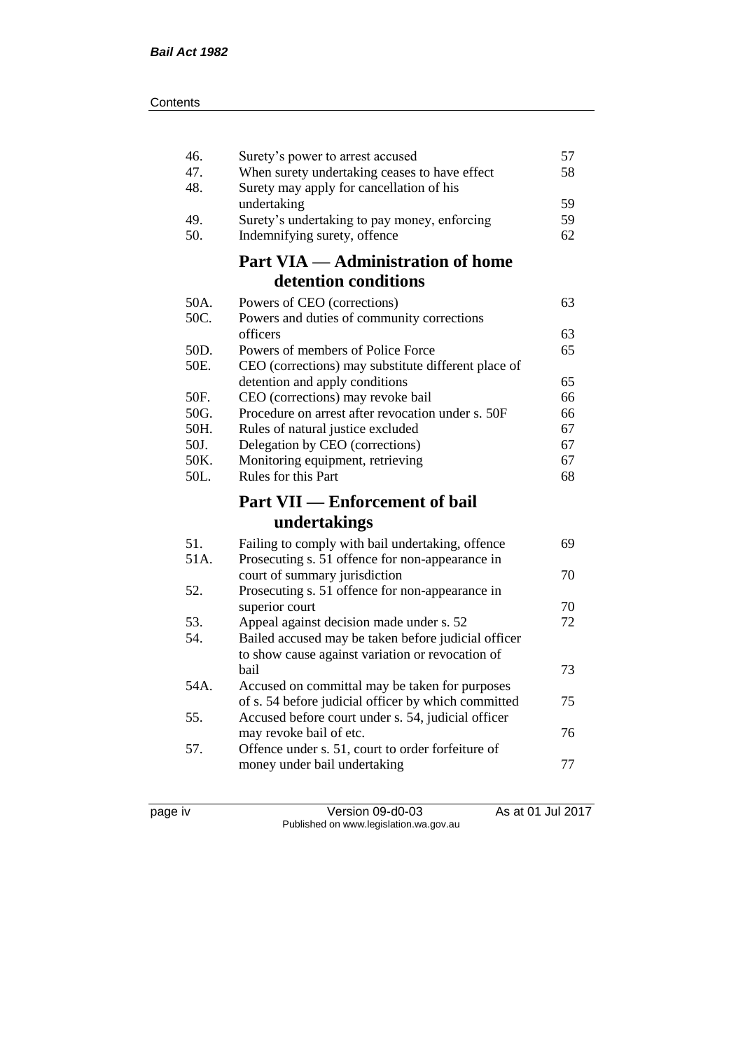| 46.  | Surety's power to arrest accused                    | 57 |
|------|-----------------------------------------------------|----|
| 47.  | When surety undertaking ceases to have effect       | 58 |
| 48.  | Surety may apply for cancellation of his            |    |
|      | undertaking                                         | 59 |
| 49.  | Surety's undertaking to pay money, enforcing        | 59 |
| 50.  | Indemnifying surety, offence                        | 62 |
|      | <b>Part VIA — Administration of home</b>            |    |
|      | detention conditions                                |    |
| 50A. | Powers of CEO (corrections)                         | 63 |
| 50C. | Powers and duties of community corrections          |    |
|      | officers                                            | 63 |
| 50D. | Powers of members of Police Force                   | 65 |
| 50E. | CEO (corrections) may substitute different place of |    |
|      | detention and apply conditions                      | 65 |
| 50F. | CEO (corrections) may revoke bail                   | 66 |
| 50G. | Procedure on arrest after revocation under s. 50F   | 66 |
| 50H. | Rules of natural justice excluded                   | 67 |
| 50J. | Delegation by CEO (corrections)                     | 67 |
| 50K. | Monitoring equipment, retrieving                    | 67 |
| 50L. | Rules for this Part                                 | 68 |
|      | <b>Part VII — Enforcement of bail</b>               |    |
|      | undertakings                                        |    |
| 51.  | Failing to comply with bail undertaking, offence    | 69 |
| 51A. | Prosecuting s. 51 offence for non-appearance in     |    |
|      | court of summary jurisdiction                       | 70 |
| 52.  | Prosecuting s. 51 offence for non-appearance in     |    |
|      | superior court                                      | 70 |
| 53.  | Appeal against decision made under s. 52            | 72 |
| 54.  | Bailed accused may be taken before judicial officer |    |
|      | to show cause against variation or revocation of    |    |
|      | bail                                                | 73 |
| 54A. | Accused on committal may be taken for purposes      |    |
|      | of s. 54 before judicial officer by which committed | 75 |
| 55.  | Accused before court under s. 54, judicial officer  |    |
|      | may revoke bail of etc.                             | 76 |
| 57.  | Offence under s. 51, court to order forfeiture of   |    |
|      | money under bail undertaking                        | 77 |
|      |                                                     |    |
|      |                                                     |    |

page iv Version 09-d0-03 As at 01 Jul 2017 Published on www.legislation.wa.gov.au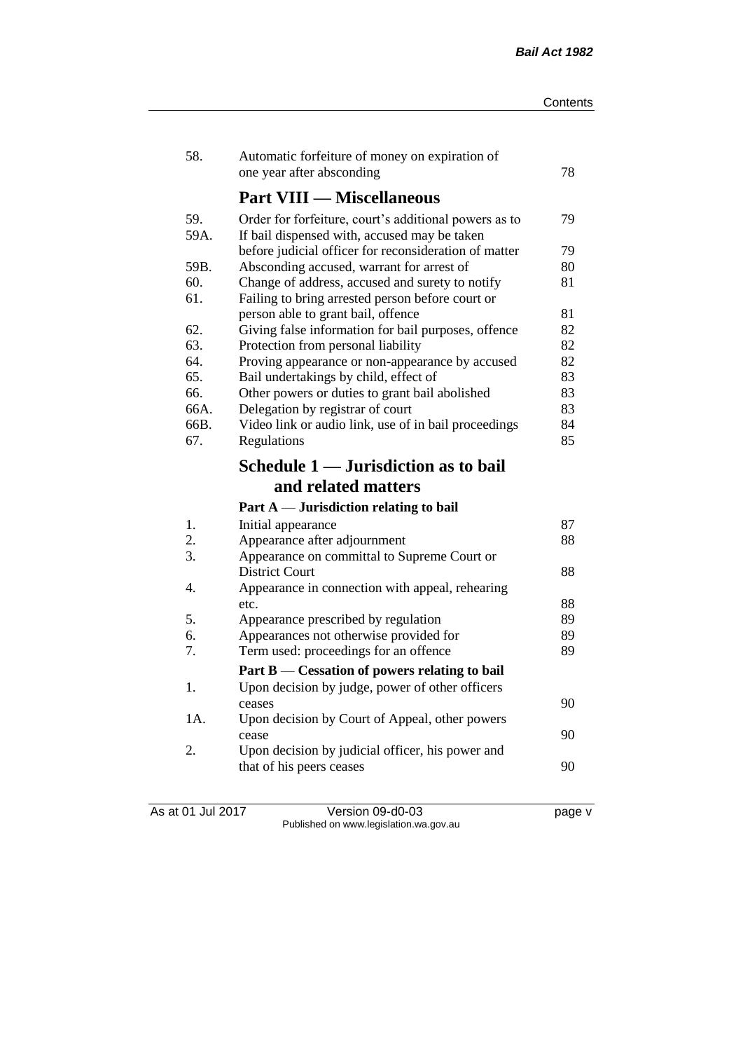| 58.         | Automatic forfeiture of money on expiration of<br>one year after absconding                           | 78       |
|-------------|-------------------------------------------------------------------------------------------------------|----------|
|             | <b>Part VIII — Miscellaneous</b>                                                                      |          |
| 59.<br>59A. | Order for forfeiture, court's additional powers as to<br>If bail dispensed with, accused may be taken | 79       |
|             | before judicial officer for reconsideration of matter                                                 | 79       |
| 59B.        | Absconding accused, warrant for arrest of                                                             | 80       |
| 60.<br>61.  | Change of address, accused and surety to notify<br>Failing to bring arrested person before court or   | 81       |
|             | person able to grant bail, offence                                                                    | 81       |
| 62.<br>63.  | Giving false information for bail purposes, offence                                                   | 82<br>82 |
| 64.         | Protection from personal liability<br>Proving appearance or non-appearance by accused                 | 82       |
| 65.         | Bail undertakings by child, effect of                                                                 | 83       |
| 66.         | Other powers or duties to grant bail abolished                                                        | 83       |
| 66A.        | Delegation by registrar of court                                                                      | 83       |
| 66B.        | Video link or audio link, use of in bail proceedings                                                  | 84       |
| 67.         | Regulations                                                                                           | 85       |
|             | Schedule 1 — Jurisdiction as to bail                                                                  |          |
|             | and related matters                                                                                   |          |
|             |                                                                                                       |          |
|             |                                                                                                       |          |
| 1.          | Part $A$ — Jurisdiction relating to bail                                                              | 87       |
| 2.          | Initial appearance<br>Appearance after adjournment                                                    | 88       |
| 3.          | Appearance on committal to Supreme Court or                                                           |          |
|             | District Court                                                                                        | 88       |
| 4.          | Appearance in connection with appeal, rehearing                                                       |          |
|             | etc.                                                                                                  | 88       |
| 5.          | Appearance prescribed by regulation                                                                   | 89       |
| 6.          | Appearances not otherwise provided for                                                                | 89       |
| 7.          | Term used: proceedings for an offence                                                                 | 89       |
|             | Part B — Cessation of powers relating to bail                                                         |          |
| 1.          | Upon decision by judge, power of other officers                                                       |          |
|             | ceases                                                                                                | 90       |
| 1A.         | Upon decision by Court of Appeal, other powers                                                        |          |
|             | cease                                                                                                 | 90       |
| 2.          | Upon decision by judicial officer, his power and<br>that of his peers ceases                          | 90       |

As at 01 Jul 2017 Version 09-d0-03 page v Published on www.legislation.wa.gov.au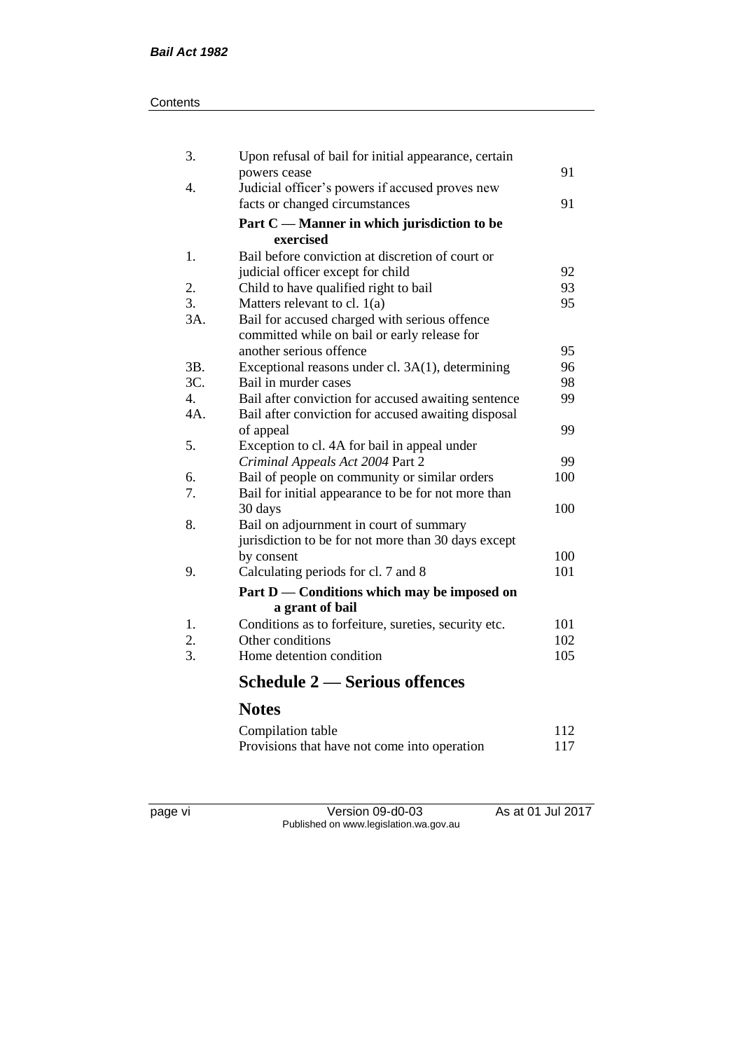#### **Contents**

| 3.               | Upon refusal of bail for initial appearance, certain |     |
|------------------|------------------------------------------------------|-----|
|                  | powers cease                                         | 91  |
| $\overline{4}$ . | Judicial officer's powers if accused proves new      |     |
|                  | facts or changed circumstances                       | 91  |
|                  | Part C — Manner in which jurisdiction to be          |     |
|                  | exercised                                            |     |
| 1.               | Bail before conviction at discretion of court or     |     |
|                  | judicial officer except for child                    | 92  |
| 2.               | Child to have qualified right to bail                | 93  |
| 3.               | Matters relevant to cl. 1(a)                         | 95  |
| 3A.              | Bail for accused charged with serious offence        |     |
|                  | committed while on bail or early release for         |     |
|                  | another serious offence                              | 95  |
| 3B.              | Exceptional reasons under cl. 3A(1), determining     | 96  |
| 3C.              | Bail in murder cases                                 | 98  |
| 4.               | Bail after conviction for accused awaiting sentence  | 99  |
| 4A.              | Bail after conviction for accused awaiting disposal  |     |
|                  | of appeal                                            | 99  |
| 5.               | Exception to cl. 4A for bail in appeal under         |     |
|                  | Criminal Appeals Act 2004 Part 2                     | 99  |
| 6.               | Bail of people on community or similar orders        | 100 |
| 7.               | Bail for initial appearance to be for not more than  |     |
|                  | 30 days                                              | 100 |
| 8.               | Bail on adjournment in court of summary              |     |
|                  | jurisdiction to be for not more than 30 days except  |     |
|                  | by consent                                           | 100 |
| 9.               | Calculating periods for cl. 7 and 8                  | 101 |
|                  | Part D — Conditions which may be imposed on          |     |
|                  | a grant of bail                                      |     |
| 1.               | Conditions as to forfeiture, sureties, security etc. | 101 |
| 2.               | Other conditions                                     | 102 |
| 3.               | Home detention condition                             | 105 |
|                  | Schadula 2 — Sarious offances                        |     |

# **Schedule 2 — Serious offences**

# **Notes**

| Compilation table                            | 112 |
|----------------------------------------------|-----|
| Provisions that have not come into operation | 117 |

page vi Version 09-d0-03 As at 01 Jul 2017 Published on www.legislation.wa.gov.au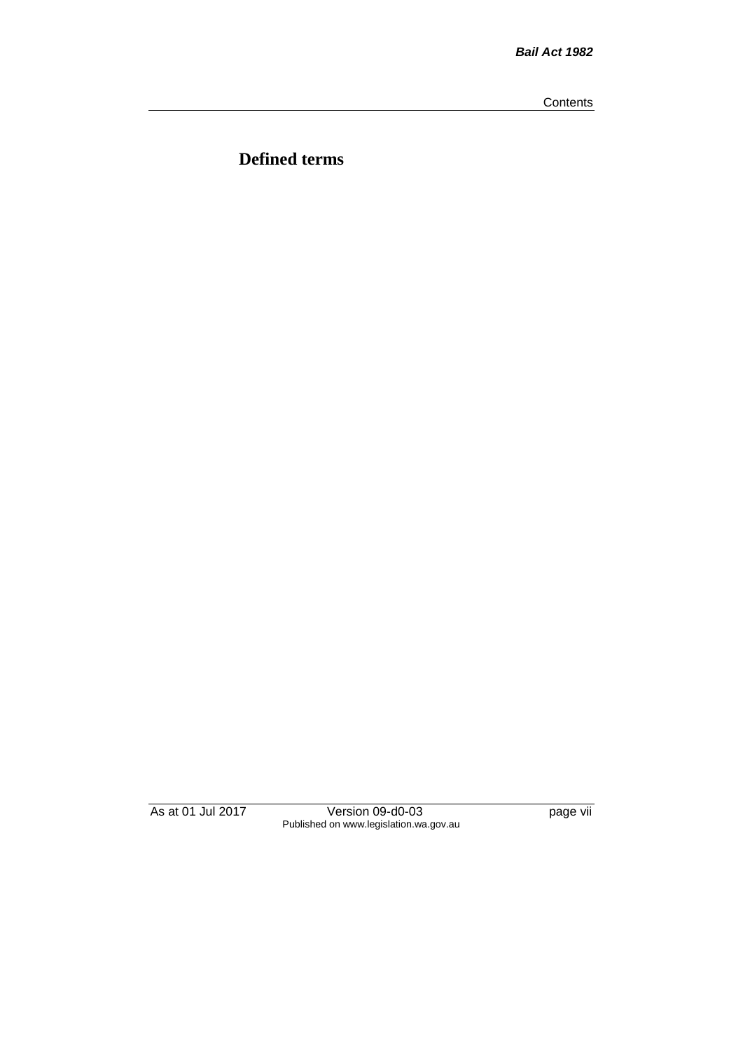**Contents** 

**Defined terms**

As at 01 Jul 2017 Version 09-d0-03 page vii Published on www.legislation.wa.gov.au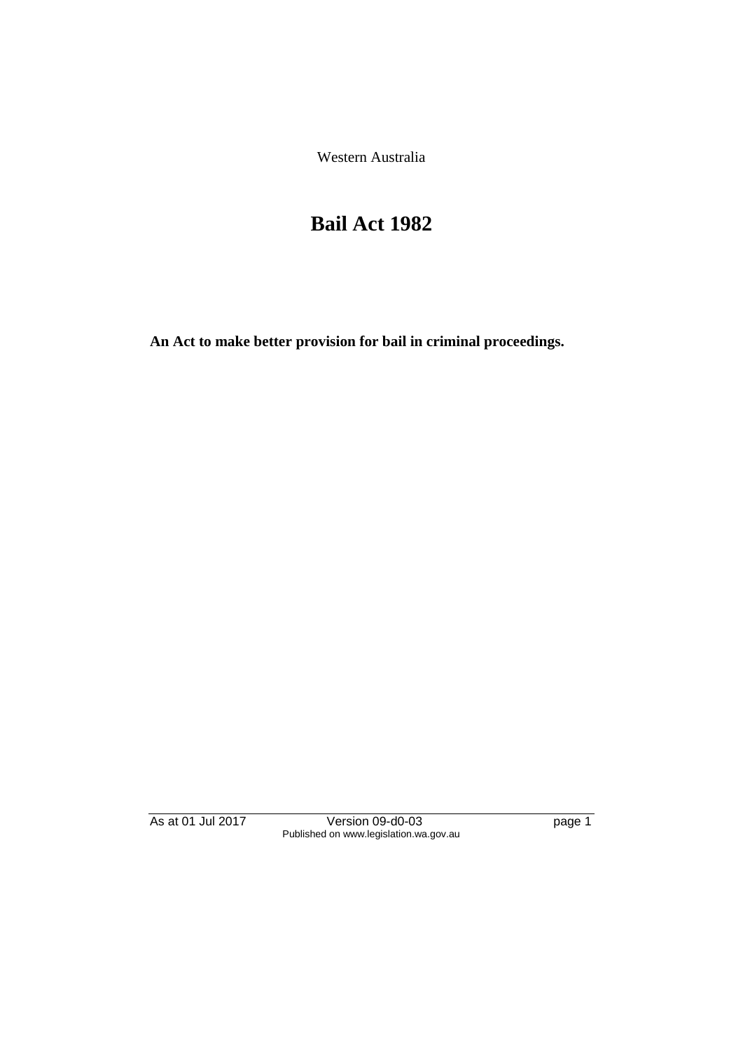Western Australia

# **Bail Act 1982**

**An Act to make better provision for bail in criminal proceedings.** 

As at 01 Jul 2017 Version 09-d0-03 page 1 Published on www.legislation.wa.gov.au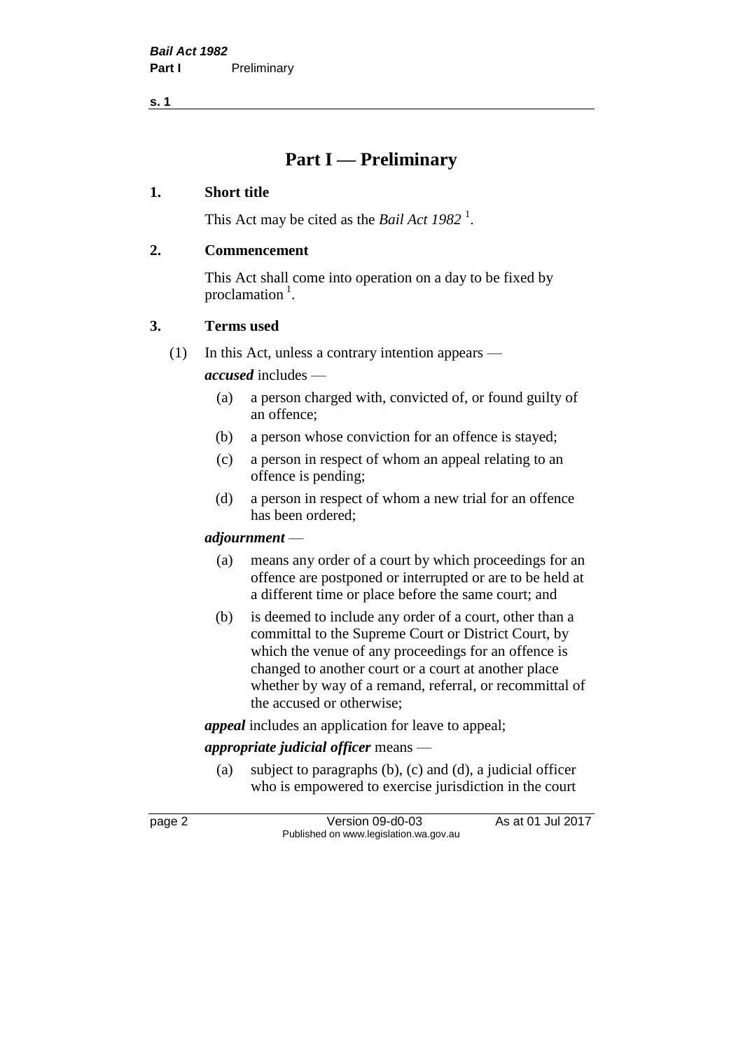# **Part I — Preliminary**

### **1. Short title**

This Act may be cited as the *Bail Act* 1982<sup>1</sup>.

#### **2. Commencement**

This Act shall come into operation on a day to be fixed by proclamation<sup>1</sup>.

#### **3. Terms used**

(1) In this Act, unless a contrary intention appears —

*accused* includes —

- (a) a person charged with, convicted of, or found guilty of an offence;
- (b) a person whose conviction for an offence is stayed;
- (c) a person in respect of whom an appeal relating to an offence is pending;
- (d) a person in respect of whom a new trial for an offence has been ordered;

#### *adjournment* —

- (a) means any order of a court by which proceedings for an offence are postponed or interrupted or are to be held at a different time or place before the same court; and
- (b) is deemed to include any order of a court, other than a committal to the Supreme Court or District Court, by which the venue of any proceedings for an offence is changed to another court or a court at another place whether by way of a remand, referral, or recommittal of the accused or otherwise;

*appeal* includes an application for leave to appeal;

### *appropriate judicial officer* means —

(a) subject to paragraphs (b), (c) and (d), a judicial officer who is empowered to exercise jurisdiction in the court

page 2 Version 09-d0-03 As at 01 Jul 2017 Published on www.legislation.wa.gov.au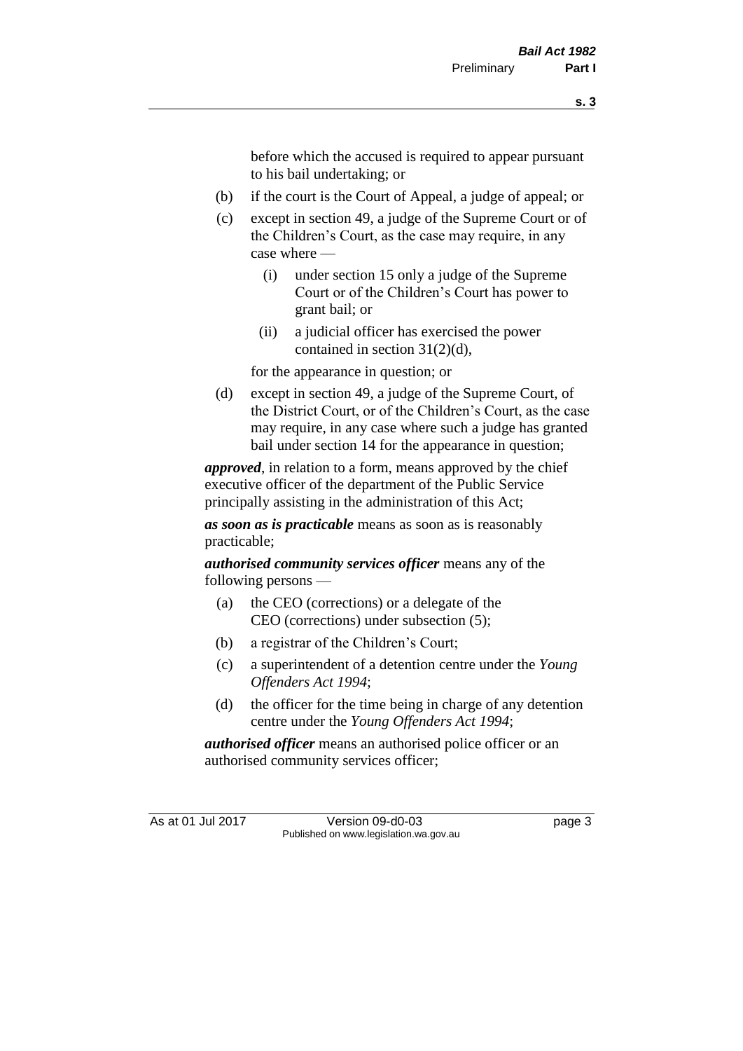before which the accused is required to appear pursuant to his bail undertaking; or

- (b) if the court is the Court of Appeal, a judge of appeal; or
- (c) except in section 49, a judge of the Supreme Court or of the Children's Court, as the case may require, in any case where —
	- (i) under section 15 only a judge of the Supreme Court or of the Children's Court has power to grant bail; or
	- (ii) a judicial officer has exercised the power contained in section 31(2)(d),

for the appearance in question; or

(d) except in section 49, a judge of the Supreme Court, of the District Court, or of the Children's Court, as the case may require, in any case where such a judge has granted bail under section 14 for the appearance in question;

*approved*, in relation to a form, means approved by the chief executive officer of the department of the Public Service principally assisting in the administration of this Act;

*as soon as is practicable* means as soon as is reasonably practicable;

*authorised community services officer* means any of the following persons —

- (a) the CEO (corrections) or a delegate of the CEO (corrections) under subsection (5);
- (b) a registrar of the Children's Court;
- (c) a superintendent of a detention centre under the *Young Offenders Act 1994*;
- (d) the officer for the time being in charge of any detention centre under the *Young Offenders Act 1994*;

*authorised officer* means an authorised police officer or an authorised community services officer;

As at 01 Jul 2017 Version 09-d0-03 page 3 Published on www.legislation.wa.gov.au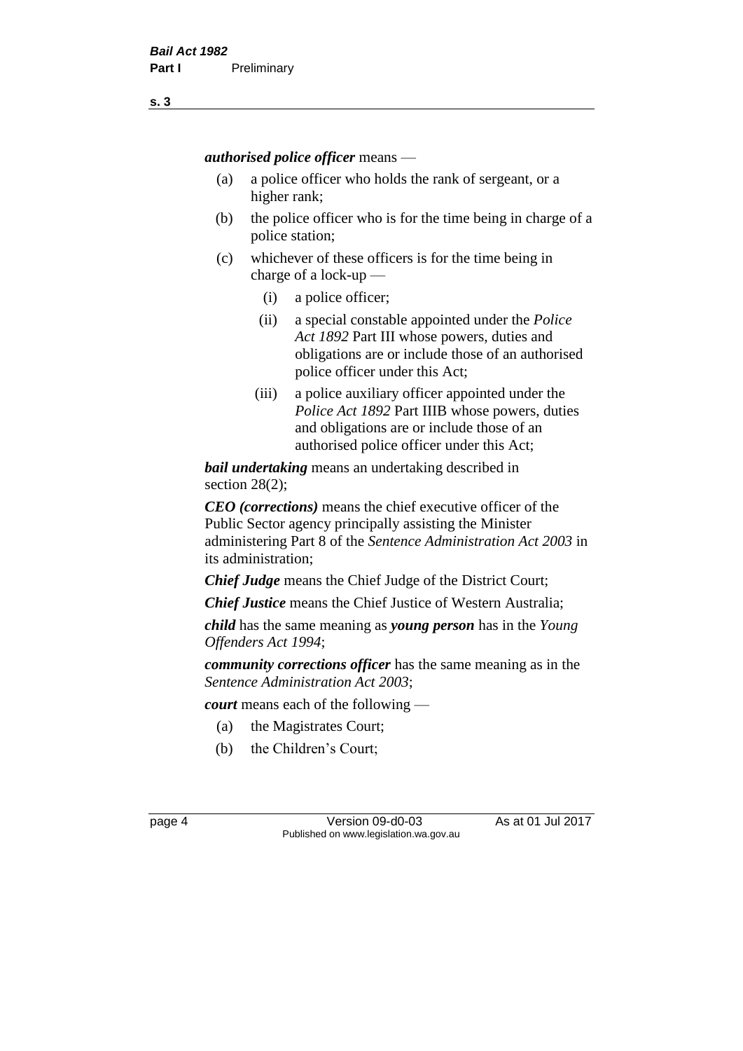*authorised police officer* means —

- (a) a police officer who holds the rank of sergeant, or a higher rank;
- (b) the police officer who is for the time being in charge of a police station;
- (c) whichever of these officers is for the time being in charge of a lock-up —
	- (i) a police officer;
	- (ii) a special constable appointed under the *Police Act 1892* Part III whose powers, duties and obligations are or include those of an authorised police officer under this Act;
	- (iii) a police auxiliary officer appointed under the *Police Act 1892* Part IIIB whose powers, duties and obligations are or include those of an authorised police officer under this Act;

*bail undertaking* means an undertaking described in section 28(2);

*CEO (corrections)* means the chief executive officer of the Public Sector agency principally assisting the Minister administering Part 8 of the *Sentence Administration Act 2003* in its administration;

*Chief Judge* means the Chief Judge of the District Court;

*Chief Justice* means the Chief Justice of Western Australia;

*child* has the same meaning as *young person* has in the *Young Offenders Act 1994*;

*community corrections officer* has the same meaning as in the *Sentence Administration Act 2003*;

*court* means each of the following —

- (a) the Magistrates Court;
- (b) the Children's Court;

page 4 Version 09-d0-03 As at 01 Jul 2017 Published on www.legislation.wa.gov.au

**s. 3**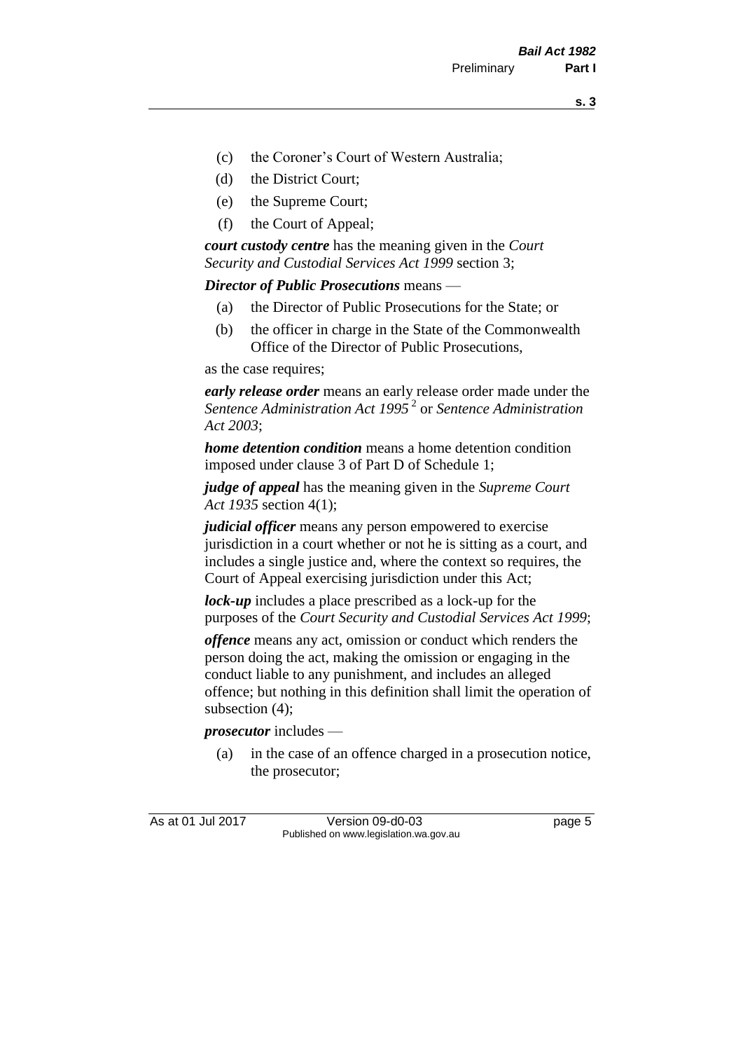- (c) the Coroner's Court of Western Australia;
- (d) the District Court;
- (e) the Supreme Court;
- (f) the Court of Appeal;

*court custody centre* has the meaning given in the *Court Security and Custodial Services Act 1999* section 3;

*Director of Public Prosecutions* means —

- (a) the Director of Public Prosecutions for the State; or
- (b) the officer in charge in the State of the Commonwealth Office of the Director of Public Prosecutions,

as the case requires;

*early release order* means an early release order made under the *Sentence Administration Act 1995* <sup>2</sup> or *Sentence Administration Act 2003*;

*home detention condition* means a home detention condition imposed under clause 3 of Part D of Schedule 1;

*judge of appeal* has the meaning given in the *Supreme Court Act 1935* section 4(1);

*judicial officer* means any person empowered to exercise jurisdiction in a court whether or not he is sitting as a court, and includes a single justice and, where the context so requires, the Court of Appeal exercising jurisdiction under this Act;

*lock-up* includes a place prescribed as a lock-up for the purposes of the *Court Security and Custodial Services Act 1999*;

*offence* means any act, omission or conduct which renders the person doing the act, making the omission or engaging in the conduct liable to any punishment, and includes an alleged offence; but nothing in this definition shall limit the operation of subsection (4);

*prosecutor* includes —

(a) in the case of an offence charged in a prosecution notice, the prosecutor;

As at 01 Jul 2017 Version 09-d0-03 page 5 Published on www.legislation.wa.gov.au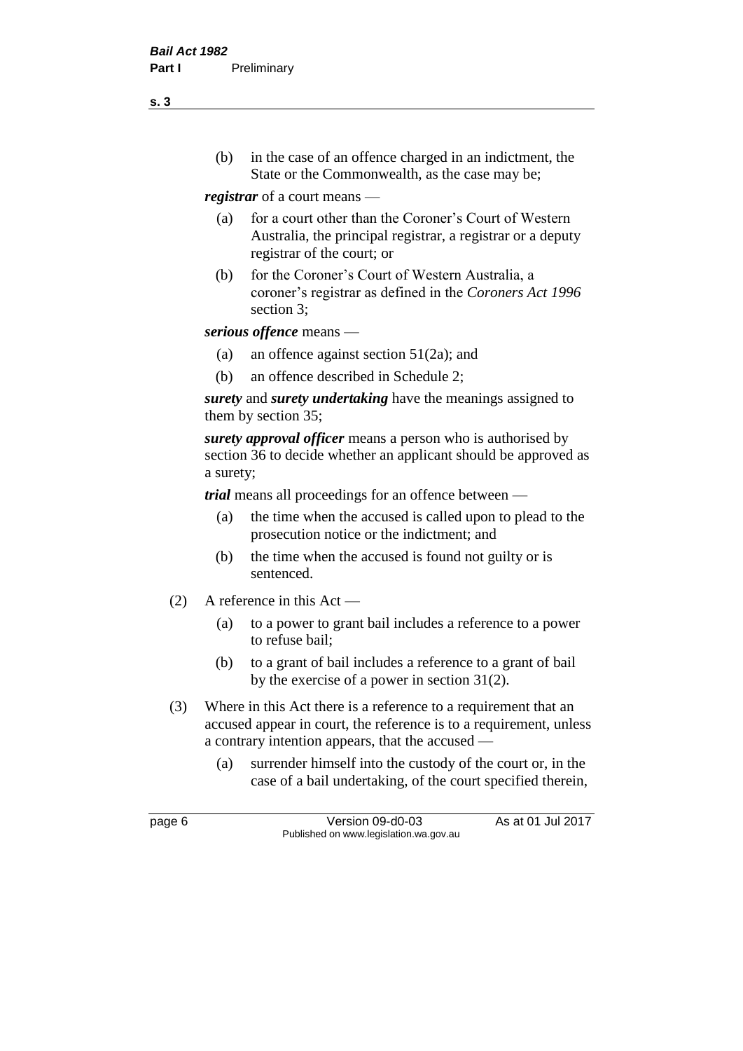(b) in the case of an offence charged in an indictment, the State or the Commonwealth, as the case may be;

*registrar* of a court means —

- (a) for a court other than the Coroner's Court of Western Australia, the principal registrar, a registrar or a deputy registrar of the court; or
- (b) for the Coroner's Court of Western Australia, a coroner's registrar as defined in the *Coroners Act 1996* section 3;

*serious offence* means —

- (a) an offence against section 51(2a); and
- (b) an offence described in Schedule 2;

*surety* and *surety undertaking* have the meanings assigned to them by section 35;

*surety approval officer* means a person who is authorised by section 36 to decide whether an applicant should be approved as a surety;

*trial* means all proceedings for an offence between —

- (a) the time when the accused is called upon to plead to the prosecution notice or the indictment; and
- (b) the time when the accused is found not guilty or is sentenced.
- (2) A reference in this Act
	- (a) to a power to grant bail includes a reference to a power to refuse bail;
	- (b) to a grant of bail includes a reference to a grant of bail by the exercise of a power in section 31(2).
- (3) Where in this Act there is a reference to a requirement that an accused appear in court, the reference is to a requirement, unless a contrary intention appears, that the accused —
	- (a) surrender himself into the custody of the court or, in the case of a bail undertaking, of the court specified therein,

page 6 Version 09-d0-03 As at 01 Jul 2017 Published on www.legislation.wa.gov.au

**s. 3**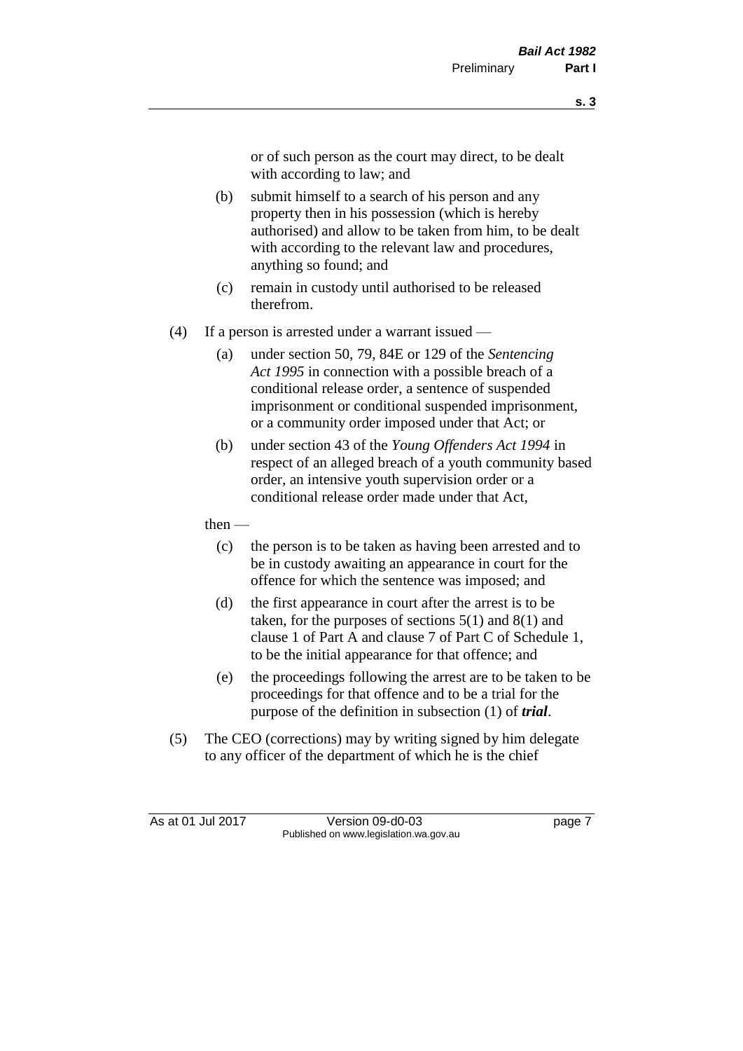or of such person as the court may direct, to be dealt with according to law; and

- (b) submit himself to a search of his person and any property then in his possession (which is hereby authorised) and allow to be taken from him, to be dealt with according to the relevant law and procedures, anything so found; and
- (c) remain in custody until authorised to be released therefrom.
- (4) If a person is arrested under a warrant issued
	- (a) under section 50, 79, 84E or 129 of the *Sentencing Act 1995* in connection with a possible breach of a conditional release order, a sentence of suspended imprisonment or conditional suspended imprisonment, or a community order imposed under that Act; or
	- (b) under section 43 of the *Young Offenders Act 1994* in respect of an alleged breach of a youth community based order, an intensive youth supervision order or a conditional release order made under that Act,
	- then
		- (c) the person is to be taken as having been arrested and to be in custody awaiting an appearance in court for the offence for which the sentence was imposed; and
		- (d) the first appearance in court after the arrest is to be taken, for the purposes of sections  $5(1)$  and  $8(1)$  and clause 1 of Part A and clause 7 of Part C of Schedule 1, to be the initial appearance for that offence; and
		- (e) the proceedings following the arrest are to be taken to be proceedings for that offence and to be a trial for the purpose of the definition in subsection (1) of *trial*.
- (5) The CEO (corrections) may by writing signed by him delegate to any officer of the department of which he is the chief

As at 01 Jul 2017 Version 09-d0-03 page 7 Published on www.legislation.wa.gov.au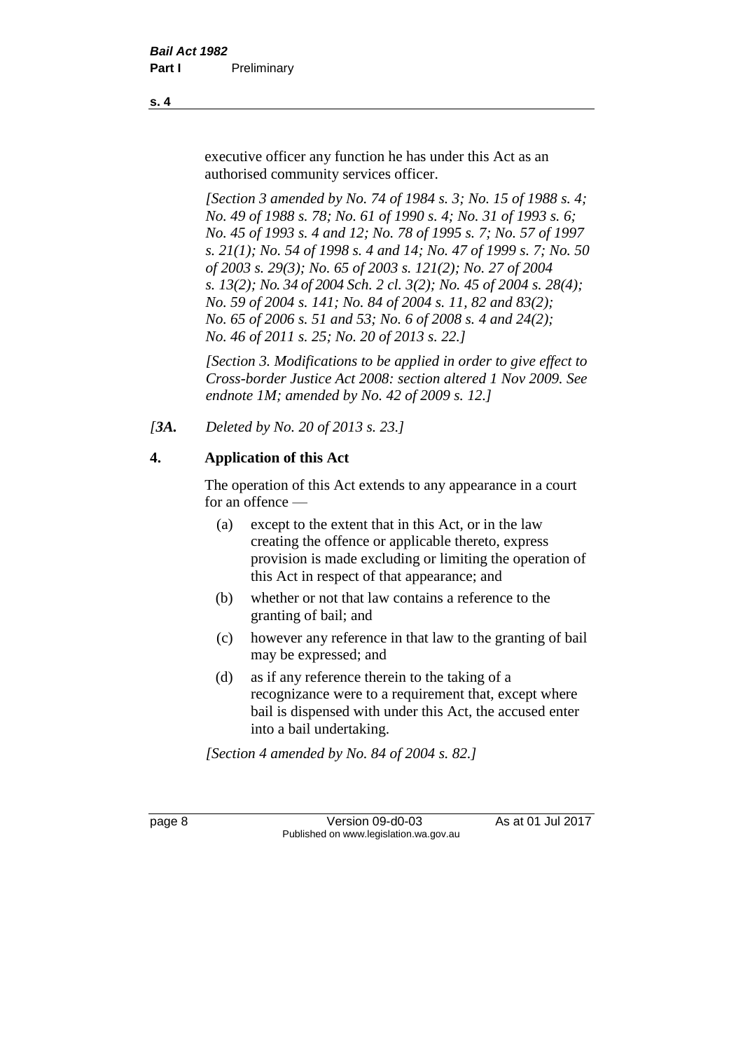executive officer any function he has under this Act as an authorised community services officer.

*[Section 3 amended by No. 74 of 1984 s. 3; No. 15 of 1988 s. 4; No. 49 of 1988 s. 78; No. 61 of 1990 s. 4; No. 31 of 1993 s. 6; No. 45 of 1993 s. 4 and 12; No. 78 of 1995 s. 7; No. 57 of 1997 s. 21(1); No. 54 of 1998 s. 4 and 14; No. 47 of 1999 s. 7; No. 50 of 2003 s. 29(3); No. 65 of 2003 s. 121(2); No. 27 of 2004 s. 13(2); No. 34 of 2004 Sch. 2 cl. 3(2); No. 45 of 2004 s. 28(4); No. 59 of 2004 s. 141; No. 84 of 2004 s. 11, 82 and 83(2); No. 65 of 2006 s. 51 and 53; No. 6 of 2008 s. 4 and 24(2); No. 46 of 2011 s. 25; No. 20 of 2013 s. 22.]* 

*[Section 3. Modifications to be applied in order to give effect to Cross-border Justice Act 2008: section altered 1 Nov 2009. See endnote 1M; amended by No. 42 of 2009 s. 12.]*

*[3A. Deleted by No. 20 of 2013 s. 23.]*

## **4. Application of this Act**

The operation of this Act extends to any appearance in a court for an offence —

- (a) except to the extent that in this Act, or in the law creating the offence or applicable thereto, express provision is made excluding or limiting the operation of this Act in respect of that appearance; and
- (b) whether or not that law contains a reference to the granting of bail; and
- (c) however any reference in that law to the granting of bail may be expressed; and
- (d) as if any reference therein to the taking of a recognizance were to a requirement that, except where bail is dispensed with under this Act, the accused enter into a bail undertaking.

*[Section 4 amended by No. 84 of 2004 s. 82.]*

page 8 Version 09-d0-03 As at 01 Jul 2017 Published on www.legislation.wa.gov.au

**s. 4**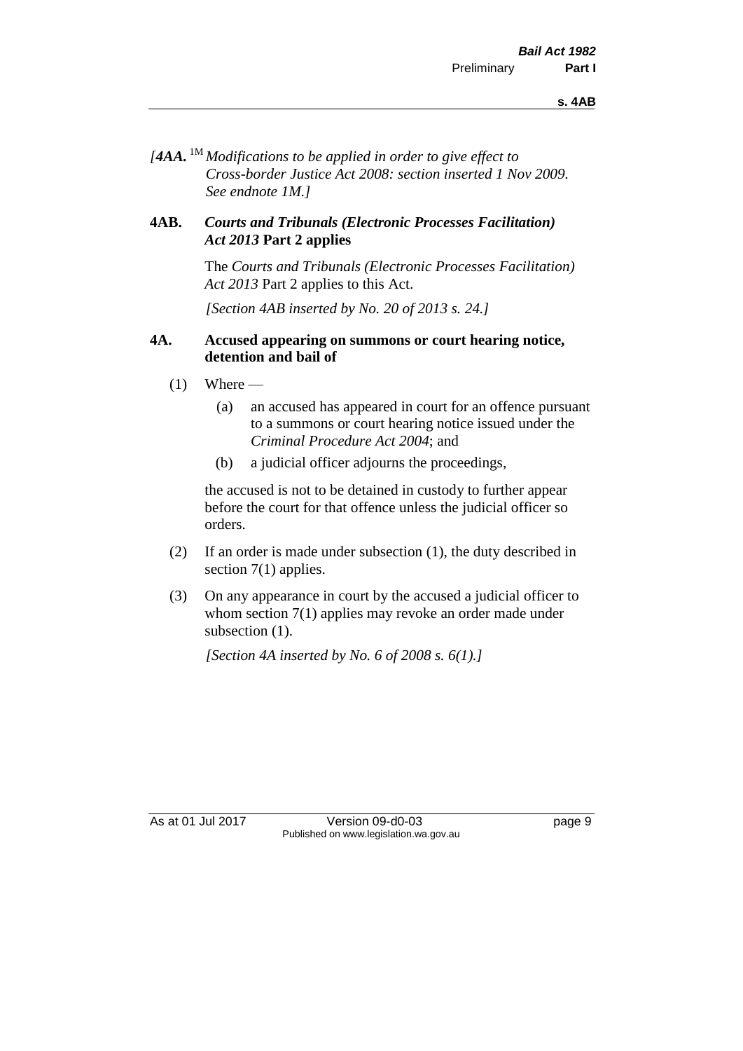*[4AA.* 1M *Modifications to be applied in order to give effect to Cross-border Justice Act 2008: section inserted 1 Nov 2009. See endnote 1M.]*

#### **4AB.** *Courts and Tribunals (Electronic Processes Facilitation) Act 2013* **Part 2 applies**

The *Courts and Tribunals (Electronic Processes Facilitation) Act 2013* Part 2 applies to this Act.

*[Section 4AB inserted by No. 20 of 2013 s. 24.]*

#### **4A. Accused appearing on summons or court hearing notice, detention and bail of**

- $(1)$  Where
	- (a) an accused has appeared in court for an offence pursuant to a summons or court hearing notice issued under the *Criminal Procedure Act 2004*; and
	- (b) a judicial officer adjourns the proceedings,

the accused is not to be detained in custody to further appear before the court for that offence unless the judicial officer so orders.

- (2) If an order is made under subsection (1), the duty described in section 7(1) applies.
- (3) On any appearance in court by the accused a judicial officer to whom section 7(1) applies may revoke an order made under subsection  $(1)$ .

*[Section 4A inserted by No. 6 of 2008 s. 6(1).]*

As at 01 Jul 2017 Version 09-d0-03 page 9 Published on www.legislation.wa.gov.au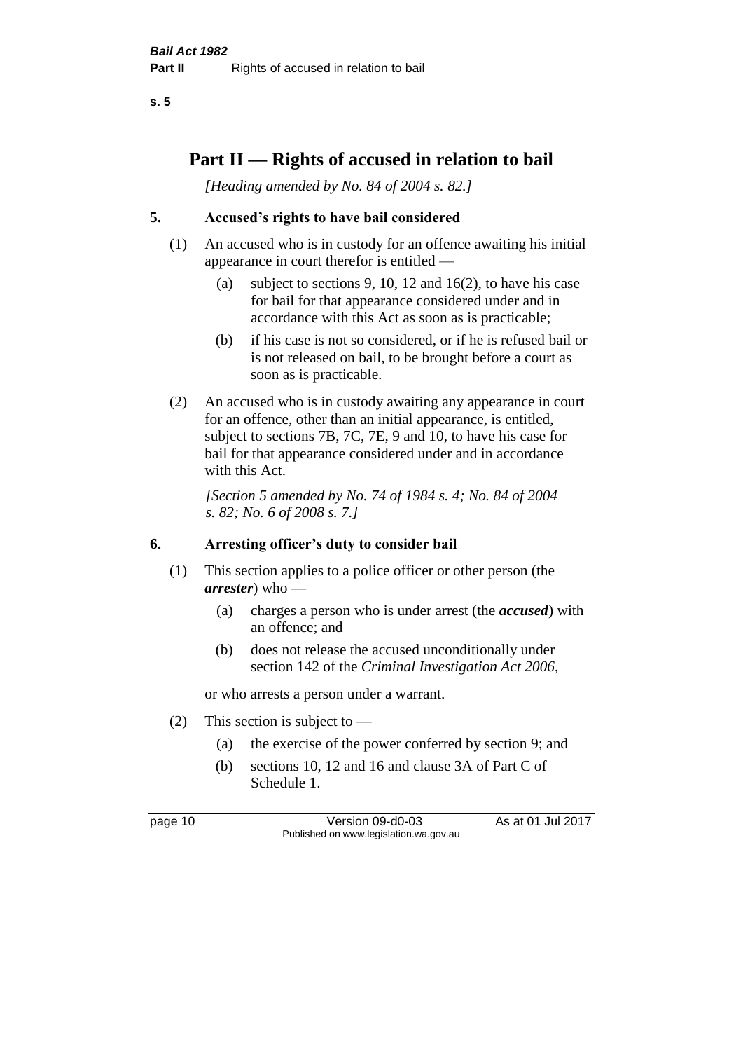# **Part II — Rights of accused in relation to bail**

*[Heading amended by No. 84 of 2004 s. 82.]* 

### **5. Accused's rights to have bail considered**

- (1) An accused who is in custody for an offence awaiting his initial appearance in court therefor is entitled —
	- (a) subject to sections 9, 10, 12 and 16(2), to have his case for bail for that appearance considered under and in accordance with this Act as soon as is practicable;
	- (b) if his case is not so considered, or if he is refused bail or is not released on bail, to be brought before a court as soon as is practicable.
- (2) An accused who is in custody awaiting any appearance in court for an offence, other than an initial appearance, is entitled, subject to sections 7B, 7C, 7E, 9 and 10, to have his case for bail for that appearance considered under and in accordance with this Act.

*[Section 5 amended by No. 74 of 1984 s. 4; No. 84 of 2004 s. 82; No. 6 of 2008 s. 7.]* 

### **6. Arresting officer's duty to consider bail**

- (1) This section applies to a police officer or other person (the *arrester*) who —
	- (a) charges a person who is under arrest (the *accused*) with an offence; and
	- (b) does not release the accused unconditionally under section 142 of the *Criminal Investigation Act 2006*,

or who arrests a person under a warrant.

- (2) This section is subject to  $-$ 
	- (a) the exercise of the power conferred by section 9; and
	- (b) sections 10, 12 and 16 and clause 3A of Part C of Schedule 1.

page 10 Version 09-d0-03 As at 01 Jul 2017 Published on www.legislation.wa.gov.au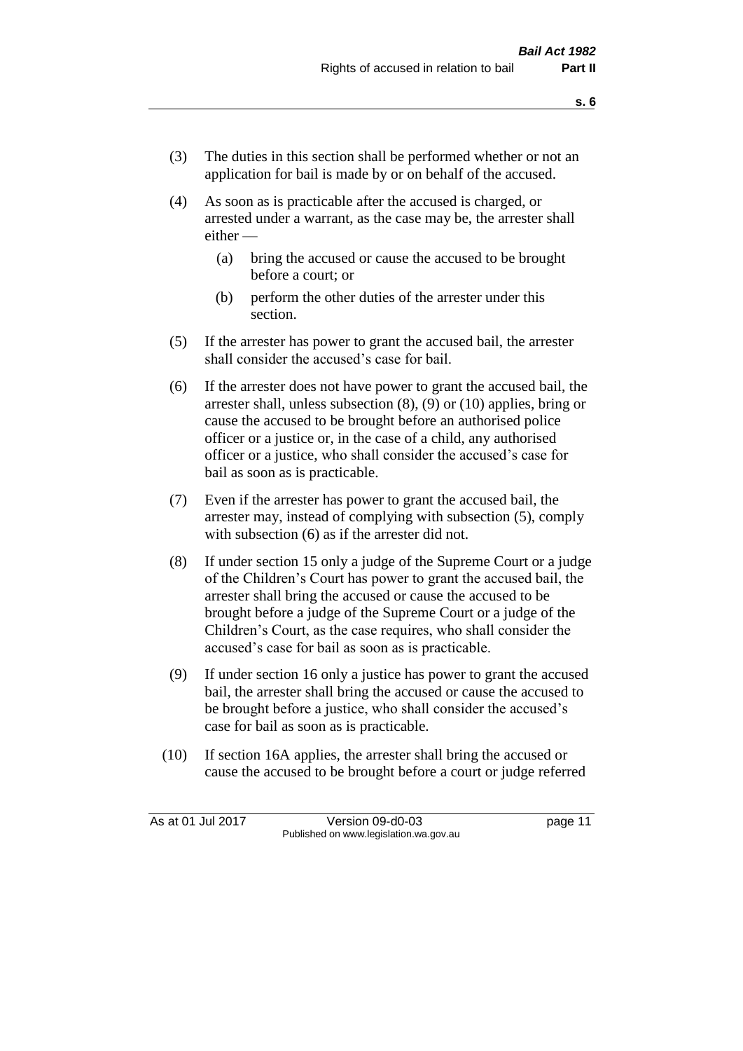- (3) The duties in this section shall be performed whether or not an application for bail is made by or on behalf of the accused.
- (4) As soon as is practicable after the accused is charged, or arrested under a warrant, as the case may be, the arrester shall either —
	- (a) bring the accused or cause the accused to be brought before a court; or
	- (b) perform the other duties of the arrester under this section.
- (5) If the arrester has power to grant the accused bail, the arrester shall consider the accused's case for bail.
- (6) If the arrester does not have power to grant the accused bail, the arrester shall, unless subsection (8), (9) or (10) applies, bring or cause the accused to be brought before an authorised police officer or a justice or, in the case of a child, any authorised officer or a justice, who shall consider the accused's case for bail as soon as is practicable.
- (7) Even if the arrester has power to grant the accused bail, the arrester may, instead of complying with subsection (5), comply with subsection  $(6)$  as if the arrester did not.
- (8) If under section 15 only a judge of the Supreme Court or a judge of the Children's Court has power to grant the accused bail, the arrester shall bring the accused or cause the accused to be brought before a judge of the Supreme Court or a judge of the Children's Court, as the case requires, who shall consider the accused's case for bail as soon as is practicable.
- (9) If under section 16 only a justice has power to grant the accused bail, the arrester shall bring the accused or cause the accused to be brought before a justice, who shall consider the accused's case for bail as soon as is practicable.
- (10) If section 16A applies, the arrester shall bring the accused or cause the accused to be brought before a court or judge referred

As at 01 Jul 2017 Version 09-d0-03 page 11 Published on www.legislation.wa.gov.au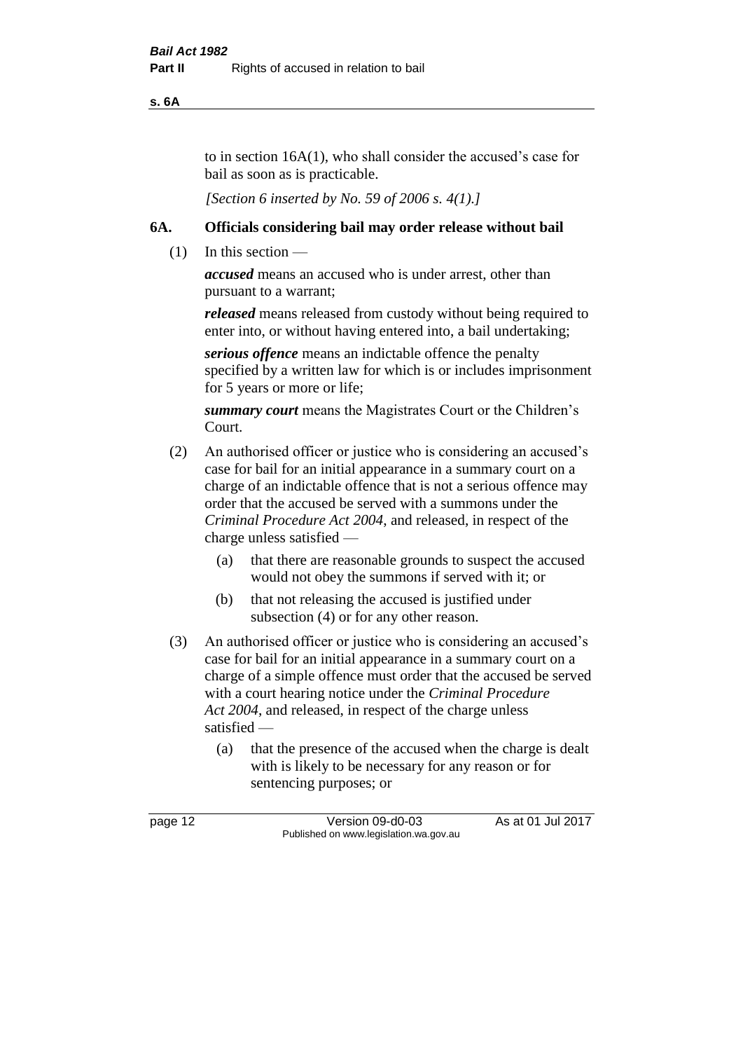**s. 6A**

to in section 16A(1), who shall consider the accused's case for bail as soon as is practicable.

*[Section 6 inserted by No. 59 of 2006 s. 4(1).]* 

#### **6A. Officials considering bail may order release without bail**

(1) In this section —

*accused* means an accused who is under arrest, other than pursuant to a warrant;

*released* means released from custody without being required to enter into, or without having entered into, a bail undertaking;

*serious offence* means an indictable offence the penalty specified by a written law for which is or includes imprisonment for 5 years or more or life;

*summary court* means the Magistrates Court or the Children's Court.

- (2) An authorised officer or justice who is considering an accused's case for bail for an initial appearance in a summary court on a charge of an indictable offence that is not a serious offence may order that the accused be served with a summons under the *Criminal Procedure Act 2004*, and released, in respect of the charge unless satisfied —
	- (a) that there are reasonable grounds to suspect the accused would not obey the summons if served with it; or
	- (b) that not releasing the accused is justified under subsection (4) or for any other reason.
- (3) An authorised officer or justice who is considering an accused's case for bail for an initial appearance in a summary court on a charge of a simple offence must order that the accused be served with a court hearing notice under the *Criminal Procedure Act 2004*, and released, in respect of the charge unless satisfied —
	- (a) that the presence of the accused when the charge is dealt with is likely to be necessary for any reason or for sentencing purposes; or

page 12 Version 09-d0-03 As at 01 Jul 2017 Published on www.legislation.wa.gov.au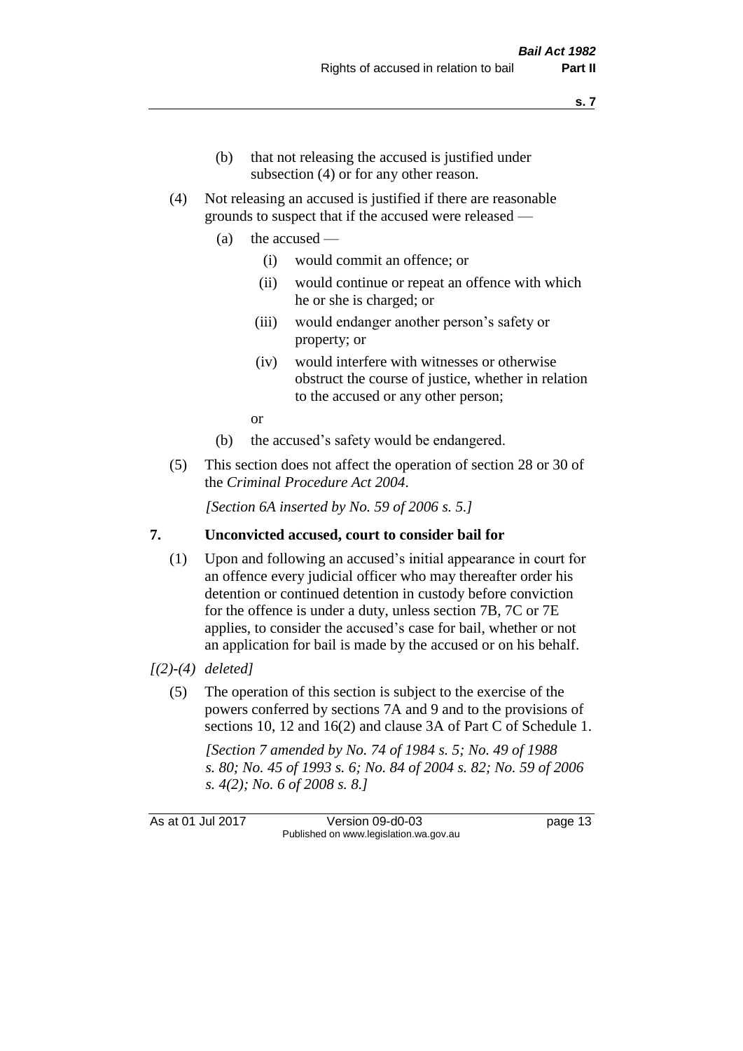- (b) that not releasing the accused is justified under subsection (4) or for any other reason.
- (4) Not releasing an accused is justified if there are reasonable grounds to suspect that if the accused were released —
	- (a) the accused
		- (i) would commit an offence; or
		- (ii) would continue or repeat an offence with which he or she is charged; or
		- (iii) would endanger another person's safety or property; or
		- (iv) would interfere with witnesses or otherwise obstruct the course of justice, whether in relation to the accused or any other person;

or

- (b) the accused's safety would be endangered.
- (5) This section does not affect the operation of section 28 or 30 of the *Criminal Procedure Act 2004*.

*[Section 6A inserted by No. 59 of 2006 s. 5.]* 

#### **7. Unconvicted accused, court to consider bail for**

(1) Upon and following an accused's initial appearance in court for an offence every judicial officer who may thereafter order his detention or continued detention in custody before conviction for the offence is under a duty, unless section 7B, 7C or 7E applies, to consider the accused's case for bail, whether or not an application for bail is made by the accused or on his behalf.

#### *[(2)-(4) deleted]*

(5) The operation of this section is subject to the exercise of the powers conferred by sections 7A and 9 and to the provisions of sections 10, 12 and 16(2) and clause 3A of Part C of Schedule 1.

*[Section 7 amended by No. 74 of 1984 s. 5; No. 49 of 1988 s. 80; No. 45 of 1993 s. 6; No. 84 of 2004 s. 82; No. 59 of 2006 s. 4(2); No. 6 of 2008 s. 8.]* 

As at 01 Jul 2017 Version 09-d0-03 page 13 Published on www.legislation.wa.gov.au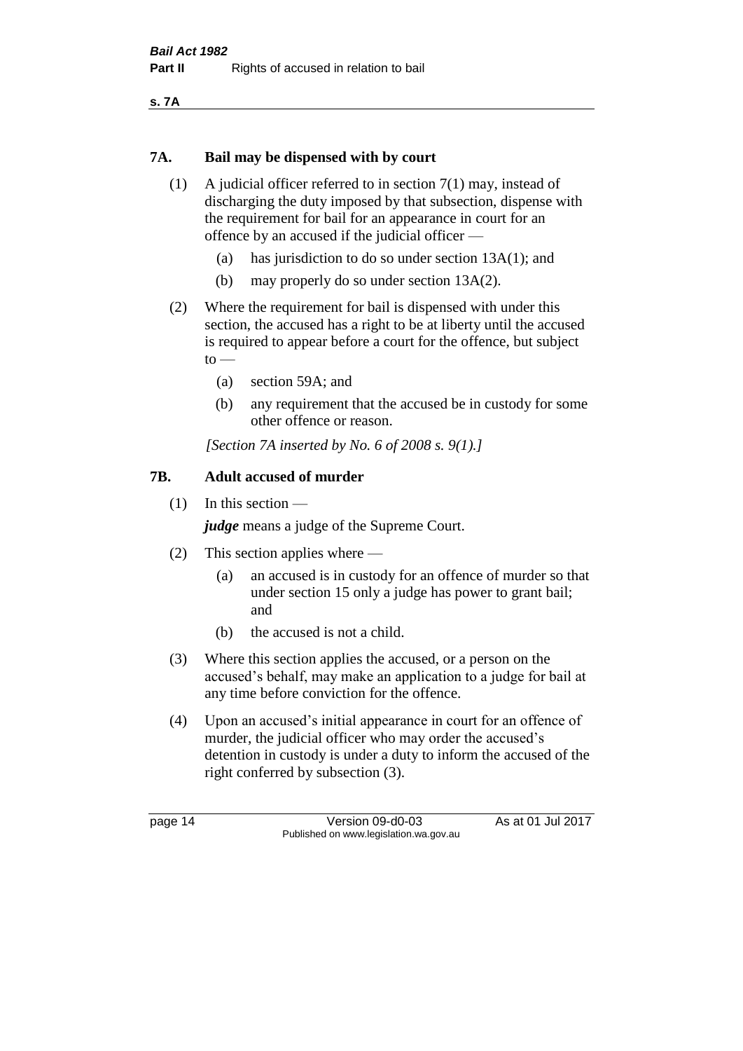**s. 7A**

#### **7A. Bail may be dispensed with by court**

- (1) A judicial officer referred to in section 7(1) may, instead of discharging the duty imposed by that subsection, dispense with the requirement for bail for an appearance in court for an offence by an accused if the judicial officer —
	- (a) has jurisdiction to do so under section 13A(1); and
	- (b) may properly do so under section 13A(2).
- (2) Where the requirement for bail is dispensed with under this section, the accused has a right to be at liberty until the accused is required to appear before a court for the offence, but subject  $to$ 
	- (a) section 59A; and
	- (b) any requirement that the accused be in custody for some other offence or reason.

*[Section 7A inserted by No. 6 of 2008 s. 9(1).]*

#### **7B. Adult accused of murder**

(1) In this section —

*judge* means a judge of the Supreme Court.

- (2) This section applies where
	- (a) an accused is in custody for an offence of murder so that under section 15 only a judge has power to grant bail; and
	- (b) the accused is not a child.
- (3) Where this section applies the accused, or a person on the accused's behalf, may make an application to a judge for bail at any time before conviction for the offence.
- (4) Upon an accused's initial appearance in court for an offence of murder, the judicial officer who may order the accused's detention in custody is under a duty to inform the accused of the right conferred by subsection (3).

page 14 Version 09-d0-03 As at 01 Jul 2017 Published on www.legislation.wa.gov.au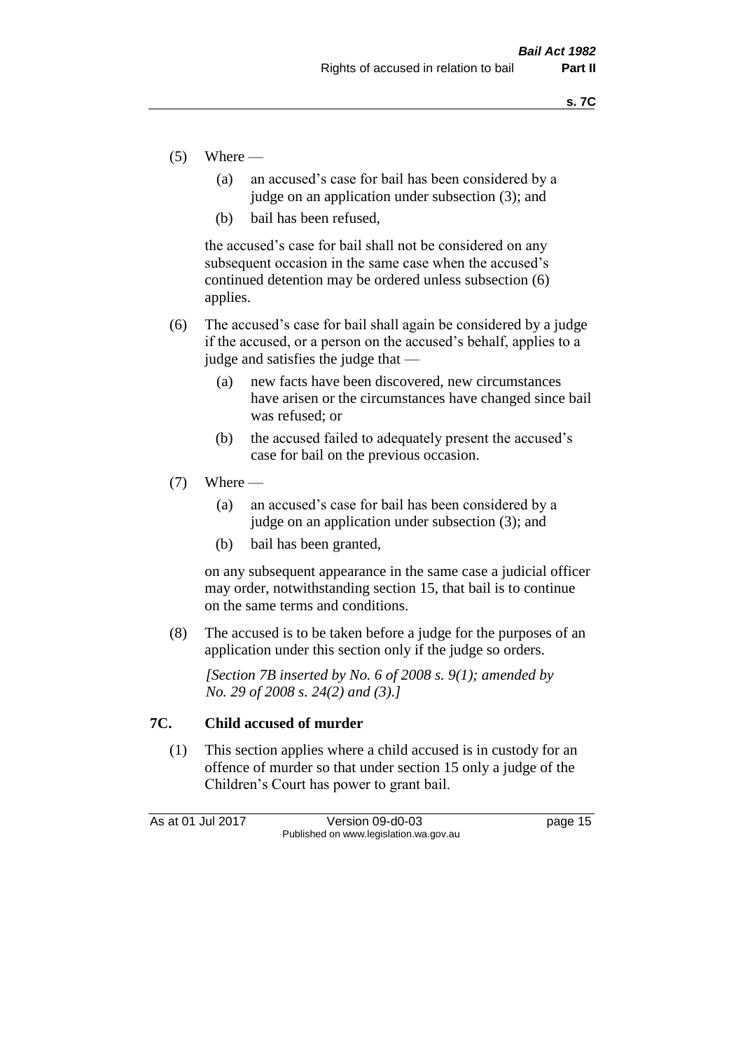- $(5)$  Where
	- (a) an accused's case for bail has been considered by a judge on an application under subsection (3); and
	- (b) bail has been refused,

the accused's case for bail shall not be considered on any subsequent occasion in the same case when the accused's continued detention may be ordered unless subsection (6) applies.

- (6) The accused's case for bail shall again be considered by a judge if the accused, or a person on the accused's behalf, applies to a judge and satisfies the judge that —
	- (a) new facts have been discovered, new circumstances have arisen or the circumstances have changed since bail was refused; or
	- (b) the accused failed to adequately present the accused's case for bail on the previous occasion.
- $(7)$  Where
	- (a) an accused's case for bail has been considered by a judge on an application under subsection (3); and
	- (b) bail has been granted,

on any subsequent appearance in the same case a judicial officer may order, notwithstanding section 15, that bail is to continue on the same terms and conditions.

(8) The accused is to be taken before a judge for the purposes of an application under this section only if the judge so orders.

*[Section 7B inserted by No. 6 of 2008 s. 9(1); amended by No. 29 of 2008 s. 24(2) and (3).]*

#### **7C. Child accused of murder**

(1) This section applies where a child accused is in custody for an offence of murder so that under section 15 only a judge of the Children's Court has power to grant bail.

As at 01 Jul 2017 Version 09-d0-03 page 15 Published on www.legislation.wa.gov.au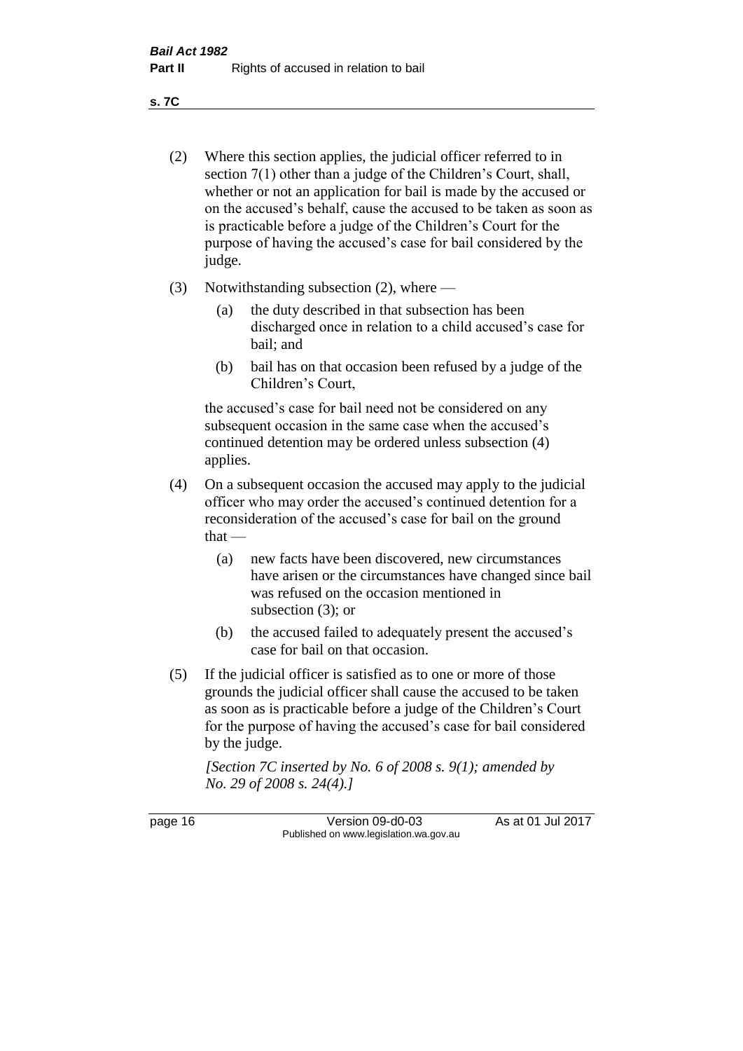**s. 7C**

- (2) Where this section applies, the judicial officer referred to in section 7(1) other than a judge of the Children's Court, shall, whether or not an application for bail is made by the accused or on the accused's behalf, cause the accused to be taken as soon as is practicable before a judge of the Children's Court for the purpose of having the accused's case for bail considered by the judge.
- (3) Notwithstanding subsection (2), where
	- (a) the duty described in that subsection has been discharged once in relation to a child accused's case for bail; and
	- (b) bail has on that occasion been refused by a judge of the Children's Court,

the accused's case for bail need not be considered on any subsequent occasion in the same case when the accused's continued detention may be ordered unless subsection (4) applies.

- (4) On a subsequent occasion the accused may apply to the judicial officer who may order the accused's continued detention for a reconsideration of the accused's case for bail on the ground  $that -$ 
	- (a) new facts have been discovered, new circumstances have arisen or the circumstances have changed since bail was refused on the occasion mentioned in subsection (3); or
	- (b) the accused failed to adequately present the accused's case for bail on that occasion.
- (5) If the judicial officer is satisfied as to one or more of those grounds the judicial officer shall cause the accused to be taken as soon as is practicable before a judge of the Children's Court for the purpose of having the accused's case for bail considered by the judge.

*[Section 7C inserted by No. 6 of 2008 s. 9(1); amended by No. 29 of 2008 s. 24(4).]*

page 16 Version 09-d0-03 As at 01 Jul 2017 Published on www.legislation.wa.gov.au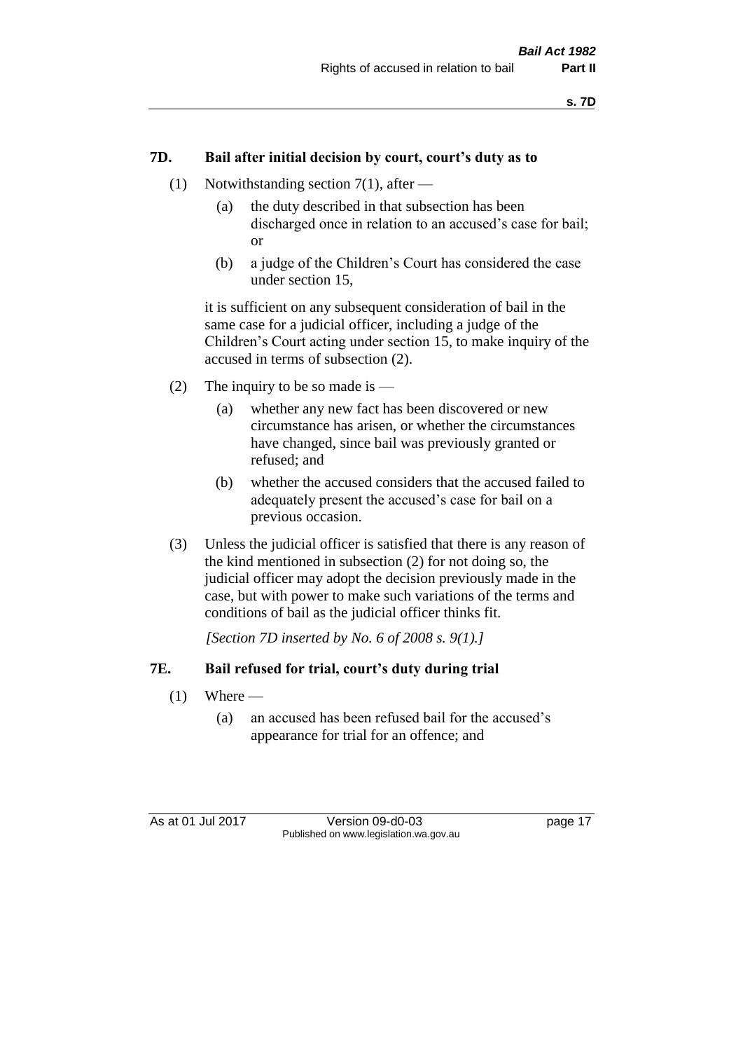#### **7D. Bail after initial decision by court, court's duty as to**

- (1) Notwithstanding section 7(1), after
	- (a) the duty described in that subsection has been discharged once in relation to an accused's case for bail; or
	- (b) a judge of the Children's Court has considered the case under section 15,

it is sufficient on any subsequent consideration of bail in the same case for a judicial officer, including a judge of the Children's Court acting under section 15, to make inquiry of the accused in terms of subsection (2).

- (2) The inquiry to be so made is  $-$ 
	- (a) whether any new fact has been discovered or new circumstance has arisen, or whether the circumstances have changed, since bail was previously granted or refused; and
	- (b) whether the accused considers that the accused failed to adequately present the accused's case for bail on a previous occasion.
- (3) Unless the judicial officer is satisfied that there is any reason of the kind mentioned in subsection (2) for not doing so, the judicial officer may adopt the decision previously made in the case, but with power to make such variations of the terms and conditions of bail as the judicial officer thinks fit.

*[Section 7D inserted by No. 6 of 2008 s. 9(1).]*

#### **7E. Bail refused for trial, court's duty during trial**

- $(1)$  Where
	- (a) an accused has been refused bail for the accused's appearance for trial for an offence; and

As at 01 Jul 2017 Version 09-d0-03 page 17 Published on www.legislation.wa.gov.au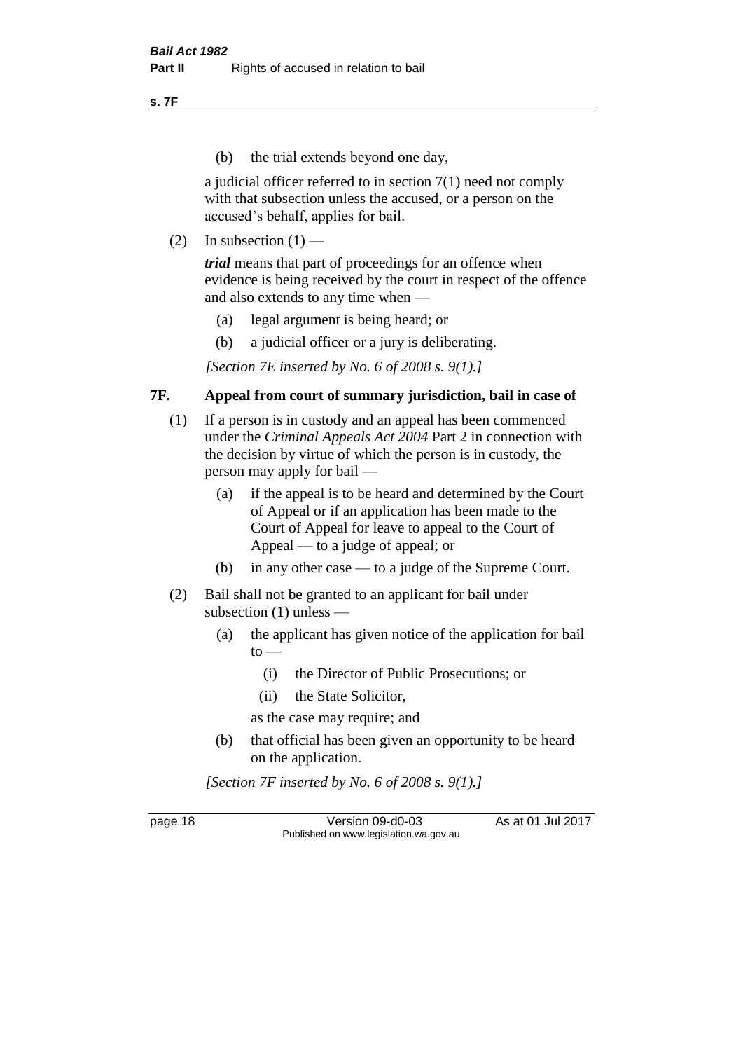**s. 7F**

(b) the trial extends beyond one day,

a judicial officer referred to in section 7(1) need not comply with that subsection unless the accused, or a person on the accused's behalf, applies for bail.

(2) In subsection  $(1)$  —

*trial* means that part of proceedings for an offence when evidence is being received by the court in respect of the offence and also extends to any time when —

- (a) legal argument is being heard; or
- (b) a judicial officer or a jury is deliberating.

*[Section 7E inserted by No. 6 of 2008 s. 9(1).]*

#### **7F. Appeal from court of summary jurisdiction, bail in case of**

- (1) If a person is in custody and an appeal has been commenced under the *Criminal Appeals Act 2004* Part 2 in connection with the decision by virtue of which the person is in custody, the person may apply for bail —
	- (a) if the appeal is to be heard and determined by the Court of Appeal or if an application has been made to the Court of Appeal for leave to appeal to the Court of Appeal — to a judge of appeal; or
	- (b) in any other case to a judge of the Supreme Court.
- (2) Bail shall not be granted to an applicant for bail under subsection (1) unless —
	- (a) the applicant has given notice of the application for bail  $to -$ 
		- (i) the Director of Public Prosecutions; or
		- (ii) the State Solicitor,
		- as the case may require; and
	- (b) that official has been given an opportunity to be heard on the application.

#### *[Section 7F inserted by No. 6 of 2008 s. 9(1).]*

page 18 Version 09-d0-03 As at 01 Jul 2017 Published on www.legislation.wa.gov.au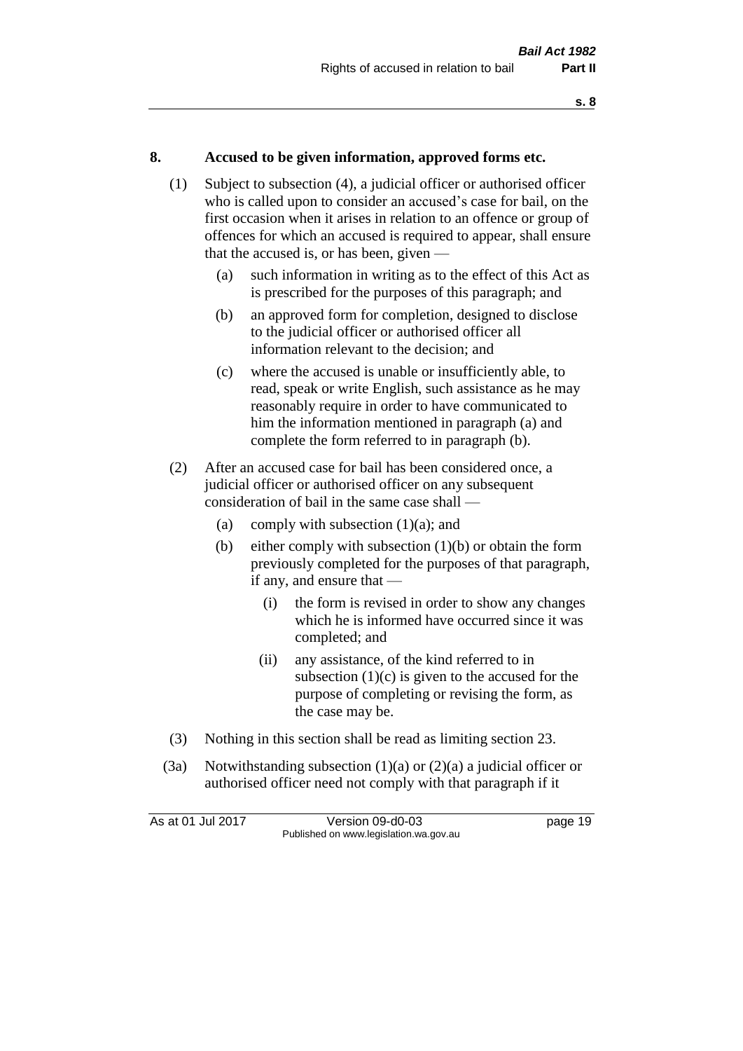#### **8. Accused to be given information, approved forms etc.**

- (1) Subject to subsection (4), a judicial officer or authorised officer who is called upon to consider an accused's case for bail, on the first occasion when it arises in relation to an offence or group of offences for which an accused is required to appear, shall ensure that the accused is, or has been, given —
	- (a) such information in writing as to the effect of this Act as is prescribed for the purposes of this paragraph; and
	- (b) an approved form for completion, designed to disclose to the judicial officer or authorised officer all information relevant to the decision; and
	- (c) where the accused is unable or insufficiently able, to read, speak or write English, such assistance as he may reasonably require in order to have communicated to him the information mentioned in paragraph (a) and complete the form referred to in paragraph (b).
- (2) After an accused case for bail has been considered once, a judicial officer or authorised officer on any subsequent consideration of bail in the same case shall —
	- (a) comply with subsection  $(1)(a)$ ; and
	- (b) either comply with subsection  $(1)(b)$  or obtain the form previously completed for the purposes of that paragraph, if any, and ensure that —
		- (i) the form is revised in order to show any changes which he is informed have occurred since it was completed; and
		- (ii) any assistance, of the kind referred to in subsection  $(1)(c)$  is given to the accused for the purpose of completing or revising the form, as the case may be.
- (3) Nothing in this section shall be read as limiting section 23.
- (3a) Notwithstanding subsection  $(1)(a)$  or  $(2)(a)$  a judicial officer or authorised officer need not comply with that paragraph if it

As at 01 Jul 2017 Version 09-d0-03 page 19 Published on www.legislation.wa.gov.au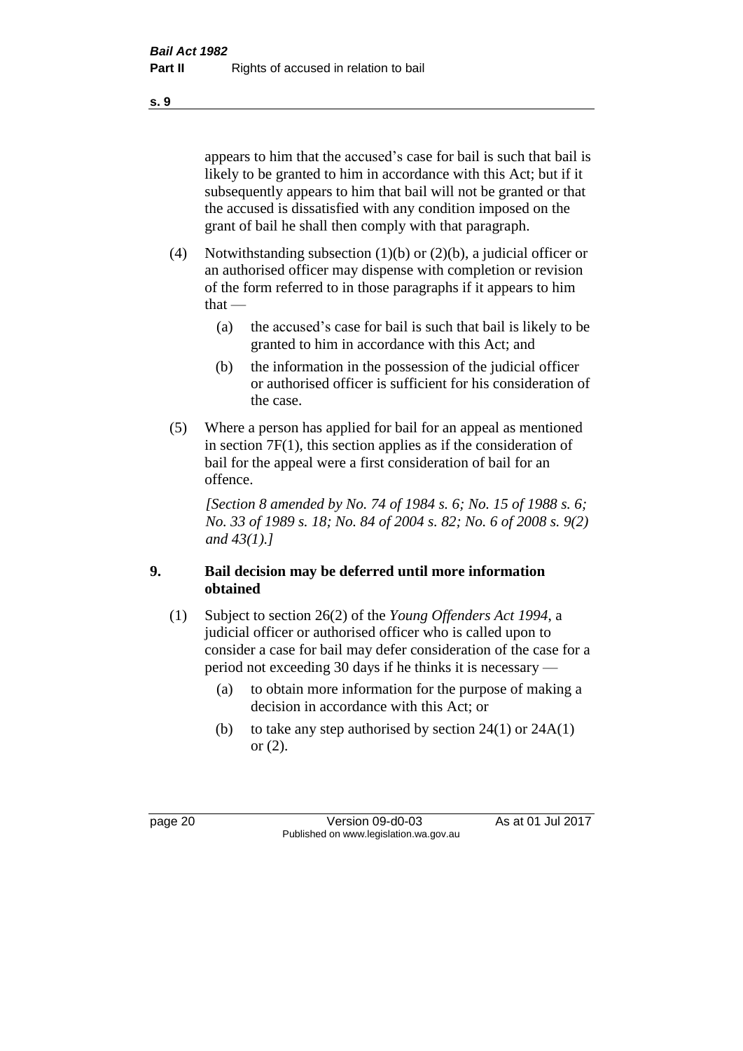appears to him that the accused's case for bail is such that bail is likely to be granted to him in accordance with this Act; but if it subsequently appears to him that bail will not be granted or that the accused is dissatisfied with any condition imposed on the grant of bail he shall then comply with that paragraph.

- (4) Notwithstanding subsection (1)(b) or (2)(b), a judicial officer or an authorised officer may dispense with completion or revision of the form referred to in those paragraphs if it appears to him  $that -$ 
	- (a) the accused's case for bail is such that bail is likely to be granted to him in accordance with this Act; and
	- (b) the information in the possession of the judicial officer or authorised officer is sufficient for his consideration of the case.
- (5) Where a person has applied for bail for an appeal as mentioned in section 7F(1), this section applies as if the consideration of bail for the appeal were a first consideration of bail for an offence.

*[Section 8 amended by No. 74 of 1984 s. 6; No. 15 of 1988 s. 6; No. 33 of 1989 s. 18; No. 84 of 2004 s. 82; No. 6 of 2008 s. 9(2) and 43(1).]* 

#### **9. Bail decision may be deferred until more information obtained**

- (1) Subject to section 26(2) of the *Young Offenders Act 1994*, a judicial officer or authorised officer who is called upon to consider a case for bail may defer consideration of the case for a period not exceeding 30 days if he thinks it is necessary —
	- (a) to obtain more information for the purpose of making a decision in accordance with this Act; or
	- (b) to take any step authorised by section  $24(1)$  or  $24A(1)$ or (2).

page 20 Version 09-d0-03 As at 01 Jul 2017 Published on www.legislation.wa.gov.au

**s. 9**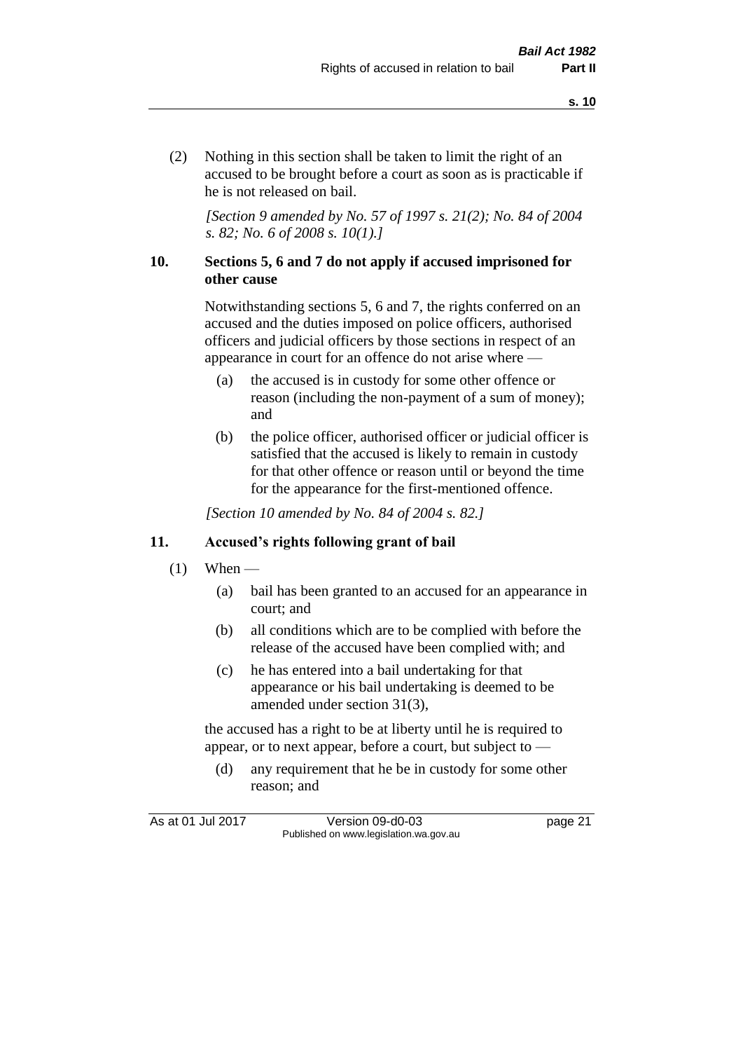(2) Nothing in this section shall be taken to limit the right of an accused to be brought before a court as soon as is practicable if he is not released on bail.

*[Section 9 amended by No. 57 of 1997 s. 21(2); No. 84 of 2004 s. 82; No. 6 of 2008 s. 10(1).]*

#### **10. Sections 5, 6 and 7 do not apply if accused imprisoned for other cause**

Notwithstanding sections 5, 6 and 7, the rights conferred on an accused and the duties imposed on police officers, authorised officers and judicial officers by those sections in respect of an appearance in court for an offence do not arise where —

- (a) the accused is in custody for some other offence or reason (including the non-payment of a sum of money); and
- (b) the police officer, authorised officer or judicial officer is satisfied that the accused is likely to remain in custody for that other offence or reason until or beyond the time for the appearance for the first-mentioned offence.

*[Section 10 amended by No. 84 of 2004 s. 82.]*

#### **11. Accused's rights following grant of bail**

- $(1)$  When
	- (a) bail has been granted to an accused for an appearance in court; and
	- (b) all conditions which are to be complied with before the release of the accused have been complied with; and
	- (c) he has entered into a bail undertaking for that appearance or his bail undertaking is deemed to be amended under section 31(3),

the accused has a right to be at liberty until he is required to appear, or to next appear, before a court, but subject to —

(d) any requirement that he be in custody for some other reason; and

As at 01 Jul 2017 Version 09-d0-03 page 21 Published on www.legislation.wa.gov.au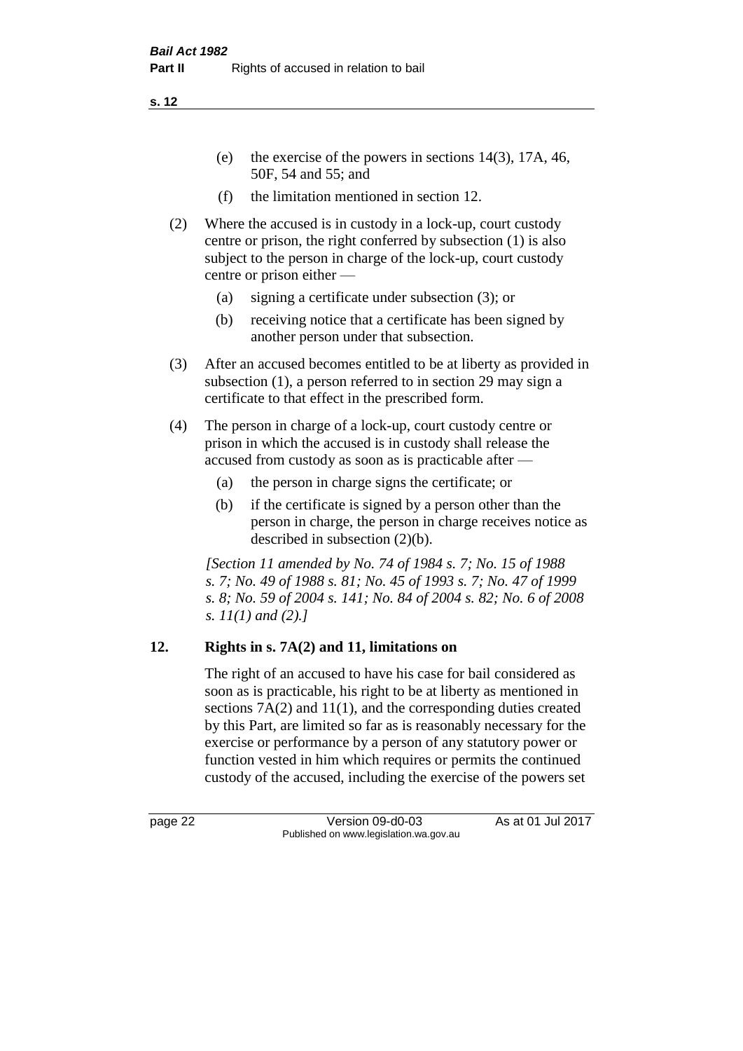- (e) the exercise of the powers in sections 14(3), 17A, 46, 50F, 54 and 55; and
- (f) the limitation mentioned in section 12.
- (2) Where the accused is in custody in a lock-up, court custody centre or prison, the right conferred by subsection (1) is also subject to the person in charge of the lock-up, court custody centre or prison either —
	- (a) signing a certificate under subsection (3); or
	- (b) receiving notice that a certificate has been signed by another person under that subsection.
- (3) After an accused becomes entitled to be at liberty as provided in subsection (1), a person referred to in section 29 may sign a certificate to that effect in the prescribed form.
- (4) The person in charge of a lock-up, court custody centre or prison in which the accused is in custody shall release the accused from custody as soon as is practicable after —
	- (a) the person in charge signs the certificate; or
	- (b) if the certificate is signed by a person other than the person in charge, the person in charge receives notice as described in subsection (2)(b).

*[Section 11 amended by No. 74 of 1984 s. 7; No. 15 of 1988 s. 7; No. 49 of 1988 s. 81; No. 45 of 1993 s. 7; No. 47 of 1999 s. 8; No. 59 of 2004 s. 141; No. 84 of 2004 s. 82; No. 6 of 2008 s. 11(1) and (2).]* 

## **12. Rights in s. 7A(2) and 11, limitations on**

The right of an accused to have his case for bail considered as soon as is practicable, his right to be at liberty as mentioned in sections 7A(2) and 11(1), and the corresponding duties created by this Part, are limited so far as is reasonably necessary for the exercise or performance by a person of any statutory power or function vested in him which requires or permits the continued custody of the accused, including the exercise of the powers set

page 22 Version 09-d0-03 As at 01 Jul 2017 Published on www.legislation.wa.gov.au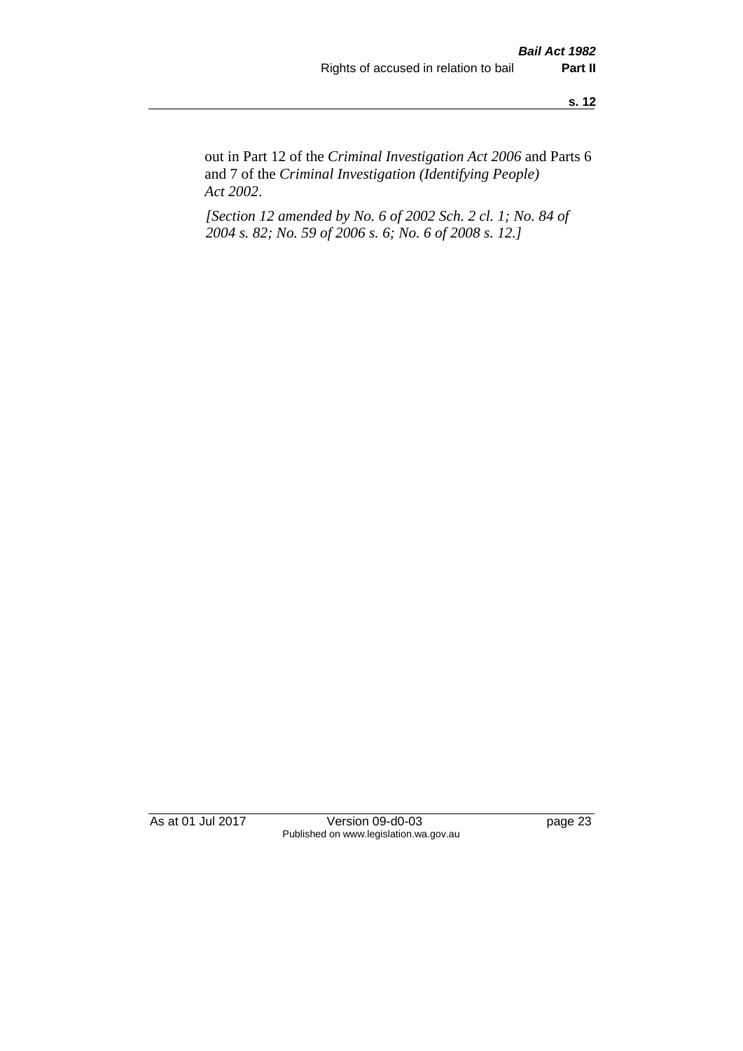out in Part 12 of the *Criminal Investigation Act 2006* and Parts 6 and 7 of the *Criminal Investigation (Identifying People) Act 2002*.

*[Section 12 amended by No. 6 of 2002 Sch. 2 cl. 1; No. 84 of 2004 s. 82; No. 59 of 2006 s. 6; No. 6 of 2008 s. 12.]*

As at 01 Jul 2017 Version 09-d0-03 page 23 Published on www.legislation.wa.gov.au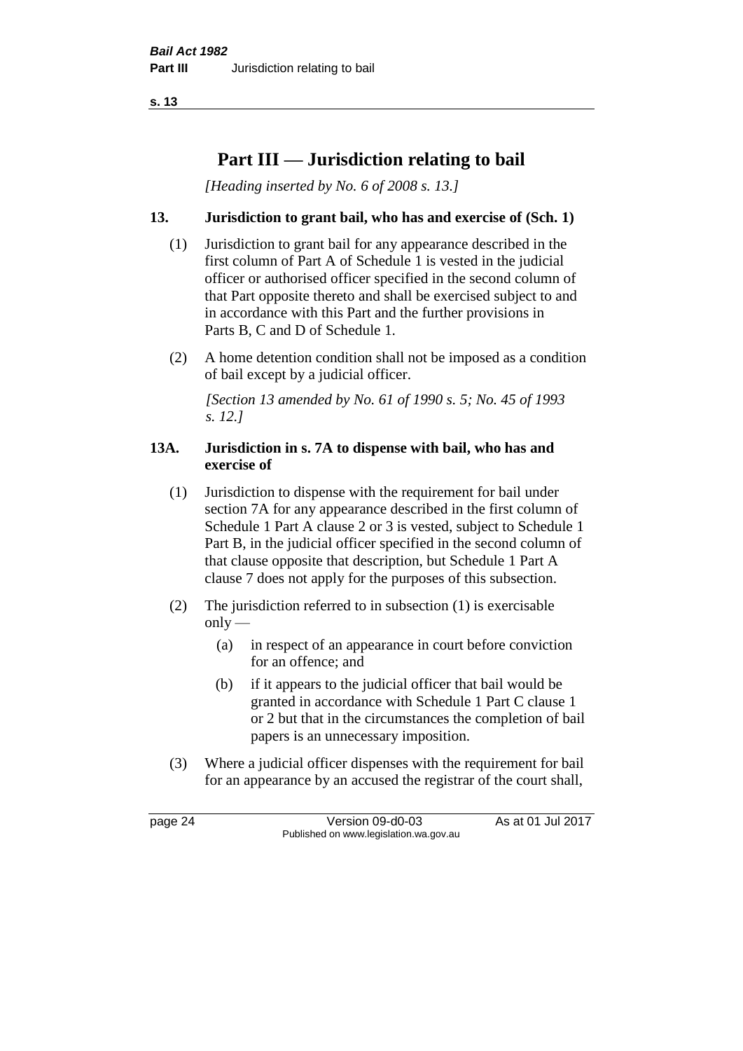# **Part III — Jurisdiction relating to bail**

*[Heading inserted by No. 6 of 2008 s. 13.]*

### **13. Jurisdiction to grant bail, who has and exercise of (Sch. 1)**

- (1) Jurisdiction to grant bail for any appearance described in the first column of Part A of Schedule 1 is vested in the judicial officer or authorised officer specified in the second column of that Part opposite thereto and shall be exercised subject to and in accordance with this Part and the further provisions in Parts B, C and D of Schedule 1.
- (2) A home detention condition shall not be imposed as a condition of bail except by a judicial officer.

*[Section 13 amended by No. 61 of 1990 s. 5; No. 45 of 1993 s. 12.]* 

#### **13A. Jurisdiction in s. 7A to dispense with bail, who has and exercise of**

- (1) Jurisdiction to dispense with the requirement for bail under section 7A for any appearance described in the first column of Schedule 1 Part A clause 2 or 3 is vested, subject to Schedule 1 Part B, in the judicial officer specified in the second column of that clause opposite that description, but Schedule 1 Part A clause 7 does not apply for the purposes of this subsection.
- (2) The jurisdiction referred to in subsection (1) is exercisable  $only$ —
	- (a) in respect of an appearance in court before conviction for an offence; and
	- (b) if it appears to the judicial officer that bail would be granted in accordance with Schedule 1 Part C clause 1 or 2 but that in the circumstances the completion of bail papers is an unnecessary imposition.
- (3) Where a judicial officer dispenses with the requirement for bail for an appearance by an accused the registrar of the court shall,

page 24 Version 09-d0-03 As at 01 Jul 2017 Published on www.legislation.wa.gov.au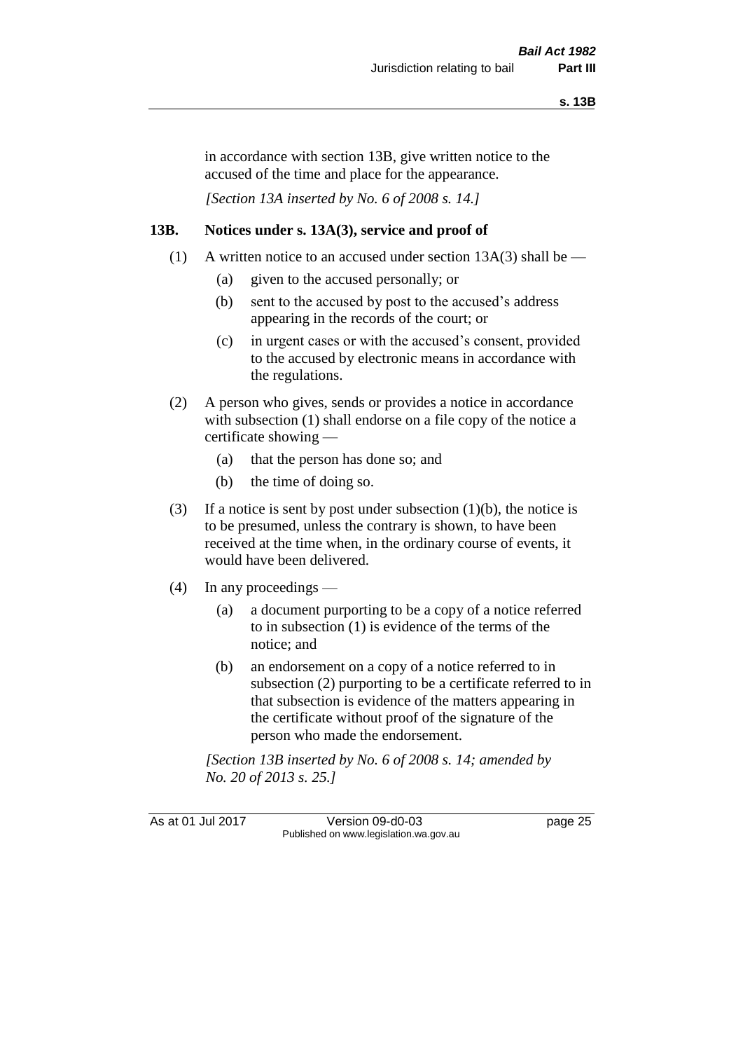in accordance with section 13B, give written notice to the accused of the time and place for the appearance.

*[Section 13A inserted by No. 6 of 2008 s. 14.]*

#### **13B. Notices under s. 13A(3), service and proof of**

- (1) A written notice to an accused under section  $13A(3)$  shall be
	- (a) given to the accused personally; or
	- (b) sent to the accused by post to the accused's address appearing in the records of the court; or
	- (c) in urgent cases or with the accused's consent, provided to the accused by electronic means in accordance with the regulations.
- (2) A person who gives, sends or provides a notice in accordance with subsection (1) shall endorse on a file copy of the notice a certificate showing —
	- (a) that the person has done so; and
	- (b) the time of doing so.
- (3) If a notice is sent by post under subsection  $(1)(b)$ , the notice is to be presumed, unless the contrary is shown, to have been received at the time when, in the ordinary course of events, it would have been delivered.
- (4) In any proceedings
	- (a) a document purporting to be a copy of a notice referred to in subsection (1) is evidence of the terms of the notice; and
	- (b) an endorsement on a copy of a notice referred to in subsection (2) purporting to be a certificate referred to in that subsection is evidence of the matters appearing in the certificate without proof of the signature of the person who made the endorsement.

*[Section 13B inserted by No. 6 of 2008 s. 14; amended by No. 20 of 2013 s. 25.]*

As at 01 Jul 2017 Version 09-d0-03 page 25 Published on www.legislation.wa.gov.au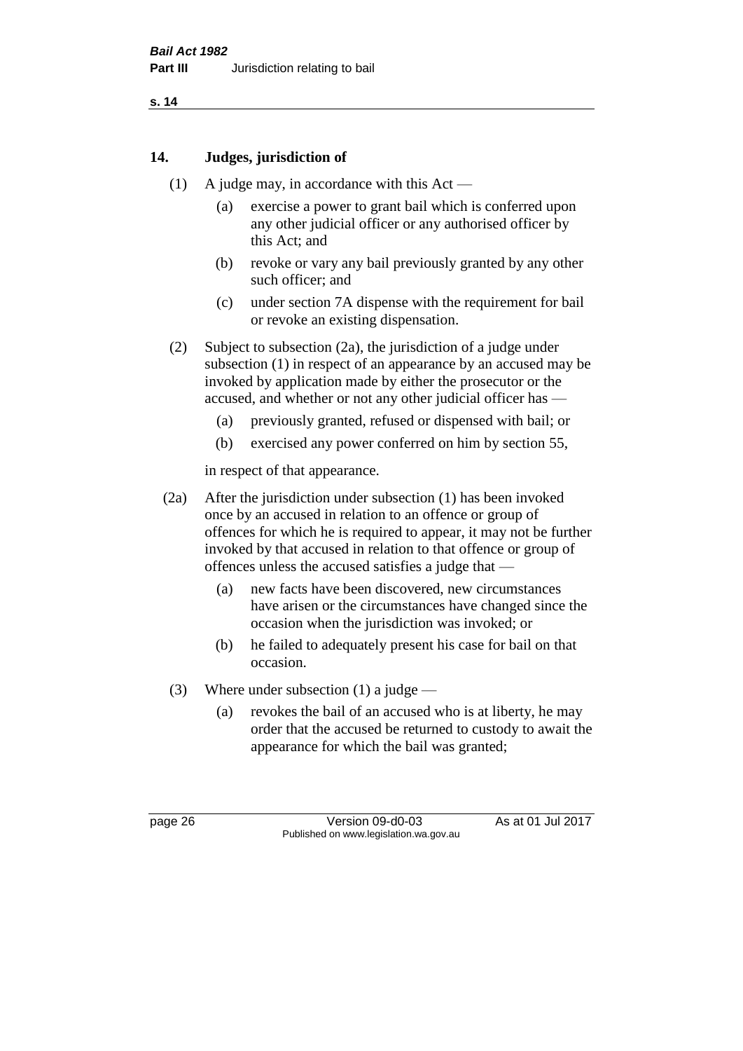### **14. Judges, jurisdiction of**

- (1) A judge may, in accordance with this Act
	- (a) exercise a power to grant bail which is conferred upon any other judicial officer or any authorised officer by this Act; and
	- (b) revoke or vary any bail previously granted by any other such officer; and
	- (c) under section 7A dispense with the requirement for bail or revoke an existing dispensation.
- (2) Subject to subsection (2a), the jurisdiction of a judge under subsection (1) in respect of an appearance by an accused may be invoked by application made by either the prosecutor or the accused, and whether or not any other judicial officer has —
	- (a) previously granted, refused or dispensed with bail; or
	- (b) exercised any power conferred on him by section 55,

in respect of that appearance.

- (2a) After the jurisdiction under subsection (1) has been invoked once by an accused in relation to an offence or group of offences for which he is required to appear, it may not be further invoked by that accused in relation to that offence or group of offences unless the accused satisfies a judge that —
	- (a) new facts have been discovered, new circumstances have arisen or the circumstances have changed since the occasion when the jurisdiction was invoked; or
	- (b) he failed to adequately present his case for bail on that occasion.
- (3) Where under subsection (1) a judge
	- (a) revokes the bail of an accused who is at liberty, he may order that the accused be returned to custody to await the appearance for which the bail was granted;

page 26 Version 09-d0-03 As at 01 Jul 2017 Published on www.legislation.wa.gov.au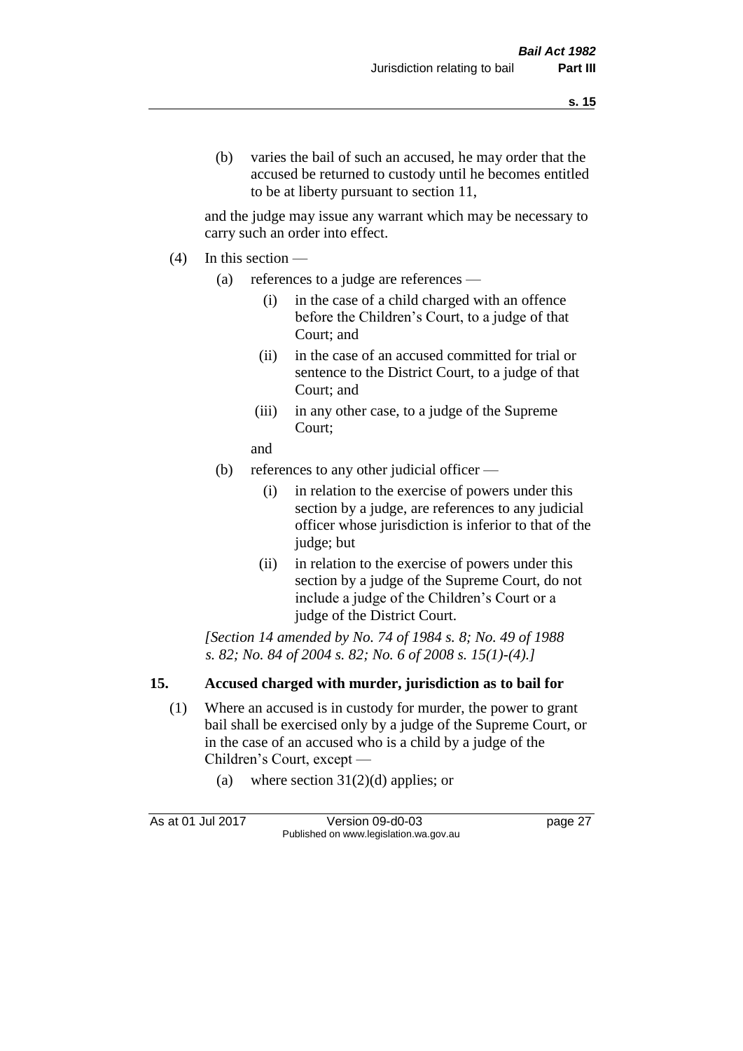and the judge may issue any warrant which may be necessary to carry such an order into effect.

- (4) In this section
	- (a) references to a judge are references
		- (i) in the case of a child charged with an offence before the Children's Court, to a judge of that Court; and
		- (ii) in the case of an accused committed for trial or sentence to the District Court, to a judge of that Court; and
		- (iii) in any other case, to a judge of the Supreme Court;
		- and
	- (b) references to any other judicial officer
		- (i) in relation to the exercise of powers under this section by a judge, are references to any judicial officer whose jurisdiction is inferior to that of the judge; but
		- (ii) in relation to the exercise of powers under this section by a judge of the Supreme Court, do not include a judge of the Children's Court or a judge of the District Court.

*[Section 14 amended by No. 74 of 1984 s. 8; No. 49 of 1988 s. 82; No. 84 of 2004 s. 82; No. 6 of 2008 s. 15(1)-(4).]* 

# **15. Accused charged with murder, jurisdiction as to bail for**

- (1) Where an accused is in custody for murder, the power to grant bail shall be exercised only by a judge of the Supreme Court, or in the case of an accused who is a child by a judge of the Children's Court, except —
	- (a) where section  $31(2)(d)$  applies; or

As at 01 Jul 2017 Version 09-d0-03 page 27 Published on www.legislation.wa.gov.au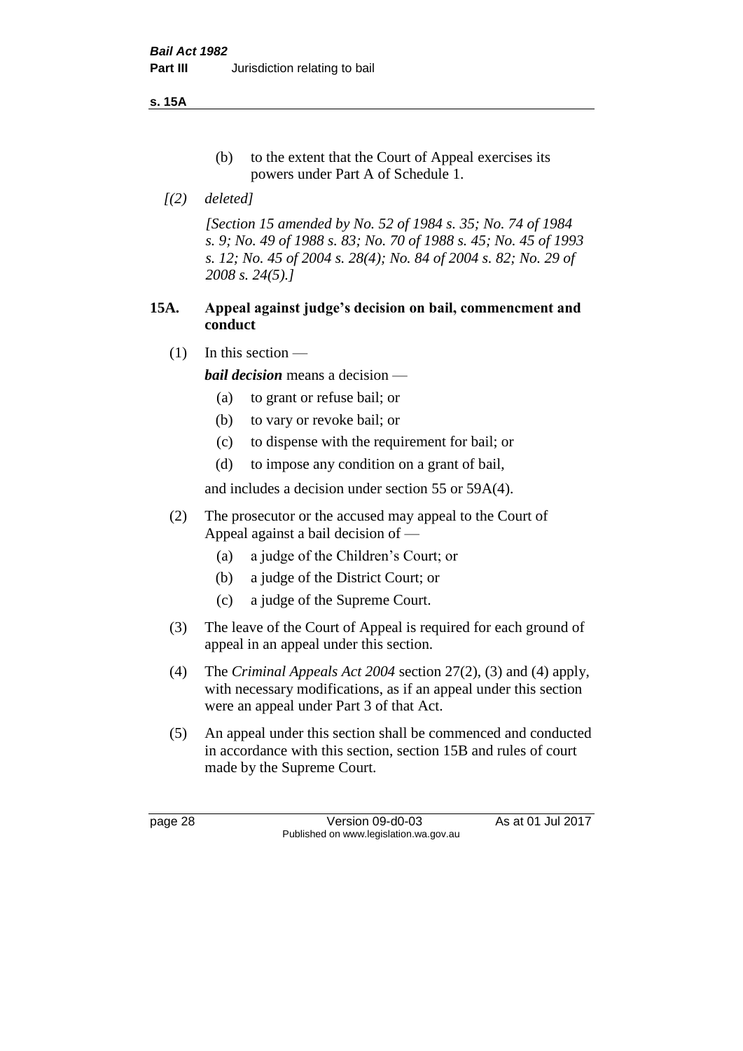**s. 15A**

- (b) to the extent that the Court of Appeal exercises its powers under Part A of Schedule 1.
- *[(2) deleted]*

*[Section 15 amended by No. 52 of 1984 s. 35; No. 74 of 1984 s. 9; No. 49 of 1988 s. 83; No. 70 of 1988 s. 45; No. 45 of 1993 s. 12; No. 45 of 2004 s. 28(4); No. 84 of 2004 s. 82; No. 29 of 2008 s. 24(5).]* 

## **15A. Appeal against judge's decision on bail, commencment and conduct**

 $(1)$  In this section —

*bail decision* means a decision —

- (a) to grant or refuse bail; or
- (b) to vary or revoke bail; or
- (c) to dispense with the requirement for bail; or
- (d) to impose any condition on a grant of bail,

and includes a decision under section 55 or 59A(4).

- (2) The prosecutor or the accused may appeal to the Court of Appeal against a bail decision of —
	- (a) a judge of the Children's Court; or
	- (b) a judge of the District Court; or
	- (c) a judge of the Supreme Court.
- (3) The leave of the Court of Appeal is required for each ground of appeal in an appeal under this section.
- (4) The *Criminal Appeals Act 2004* section 27(2), (3) and (4) apply, with necessary modifications, as if an appeal under this section were an appeal under Part 3 of that Act.
- (5) An appeal under this section shall be commenced and conducted in accordance with this section, section 15B and rules of court made by the Supreme Court.

page 28 Version 09-d0-03 As at 01 Jul 2017 Published on www.legislation.wa.gov.au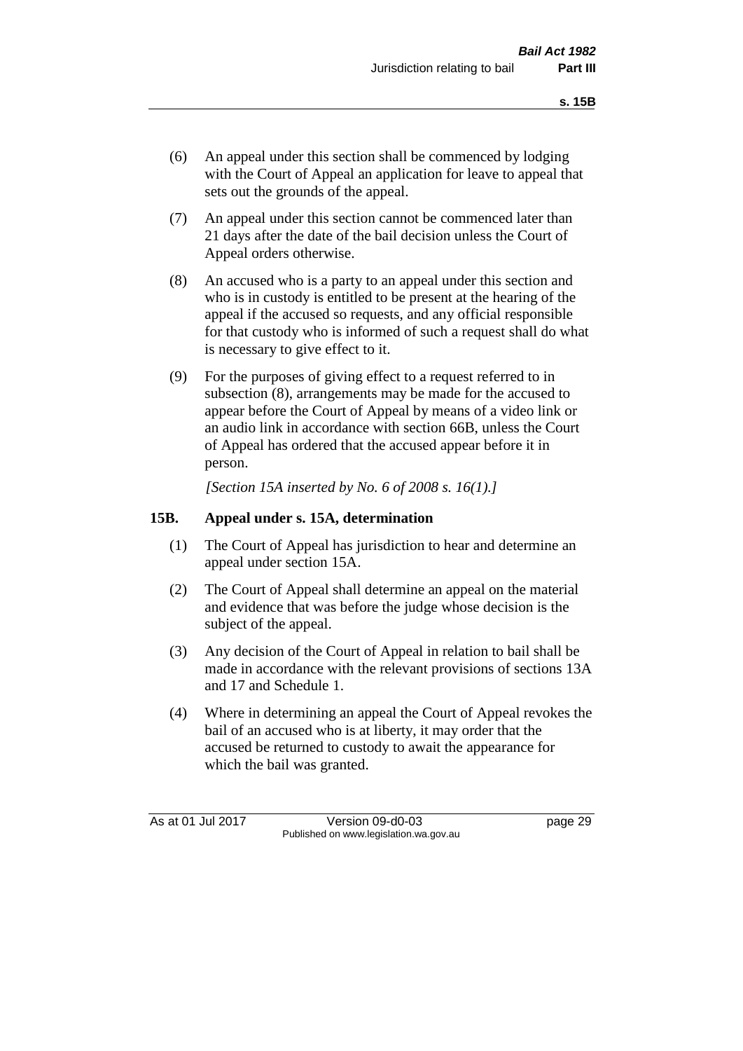- (6) An appeal under this section shall be commenced by lodging with the Court of Appeal an application for leave to appeal that sets out the grounds of the appeal.
- (7) An appeal under this section cannot be commenced later than 21 days after the date of the bail decision unless the Court of Appeal orders otherwise.
- (8) An accused who is a party to an appeal under this section and who is in custody is entitled to be present at the hearing of the appeal if the accused so requests, and any official responsible for that custody who is informed of such a request shall do what is necessary to give effect to it.
- (9) For the purposes of giving effect to a request referred to in subsection (8), arrangements may be made for the accused to appear before the Court of Appeal by means of a video link or an audio link in accordance with section 66B, unless the Court of Appeal has ordered that the accused appear before it in person.

*[Section 15A inserted by No. 6 of 2008 s. 16(1).]*

## **15B. Appeal under s. 15A, determination**

- (1) The Court of Appeal has jurisdiction to hear and determine an appeal under section 15A.
- (2) The Court of Appeal shall determine an appeal on the material and evidence that was before the judge whose decision is the subject of the appeal.
- (3) Any decision of the Court of Appeal in relation to bail shall be made in accordance with the relevant provisions of sections 13A and 17 and Schedule 1.
- (4) Where in determining an appeal the Court of Appeal revokes the bail of an accused who is at liberty, it may order that the accused be returned to custody to await the appearance for which the bail was granted.

As at 01 Jul 2017 Version 09-d0-03 page 29 Published on www.legislation.wa.gov.au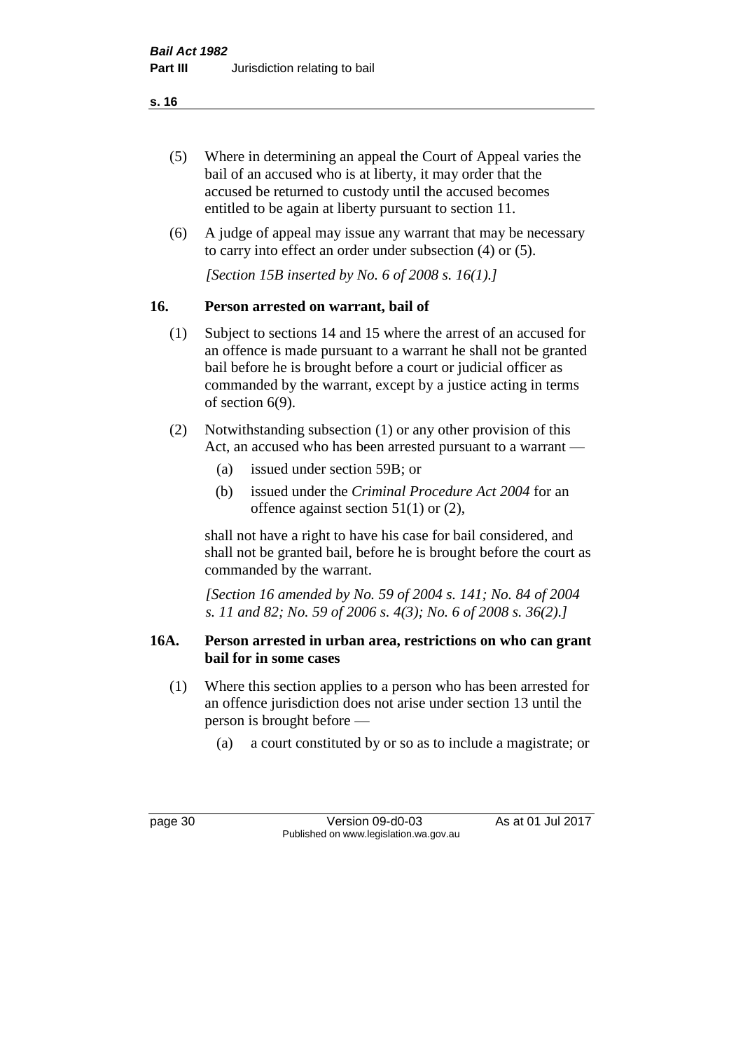- (5) Where in determining an appeal the Court of Appeal varies the bail of an accused who is at liberty, it may order that the accused be returned to custody until the accused becomes entitled to be again at liberty pursuant to section 11.
- (6) A judge of appeal may issue any warrant that may be necessary to carry into effect an order under subsection (4) or (5).

*[Section 15B inserted by No. 6 of 2008 s. 16(1).]*

# **16. Person arrested on warrant, bail of**

- (1) Subject to sections 14 and 15 where the arrest of an accused for an offence is made pursuant to a warrant he shall not be granted bail before he is brought before a court or judicial officer as commanded by the warrant, except by a justice acting in terms of section 6(9).
- (2) Notwithstanding subsection (1) or any other provision of this Act, an accused who has been arrested pursuant to a warrant —
	- (a) issued under section 59B; or
	- (b) issued under the *Criminal Procedure Act 2004* for an offence against section 51(1) or (2),

shall not have a right to have his case for bail considered, and shall not be granted bail, before he is brought before the court as commanded by the warrant.

*[Section 16 amended by No. 59 of 2004 s. 141; No. 84 of 2004 s. 11 and 82; No. 59 of 2006 s. 4(3); No. 6 of 2008 s. 36(2).]*

# **16A. Person arrested in urban area, restrictions on who can grant bail for in some cases**

- (1) Where this section applies to a person who has been arrested for an offence jurisdiction does not arise under section 13 until the person is brought before —
	- (a) a court constituted by or so as to include a magistrate; or

page 30 Version 09-d0-03 As at 01 Jul 2017 Published on www.legislation.wa.gov.au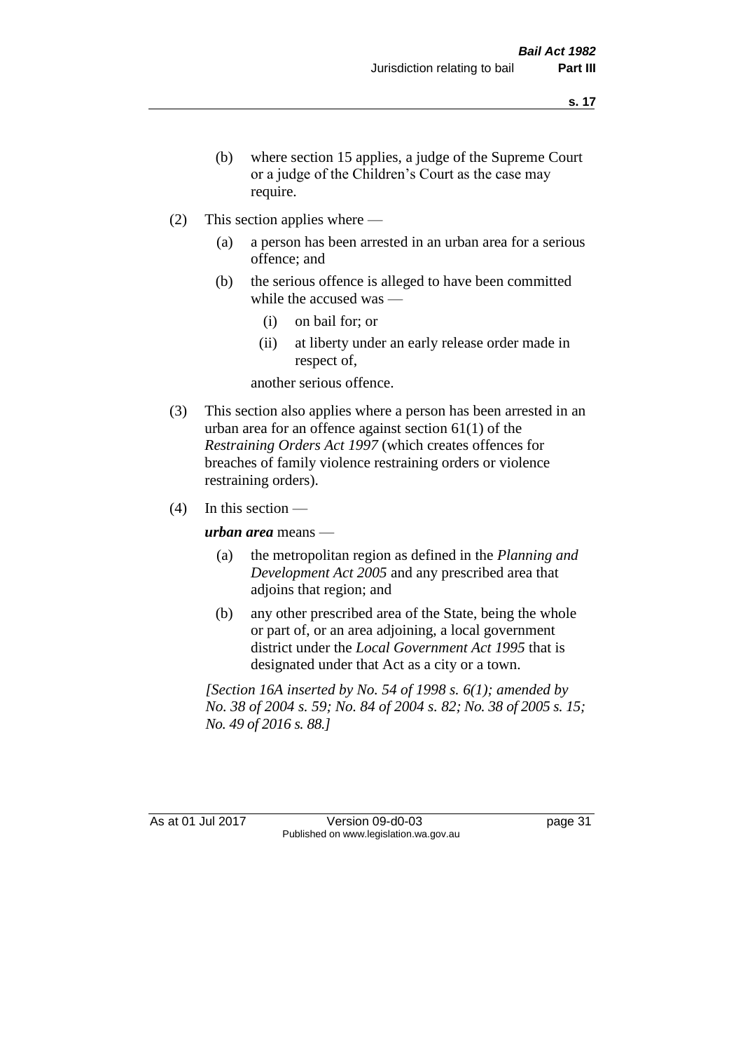- (b) where section 15 applies, a judge of the Supreme Court or a judge of the Children's Court as the case may require.
- (2) This section applies where
	- (a) a person has been arrested in an urban area for a serious offence; and
	- (b) the serious offence is alleged to have been committed while the accused was —
		- (i) on bail for; or
		- (ii) at liberty under an early release order made in respect of,

another serious offence.

- (3) This section also applies where a person has been arrested in an urban area for an offence against section 61(1) of the *Restraining Orders Act 1997* (which creates offences for breaches of family violence restraining orders or violence restraining orders).
- $(4)$  In this section —

*urban area* means —

- (a) the metropolitan region as defined in the *Planning and Development Act 2005* and any prescribed area that adjoins that region; and
- (b) any other prescribed area of the State, being the whole or part of, or an area adjoining, a local government district under the *Local Government Act 1995* that is designated under that Act as a city or a town.

*[Section 16A inserted by No. 54 of 1998 s. 6(1); amended by No. 38 of 2004 s. 59; No. 84 of 2004 s. 82; No. 38 of 2005 s. 15; No. 49 of 2016 s. 88.]*

As at 01 Jul 2017 Version 09-d0-03 page 31 Published on www.legislation.wa.gov.au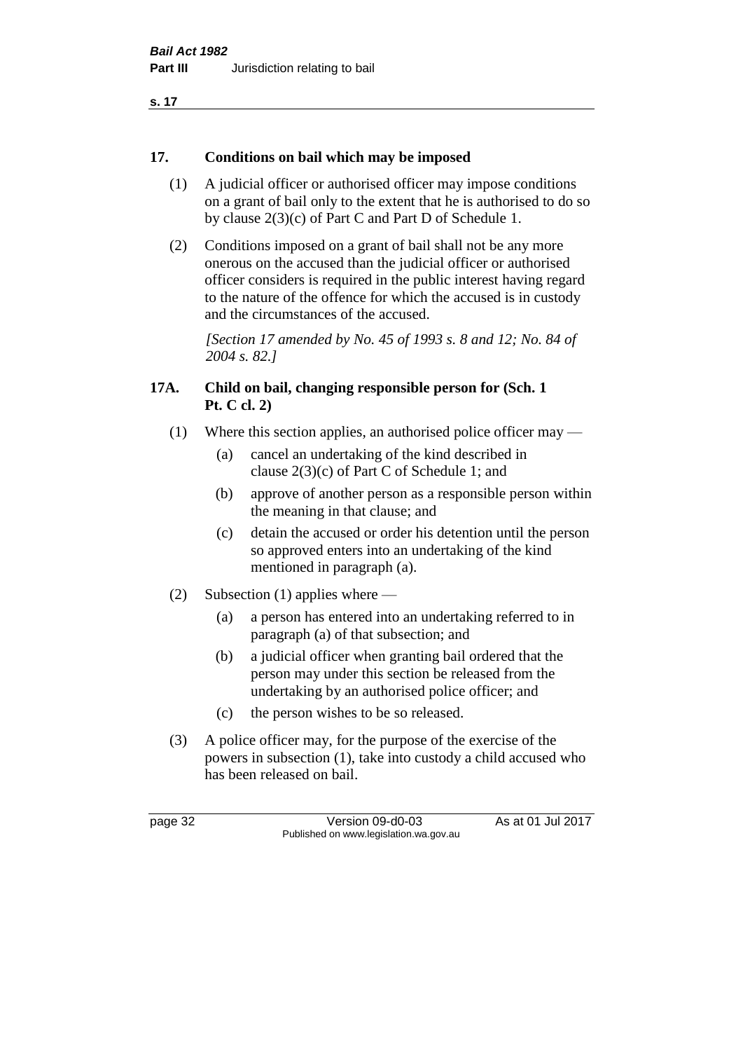## **17. Conditions on bail which may be imposed**

- (1) A judicial officer or authorised officer may impose conditions on a grant of bail only to the extent that he is authorised to do so by clause 2(3)(c) of Part C and Part D of Schedule 1.
- (2) Conditions imposed on a grant of bail shall not be any more onerous on the accused than the judicial officer or authorised officer considers is required in the public interest having regard to the nature of the offence for which the accused is in custody and the circumstances of the accused.

*[Section 17 amended by No. 45 of 1993 s. 8 and 12; No. 84 of 2004 s. 82.]* 

## **17A. Child on bail, changing responsible person for (Sch. 1 Pt. C cl. 2)**

- (1) Where this section applies, an authorised police officer may
	- (a) cancel an undertaking of the kind described in clause 2(3)(c) of Part C of Schedule 1; and
	- (b) approve of another person as a responsible person within the meaning in that clause; and
	- (c) detain the accused or order his detention until the person so approved enters into an undertaking of the kind mentioned in paragraph (a).
- (2) Subsection (1) applies where
	- (a) a person has entered into an undertaking referred to in paragraph (a) of that subsection; and
	- (b) a judicial officer when granting bail ordered that the person may under this section be released from the undertaking by an authorised police officer; and
	- (c) the person wishes to be so released.
- (3) A police officer may, for the purpose of the exercise of the powers in subsection (1), take into custody a child accused who has been released on bail.

page 32 Version 09-d0-03 As at 01 Jul 2017 Published on www.legislation.wa.gov.au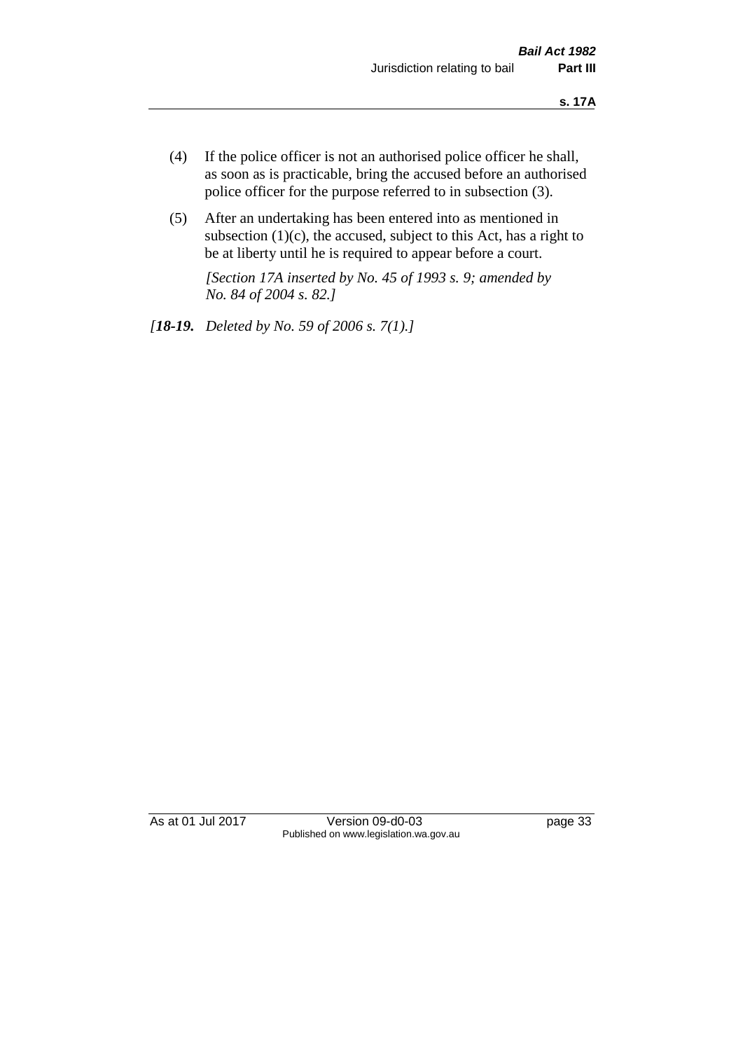- (4) If the police officer is not an authorised police officer he shall, as soon as is practicable, bring the accused before an authorised police officer for the purpose referred to in subsection (3).
- (5) After an undertaking has been entered into as mentioned in subsection  $(1)(c)$ , the accused, subject to this Act, has a right to be at liberty until he is required to appear before a court.

*[Section 17A inserted by No. 45 of 1993 s. 9; amended by No. 84 of 2004 s. 82.]* 

*[18-19. Deleted by No. 59 of 2006 s. 7(1).]*

As at 01 Jul 2017 Version 09-d0-03 page 33 Published on www.legislation.wa.gov.au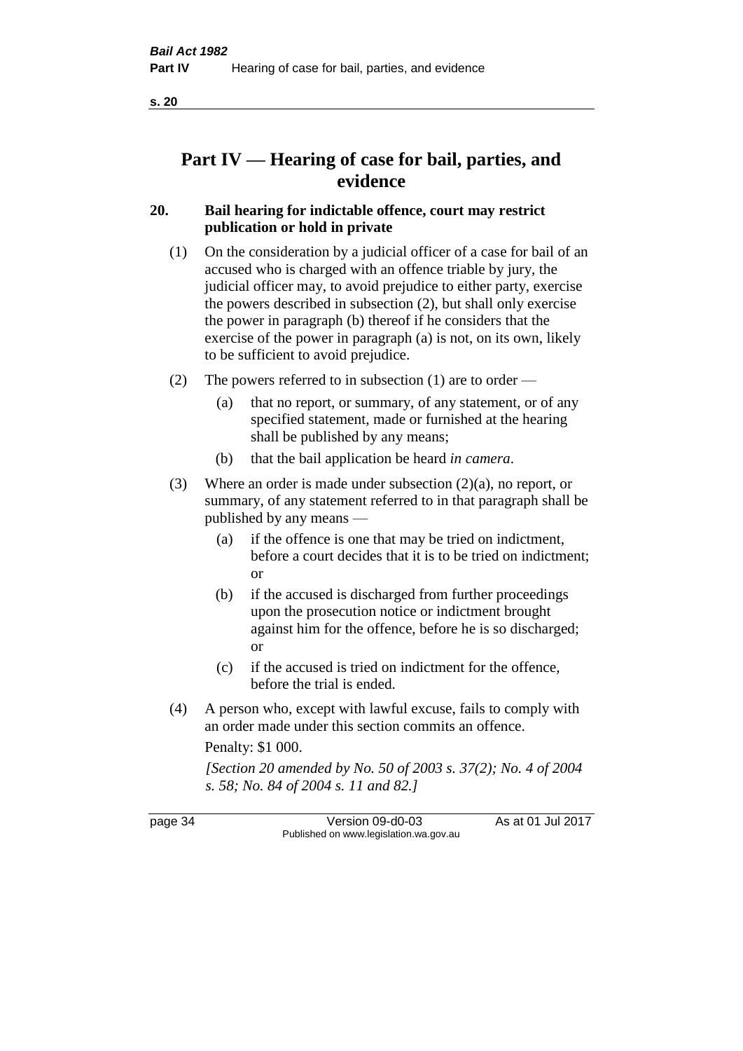# **Part IV — Hearing of case for bail, parties, and evidence**

# **20. Bail hearing for indictable offence, court may restrict publication or hold in private**

- (1) On the consideration by a judicial officer of a case for bail of an accused who is charged with an offence triable by jury, the judicial officer may, to avoid prejudice to either party, exercise the powers described in subsection (2), but shall only exercise the power in paragraph (b) thereof if he considers that the exercise of the power in paragraph (a) is not, on its own, likely to be sufficient to avoid prejudice.
- (2) The powers referred to in subsection (1) are to order
	- (a) that no report, or summary, of any statement, or of any specified statement, made or furnished at the hearing shall be published by any means;
	- (b) that the bail application be heard *in camera*.
- (3) Where an order is made under subsection (2)(a), no report, or summary, of any statement referred to in that paragraph shall be published by any means —
	- (a) if the offence is one that may be tried on indictment, before a court decides that it is to be tried on indictment; or
	- (b) if the accused is discharged from further proceedings upon the prosecution notice or indictment brought against him for the offence, before he is so discharged; or
	- (c) if the accused is tried on indictment for the offence, before the trial is ended.
- (4) A person who, except with lawful excuse, fails to comply with an order made under this section commits an offence.

Penalty: \$1 000.

*[Section 20 amended by No. 50 of 2003 s. 37(2); No. 4 of 2004 s. 58; No. 84 of 2004 s. 11 and 82.]*

page 34 Version 09-d0-03 As at 01 Jul 2017 Published on www.legislation.wa.gov.au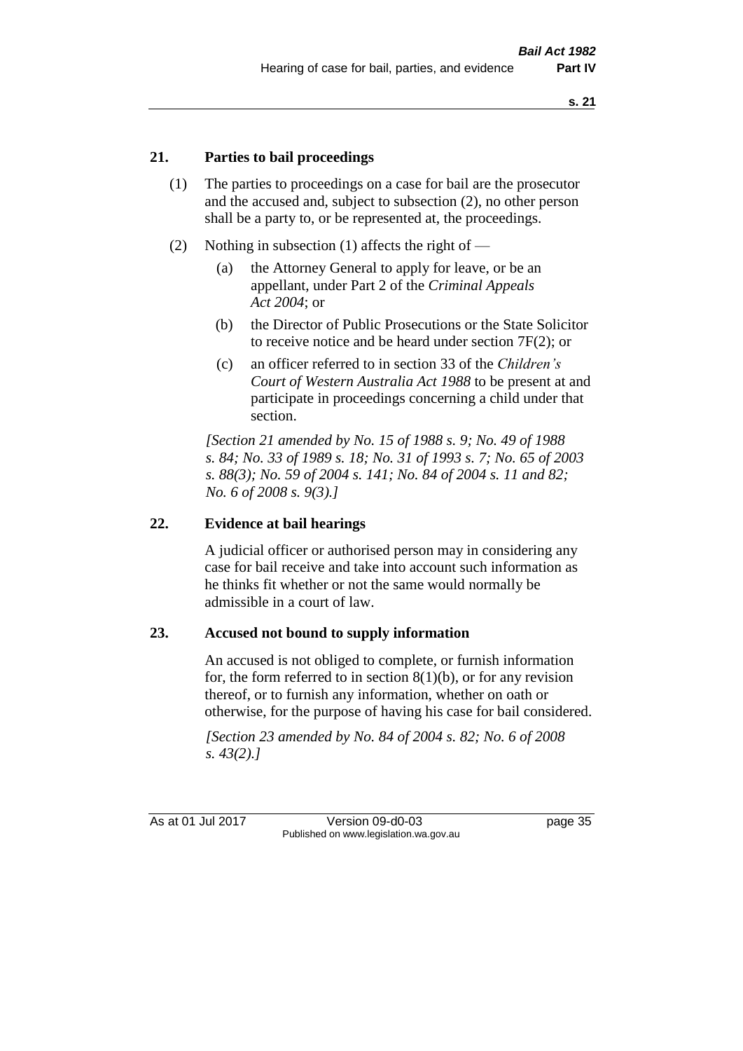## **21. Parties to bail proceedings**

- (1) The parties to proceedings on a case for bail are the prosecutor and the accused and, subject to subsection (2), no other person shall be a party to, or be represented at, the proceedings.
- (2) Nothing in subsection (1) affects the right of
	- (a) the Attorney General to apply for leave, or be an appellant, under Part 2 of the *Criminal Appeals Act 2004*; or
	- (b) the Director of Public Prosecutions or the State Solicitor to receive notice and be heard under section 7F(2); or
	- (c) an officer referred to in section 33 of the *Children's Court of Western Australia Act 1988* to be present at and participate in proceedings concerning a child under that section.

*[Section 21 amended by No. 15 of 1988 s. 9; No. 49 of 1988 s. 84; No. 33 of 1989 s. 18; No. 31 of 1993 s. 7; No. 65 of 2003 s. 88(3); No. 59 of 2004 s. 141; No. 84 of 2004 s. 11 and 82; No. 6 of 2008 s. 9(3).]* 

## **22. Evidence at bail hearings**

A judicial officer or authorised person may in considering any case for bail receive and take into account such information as he thinks fit whether or not the same would normally be admissible in a court of law.

#### **23. Accused not bound to supply information**

An accused is not obliged to complete, or furnish information for, the form referred to in section  $8(1)(b)$ , or for any revision thereof, or to furnish any information, whether on oath or otherwise, for the purpose of having his case for bail considered.

*[Section 23 amended by No. 84 of 2004 s. 82; No. 6 of 2008 s. 43(2).]* 

As at 01 Jul 2017 Version 09-d0-03 page 35 Published on www.legislation.wa.gov.au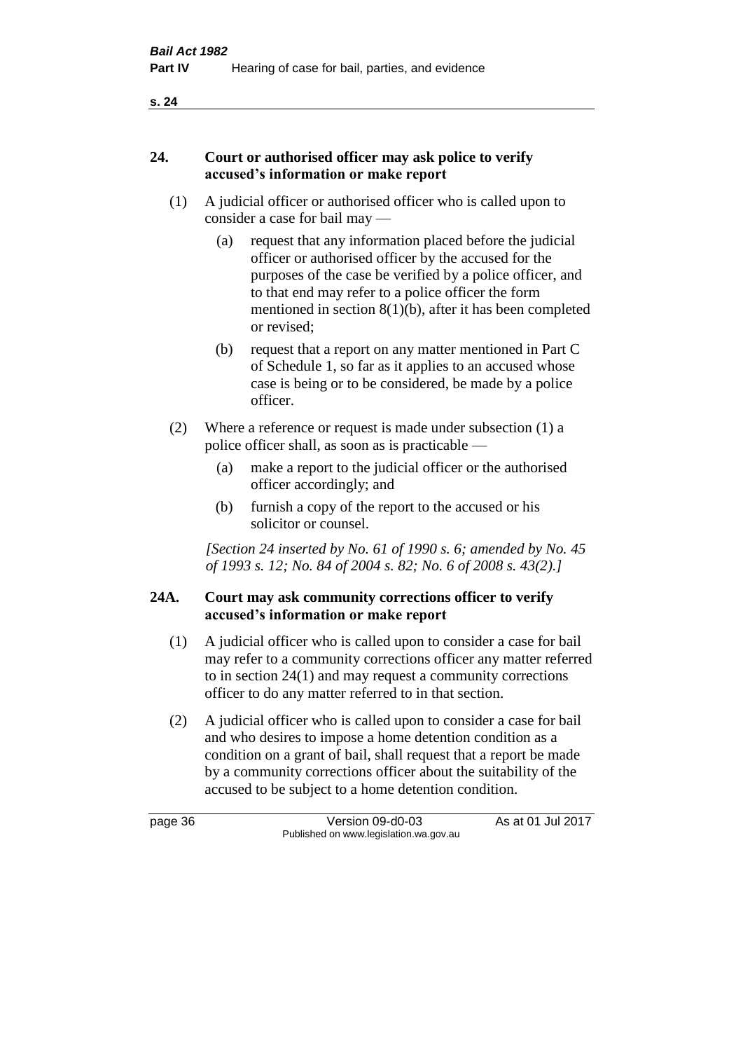## **24. Court or authorised officer may ask police to verify accused's information or make report**

- (1) A judicial officer or authorised officer who is called upon to consider a case for bail may —
	- (a) request that any information placed before the judicial officer or authorised officer by the accused for the purposes of the case be verified by a police officer, and to that end may refer to a police officer the form mentioned in section 8(1)(b), after it has been completed or revised;
	- (b) request that a report on any matter mentioned in Part C of Schedule 1, so far as it applies to an accused whose case is being or to be considered, be made by a police officer.
- (2) Where a reference or request is made under subsection (1) a police officer shall, as soon as is practicable —
	- (a) make a report to the judicial officer or the authorised officer accordingly; and
	- (b) furnish a copy of the report to the accused or his solicitor or counsel.

*[Section 24 inserted by No. 61 of 1990 s. 6; amended by No. 45 of 1993 s. 12; No. 84 of 2004 s. 82; No. 6 of 2008 s. 43(2).]* 

# **24A. Court may ask community corrections officer to verify accused's information or make report**

- (1) A judicial officer who is called upon to consider a case for bail may refer to a community corrections officer any matter referred to in section 24(1) and may request a community corrections officer to do any matter referred to in that section.
- (2) A judicial officer who is called upon to consider a case for bail and who desires to impose a home detention condition as a condition on a grant of bail, shall request that a report be made by a community corrections officer about the suitability of the accused to be subject to a home detention condition.

page 36 Version 09-d0-03 As at 01 Jul 2017 Published on www.legislation.wa.gov.au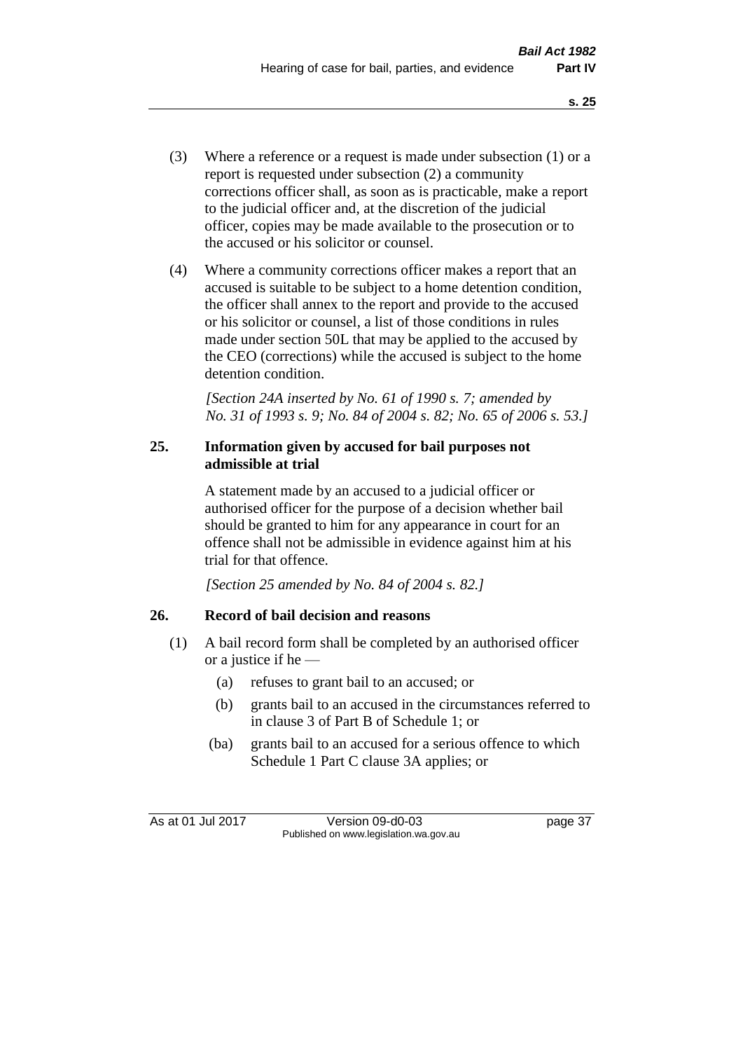- (3) Where a reference or a request is made under subsection (1) or a report is requested under subsection (2) a community corrections officer shall, as soon as is practicable, make a report to the judicial officer and, at the discretion of the judicial officer, copies may be made available to the prosecution or to the accused or his solicitor or counsel.
- (4) Where a community corrections officer makes a report that an accused is suitable to be subject to a home detention condition, the officer shall annex to the report and provide to the accused or his solicitor or counsel, a list of those conditions in rules made under section 50L that may be applied to the accused by the CEO (corrections) while the accused is subject to the home detention condition.

*[Section 24A inserted by No. 61 of 1990 s. 7; amended by No. 31 of 1993 s. 9; No. 84 of 2004 s. 82; No. 65 of 2006 s. 53.]* 

# **25. Information given by accused for bail purposes not admissible at trial**

A statement made by an accused to a judicial officer or authorised officer for the purpose of a decision whether bail should be granted to him for any appearance in court for an offence shall not be admissible in evidence against him at his trial for that offence.

*[Section 25 amended by No. 84 of 2004 s. 82.]* 

# **26. Record of bail decision and reasons**

- (1) A bail record form shall be completed by an authorised officer or a justice if he —
	- (a) refuses to grant bail to an accused; or
	- (b) grants bail to an accused in the circumstances referred to in clause 3 of Part B of Schedule 1; or
	- (ba) grants bail to an accused for a serious offence to which Schedule 1 Part C clause 3A applies; or

As at 01 Jul 2017 Version 09-d0-03 page 37 Published on www.legislation.wa.gov.au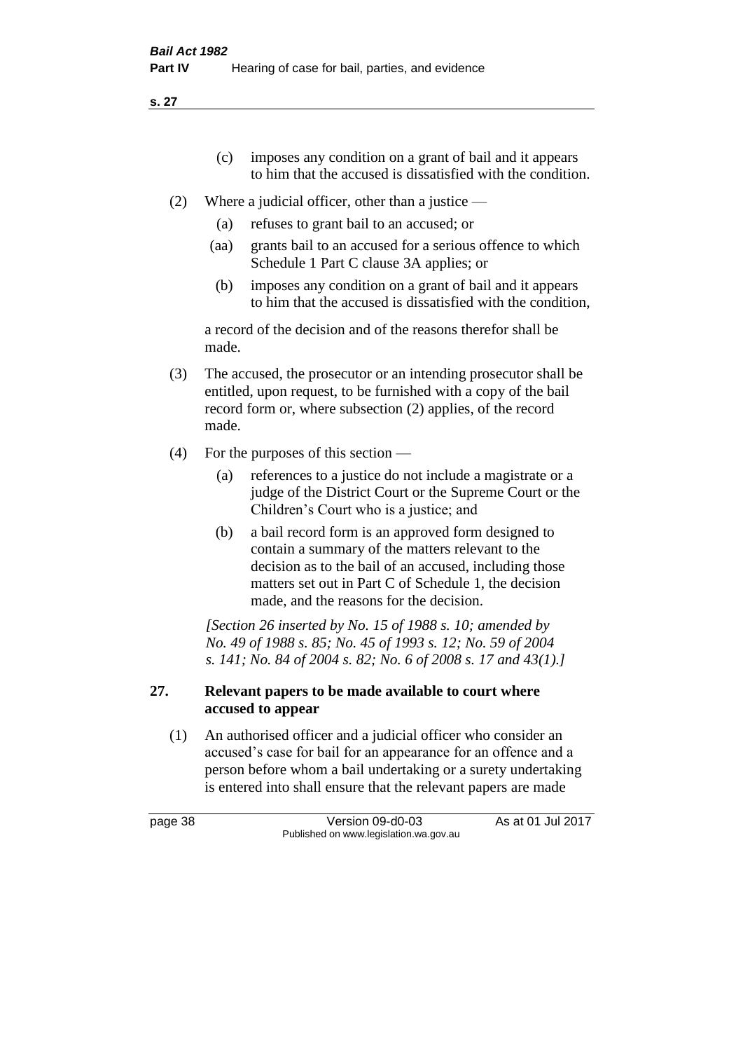- (c) imposes any condition on a grant of bail and it appears to him that the accused is dissatisfied with the condition.
- (2) Where a judicial officer, other than a justice
	- (a) refuses to grant bail to an accused; or
	- (aa) grants bail to an accused for a serious offence to which Schedule 1 Part C clause 3A applies; or
	- (b) imposes any condition on a grant of bail and it appears to him that the accused is dissatisfied with the condition,

a record of the decision and of the reasons therefor shall be made.

- (3) The accused, the prosecutor or an intending prosecutor shall be entitled, upon request, to be furnished with a copy of the bail record form or, where subsection (2) applies, of the record made.
- (4) For the purposes of this section
	- (a) references to a justice do not include a magistrate or a judge of the District Court or the Supreme Court or the Children's Court who is a justice; and
	- (b) a bail record form is an approved form designed to contain a summary of the matters relevant to the decision as to the bail of an accused, including those matters set out in Part C of Schedule 1, the decision made, and the reasons for the decision.

*[Section 26 inserted by No. 15 of 1988 s. 10; amended by No. 49 of 1988 s. 85; No. 45 of 1993 s. 12; No. 59 of 2004 s. 141; No. 84 of 2004 s. 82; No. 6 of 2008 s. 17 and 43(1).]* 

## **27. Relevant papers to be made available to court where accused to appear**

(1) An authorised officer and a judicial officer who consider an accused's case for bail for an appearance for an offence and a person before whom a bail undertaking or a surety undertaking is entered into shall ensure that the relevant papers are made

page 38 Version 09-d0-03 As at 01 Jul 2017 Published on www.legislation.wa.gov.au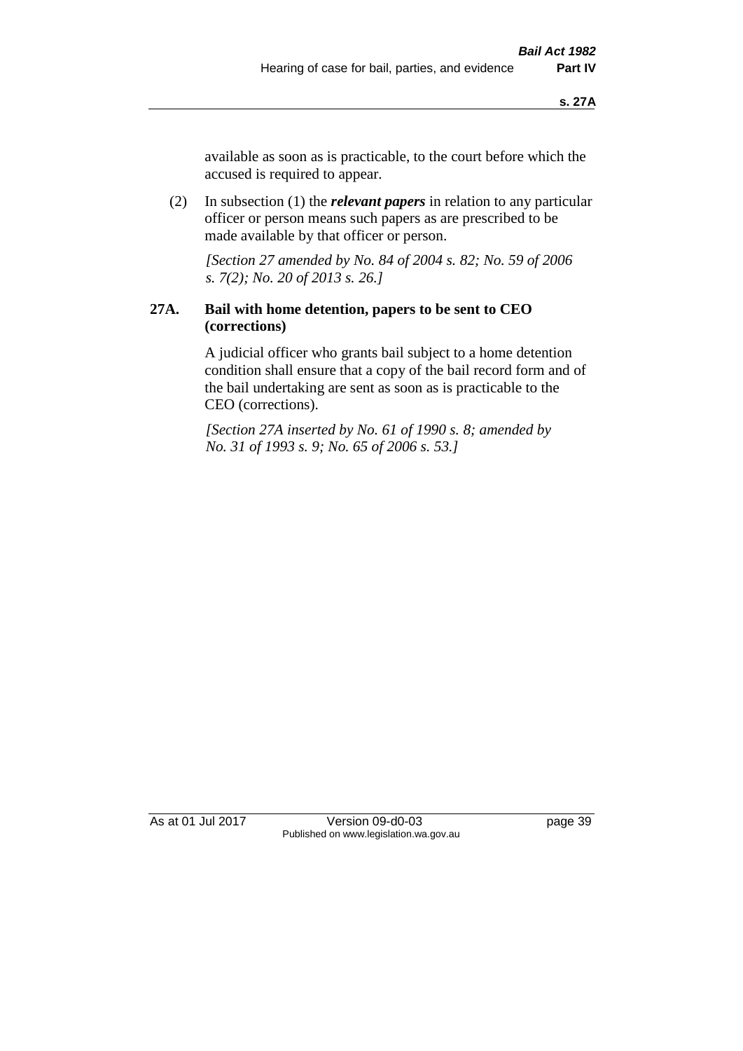available as soon as is practicable, to the court before which the accused is required to appear.

(2) In subsection (1) the *relevant papers* in relation to any particular officer or person means such papers as are prescribed to be made available by that officer or person.

*[Section 27 amended by No. 84 of 2004 s. 82; No. 59 of 2006 s. 7(2); No. 20 of 2013 s. 26.]* 

## **27A. Bail with home detention, papers to be sent to CEO (corrections)**

A judicial officer who grants bail subject to a home detention condition shall ensure that a copy of the bail record form and of the bail undertaking are sent as soon as is practicable to the CEO (corrections).

*[Section 27A inserted by No. 61 of 1990 s. 8; amended by No. 31 of 1993 s. 9; No. 65 of 2006 s. 53.]* 

As at 01 Jul 2017 Version 09-d0-03 page 39 Published on www.legislation.wa.gov.au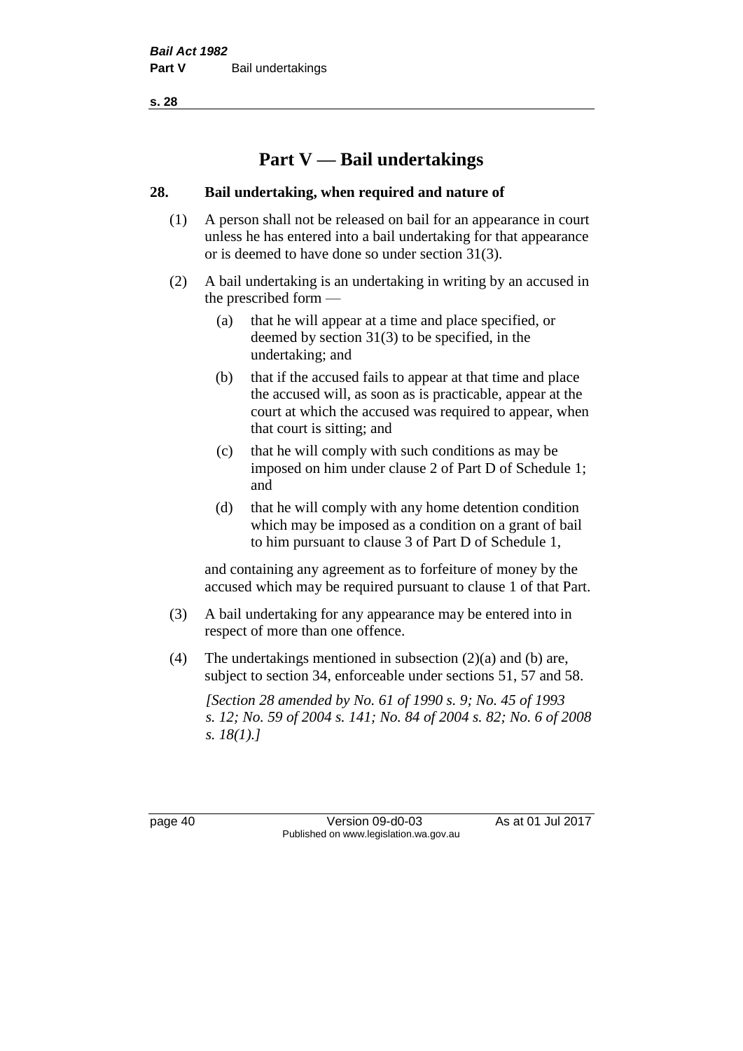# **Part V — Bail undertakings**

## **28. Bail undertaking, when required and nature of**

- (1) A person shall not be released on bail for an appearance in court unless he has entered into a bail undertaking for that appearance or is deemed to have done so under section 31(3).
- (2) A bail undertaking is an undertaking in writing by an accused in the prescribed form —
	- (a) that he will appear at a time and place specified, or deemed by section 31(3) to be specified, in the undertaking; and
	- (b) that if the accused fails to appear at that time and place the accused will, as soon as is practicable, appear at the court at which the accused was required to appear, when that court is sitting; and
	- (c) that he will comply with such conditions as may be imposed on him under clause 2 of Part D of Schedule 1; and
	- (d) that he will comply with any home detention condition which may be imposed as a condition on a grant of bail to him pursuant to clause 3 of Part D of Schedule 1,

and containing any agreement as to forfeiture of money by the accused which may be required pursuant to clause 1 of that Part.

- (3) A bail undertaking for any appearance may be entered into in respect of more than one offence.
- (4) The undertakings mentioned in subsection (2)(a) and (b) are, subject to section 34, enforceable under sections 51, 57 and 58.

*[Section 28 amended by No. 61 of 1990 s. 9; No. 45 of 1993 s. 12; No. 59 of 2004 s. 141; No. 84 of 2004 s. 82; No. 6 of 2008 s. 18(1).]* 

page 40 Version 09-d0-03 As at 01 Jul 2017 Published on www.legislation.wa.gov.au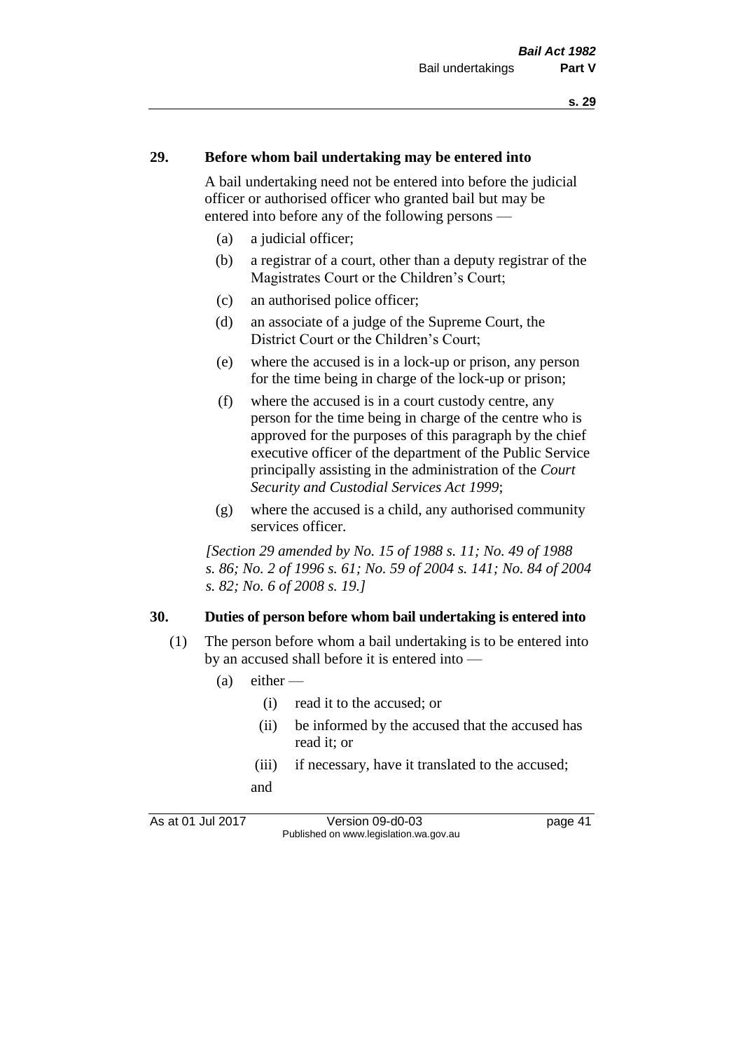#### **29. Before whom bail undertaking may be entered into**

A bail undertaking need not be entered into before the judicial officer or authorised officer who granted bail but may be entered into before any of the following persons —

- (a) a judicial officer;
- (b) a registrar of a court, other than a deputy registrar of the Magistrates Court or the Children's Court;
- (c) an authorised police officer;
- (d) an associate of a judge of the Supreme Court, the District Court or the Children's Court;
- (e) where the accused is in a lock-up or prison, any person for the time being in charge of the lock-up or prison;
- (f) where the accused is in a court custody centre, any person for the time being in charge of the centre who is approved for the purposes of this paragraph by the chief executive officer of the department of the Public Service principally assisting in the administration of the *Court Security and Custodial Services Act 1999*;
- (g) where the accused is a child, any authorised community services officer.

*[Section 29 amended by No. 15 of 1988 s. 11; No. 49 of 1988 s. 86; No. 2 of 1996 s. 61; No. 59 of 2004 s. 141; No. 84 of 2004 s. 82; No. 6 of 2008 s. 19.]* 

#### **30. Duties of person before whom bail undertaking is entered into**

- (1) The person before whom a bail undertaking is to be entered into by an accused shall before it is entered into —
	- $(a)$  either
		- (i) read it to the accused; or
		- (ii) be informed by the accused that the accused has read it; or
		- (iii) if necessary, have it translated to the accused; and

As at 01 Jul 2017 Version 09-d0-03 page 41 Published on www.legislation.wa.gov.au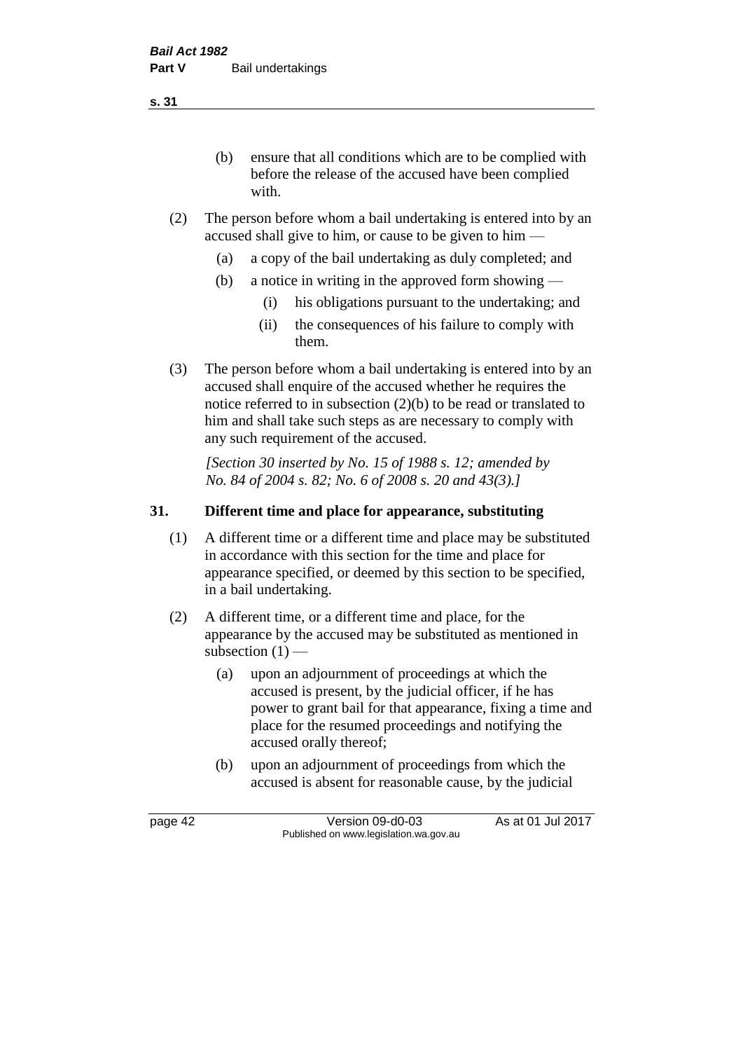(b) ensure that all conditions which are to be complied with before the release of the accused have been complied with.

- (2) The person before whom a bail undertaking is entered into by an accused shall give to him, or cause to be given to him —
	- (a) a copy of the bail undertaking as duly completed; and
	- (b) a notice in writing in the approved form showing
		- (i) his obligations pursuant to the undertaking; and
		- (ii) the consequences of his failure to comply with them.
- (3) The person before whom a bail undertaking is entered into by an accused shall enquire of the accused whether he requires the notice referred to in subsection (2)(b) to be read or translated to him and shall take such steps as are necessary to comply with any such requirement of the accused.

*[Section 30 inserted by No. 15 of 1988 s. 12; amended by No. 84 of 2004 s. 82; No. 6 of 2008 s. 20 and 43(3).]* 

## **31. Different time and place for appearance, substituting**

- (1) A different time or a different time and place may be substituted in accordance with this section for the time and place for appearance specified, or deemed by this section to be specified, in a bail undertaking.
- (2) A different time, or a different time and place, for the appearance by the accused may be substituted as mentioned in subsection  $(1)$  —
	- (a) upon an adjournment of proceedings at which the accused is present, by the judicial officer, if he has power to grant bail for that appearance, fixing a time and place for the resumed proceedings and notifying the accused orally thereof;
	- (b) upon an adjournment of proceedings from which the accused is absent for reasonable cause, by the judicial

page 42 Version 09-d0-03 As at 01 Jul 2017 Published on www.legislation.wa.gov.au

**s. 31**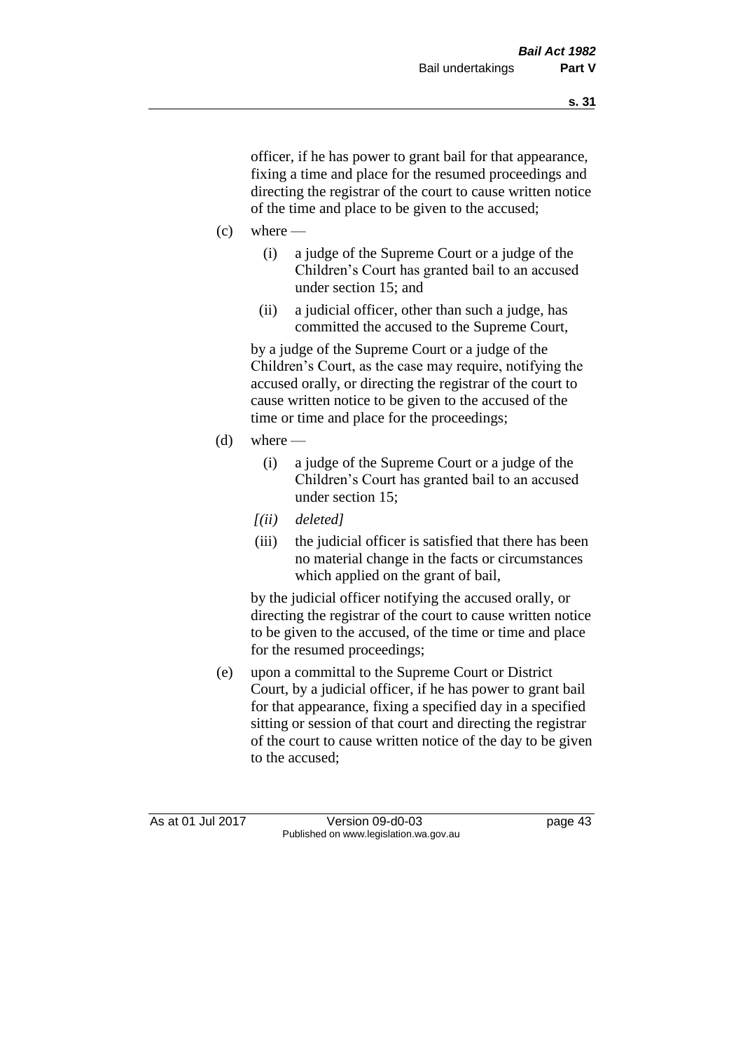officer, if he has power to grant bail for that appearance, fixing a time and place for the resumed proceedings and directing the registrar of the court to cause written notice of the time and place to be given to the accused;

- $(c)$  where
	- (i) a judge of the Supreme Court or a judge of the Children's Court has granted bail to an accused under section 15; and
	- (ii) a judicial officer, other than such a judge, has committed the accused to the Supreme Court,

by a judge of the Supreme Court or a judge of the Children's Court, as the case may require, notifying the accused orally, or directing the registrar of the court to cause written notice to be given to the accused of the time or time and place for the proceedings;

- (d) where  $-$ 
	- (i) a judge of the Supreme Court or a judge of the Children's Court has granted bail to an accused under section 15;
	- *[(ii) deleted]*
	- (iii) the judicial officer is satisfied that there has been no material change in the facts or circumstances which applied on the grant of bail,

by the judicial officer notifying the accused orally, or directing the registrar of the court to cause written notice to be given to the accused, of the time or time and place for the resumed proceedings;

(e) upon a committal to the Supreme Court or District Court, by a judicial officer, if he has power to grant bail for that appearance, fixing a specified day in a specified sitting or session of that court and directing the registrar of the court to cause written notice of the day to be given to the accused;

As at 01 Jul 2017 Version 09-d0-03 page 43 Published on www.legislation.wa.gov.au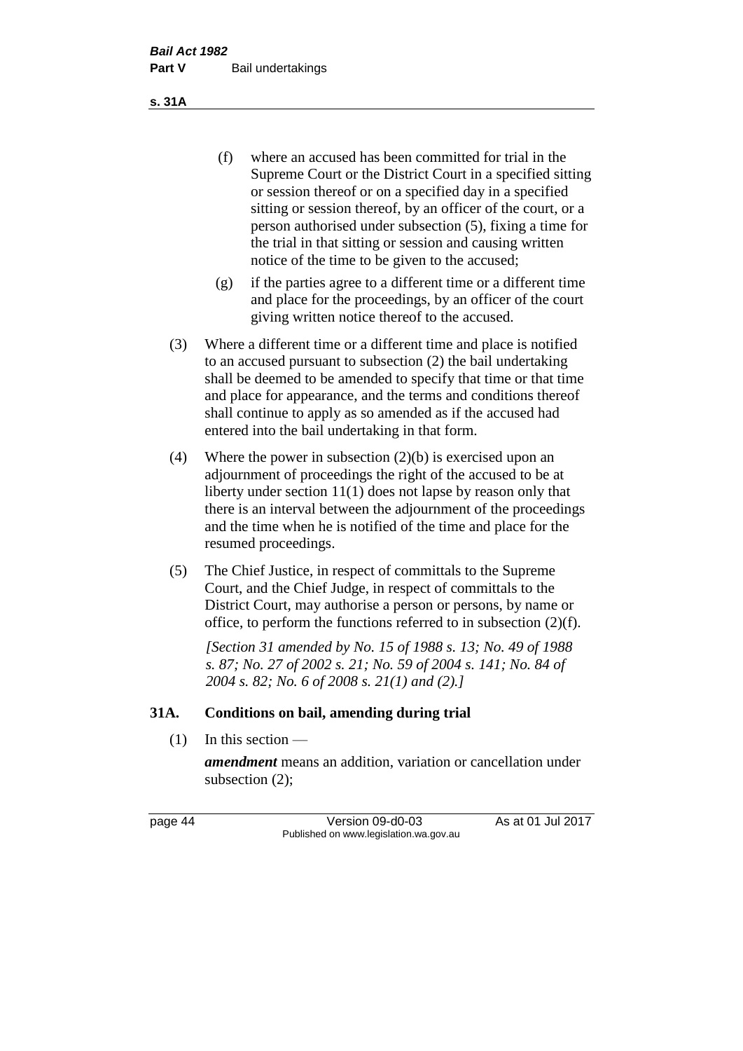(f) where an accused has been committed for trial in the Supreme Court or the District Court in a specified sitting or session thereof or on a specified day in a specified sitting or session thereof, by an officer of the court, or a person authorised under subsection (5), fixing a time for the trial in that sitting or session and causing written notice of the time to be given to the accused;

- (g) if the parties agree to a different time or a different time and place for the proceedings, by an officer of the court giving written notice thereof to the accused.
- (3) Where a different time or a different time and place is notified to an accused pursuant to subsection (2) the bail undertaking shall be deemed to be amended to specify that time or that time and place for appearance, and the terms and conditions thereof shall continue to apply as so amended as if the accused had entered into the bail undertaking in that form.
- (4) Where the power in subsection (2)(b) is exercised upon an adjournment of proceedings the right of the accused to be at liberty under section 11(1) does not lapse by reason only that there is an interval between the adjournment of the proceedings and the time when he is notified of the time and place for the resumed proceedings.
- (5) The Chief Justice, in respect of committals to the Supreme Court, and the Chief Judge, in respect of committals to the District Court, may authorise a person or persons, by name or office, to perform the functions referred to in subsection (2)(f).

*[Section 31 amended by No. 15 of 1988 s. 13; No. 49 of 1988 s. 87; No. 27 of 2002 s. 21; No. 59 of 2004 s. 141; No. 84 of 2004 s. 82; No. 6 of 2008 s. 21(1) and (2).]* 

# **31A. Conditions on bail, amending during trial**

 $(1)$  In this section —

*amendment* means an addition, variation or cancellation under subsection (2);

page 44 Version 09-d0-03 As at 01 Jul 2017 Published on www.legislation.wa.gov.au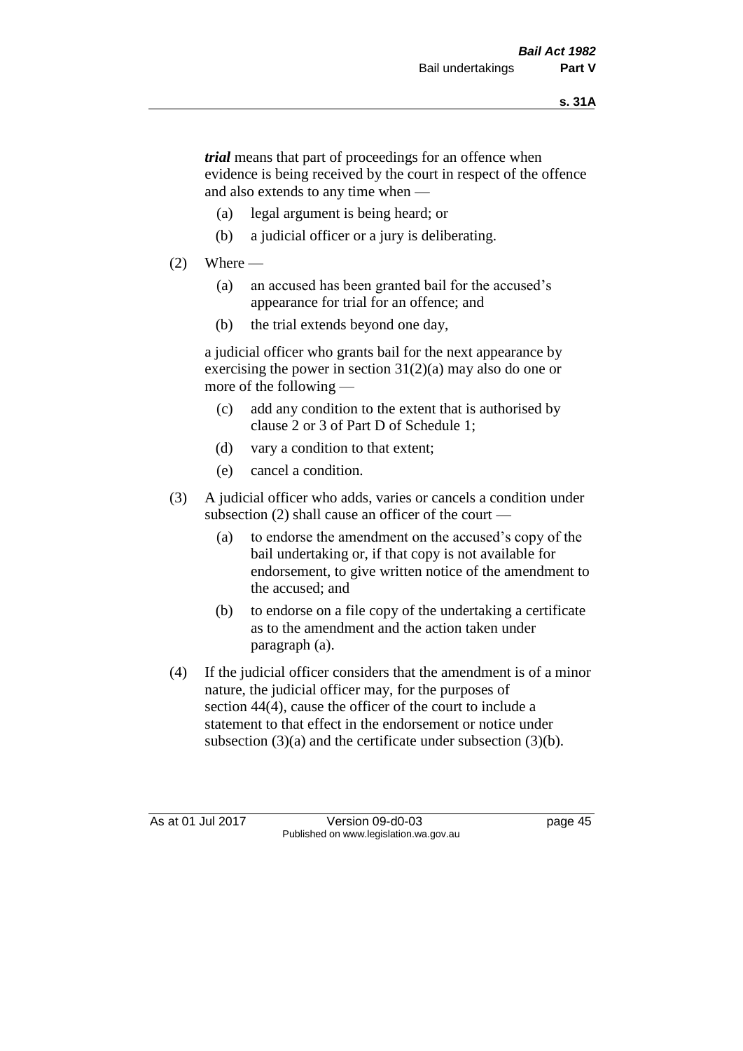*trial* means that part of proceedings for an offence when evidence is being received by the court in respect of the offence and also extends to any time when —

- (a) legal argument is being heard; or
- (b) a judicial officer or a jury is deliberating.

## $(2)$  Where —

- (a) an accused has been granted bail for the accused's appearance for trial for an offence; and
- (b) the trial extends beyond one day,

a judicial officer who grants bail for the next appearance by exercising the power in section  $31(2)(a)$  may also do one or more of the following —

- (c) add any condition to the extent that is authorised by clause 2 or 3 of Part D of Schedule 1;
- (d) vary a condition to that extent;
- (e) cancel a condition.
- (3) A judicial officer who adds, varies or cancels a condition under subsection (2) shall cause an officer of the court —
	- (a) to endorse the amendment on the accused's copy of the bail undertaking or, if that copy is not available for endorsement, to give written notice of the amendment to the accused; and
	- (b) to endorse on a file copy of the undertaking a certificate as to the amendment and the action taken under paragraph (a).
- (4) If the judicial officer considers that the amendment is of a minor nature, the judicial officer may, for the purposes of section 44(4), cause the officer of the court to include a statement to that effect in the endorsement or notice under subsection (3)(a) and the certificate under subsection (3)(b).

As at 01 Jul 2017 Version 09-d0-03 page 45 Published on www.legislation.wa.gov.au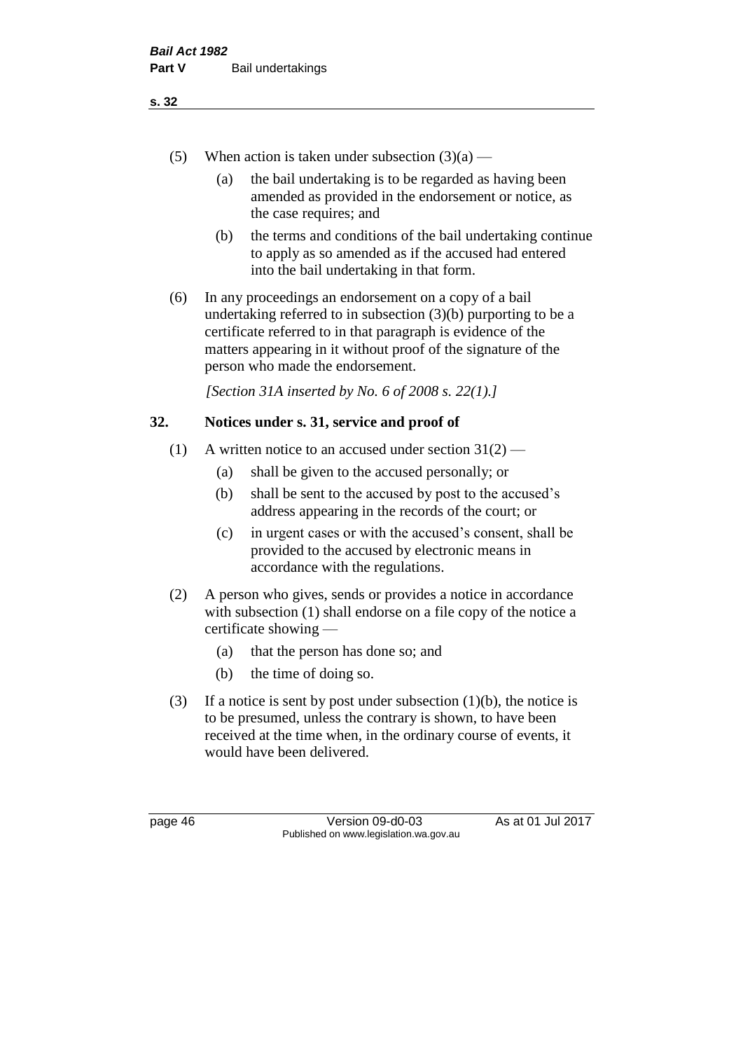- (5) When action is taken under subsection  $(3)(a)$ 
	- (a) the bail undertaking is to be regarded as having been amended as provided in the endorsement or notice, as the case requires; and
	- (b) the terms and conditions of the bail undertaking continue to apply as so amended as if the accused had entered into the bail undertaking in that form.
- (6) In any proceedings an endorsement on a copy of a bail undertaking referred to in subsection (3)(b) purporting to be a certificate referred to in that paragraph is evidence of the matters appearing in it without proof of the signature of the person who made the endorsement.

*[Section 31A inserted by No. 6 of 2008 s. 22(1).]*

## **32. Notices under s. 31, service and proof of**

- (1) A written notice to an accused under section  $31(2)$ 
	- (a) shall be given to the accused personally; or
	- (b) shall be sent to the accused by post to the accused's address appearing in the records of the court; or
	- (c) in urgent cases or with the accused's consent, shall be provided to the accused by electronic means in accordance with the regulations.
- (2) A person who gives, sends or provides a notice in accordance with subsection (1) shall endorse on a file copy of the notice a certificate showing —
	- (a) that the person has done so; and
	- (b) the time of doing so.
- (3) If a notice is sent by post under subsection  $(1)(b)$ , the notice is to be presumed, unless the contrary is shown, to have been received at the time when, in the ordinary course of events, it would have been delivered.

page 46 Version 09-d0-03 As at 01 Jul 2017 Published on www.legislation.wa.gov.au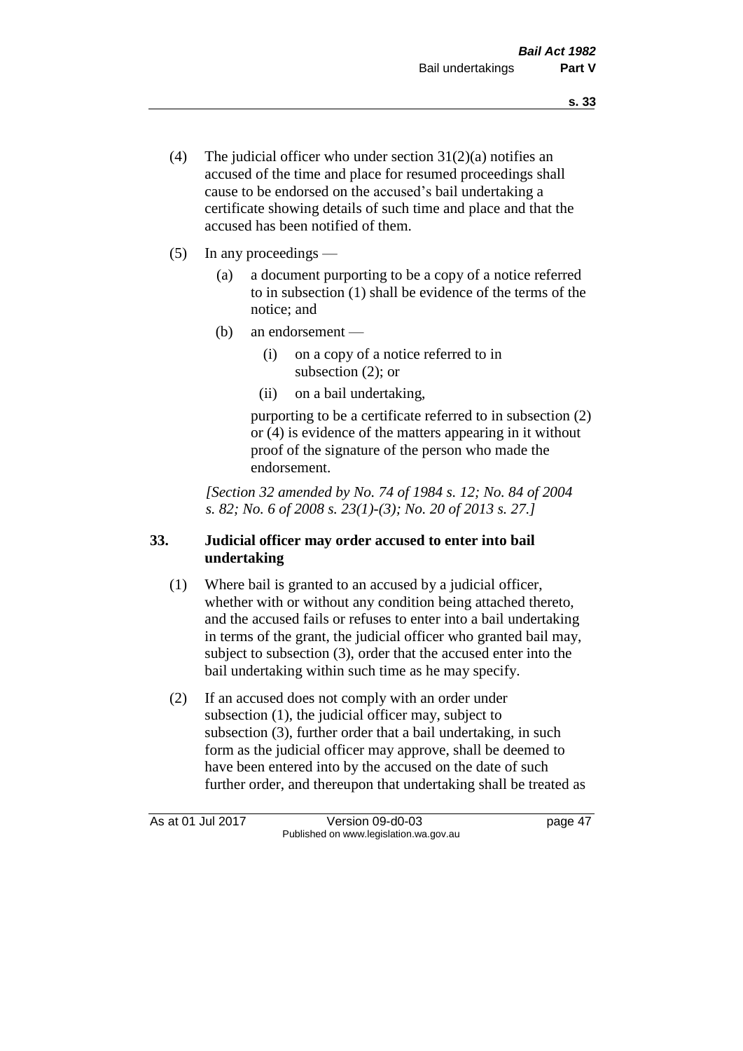- (4) The judicial officer who under section  $31(2)(a)$  notifies an accused of the time and place for resumed proceedings shall cause to be endorsed on the accused's bail undertaking a certificate showing details of such time and place and that the accused has been notified of them.
- (5) In any proceedings
	- (a) a document purporting to be a copy of a notice referred to in subsection (1) shall be evidence of the terms of the notice; and
	- (b) an endorsement
		- (i) on a copy of a notice referred to in subsection (2); or
		- (ii) on a bail undertaking,

purporting to be a certificate referred to in subsection (2) or (4) is evidence of the matters appearing in it without proof of the signature of the person who made the endorsement.

*[Section 32 amended by No. 74 of 1984 s. 12; No. 84 of 2004 s. 82; No. 6 of 2008 s. 23(1)-(3); No. 20 of 2013 s. 27.]* 

# **33. Judicial officer may order accused to enter into bail undertaking**

- (1) Where bail is granted to an accused by a judicial officer, whether with or without any condition being attached thereto, and the accused fails or refuses to enter into a bail undertaking in terms of the grant, the judicial officer who granted bail may, subject to subsection (3), order that the accused enter into the bail undertaking within such time as he may specify.
- (2) If an accused does not comply with an order under subsection (1), the judicial officer may, subject to subsection (3), further order that a bail undertaking, in such form as the judicial officer may approve, shall be deemed to have been entered into by the accused on the date of such further order, and thereupon that undertaking shall be treated as

As at 01 Jul 2017 Version 09-d0-03 page 47 Published on www.legislation.wa.gov.au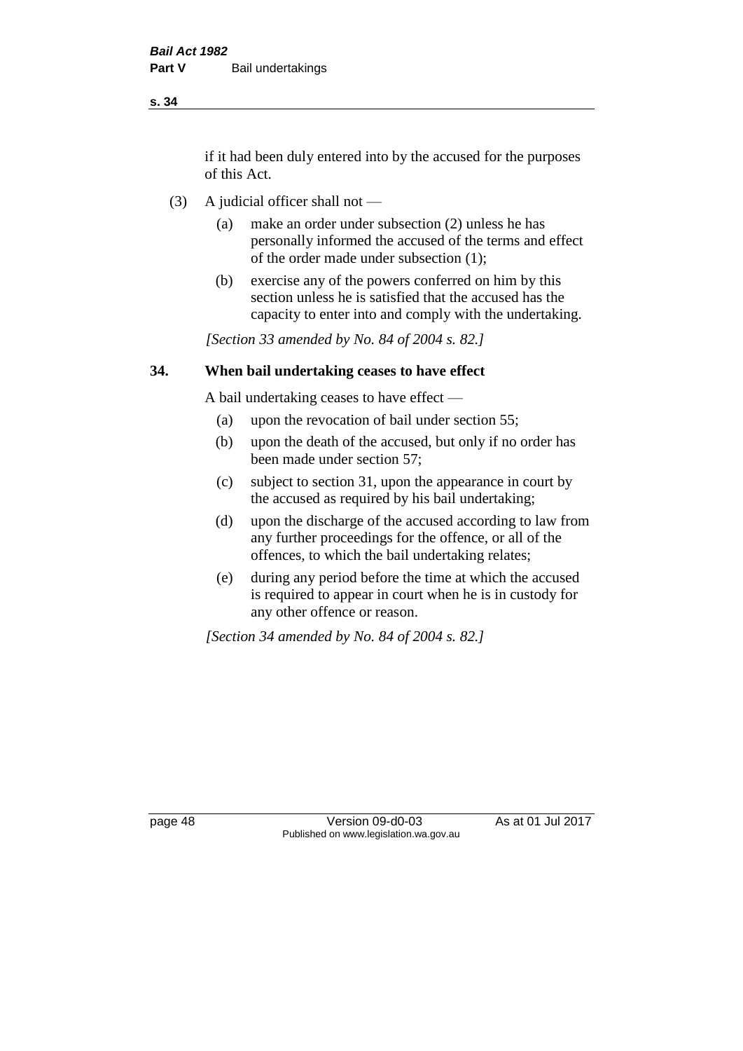if it had been duly entered into by the accused for the purposes of this Act.

- (3) A judicial officer shall not
	- (a) make an order under subsection (2) unless he has personally informed the accused of the terms and effect of the order made under subsection (1);
	- (b) exercise any of the powers conferred on him by this section unless he is satisfied that the accused has the capacity to enter into and comply with the undertaking.

*[Section 33 amended by No. 84 of 2004 s. 82.]* 

#### **34. When bail undertaking ceases to have effect**

A bail undertaking ceases to have effect —

- (a) upon the revocation of bail under section 55;
- (b) upon the death of the accused, but only if no order has been made under section 57;
- (c) subject to section 31, upon the appearance in court by the accused as required by his bail undertaking;
- (d) upon the discharge of the accused according to law from any further proceedings for the offence, or all of the offences, to which the bail undertaking relates;
- (e) during any period before the time at which the accused is required to appear in court when he is in custody for any other offence or reason.

*[Section 34 amended by No. 84 of 2004 s. 82.]* 

page 48 Version 09-d0-03 As at 01 Jul 2017 Published on www.legislation.wa.gov.au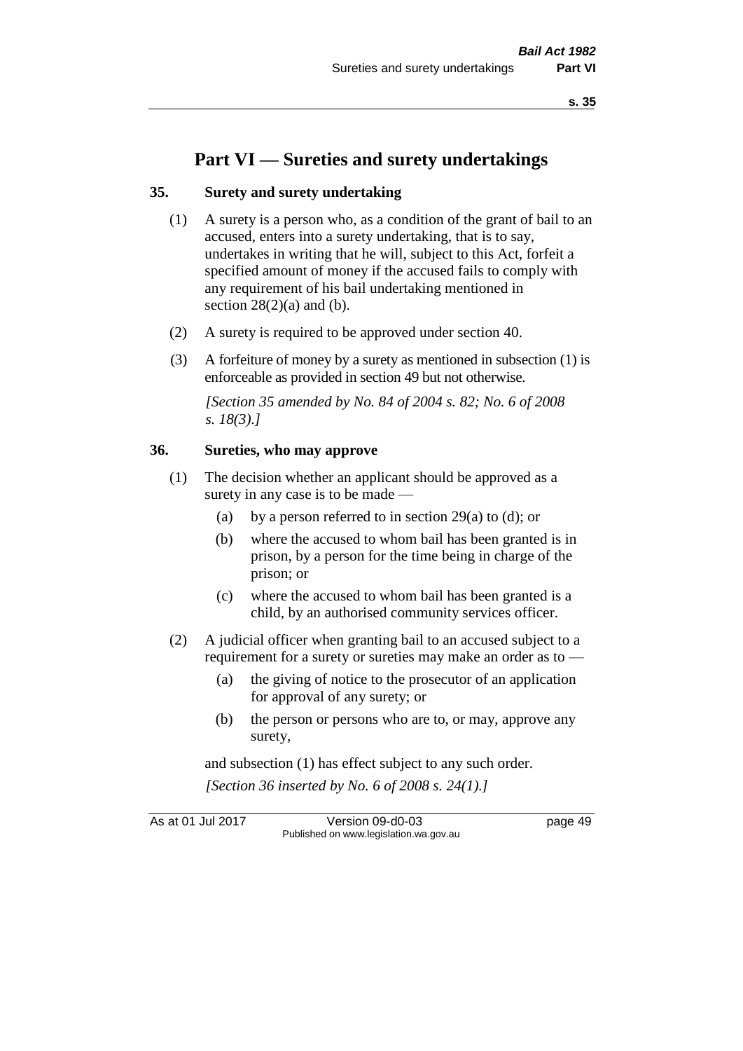# **Part VI — Sureties and surety undertakings**

#### **35. Surety and surety undertaking**

- (1) A surety is a person who, as a condition of the grant of bail to an accused, enters into a surety undertaking, that is to say, undertakes in writing that he will, subject to this Act, forfeit a specified amount of money if the accused fails to comply with any requirement of his bail undertaking mentioned in section  $28(2)(a)$  and (b).
- (2) A surety is required to be approved under section 40.
- (3) A forfeiture of money by a surety as mentioned in subsection (1) is enforceable as provided in section 49 but not otherwise.

*[Section 35 amended by No. 84 of 2004 s. 82; No. 6 of 2008 s. 18(3).]* 

#### **36. Sureties, who may approve**

- (1) The decision whether an applicant should be approved as a surety in any case is to be made —
	- (a) by a person referred to in section 29(a) to (d); or
	- (b) where the accused to whom bail has been granted is in prison, by a person for the time being in charge of the prison; or
	- (c) where the accused to whom bail has been granted is a child, by an authorised community services officer.
- (2) A judicial officer when granting bail to an accused subject to a requirement for a surety or sureties may make an order as to —
	- (a) the giving of notice to the prosecutor of an application for approval of any surety; or
	- (b) the person or persons who are to, or may, approve any surety,

and subsection (1) has effect subject to any such order. *[Section 36 inserted by No. 6 of 2008 s. 24(1).]*

As at 01 Jul 2017 Version 09-d0-03 page 49 Published on www.legislation.wa.gov.au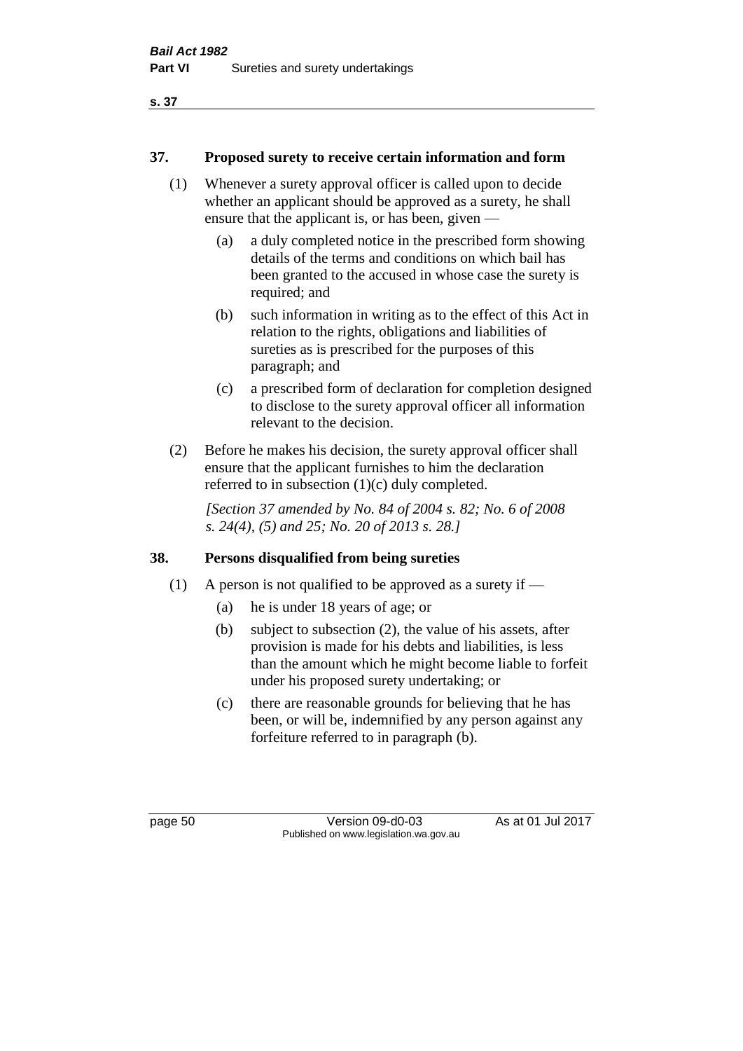## **37. Proposed surety to receive certain information and form**

- (1) Whenever a surety approval officer is called upon to decide whether an applicant should be approved as a surety, he shall ensure that the applicant is, or has been, given —
	- (a) a duly completed notice in the prescribed form showing details of the terms and conditions on which bail has been granted to the accused in whose case the surety is required; and
	- (b) such information in writing as to the effect of this Act in relation to the rights, obligations and liabilities of sureties as is prescribed for the purposes of this paragraph; and
	- (c) a prescribed form of declaration for completion designed to disclose to the surety approval officer all information relevant to the decision.
- (2) Before he makes his decision, the surety approval officer shall ensure that the applicant furnishes to him the declaration referred to in subsection (1)(c) duly completed.

*[Section 37 amended by No. 84 of 2004 s. 82; No. 6 of 2008 s. 24(4), (5) and 25; No. 20 of 2013 s. 28.]* 

# **38. Persons disqualified from being sureties**

- (1) A person is not qualified to be approved as a surety if  $-$ 
	- (a) he is under 18 years of age; or
	- (b) subject to subsection (2), the value of his assets, after provision is made for his debts and liabilities, is less than the amount which he might become liable to forfeit under his proposed surety undertaking; or
	- (c) there are reasonable grounds for believing that he has been, or will be, indemnified by any person against any forfeiture referred to in paragraph (b).

page 50 Version 09-d0-03 As at 01 Jul 2017 Published on www.legislation.wa.gov.au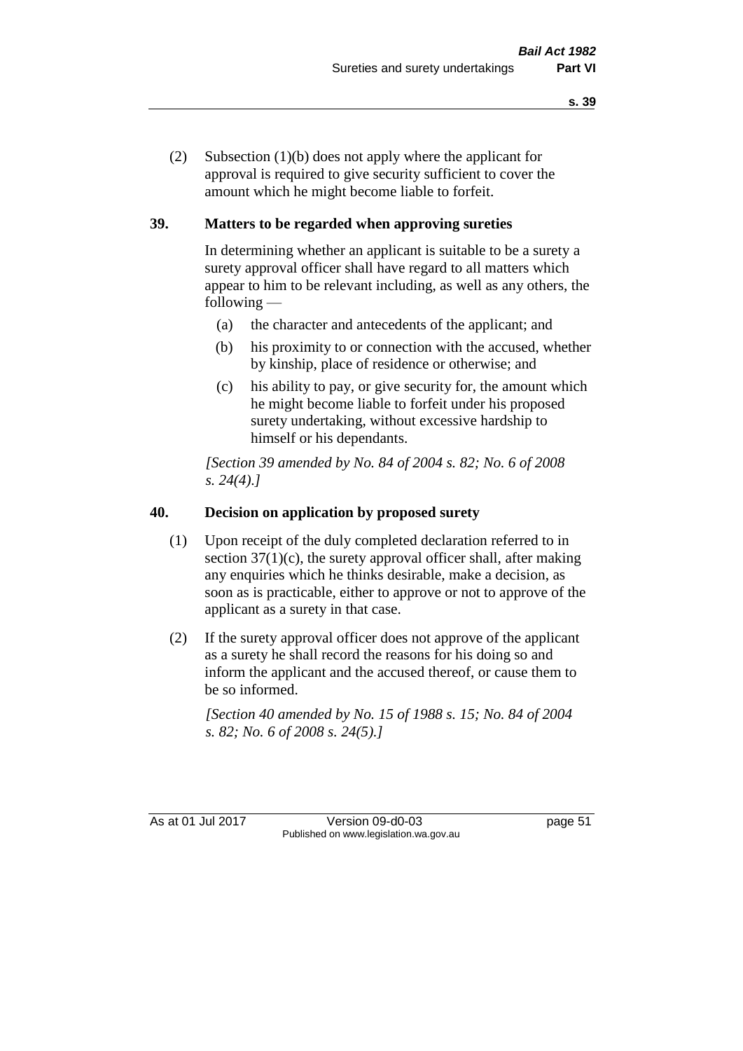(2) Subsection (1)(b) does not apply where the applicant for approval is required to give security sufficient to cover the amount which he might become liable to forfeit.

## **39. Matters to be regarded when approving sureties**

In determining whether an applicant is suitable to be a surety a surety approval officer shall have regard to all matters which appear to him to be relevant including, as well as any others, the following —

- (a) the character and antecedents of the applicant; and
- (b) his proximity to or connection with the accused, whether by kinship, place of residence or otherwise; and
- (c) his ability to pay, or give security for, the amount which he might become liable to forfeit under his proposed surety undertaking, without excessive hardship to himself or his dependants.

*[Section 39 amended by No. 84 of 2004 s. 82; No. 6 of 2008 s. 24(4).]* 

## **40. Decision on application by proposed surety**

- (1) Upon receipt of the duly completed declaration referred to in section  $37(1)(c)$ , the surety approval officer shall, after making any enquiries which he thinks desirable, make a decision, as soon as is practicable, either to approve or not to approve of the applicant as a surety in that case.
- (2) If the surety approval officer does not approve of the applicant as a surety he shall record the reasons for his doing so and inform the applicant and the accused thereof, or cause them to be so informed.

*[Section 40 amended by No. 15 of 1988 s. 15; No. 84 of 2004 s. 82; No. 6 of 2008 s. 24(5).]* 

As at 01 Jul 2017 Version 09-d0-03 page 51 Published on www.legislation.wa.gov.au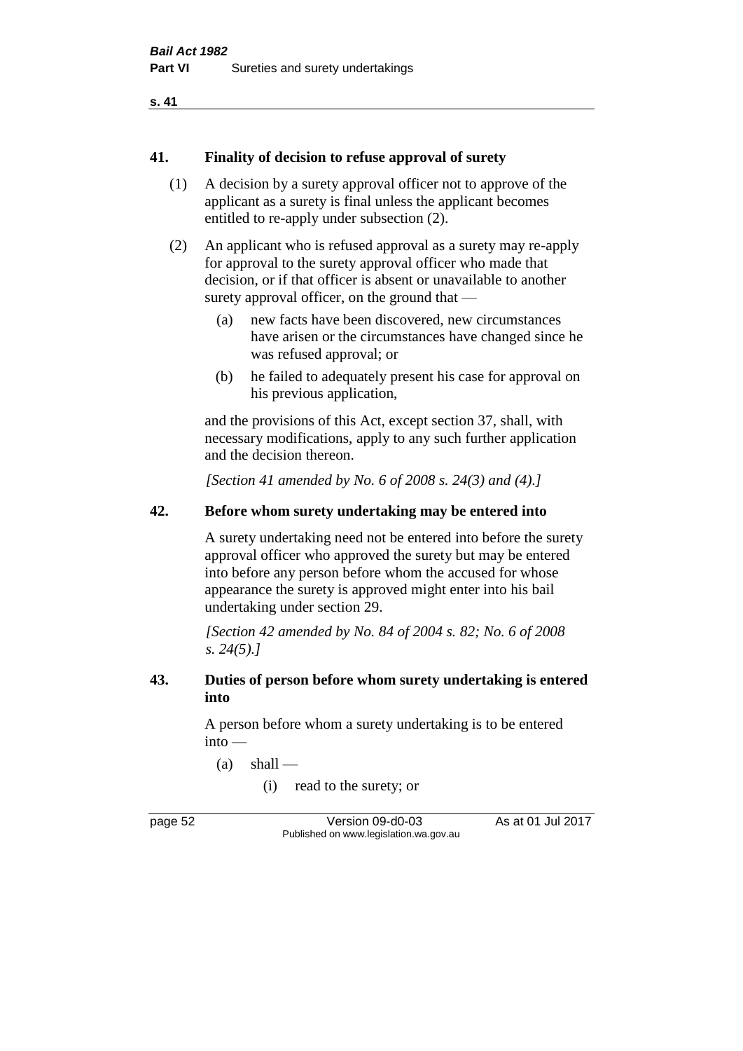#### **41. Finality of decision to refuse approval of surety**

- (1) A decision by a surety approval officer not to approve of the applicant as a surety is final unless the applicant becomes entitled to re-apply under subsection (2).
- (2) An applicant who is refused approval as a surety may re-apply for approval to the surety approval officer who made that decision, or if that officer is absent or unavailable to another surety approval officer, on the ground that —
	- (a) new facts have been discovered, new circumstances have arisen or the circumstances have changed since he was refused approval; or
	- (b) he failed to adequately present his case for approval on his previous application,

and the provisions of this Act, except section 37, shall, with necessary modifications, apply to any such further application and the decision thereon.

*[Section 41 amended by No. 6 of 2008 s. 24(3) and (4).]*

## **42. Before whom surety undertaking may be entered into**

A surety undertaking need not be entered into before the surety approval officer who approved the surety but may be entered into before any person before whom the accused for whose appearance the surety is approved might enter into his bail undertaking under section 29.

*[Section 42 amended by No. 84 of 2004 s. 82; No. 6 of 2008 s. 24(5).]* 

#### **43. Duties of person before whom surety undertaking is entered into**

A person before whom a surety undertaking is to be entered into —

 $(a)$  shall —

(i) read to the surety; or

page 52 Version 09-d0-03 As at 01 Jul 2017 Published on www.legislation.wa.gov.au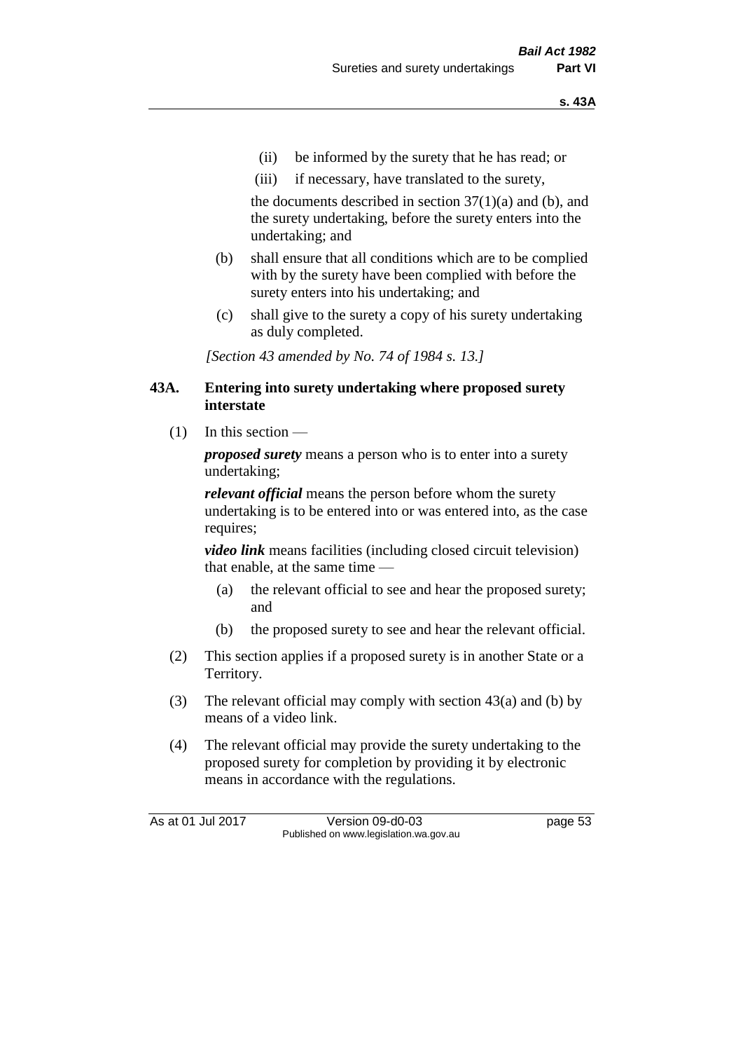- (ii) be informed by the surety that he has read; or
- (iii) if necessary, have translated to the surety,

the documents described in section  $37(1)(a)$  and (b), and the surety undertaking, before the surety enters into the undertaking; and

- (b) shall ensure that all conditions which are to be complied with by the surety have been complied with before the surety enters into his undertaking; and
- (c) shall give to the surety a copy of his surety undertaking as duly completed.

*[Section 43 amended by No. 74 of 1984 s. 13.]* 

#### **43A. Entering into surety undertaking where proposed surety interstate**

 $(1)$  In this section —

*proposed surety* means a person who is to enter into a surety undertaking;

*relevant official* means the person before whom the surety undertaking is to be entered into or was entered into, as the case requires;

*video link* means facilities (including closed circuit television) that enable, at the same time —

- (a) the relevant official to see and hear the proposed surety; and
- (b) the proposed surety to see and hear the relevant official.
- (2) This section applies if a proposed surety is in another State or a Territory.
- (3) The relevant official may comply with section 43(a) and (b) by means of a video link.
- (4) The relevant official may provide the surety undertaking to the proposed surety for completion by providing it by electronic means in accordance with the regulations.

As at 01 Jul 2017 Version 09-d0-03 page 53 Published on www.legislation.wa.gov.au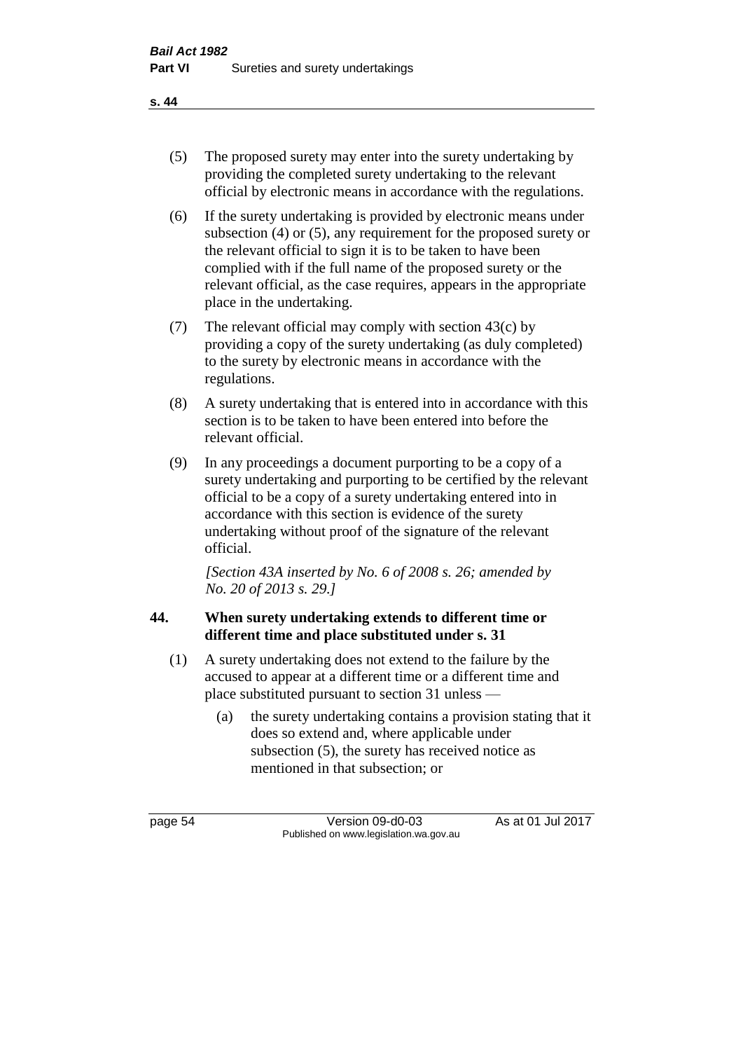- (5) The proposed surety may enter into the surety undertaking by providing the completed surety undertaking to the relevant official by electronic means in accordance with the regulations.
- (6) If the surety undertaking is provided by electronic means under subsection (4) or (5), any requirement for the proposed surety or the relevant official to sign it is to be taken to have been complied with if the full name of the proposed surety or the relevant official, as the case requires, appears in the appropriate place in the undertaking.
- (7) The relevant official may comply with section 43(c) by providing a copy of the surety undertaking (as duly completed) to the surety by electronic means in accordance with the regulations.
- (8) A surety undertaking that is entered into in accordance with this section is to be taken to have been entered into before the relevant official.
- (9) In any proceedings a document purporting to be a copy of a surety undertaking and purporting to be certified by the relevant official to be a copy of a surety undertaking entered into in accordance with this section is evidence of the surety undertaking without proof of the signature of the relevant official.

*[Section 43A inserted by No. 6 of 2008 s. 26; amended by No. 20 of 2013 s. 29.]*

# **44. When surety undertaking extends to different time or different time and place substituted under s. 31**

- (1) A surety undertaking does not extend to the failure by the accused to appear at a different time or a different time and place substituted pursuant to section 31 unless —
	- (a) the surety undertaking contains a provision stating that it does so extend and, where applicable under subsection (5), the surety has received notice as mentioned in that subsection; or

page 54 Version 09-d0-03 As at 01 Jul 2017 Published on www.legislation.wa.gov.au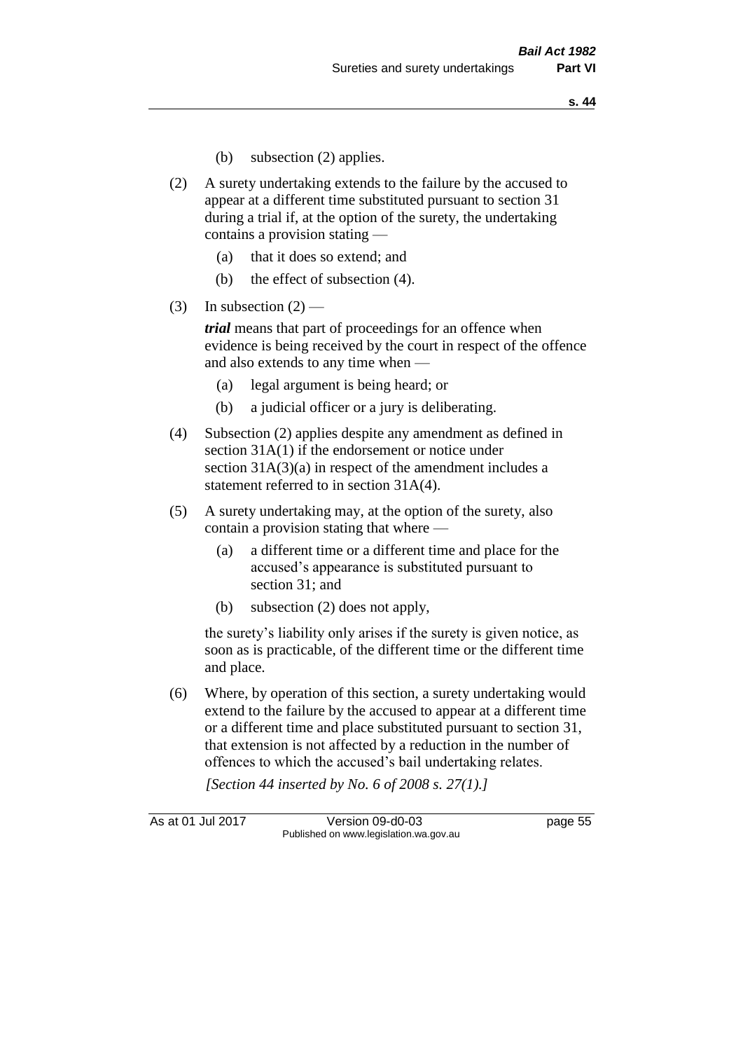- (b) subsection (2) applies.
- (2) A surety undertaking extends to the failure by the accused to appear at a different time substituted pursuant to section 31 during a trial if, at the option of the surety, the undertaking contains a provision stating —
	- (a) that it does so extend; and
	- (b) the effect of subsection (4).
- (3) In subsection  $(2)$  —

*trial* means that part of proceedings for an offence when evidence is being received by the court in respect of the offence and also extends to any time when —

- (a) legal argument is being heard; or
- (b) a judicial officer or a jury is deliberating.
- (4) Subsection (2) applies despite any amendment as defined in section 31A(1) if the endorsement or notice under section 31A(3)(a) in respect of the amendment includes a statement referred to in section 31A(4).
- (5) A surety undertaking may, at the option of the surety, also contain a provision stating that where —
	- (a) a different time or a different time and place for the accused's appearance is substituted pursuant to section 31; and
	- (b) subsection (2) does not apply,

the surety's liability only arises if the surety is given notice, as soon as is practicable, of the different time or the different time and place.

(6) Where, by operation of this section, a surety undertaking would extend to the failure by the accused to appear at a different time or a different time and place substituted pursuant to section 31, that extension is not affected by a reduction in the number of offences to which the accused's bail undertaking relates.

*[Section 44 inserted by No. 6 of 2008 s. 27(1).]*

As at 01 Jul 2017 Version 09-d0-03 page 55 Published on www.legislation.wa.gov.au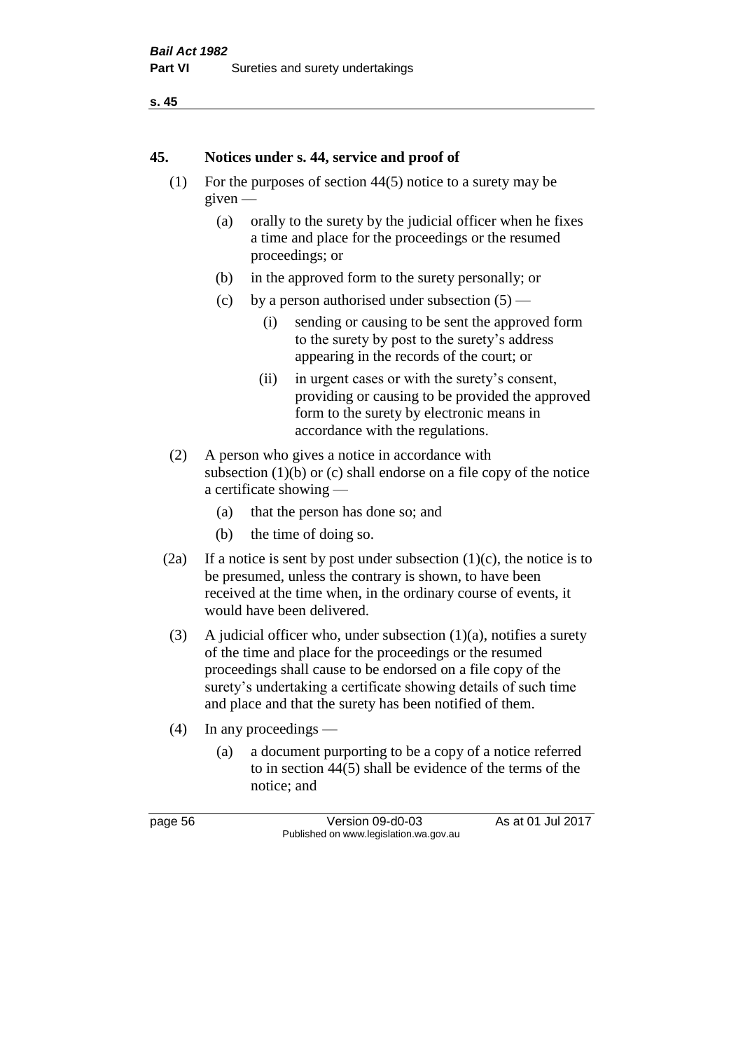```
s. 45
```
#### **45. Notices under s. 44, service and proof of**

- (1) For the purposes of section 44(5) notice to a surety may be given —
	- (a) orally to the surety by the judicial officer when he fixes a time and place for the proceedings or the resumed proceedings; or
	- (b) in the approved form to the surety personally; or
	- (c) by a person authorised under subsection  $(5)$ 
		- (i) sending or causing to be sent the approved form to the surety by post to the surety's address appearing in the records of the court; or
		- (ii) in urgent cases or with the surety's consent, providing or causing to be provided the approved form to the surety by electronic means in accordance with the regulations.
- (2) A person who gives a notice in accordance with subsection  $(1)(b)$  or  $(c)$  shall endorse on a file copy of the notice a certificate showing —
	- (a) that the person has done so; and
	- (b) the time of doing so.
- (2a) If a notice is sent by post under subsection  $(1)(c)$ , the notice is to be presumed, unless the contrary is shown, to have been received at the time when, in the ordinary course of events, it would have been delivered.
- (3) A judicial officer who, under subsection  $(1)(a)$ , notifies a surety of the time and place for the proceedings or the resumed proceedings shall cause to be endorsed on a file copy of the surety's undertaking a certificate showing details of such time and place and that the surety has been notified of them.
- (4) In any proceedings
	- (a) a document purporting to be a copy of a notice referred to in section 44(5) shall be evidence of the terms of the notice; and

page 56 Version 09-d0-03 As at 01 Jul 2017 Published on www.legislation.wa.gov.au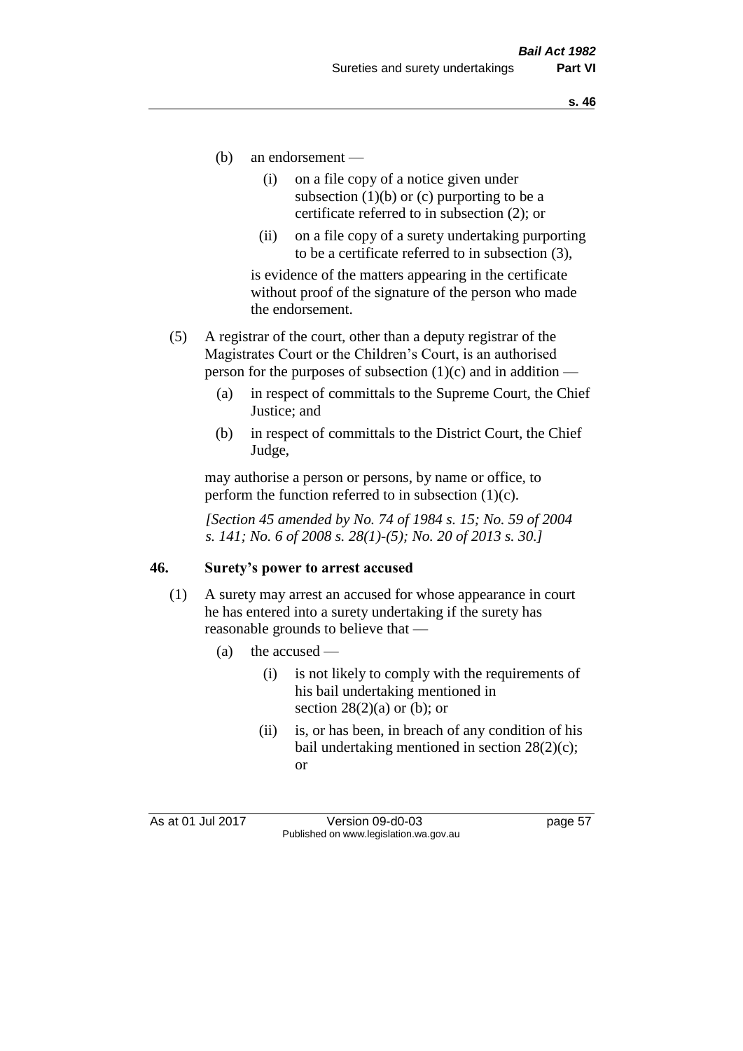- (b) an endorsement
	- (i) on a file copy of a notice given under subsection  $(1)(b)$  or  $(c)$  purporting to be a certificate referred to in subsection (2); or
	- (ii) on a file copy of a surety undertaking purporting to be a certificate referred to in subsection (3),

is evidence of the matters appearing in the certificate without proof of the signature of the person who made the endorsement.

- (5) A registrar of the court, other than a deputy registrar of the Magistrates Court or the Children's Court, is an authorised person for the purposes of subsection  $(1)(c)$  and in addition —
	- (a) in respect of committals to the Supreme Court, the Chief Justice; and
	- (b) in respect of committals to the District Court, the Chief Judge,

may authorise a person or persons, by name or office, to perform the function referred to in subsection  $(1)(c)$ .

*[Section 45 amended by No. 74 of 1984 s. 15; No. 59 of 2004 s. 141; No. 6 of 2008 s. 28(1)-(5); No. 20 of 2013 s. 30.]* 

#### **46. Surety's power to arrest accused**

- (1) A surety may arrest an accused for whose appearance in court he has entered into a surety undertaking if the surety has reasonable grounds to believe that —
	- (a) the accused
		- (i) is not likely to comply with the requirements of his bail undertaking mentioned in section  $28(2)(a)$  or (b); or
		- (ii) is, or has been, in breach of any condition of his bail undertaking mentioned in section 28(2)(c); or

As at 01 Jul 2017 Version 09-d0-03 page 57 Published on www.legislation.wa.gov.au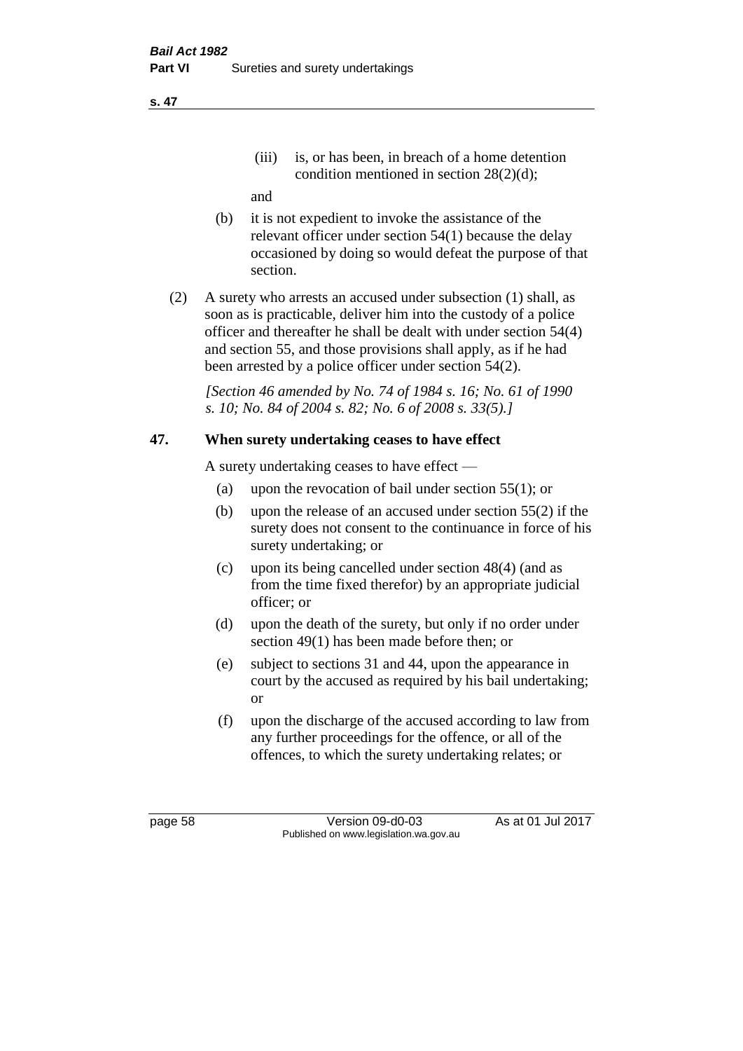(iii) is, or has been, in breach of a home detention condition mentioned in section 28(2)(d);

and

- (b) it is not expedient to invoke the assistance of the relevant officer under section 54(1) because the delay occasioned by doing so would defeat the purpose of that section.
- (2) A surety who arrests an accused under subsection (1) shall, as soon as is practicable, deliver him into the custody of a police officer and thereafter he shall be dealt with under section 54(4) and section 55, and those provisions shall apply, as if he had been arrested by a police officer under section 54(2).

*[Section 46 amended by No. 74 of 1984 s. 16; No. 61 of 1990 s. 10; No. 84 of 2004 s. 82; No. 6 of 2008 s. 33(5).]* 

# **47. When surety undertaking ceases to have effect**

A surety undertaking ceases to have effect —

- (a) upon the revocation of bail under section 55(1); or
- (b) upon the release of an accused under section 55(2) if the surety does not consent to the continuance in force of his surety undertaking; or
- (c) upon its being cancelled under section 48(4) (and as from the time fixed therefor) by an appropriate judicial officer; or
- (d) upon the death of the surety, but only if no order under section 49(1) has been made before then; or
- (e) subject to sections 31 and 44, upon the appearance in court by the accused as required by his bail undertaking; or
- (f) upon the discharge of the accused according to law from any further proceedings for the offence, or all of the offences, to which the surety undertaking relates; or

page 58 Version 09-d0-03 As at 01 Jul 2017 Published on www.legislation.wa.gov.au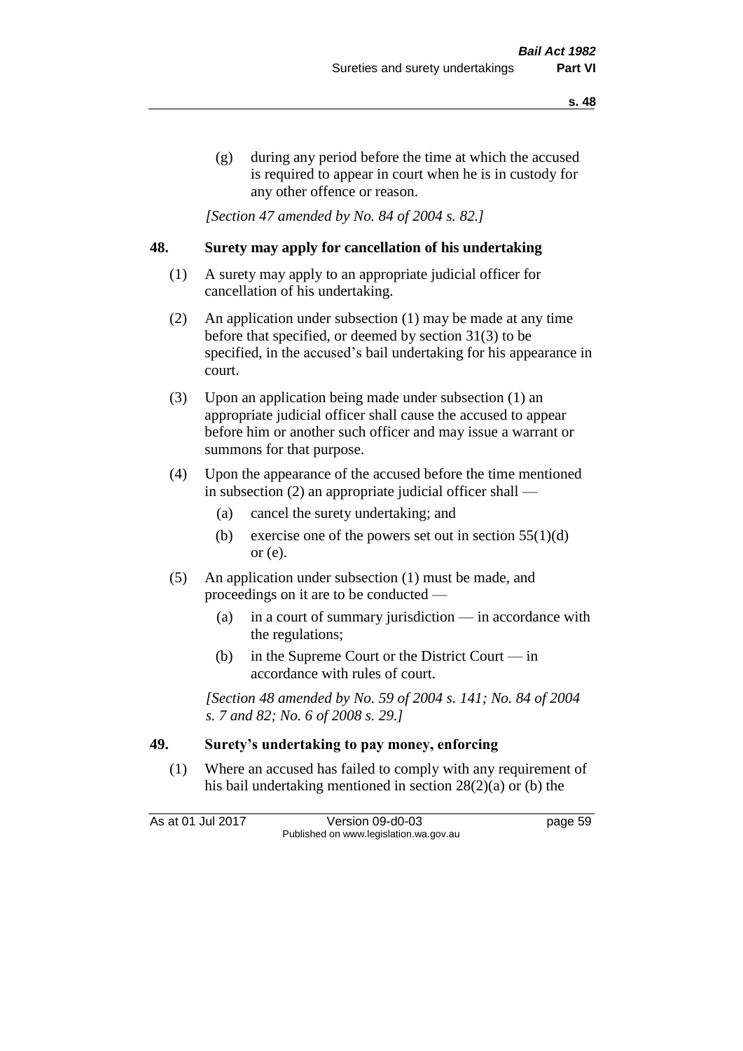(g) during any period before the time at which the accused is required to appear in court when he is in custody for any other offence or reason.

*[Section 47 amended by No. 84 of 2004 s. 82.]* 

#### **48. Surety may apply for cancellation of his undertaking**

- (1) A surety may apply to an appropriate judicial officer for cancellation of his undertaking.
- (2) An application under subsection (1) may be made at any time before that specified, or deemed by section 31(3) to be specified, in the accused's bail undertaking for his appearance in court.
- (3) Upon an application being made under subsection (1) an appropriate judicial officer shall cause the accused to appear before him or another such officer and may issue a warrant or summons for that purpose.
- (4) Upon the appearance of the accused before the time mentioned in subsection (2) an appropriate judicial officer shall —
	- (a) cancel the surety undertaking; and
	- (b) exercise one of the powers set out in section  $55(1)(d)$ or (e).
- (5) An application under subsection (1) must be made, and proceedings on it are to be conducted —
	- (a) in a court of summary jurisdiction in accordance with the regulations;
	- (b) in the Supreme Court or the District Court  $-\text{in}$ accordance with rules of court.

*[Section 48 amended by No. 59 of 2004 s. 141; No. 84 of 2004 s. 7 and 82; No. 6 of 2008 s. 29.]* 

## **49. Surety's undertaking to pay money, enforcing**

(1) Where an accused has failed to comply with any requirement of his bail undertaking mentioned in section 28(2)(a) or (b) the

As at 01 Jul 2017 Version 09-d0-03 page 59 Published on www.legislation.wa.gov.au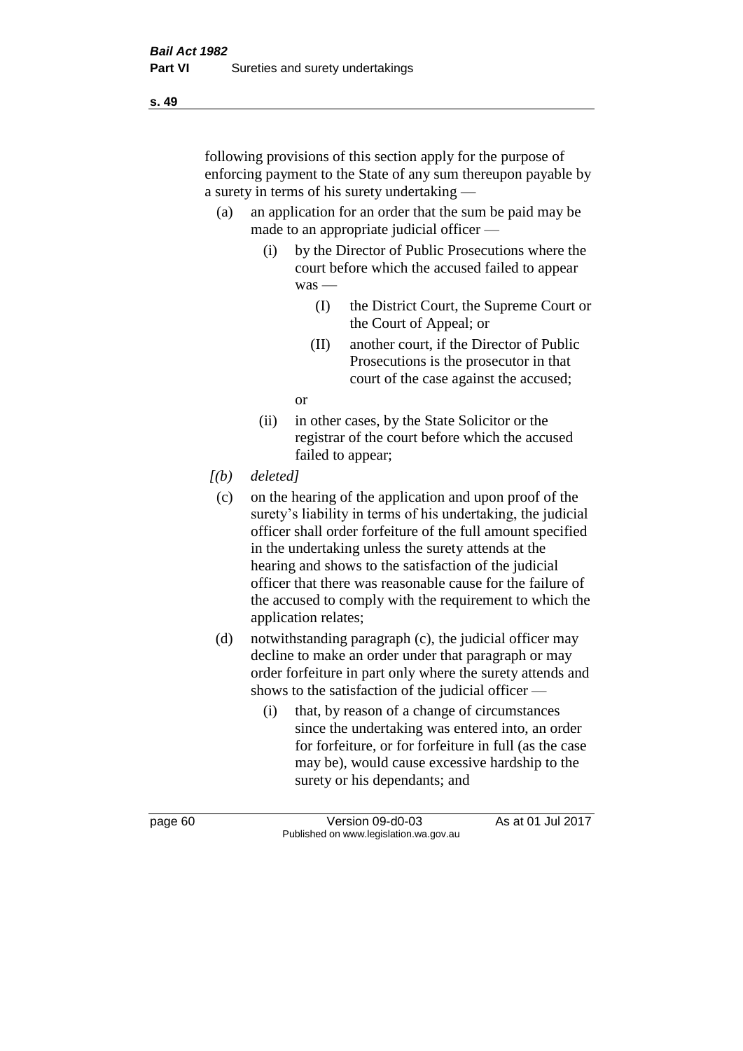following provisions of this section apply for the purpose of enforcing payment to the State of any sum thereupon payable by a surety in terms of his surety undertaking —

- (a) an application for an order that the sum be paid may be made to an appropriate judicial officer —
	- (i) by the Director of Public Prosecutions where the court before which the accused failed to appear was —
		- (I) the District Court, the Supreme Court or the Court of Appeal; or
		- (II) another court, if the Director of Public Prosecutions is the prosecutor in that court of the case against the accused;

or

- (ii) in other cases, by the State Solicitor or the registrar of the court before which the accused failed to appear;
- *[(b) deleted]*
	- (c) on the hearing of the application and upon proof of the surety's liability in terms of his undertaking, the judicial officer shall order forfeiture of the full amount specified in the undertaking unless the surety attends at the hearing and shows to the satisfaction of the judicial officer that there was reasonable cause for the failure of the accused to comply with the requirement to which the application relates;
- (d) notwithstanding paragraph (c), the judicial officer may decline to make an order under that paragraph or may order forfeiture in part only where the surety attends and shows to the satisfaction of the judicial officer —
	- (i) that, by reason of a change of circumstances since the undertaking was entered into, an order for forfeiture, or for forfeiture in full (as the case may be), would cause excessive hardship to the surety or his dependants; and

page 60 Version 09-d0-03 As at 01 Jul 2017 Published on www.legislation.wa.gov.au

**s. 49**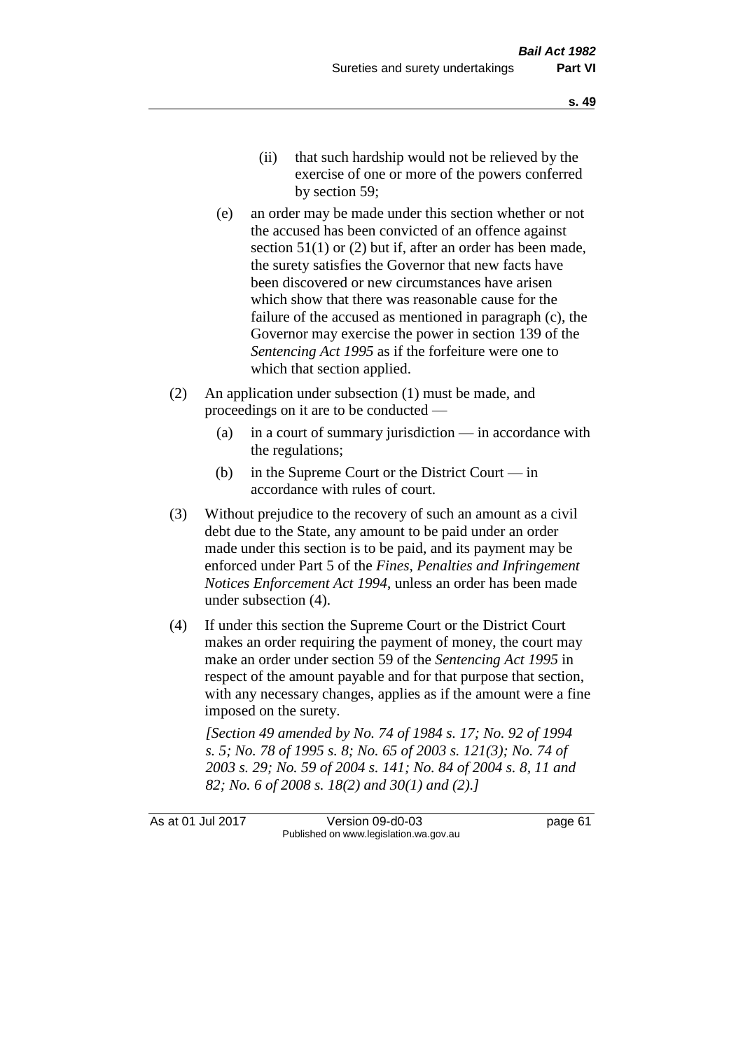- (ii) that such hardship would not be relieved by the exercise of one or more of the powers conferred by section 59;
- (e) an order may be made under this section whether or not the accused has been convicted of an offence against section 51(1) or (2) but if, after an order has been made, the surety satisfies the Governor that new facts have been discovered or new circumstances have arisen which show that there was reasonable cause for the failure of the accused as mentioned in paragraph (c), the Governor may exercise the power in section 139 of the *Sentencing Act 1995* as if the forfeiture were one to which that section applied.
- (2) An application under subsection (1) must be made, and proceedings on it are to be conducted —
	- (a) in a court of summary jurisdiction in accordance with the regulations;
	- (b) in the Supreme Court or the District Court  $-\text{in}$ accordance with rules of court.
- (3) Without prejudice to the recovery of such an amount as a civil debt due to the State, any amount to be paid under an order made under this section is to be paid, and its payment may be enforced under Part 5 of the *Fines, Penalties and Infringement Notices Enforcement Act 1994*, unless an order has been made under subsection (4).
- (4) If under this section the Supreme Court or the District Court makes an order requiring the payment of money, the court may make an order under section 59 of the *Sentencing Act 1995* in respect of the amount payable and for that purpose that section, with any necessary changes, applies as if the amount were a fine imposed on the surety.

*[Section 49 amended by No. 74 of 1984 s. 17; No. 92 of 1994 s. 5; No. 78 of 1995 s. 8; No. 65 of 2003 s. 121(3); No. 74 of 2003 s. 29; No. 59 of 2004 s. 141; No. 84 of 2004 s. 8, 11 and 82; No. 6 of 2008 s. 18(2) and 30(1) and (2).]* 

As at 01 Jul 2017 Version 09-d0-03 page 61 Published on www.legislation.wa.gov.au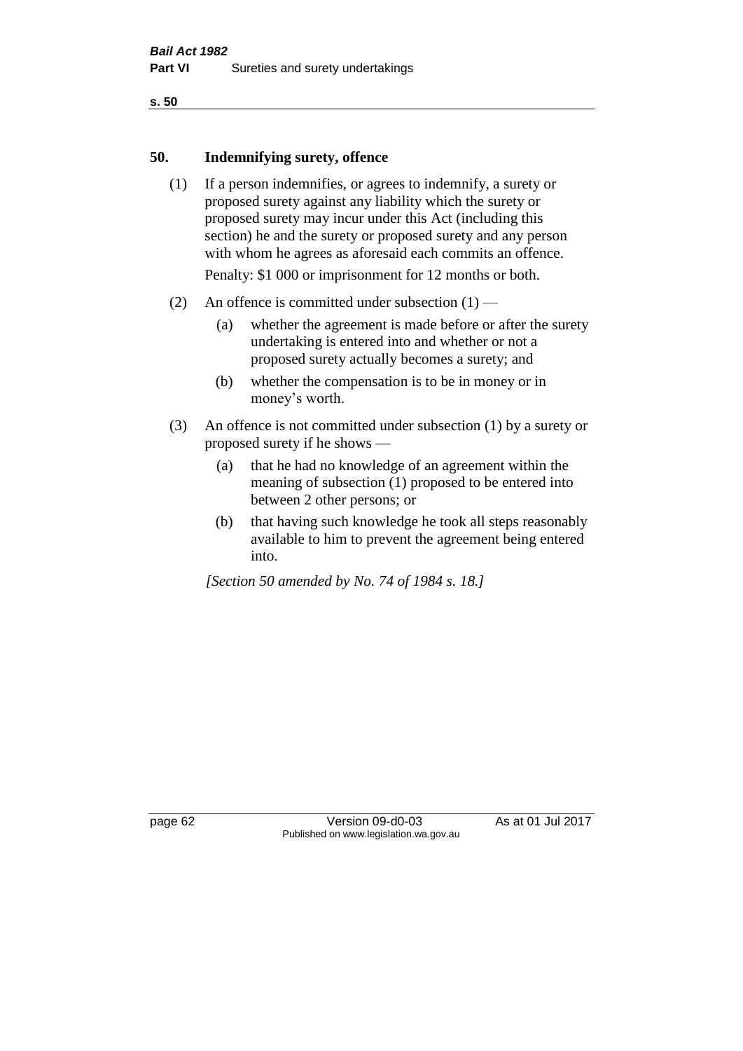#### **50. Indemnifying surety, offence**

- (1) If a person indemnifies, or agrees to indemnify, a surety or proposed surety against any liability which the surety or proposed surety may incur under this Act (including this section) he and the surety or proposed surety and any person with whom he agrees as aforesaid each commits an offence. Penalty: \$1 000 or imprisonment for 12 months or both.
- (2) An offence is committed under subsection  $(1)$ 
	- (a) whether the agreement is made before or after the surety undertaking is entered into and whether or not a proposed surety actually becomes a surety; and
	- (b) whether the compensation is to be in money or in money's worth.
- (3) An offence is not committed under subsection (1) by a surety or proposed surety if he shows —
	- (a) that he had no knowledge of an agreement within the meaning of subsection (1) proposed to be entered into between 2 other persons; or
	- (b) that having such knowledge he took all steps reasonably available to him to prevent the agreement being entered into.

*[Section 50 amended by No. 74 of 1984 s. 18.]* 

page 62 Version 09-d0-03 As at 01 Jul 2017 Published on www.legislation.wa.gov.au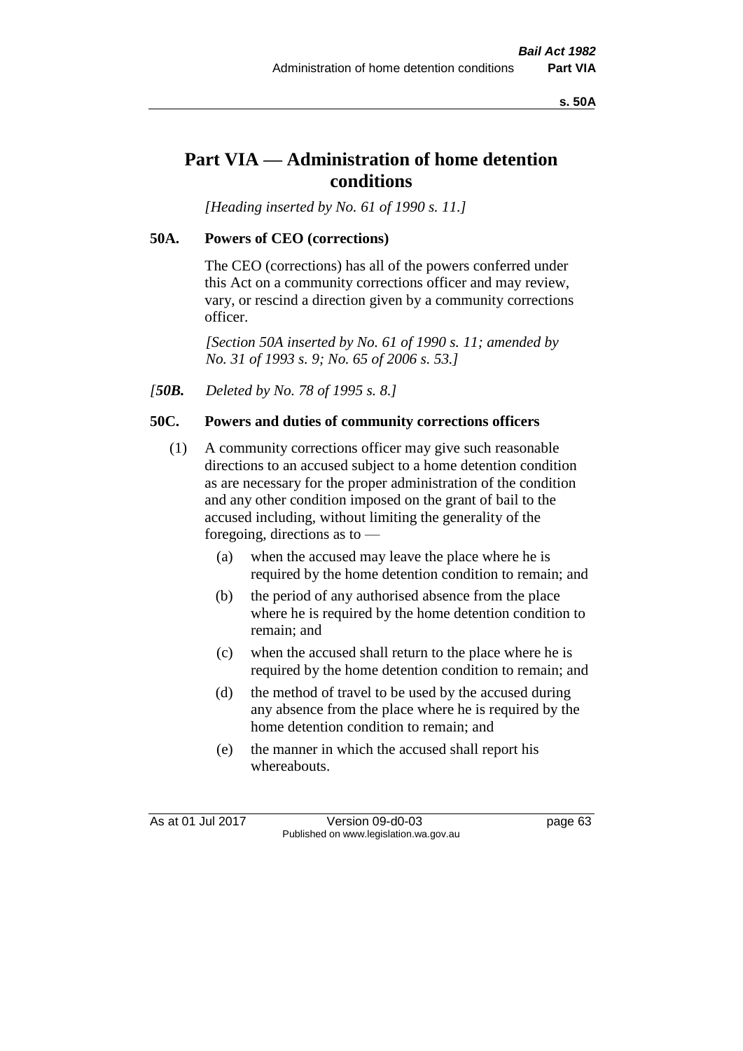**s. 50A**

# **Part VIA — Administration of home detention conditions**

*[Heading inserted by No. 61 of 1990 s. 11.]* 

# **50A. Powers of CEO (corrections)**

The CEO (corrections) has all of the powers conferred under this Act on a community corrections officer and may review, vary, or rescind a direction given by a community corrections officer.

*[Section 50A inserted by No. 61 of 1990 s. 11; amended by No. 31 of 1993 s. 9; No. 65 of 2006 s. 53.]* 

*[50B. Deleted by No. 78 of 1995 s. 8.]* 

# **50C. Powers and duties of community corrections officers**

- (1) A community corrections officer may give such reasonable directions to an accused subject to a home detention condition as are necessary for the proper administration of the condition and any other condition imposed on the grant of bail to the accused including, without limiting the generality of the foregoing, directions as to —
	- (a) when the accused may leave the place where he is required by the home detention condition to remain; and
	- (b) the period of any authorised absence from the place where he is required by the home detention condition to remain; and
	- (c) when the accused shall return to the place where he is required by the home detention condition to remain; and
	- (d) the method of travel to be used by the accused during any absence from the place where he is required by the home detention condition to remain; and
	- (e) the manner in which the accused shall report his whereabouts.

As at 01 Jul 2017 Version 09-d0-03 page 63 Published on www.legislation.wa.gov.au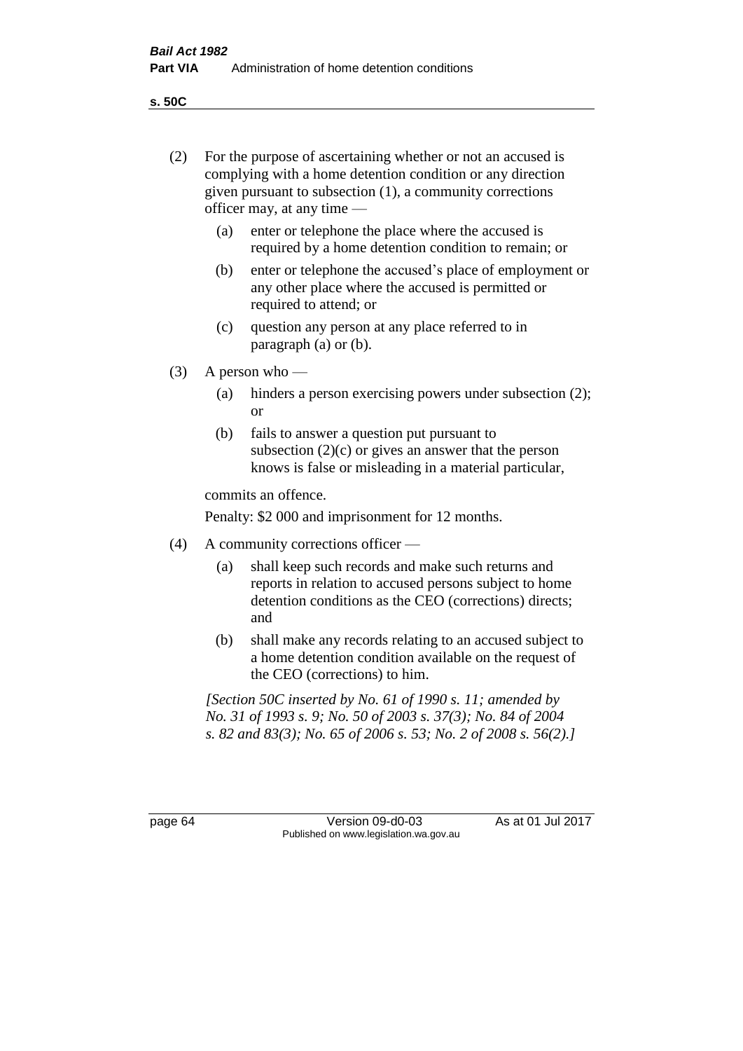(2) For the purpose of ascertaining whether or not an accused is

**s. 50C**

|         | complying with a home detention condition or any direction<br>given pursuant to subsection (1), a community corrections<br>officer may, at any time $-$                                      |                                                                                                                                                                              |  |  |  |
|---------|----------------------------------------------------------------------------------------------------------------------------------------------------------------------------------------------|------------------------------------------------------------------------------------------------------------------------------------------------------------------------------|--|--|--|
|         | (a)                                                                                                                                                                                          | enter or telephone the place where the accused is<br>required by a home detention condition to remain; or                                                                    |  |  |  |
|         | (b)                                                                                                                                                                                          | enter or telephone the accused's place of employment or<br>any other place where the accused is permitted or<br>required to attend; or                                       |  |  |  |
|         | (c)                                                                                                                                                                                          | question any person at any place referred to in<br>paragraph $(a)$ or $(b)$ .                                                                                                |  |  |  |
| (3)     | A person who $-$                                                                                                                                                                             |                                                                                                                                                                              |  |  |  |
|         | (a)                                                                                                                                                                                          | hinders a person exercising powers under subsection (2);<br><b>or</b>                                                                                                        |  |  |  |
|         | (b)                                                                                                                                                                                          | fails to answer a question put pursuant to<br>subsection $(2)(c)$ or gives an answer that the person<br>knows is false or misleading in a material particular,               |  |  |  |
|         | commits an offence.                                                                                                                                                                          |                                                                                                                                                                              |  |  |  |
|         | Penalty: \$2 000 and imprisonment for 12 months.                                                                                                                                             |                                                                                                                                                                              |  |  |  |
| (4)     | A community corrections officer —                                                                                                                                                            |                                                                                                                                                                              |  |  |  |
|         | (a)                                                                                                                                                                                          | shall keep such records and make such returns and<br>reports in relation to accused persons subject to home<br>detention conditions as the CEO (corrections) directs;<br>and |  |  |  |
|         | (b)                                                                                                                                                                                          | shall make any records relating to an accused subject to<br>a home detention condition available on the request of<br>the CEO (corrections) to him.                          |  |  |  |
|         | [Section 50C inserted by No. 61 of 1990 s. 11; amended by<br>No. 31 of 1993 s. 9; No. 50 of 2003 s. 37(3); No. 84 of 2004<br>s. 82 and 83(3); No. 65 of 2006 s. 53; No. 2 of 2008 s. 56(2).] |                                                                                                                                                                              |  |  |  |
|         |                                                                                                                                                                                              |                                                                                                                                                                              |  |  |  |
| page 64 |                                                                                                                                                                                              | As at 01 Jul 2017<br>Version 09-d0-03<br>Published on www.legislation.wa.gov.au                                                                                              |  |  |  |
|         |                                                                                                                                                                                              |                                                                                                                                                                              |  |  |  |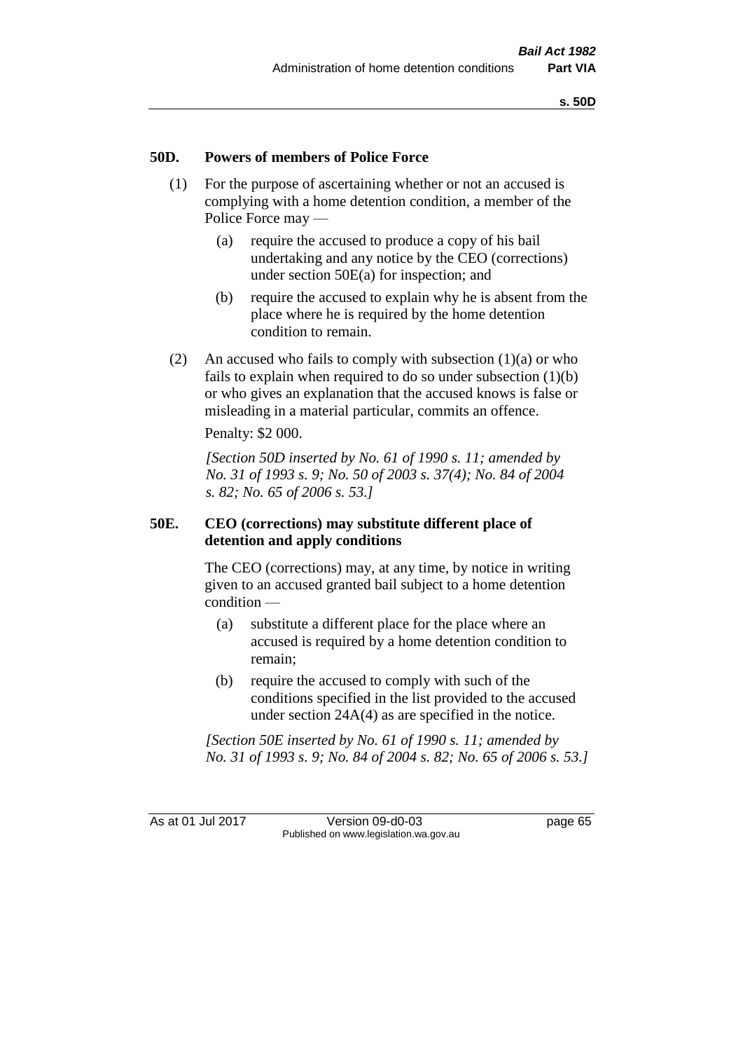## **50D. Powers of members of Police Force**

- (1) For the purpose of ascertaining whether or not an accused is complying with a home detention condition, a member of the Police Force may —
	- (a) require the accused to produce a copy of his bail undertaking and any notice by the CEO (corrections) under section 50E(a) for inspection; and
	- (b) require the accused to explain why he is absent from the place where he is required by the home detention condition to remain.
- (2) An accused who fails to comply with subsection  $(1)(a)$  or who fails to explain when required to do so under subsection (1)(b) or who gives an explanation that the accused knows is false or misleading in a material particular, commits an offence.

Penalty: \$2 000.

*[Section 50D inserted by No. 61 of 1990 s. 11; amended by No. 31 of 1993 s. 9; No. 50 of 2003 s. 37(4); No. 84 of 2004 s. 82; No. 65 of 2006 s. 53.]* 

## **50E. CEO (corrections) may substitute different place of detention and apply conditions**

The CEO (corrections) may, at any time, by notice in writing given to an accused granted bail subject to a home detention condition —

- (a) substitute a different place for the place where an accused is required by a home detention condition to remain;
- (b) require the accused to comply with such of the conditions specified in the list provided to the accused under section 24A(4) as are specified in the notice.

*[Section 50E inserted by No. 61 of 1990 s. 11; amended by No. 31 of 1993 s. 9; No. 84 of 2004 s. 82; No. 65 of 2006 s. 53.]* 

As at 01 Jul 2017 Version 09-d0-03 page 65 Published on www.legislation.wa.gov.au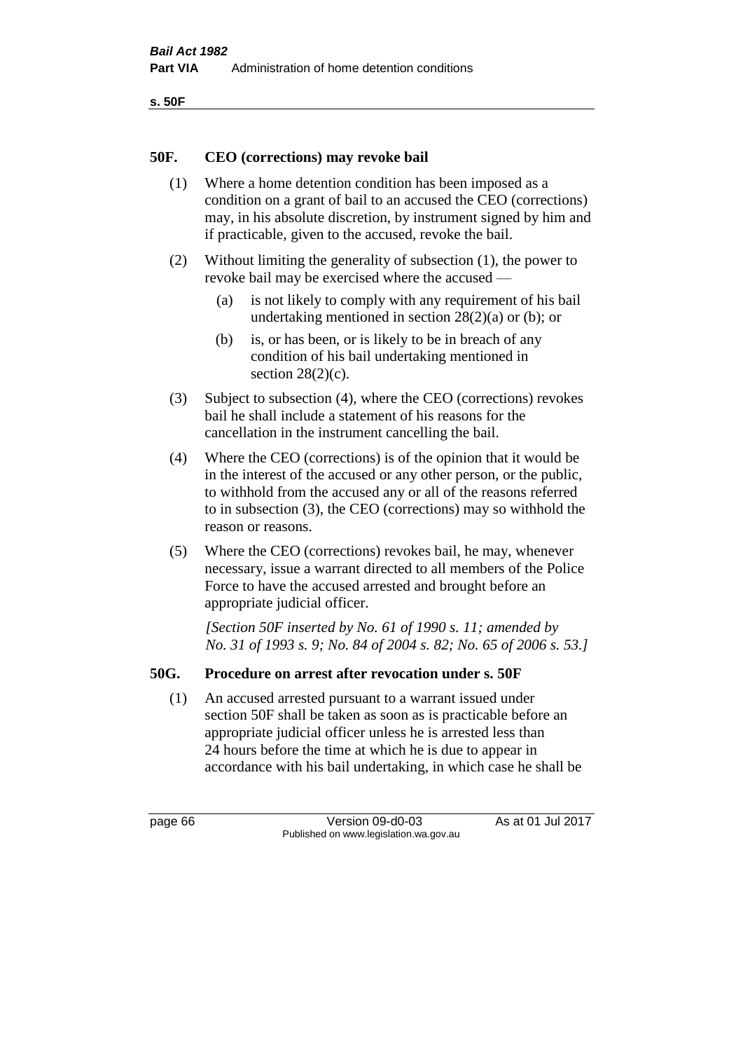```
s. 50F
```
## **50F. CEO (corrections) may revoke bail**

- (1) Where a home detention condition has been imposed as a condition on a grant of bail to an accused the CEO (corrections) may, in his absolute discretion, by instrument signed by him and if practicable, given to the accused, revoke the bail.
- (2) Without limiting the generality of subsection (1), the power to revoke bail may be exercised where the accused —
	- (a) is not likely to comply with any requirement of his bail undertaking mentioned in section 28(2)(a) or (b); or
	- (b) is, or has been, or is likely to be in breach of any condition of his bail undertaking mentioned in section  $28(2)(c)$ .
- (3) Subject to subsection (4), where the CEO (corrections) revokes bail he shall include a statement of his reasons for the cancellation in the instrument cancelling the bail.
- (4) Where the CEO (corrections) is of the opinion that it would be in the interest of the accused or any other person, or the public, to withhold from the accused any or all of the reasons referred to in subsection (3), the CEO (corrections) may so withhold the reason or reasons.
- (5) Where the CEO (corrections) revokes bail, he may, whenever necessary, issue a warrant directed to all members of the Police Force to have the accused arrested and brought before an appropriate judicial officer.

*[Section 50F inserted by No. 61 of 1990 s. 11; amended by No. 31 of 1993 s. 9; No. 84 of 2004 s. 82; No. 65 of 2006 s. 53.]* 

## **50G. Procedure on arrest after revocation under s. 50F**

(1) An accused arrested pursuant to a warrant issued under section 50F shall be taken as soon as is practicable before an appropriate judicial officer unless he is arrested less than 24 hours before the time at which he is due to appear in accordance with his bail undertaking, in which case he shall be

page 66 Version 09-d0-03 As at 01 Jul 2017 Published on www.legislation.wa.gov.au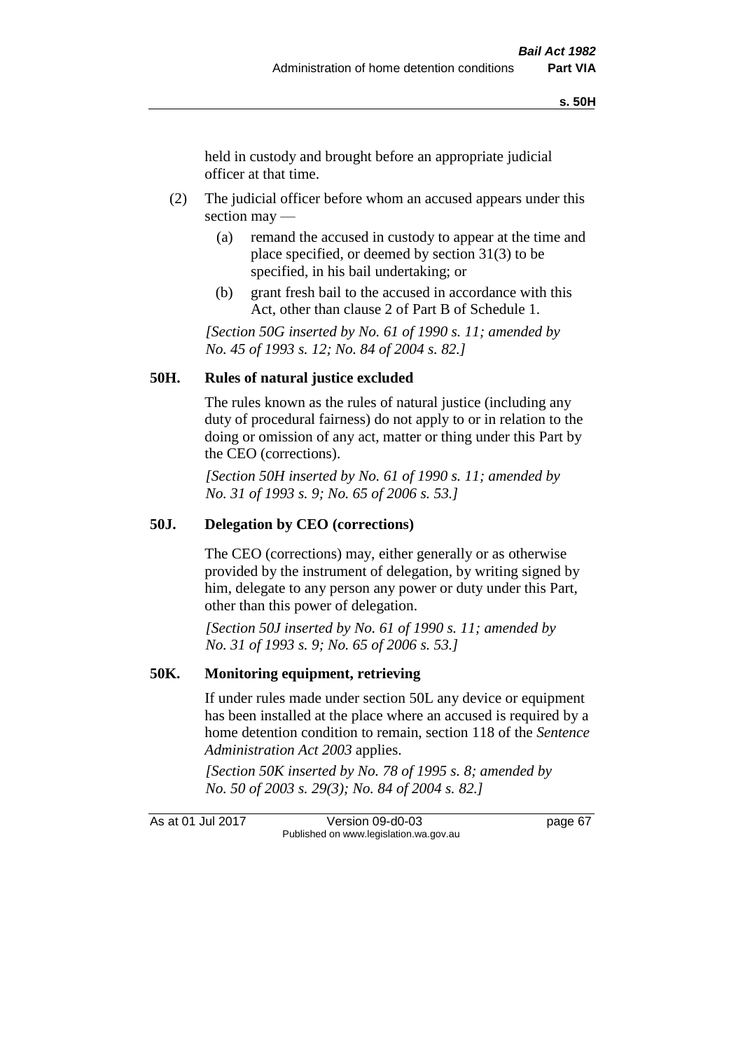held in custody and brought before an appropriate judicial officer at that time.

- (2) The judicial officer before whom an accused appears under this section may —
	- (a) remand the accused in custody to appear at the time and place specified, or deemed by section 31(3) to be specified, in his bail undertaking; or
	- (b) grant fresh bail to the accused in accordance with this Act, other than clause 2 of Part B of Schedule 1.

*[Section 50G inserted by No. 61 of 1990 s. 11; amended by No. 45 of 1993 s. 12; No. 84 of 2004 s. 82.]* 

# **50H. Rules of natural justice excluded**

The rules known as the rules of natural justice (including any duty of procedural fairness) do not apply to or in relation to the doing or omission of any act, matter or thing under this Part by the CEO (corrections).

*[Section 50H inserted by No. 61 of 1990 s. 11; amended by No. 31 of 1993 s. 9; No. 65 of 2006 s. 53.]* 

# **50J. Delegation by CEO (corrections)**

The CEO (corrections) may, either generally or as otherwise provided by the instrument of delegation, by writing signed by him, delegate to any person any power or duty under this Part, other than this power of delegation.

*[Section 50J inserted by No. 61 of 1990 s. 11; amended by No. 31 of 1993 s. 9; No. 65 of 2006 s. 53.]* 

## **50K. Monitoring equipment, retrieving**

If under rules made under section 50L any device or equipment has been installed at the place where an accused is required by a home detention condition to remain, section 118 of the *Sentence Administration Act 2003* applies.

*[Section 50K inserted by No. 78 of 1995 s. 8; amended by No. 50 of 2003 s. 29(3); No. 84 of 2004 s. 82.]* 

As at 01 Jul 2017 Version 09-d0-03 page 67 Published on www.legislation.wa.gov.au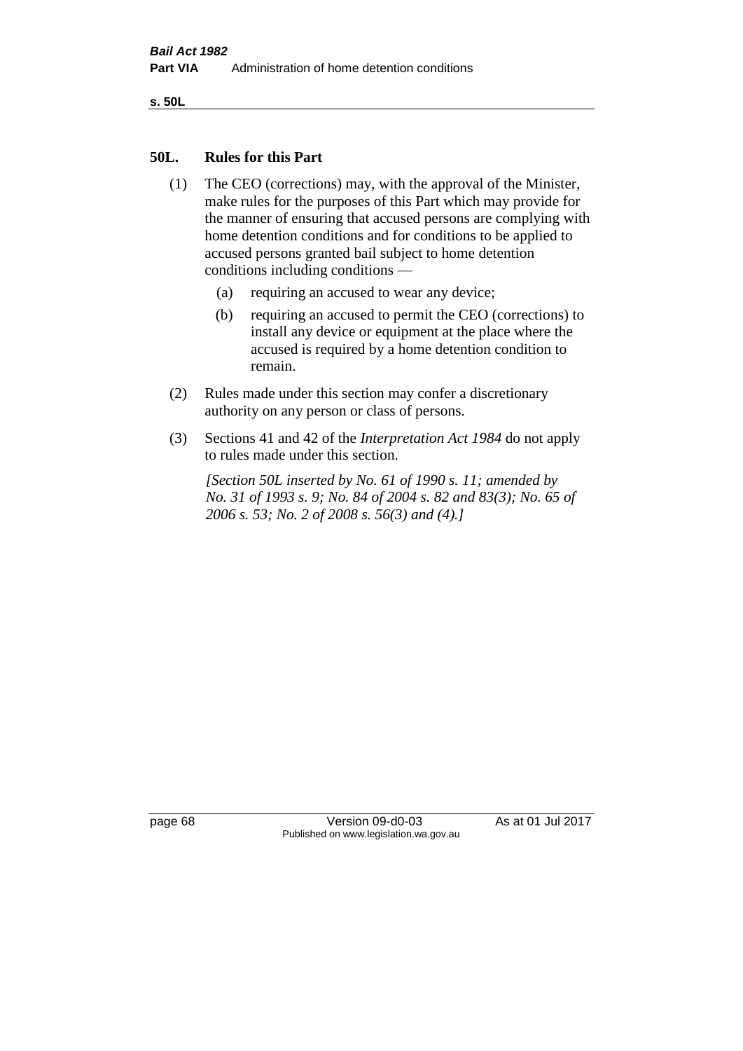**s. 50L**

#### **50L. Rules for this Part**

- (1) The CEO (corrections) may, with the approval of the Minister, make rules for the purposes of this Part which may provide for the manner of ensuring that accused persons are complying with home detention conditions and for conditions to be applied to accused persons granted bail subject to home detention conditions including conditions —
	- (a) requiring an accused to wear any device;
	- (b) requiring an accused to permit the CEO (corrections) to install any device or equipment at the place where the accused is required by a home detention condition to remain.
- (2) Rules made under this section may confer a discretionary authority on any person or class of persons.
- (3) Sections 41 and 42 of the *Interpretation Act 1984* do not apply to rules made under this section.

*[Section 50L inserted by No. 61 of 1990 s. 11; amended by No. 31 of 1993 s. 9; No. 84 of 2004 s. 82 and 83(3); No. 65 of 2006 s. 53; No. 2 of 2008 s. 56(3) and (4).]* 

page 68 Version 09-d0-03 As at 01 Jul 2017 Published on www.legislation.wa.gov.au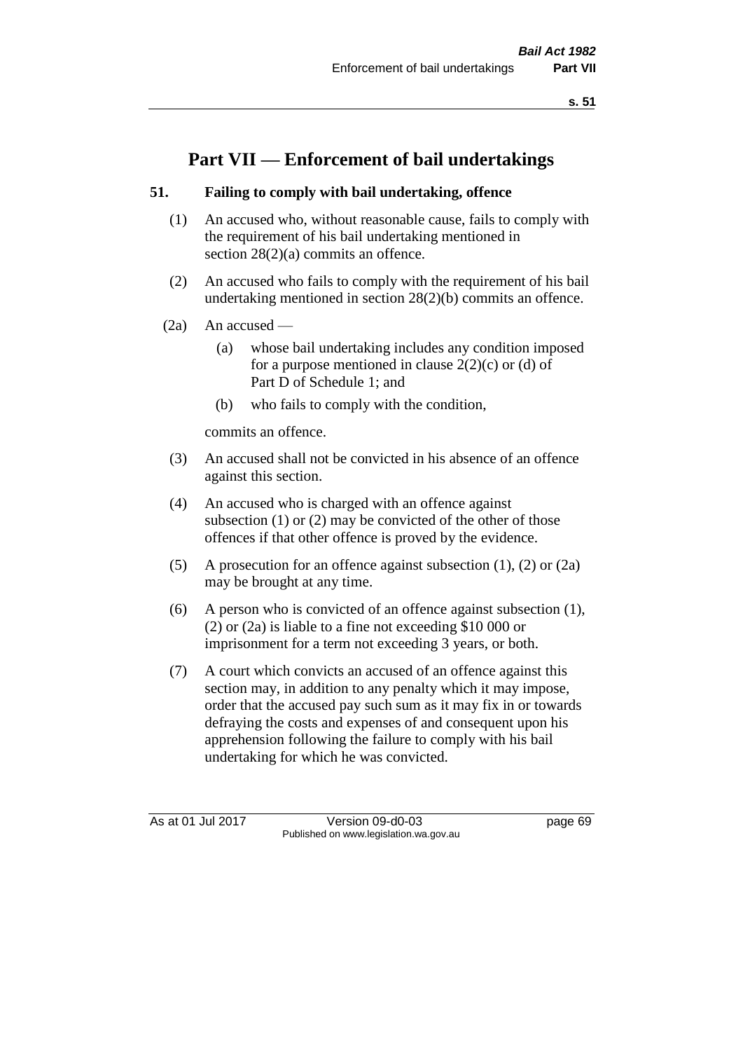**s. 51**

# **Part VII — Enforcement of bail undertakings**

# **51. Failing to comply with bail undertaking, offence**

- (1) An accused who, without reasonable cause, fails to comply with the requirement of his bail undertaking mentioned in section 28(2)(a) commits an offence.
- (2) An accused who fails to comply with the requirement of his bail undertaking mentioned in section 28(2)(b) commits an offence.
- $(2a)$  An accused
	- (a) whose bail undertaking includes any condition imposed for a purpose mentioned in clause  $2(2)(c)$  or (d) of Part D of Schedule 1; and
	- (b) who fails to comply with the condition,

commits an offence.

- (3) An accused shall not be convicted in his absence of an offence against this section.
- (4) An accused who is charged with an offence against subsection (1) or (2) may be convicted of the other of those offences if that other offence is proved by the evidence.
- (5) A prosecution for an offence against subsection (1), (2) or (2a) may be brought at any time.
- (6) A person who is convicted of an offence against subsection (1), (2) or (2a) is liable to a fine not exceeding \$10 000 or imprisonment for a term not exceeding 3 years, or both.
- (7) A court which convicts an accused of an offence against this section may, in addition to any penalty which it may impose, order that the accused pay such sum as it may fix in or towards defraying the costs and expenses of and consequent upon his apprehension following the failure to comply with his bail undertaking for which he was convicted.

As at 01 Jul 2017 Version 09-d0-03 page 69 Published on www.legislation.wa.gov.au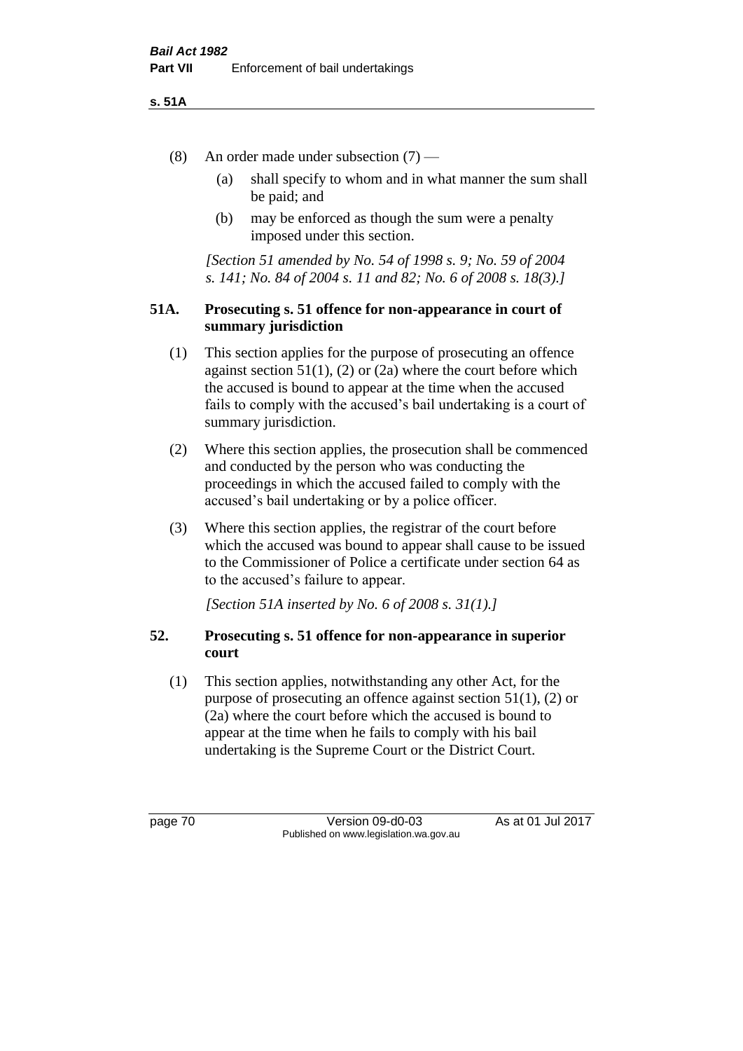#### **s. 51A**

- (8) An order made under subsection (7)
	- (a) shall specify to whom and in what manner the sum shall be paid; and
	- (b) may be enforced as though the sum were a penalty imposed under this section.

*[Section 51 amended by No. 54 of 1998 s. 9; No. 59 of 2004 s. 141; No. 84 of 2004 s. 11 and 82; No. 6 of 2008 s. 18(3).]*

## **51A. Prosecuting s. 51 offence for non-appearance in court of summary jurisdiction**

- (1) This section applies for the purpose of prosecuting an offence against section  $51(1)$ ,  $(2)$  or  $(2a)$  where the court before which the accused is bound to appear at the time when the accused fails to comply with the accused's bail undertaking is a court of summary jurisdiction.
- (2) Where this section applies, the prosecution shall be commenced and conducted by the person who was conducting the proceedings in which the accused failed to comply with the accused's bail undertaking or by a police officer.
- (3) Where this section applies, the registrar of the court before which the accused was bound to appear shall cause to be issued to the Commissioner of Police a certificate under section 64 as to the accused's failure to appear.

*[Section 51A inserted by No. 6 of 2008 s. 31(1).]*

# **52. Prosecuting s. 51 offence for non-appearance in superior court**

(1) This section applies, notwithstanding any other Act, for the purpose of prosecuting an offence against section 51(1), (2) or (2a) where the court before which the accused is bound to appear at the time when he fails to comply with his bail undertaking is the Supreme Court or the District Court.

page 70 Version 09-d0-03 As at 01 Jul 2017 Published on www.legislation.wa.gov.au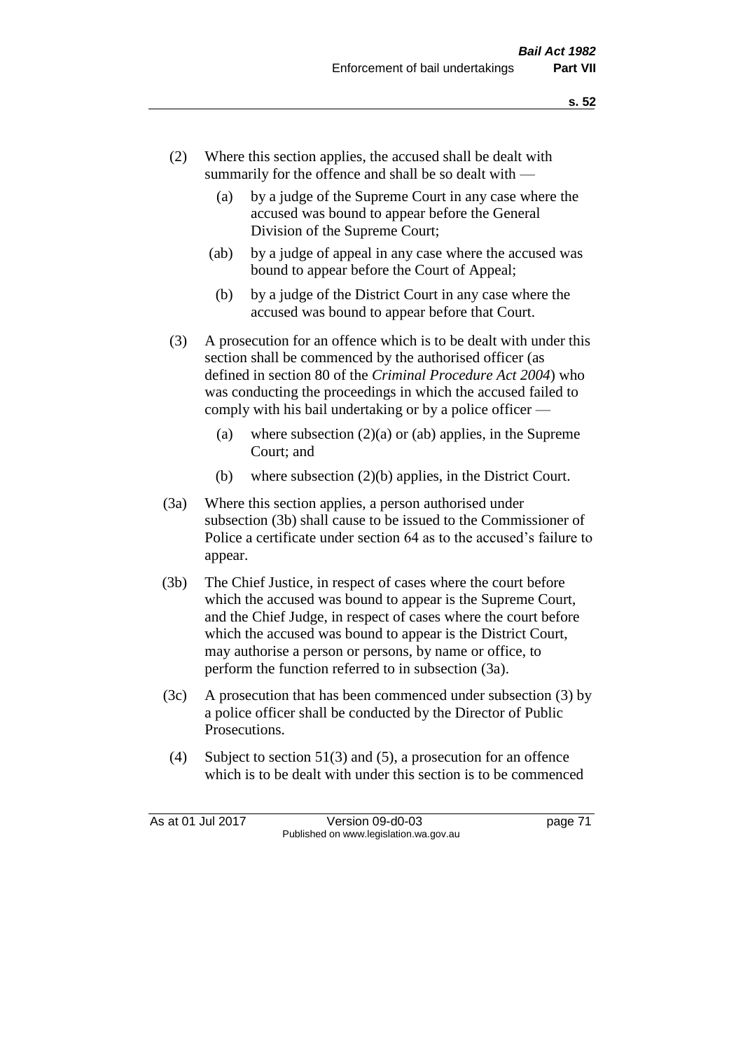- (2) Where this section applies, the accused shall be dealt with summarily for the offence and shall be so dealt with —
	- (a) by a judge of the Supreme Court in any case where the accused was bound to appear before the General Division of the Supreme Court;
	- (ab) by a judge of appeal in any case where the accused was bound to appear before the Court of Appeal;
	- (b) by a judge of the District Court in any case where the accused was bound to appear before that Court.
- (3) A prosecution for an offence which is to be dealt with under this section shall be commenced by the authorised officer (as defined in section 80 of the *Criminal Procedure Act 2004*) who was conducting the proceedings in which the accused failed to comply with his bail undertaking or by a police officer —
	- (a) where subsection  $(2)(a)$  or (ab) applies, in the Supreme Court; and
	- (b) where subsection (2)(b) applies, in the District Court.
- (3a) Where this section applies, a person authorised under subsection (3b) shall cause to be issued to the Commissioner of Police a certificate under section 64 as to the accused's failure to appear.
- (3b) The Chief Justice, in respect of cases where the court before which the accused was bound to appear is the Supreme Court, and the Chief Judge, in respect of cases where the court before which the accused was bound to appear is the District Court, may authorise a person or persons, by name or office, to perform the function referred to in subsection (3a).
- (3c) A prosecution that has been commenced under subsection (3) by a police officer shall be conducted by the Director of Public Prosecutions.
- (4) Subject to section 51(3) and (5), a prosecution for an offence which is to be dealt with under this section is to be commenced

As at 01 Jul 2017 Version 09-d0-03 page 71 Published on www.legislation.wa.gov.au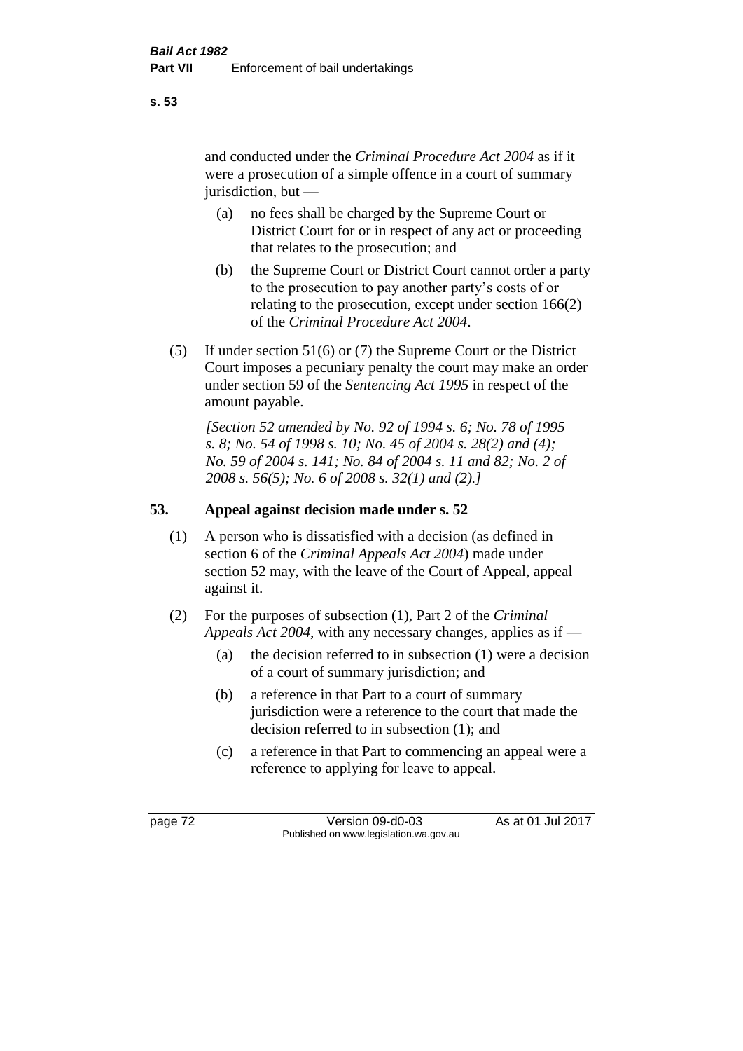and conducted under the *Criminal Procedure Act 2004* as if it were a prosecution of a simple offence in a court of summary jurisdiction, but —

- (a) no fees shall be charged by the Supreme Court or District Court for or in respect of any act or proceeding that relates to the prosecution; and
- (b) the Supreme Court or District Court cannot order a party to the prosecution to pay another party's costs of or relating to the prosecution, except under section 166(2) of the *Criminal Procedure Act 2004*.
- (5) If under section 51(6) or (7) the Supreme Court or the District Court imposes a pecuniary penalty the court may make an order under section 59 of the *Sentencing Act 1995* in respect of the amount payable.

*[Section 52 amended by No. 92 of 1994 s. 6; No. 78 of 1995 s. 8; No. 54 of 1998 s. 10; No. 45 of 2004 s. 28(2) and (4); No. 59 of 2004 s. 141; No. 84 of 2004 s. 11 and 82; No. 2 of 2008 s. 56(5); No. 6 of 2008 s. 32(1) and (2).]* 

# **53. Appeal against decision made under s. 52**

- (1) A person who is dissatisfied with a decision (as defined in section 6 of the *Criminal Appeals Act 2004*) made under section 52 may, with the leave of the Court of Appeal, appeal against it.
- (2) For the purposes of subsection (1), Part 2 of the *Criminal Appeals Act 2004*, with any necessary changes, applies as if —
	- (a) the decision referred to in subsection (1) were a decision of a court of summary jurisdiction; and
	- (b) a reference in that Part to a court of summary jurisdiction were a reference to the court that made the decision referred to in subsection (1); and
	- (c) a reference in that Part to commencing an appeal were a reference to applying for leave to appeal.

**s. 53**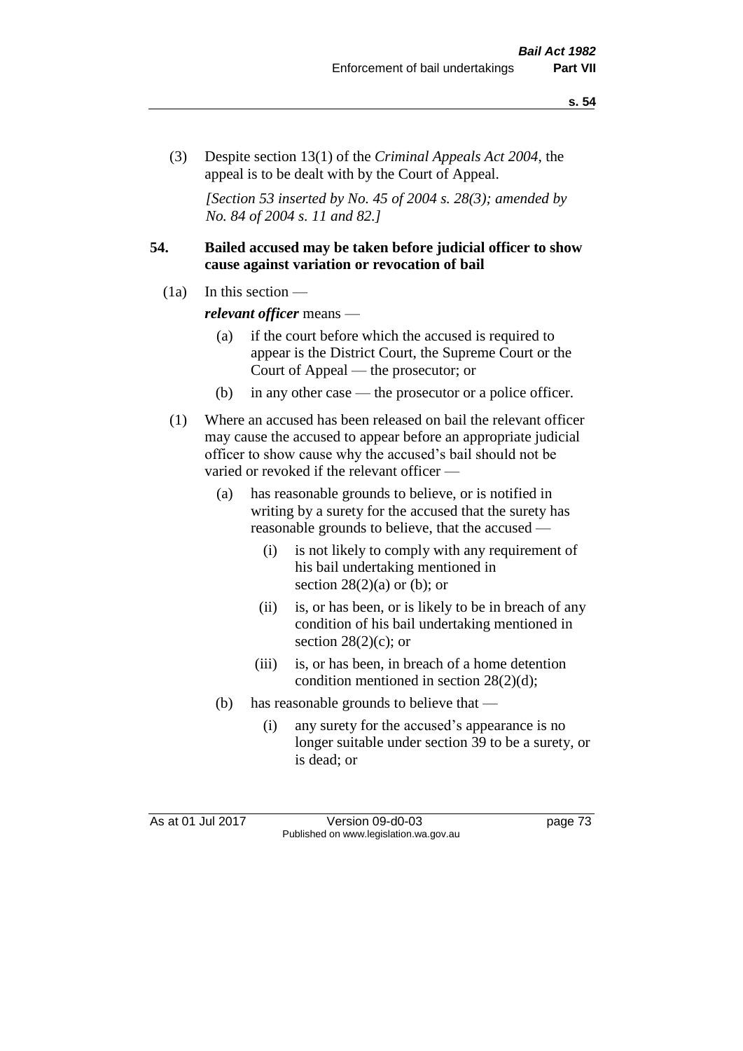(3) Despite section 13(1) of the *Criminal Appeals Act 2004*, the appeal is to be dealt with by the Court of Appeal.

*[Section 53 inserted by No. 45 of 2004 s. 28(3); amended by No. 84 of 2004 s. 11 and 82.]*

## **54. Bailed accused may be taken before judicial officer to show cause against variation or revocation of bail**

(1a) In this section —

*relevant officer* means —

- (a) if the court before which the accused is required to appear is the District Court, the Supreme Court or the Court of Appeal — the prosecutor; or
- (b) in any other case the prosecutor or a police officer.
- (1) Where an accused has been released on bail the relevant officer may cause the accused to appear before an appropriate judicial officer to show cause why the accused's bail should not be varied or revoked if the relevant officer —
	- (a) has reasonable grounds to believe, or is notified in writing by a surety for the accused that the surety has reasonable grounds to believe, that the accused —
		- (i) is not likely to comply with any requirement of his bail undertaking mentioned in section  $28(2)(a)$  or (b); or
		- (ii) is, or has been, or is likely to be in breach of any condition of his bail undertaking mentioned in section  $28(2)(c)$ ; or
		- (iii) is, or has been, in breach of a home detention condition mentioned in section 28(2)(d);
	- (b) has reasonable grounds to believe that
		- (i) any surety for the accused's appearance is no longer suitable under section 39 to be a surety, or is dead; or

As at 01 Jul 2017 Version 09-d0-03 page 73 Published on www.legislation.wa.gov.au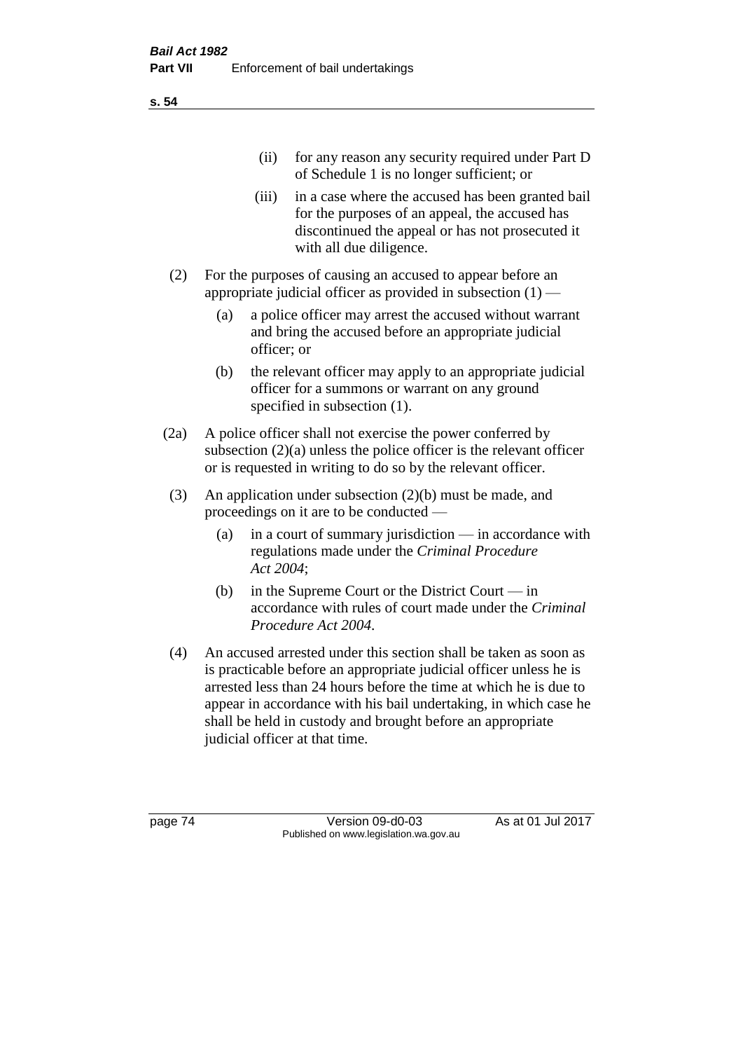(ii) for any reason any security required under Part D of Schedule 1 is no longer sufficient; or

- (iii) in a case where the accused has been granted bail for the purposes of an appeal, the accused has discontinued the appeal or has not prosecuted it with all due diligence.
- (2) For the purposes of causing an accused to appear before an appropriate judicial officer as provided in subsection  $(1)$  —
	- (a) a police officer may arrest the accused without warrant and bring the accused before an appropriate judicial officer; or
	- (b) the relevant officer may apply to an appropriate judicial officer for a summons or warrant on any ground specified in subsection (1).
- (2a) A police officer shall not exercise the power conferred by subsection (2)(a) unless the police officer is the relevant officer or is requested in writing to do so by the relevant officer.
- (3) An application under subsection (2)(b) must be made, and proceedings on it are to be conducted —
	- (a) in a court of summary jurisdiction in accordance with regulations made under the *Criminal Procedure Act 2004*;
	- (b) in the Supreme Court or the District Court  $-\text{in}$ accordance with rules of court made under the *Criminal Procedure Act 2004*.
- (4) An accused arrested under this section shall be taken as soon as is practicable before an appropriate judicial officer unless he is arrested less than 24 hours before the time at which he is due to appear in accordance with his bail undertaking, in which case he shall be held in custody and brought before an appropriate judicial officer at that time.

page 74 Version 09-d0-03 As at 01 Jul 2017 Published on www.legislation.wa.gov.au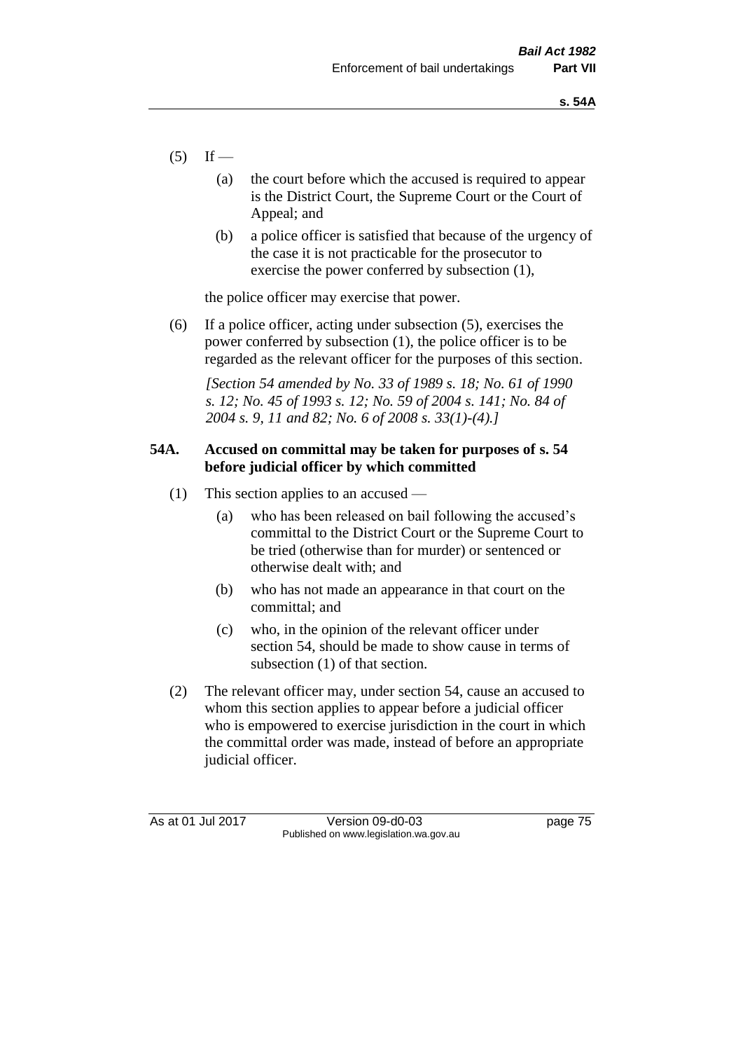- $(5)$  If
	- (a) the court before which the accused is required to appear is the District Court, the Supreme Court or the Court of Appeal; and
	- (b) a police officer is satisfied that because of the urgency of the case it is not practicable for the prosecutor to exercise the power conferred by subsection (1),

the police officer may exercise that power.

(6) If a police officer, acting under subsection (5), exercises the power conferred by subsection (1), the police officer is to be regarded as the relevant officer for the purposes of this section.

*[Section 54 amended by No. 33 of 1989 s. 18; No. 61 of 1990 s. 12; No. 45 of 1993 s. 12; No. 59 of 2004 s. 141; No. 84 of 2004 s. 9, 11 and 82; No. 6 of 2008 s. 33(1)-(4).]* 

# **54A. Accused on committal may be taken for purposes of s. 54 before judicial officer by which committed**

- (1) This section applies to an accused
	- (a) who has been released on bail following the accused's committal to the District Court or the Supreme Court to be tried (otherwise than for murder) or sentenced or otherwise dealt with; and
	- (b) who has not made an appearance in that court on the committal; and
	- (c) who, in the opinion of the relevant officer under section 54, should be made to show cause in terms of subsection (1) of that section.
- (2) The relevant officer may, under section 54, cause an accused to whom this section applies to appear before a judicial officer who is empowered to exercise jurisdiction in the court in which the committal order was made, instead of before an appropriate judicial officer.

As at 01 Jul 2017 Version 09-d0-03 page 75 Published on www.legislation.wa.gov.au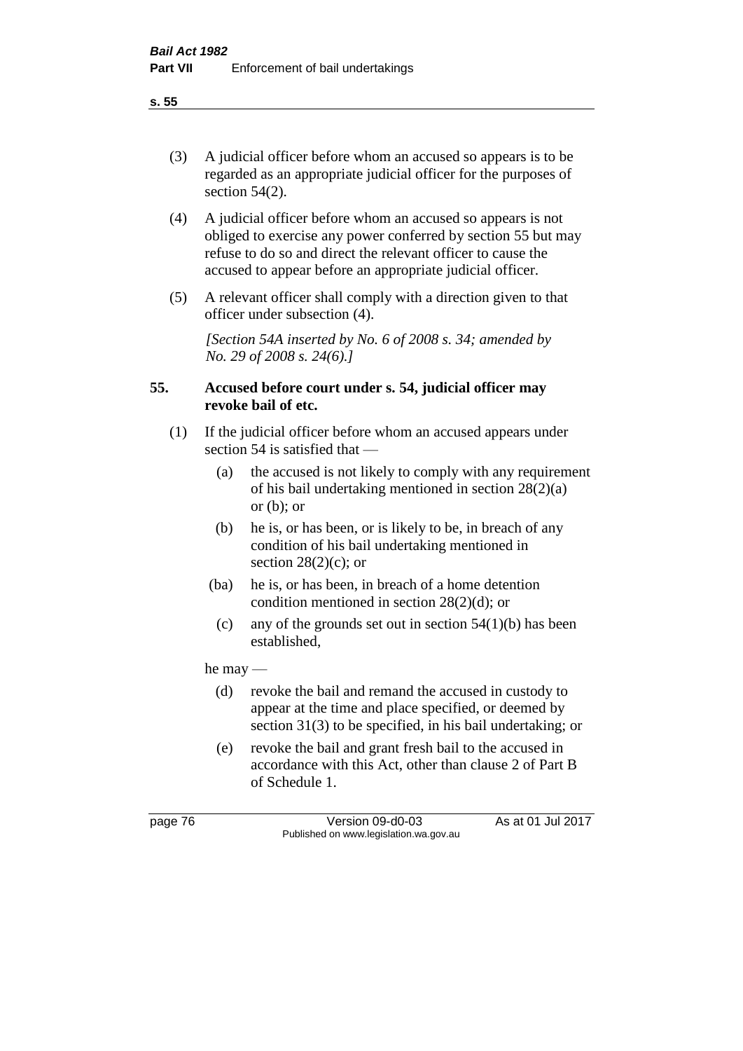(3) A judicial officer before whom an accused so appears is to be regarded as an appropriate judicial officer for the purposes of section 54(2).

- (4) A judicial officer before whom an accused so appears is not obliged to exercise any power conferred by section 55 but may refuse to do so and direct the relevant officer to cause the accused to appear before an appropriate judicial officer.
- (5) A relevant officer shall comply with a direction given to that officer under subsection (4).

*[Section 54A inserted by No. 6 of 2008 s. 34; amended by No. 29 of 2008 s. 24(6).]*

## **55. Accused before court under s. 54, judicial officer may revoke bail of etc.**

- (1) If the judicial officer before whom an accused appears under section 54 is satisfied that —
	- (a) the accused is not likely to comply with any requirement of his bail undertaking mentioned in section 28(2)(a) or  $(b)$ ; or
	- (b) he is, or has been, or is likely to be, in breach of any condition of his bail undertaking mentioned in section  $28(2)(c)$ ; or
	- (ba) he is, or has been, in breach of a home detention condition mentioned in section 28(2)(d); or
	- (c) any of the grounds set out in section  $54(1)(b)$  has been established,

he may —

- (d) revoke the bail and remand the accused in custody to appear at the time and place specified, or deemed by section 31(3) to be specified, in his bail undertaking; or
- (e) revoke the bail and grant fresh bail to the accused in accordance with this Act, other than clause 2 of Part B of Schedule 1.

page 76 Version 09-d0-03 As at 01 Jul 2017 Published on www.legislation.wa.gov.au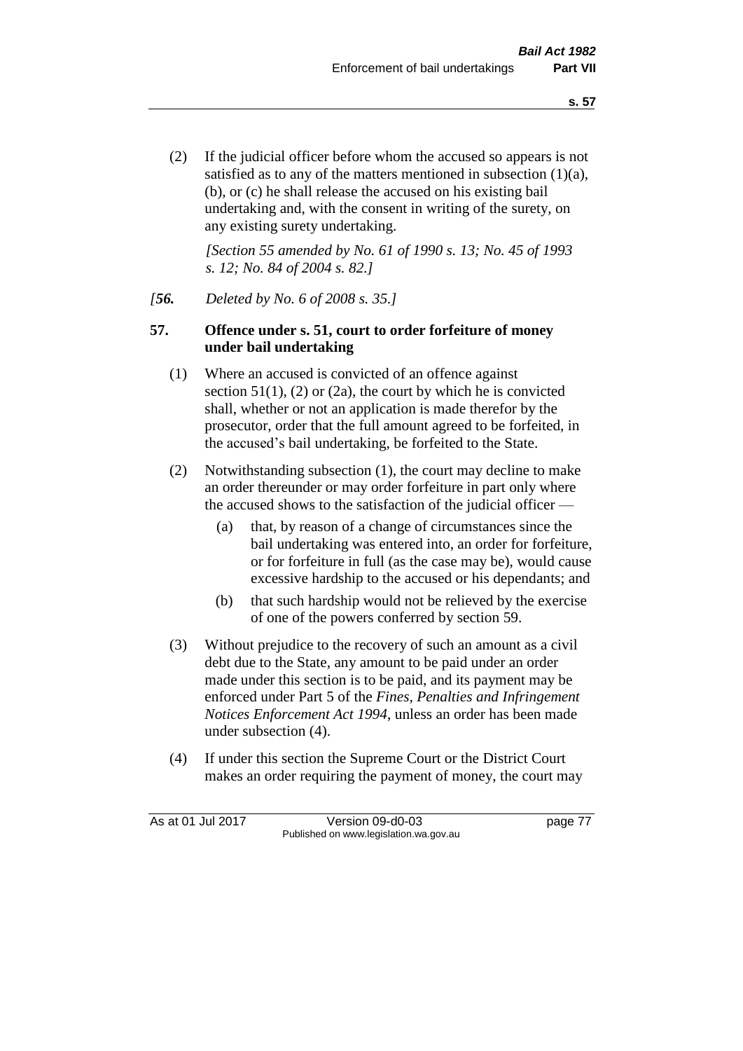(2) If the judicial officer before whom the accused so appears is not satisfied as to any of the matters mentioned in subsection (1)(a), (b), or (c) he shall release the accused on his existing bail undertaking and, with the consent in writing of the surety, on any existing surety undertaking.

*[Section 55 amended by No. 61 of 1990 s. 13; No. 45 of 1993 s. 12; No. 84 of 2004 s. 82.]* 

## *[56. Deleted by No. 6 of 2008 s. 35.]*

## **57. Offence under s. 51, court to order forfeiture of money under bail undertaking**

- (1) Where an accused is convicted of an offence against section  $51(1)$ ,  $(2)$  or  $(2a)$ , the court by which he is convicted shall, whether or not an application is made therefor by the prosecutor, order that the full amount agreed to be forfeited, in the accused's bail undertaking, be forfeited to the State.
- (2) Notwithstanding subsection (1), the court may decline to make an order thereunder or may order forfeiture in part only where the accused shows to the satisfaction of the judicial officer —
	- (a) that, by reason of a change of circumstances since the bail undertaking was entered into, an order for forfeiture, or for forfeiture in full (as the case may be), would cause excessive hardship to the accused or his dependants; and
	- (b) that such hardship would not be relieved by the exercise of one of the powers conferred by section 59.
- (3) Without prejudice to the recovery of such an amount as a civil debt due to the State, any amount to be paid under an order made under this section is to be paid, and its payment may be enforced under Part 5 of the *Fines, Penalties and Infringement Notices Enforcement Act 1994*, unless an order has been made under subsection (4).
- (4) If under this section the Supreme Court or the District Court makes an order requiring the payment of money, the court may

As at 01 Jul 2017 Version 09-d0-03 page 77 Published on www.legislation.wa.gov.au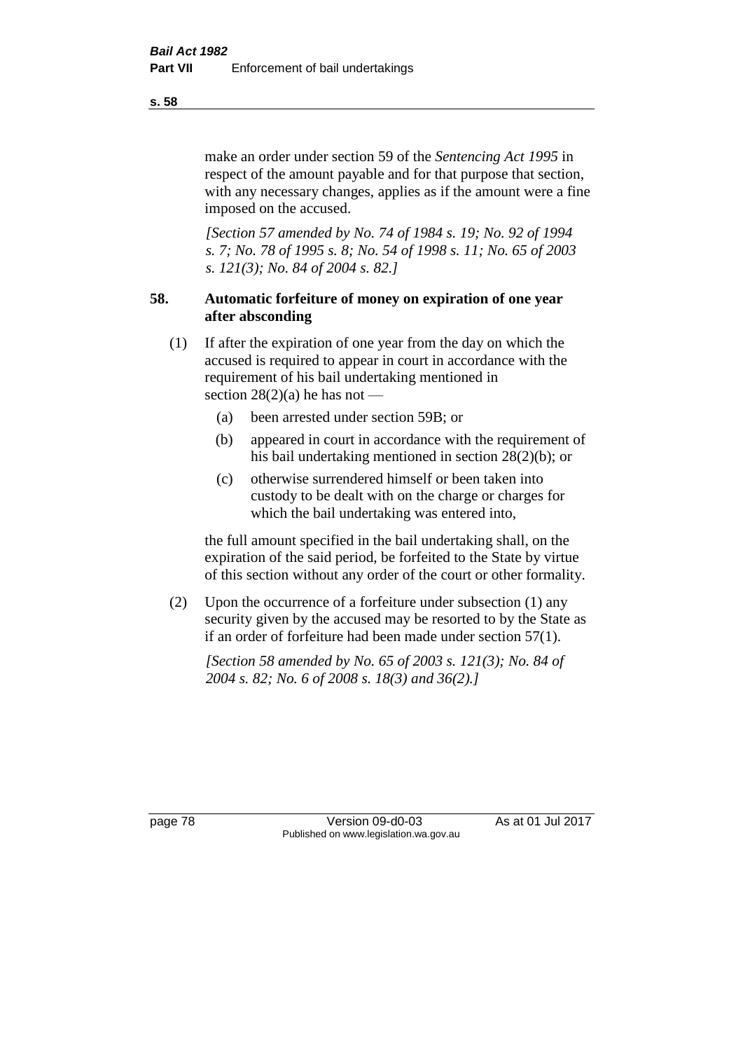make an order under section 59 of the *Sentencing Act 1995* in respect of the amount payable and for that purpose that section, with any necessary changes, applies as if the amount were a fine imposed on the accused.

*[Section 57 amended by No. 74 of 1984 s. 19; No. 92 of 1994 s. 7; No. 78 of 1995 s. 8; No. 54 of 1998 s. 11; No. 65 of 2003 s. 121(3); No. 84 of 2004 s. 82.]* 

# **58. Automatic forfeiture of money on expiration of one year after absconding**

- (1) If after the expiration of one year from the day on which the accused is required to appear in court in accordance with the requirement of his bail undertaking mentioned in section  $28(2)(a)$  he has not —
	- (a) been arrested under section 59B; or
	- (b) appeared in court in accordance with the requirement of his bail undertaking mentioned in section 28(2)(b); or
	- (c) otherwise surrendered himself or been taken into custody to be dealt with on the charge or charges for which the bail undertaking was entered into,

the full amount specified in the bail undertaking shall, on the expiration of the said period, be forfeited to the State by virtue of this section without any order of the court or other formality.

(2) Upon the occurrence of a forfeiture under subsection (1) any security given by the accused may be resorted to by the State as if an order of forfeiture had been made under section 57(1).

*[Section 58 amended by No. 65 of 2003 s. 121(3); No. 84 of 2004 s. 82; No. 6 of 2008 s. 18(3) and 36(2).]*

page 78 Version 09-d0-03 As at 01 Jul 2017 Published on www.legislation.wa.gov.au

**s. 58**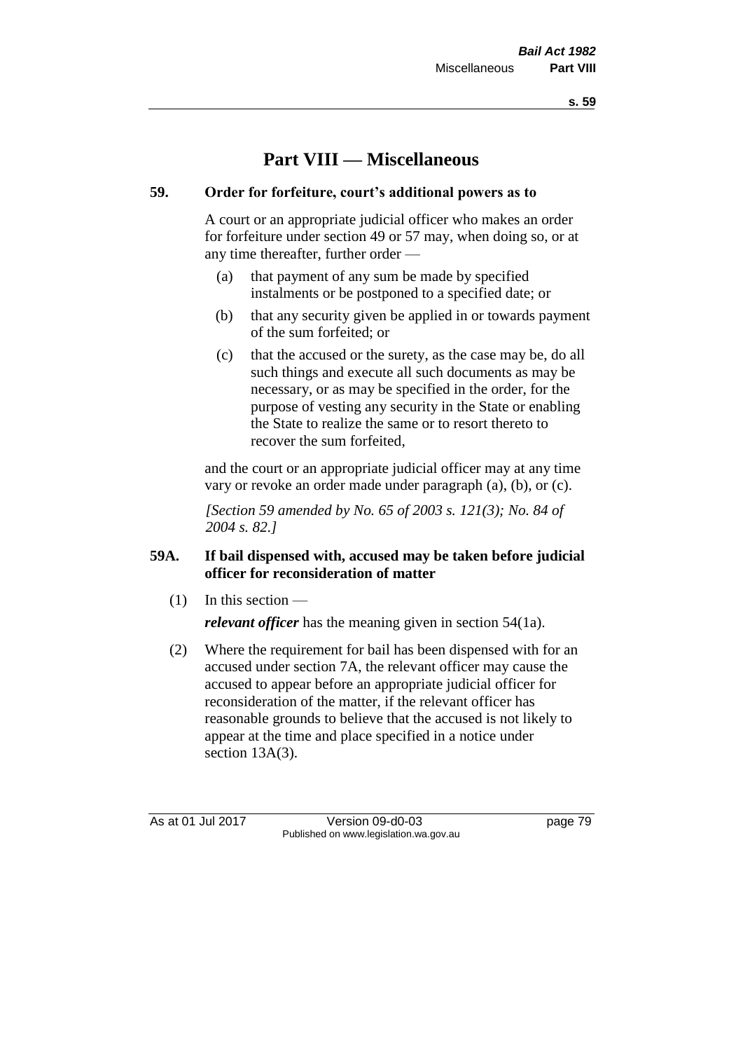**s. 59**

# **Part VIII — Miscellaneous**

# **59. Order for forfeiture, court's additional powers as to**

A court or an appropriate judicial officer who makes an order for forfeiture under section 49 or 57 may, when doing so, or at any time thereafter, further order —

- (a) that payment of any sum be made by specified instalments or be postponed to a specified date; or
- (b) that any security given be applied in or towards payment of the sum forfeited; or
- (c) that the accused or the surety, as the case may be, do all such things and execute all such documents as may be necessary, or as may be specified in the order, for the purpose of vesting any security in the State or enabling the State to realize the same or to resort thereto to recover the sum forfeited,

and the court or an appropriate judicial officer may at any time vary or revoke an order made under paragraph (a), (b), or (c).

*[Section 59 amended by No. 65 of 2003 s. 121(3); No. 84 of 2004 s. 82.]*

# **59A. If bail dispensed with, accused may be taken before judicial officer for reconsideration of matter**

 $(1)$  In this section —

*relevant officer* has the meaning given in section 54(1a).

(2) Where the requirement for bail has been dispensed with for an accused under section 7A, the relevant officer may cause the accused to appear before an appropriate judicial officer for reconsideration of the matter, if the relevant officer has reasonable grounds to believe that the accused is not likely to appear at the time and place specified in a notice under section 13A(3).

As at 01 Jul 2017 Version 09-d0-03 page 79 Published on www.legislation.wa.gov.au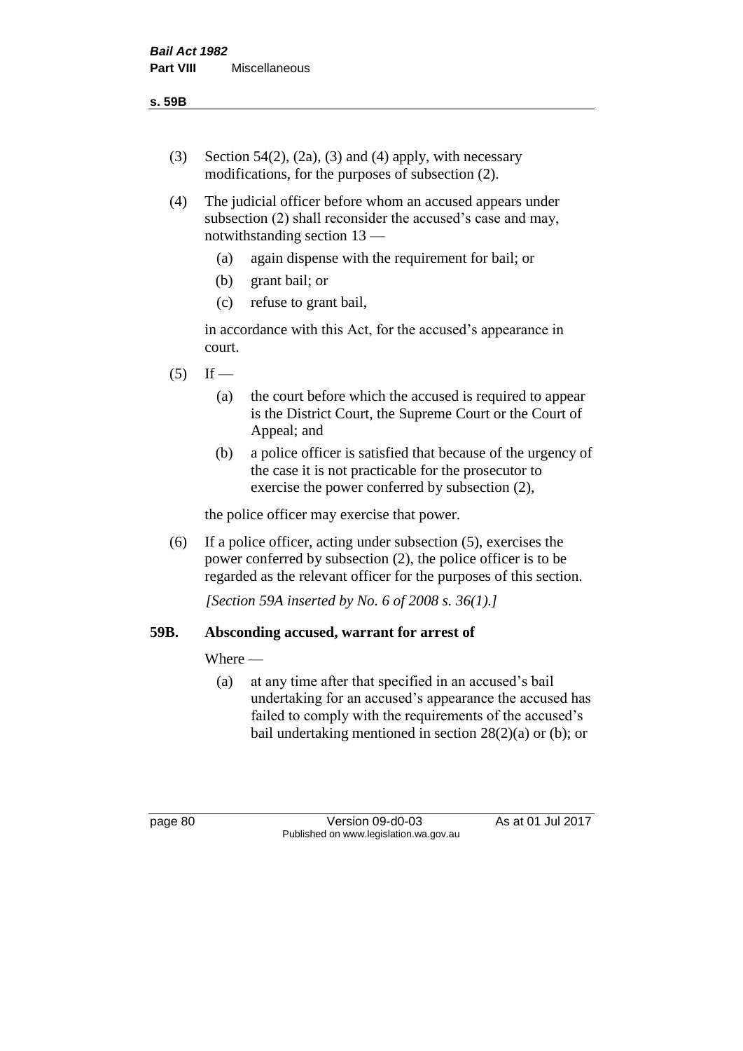- (3) Section 54(2), (2a), (3) and (4) apply, with necessary modifications, for the purposes of subsection (2).
- (4) The judicial officer before whom an accused appears under subsection (2) shall reconsider the accused's case and may, notwithstanding section 13 —
	- (a) again dispense with the requirement for bail; or
	- (b) grant bail; or
	- (c) refuse to grant bail,

in accordance with this Act, for the accused's appearance in court.

- $(5)$  If
	- (a) the court before which the accused is required to appear is the District Court, the Supreme Court or the Court of Appeal; and
	- (b) a police officer is satisfied that because of the urgency of the case it is not practicable for the prosecutor to exercise the power conferred by subsection (2),

the police officer may exercise that power.

(6) If a police officer, acting under subsection (5), exercises the power conferred by subsection (2), the police officer is to be regarded as the relevant officer for the purposes of this section.

*[Section 59A inserted by No. 6 of 2008 s. 36(1).]*

## **59B. Absconding accused, warrant for arrest of**

Where —

(a) at any time after that specified in an accused's bail undertaking for an accused's appearance the accused has failed to comply with the requirements of the accused's bail undertaking mentioned in section  $28(2)(a)$  or (b); or

page 80 Version 09-d0-03 As at 01 Jul 2017 Published on www.legislation.wa.gov.au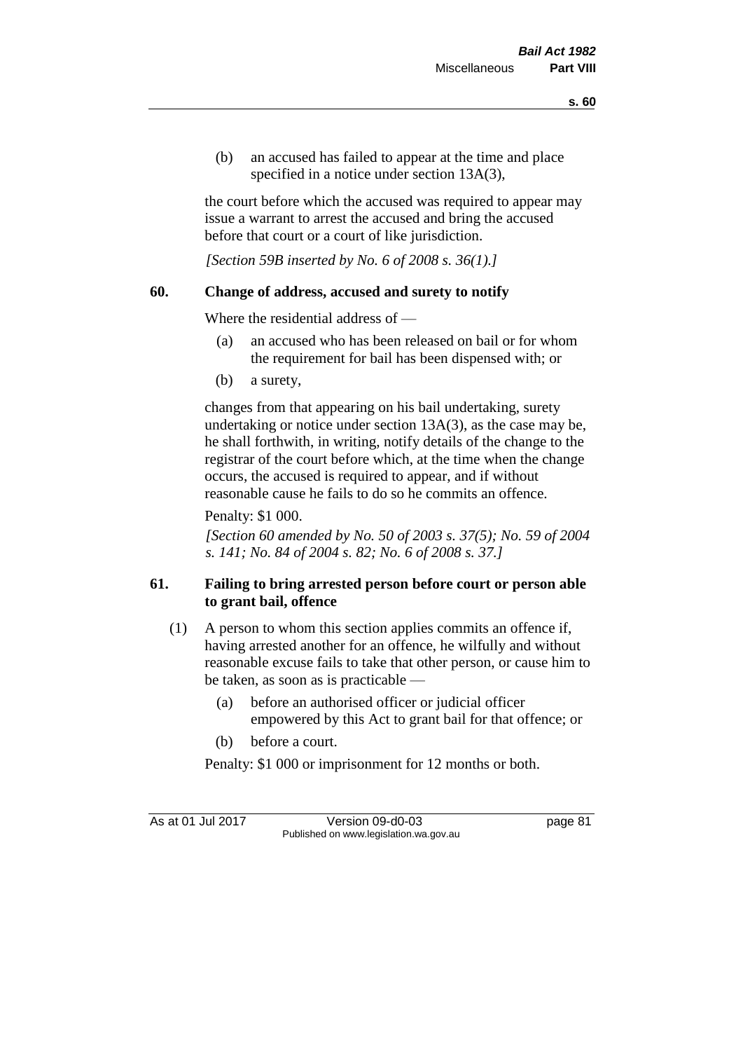(b) an accused has failed to appear at the time and place specified in a notice under section 13A(3),

the court before which the accused was required to appear may issue a warrant to arrest the accused and bring the accused before that court or a court of like jurisdiction.

*[Section 59B inserted by No. 6 of 2008 s. 36(1).]*

# **60. Change of address, accused and surety to notify**

Where the residential address of —

- (a) an accused who has been released on bail or for whom the requirement for bail has been dispensed with; or
- (b) a surety,

changes from that appearing on his bail undertaking, surety undertaking or notice under section 13A(3), as the case may be, he shall forthwith, in writing, notify details of the change to the registrar of the court before which, at the time when the change occurs, the accused is required to appear, and if without reasonable cause he fails to do so he commits an offence.

Penalty: \$1 000.

*[Section 60 amended by No. 50 of 2003 s. 37(5); No. 59 of 2004 s. 141; No. 84 of 2004 s. 82; No. 6 of 2008 s. 37.]*

# **61. Failing to bring arrested person before court or person able to grant bail, offence**

- (1) A person to whom this section applies commits an offence if, having arrested another for an offence, he wilfully and without reasonable excuse fails to take that other person, or cause him to be taken, as soon as is practicable —
	- (a) before an authorised officer or judicial officer empowered by this Act to grant bail for that offence; or
	- (b) before a court.
	- Penalty: \$1 000 or imprisonment for 12 months or both.

As at 01 Jul 2017 Version 09-d0-03 page 81 Published on www.legislation.wa.gov.au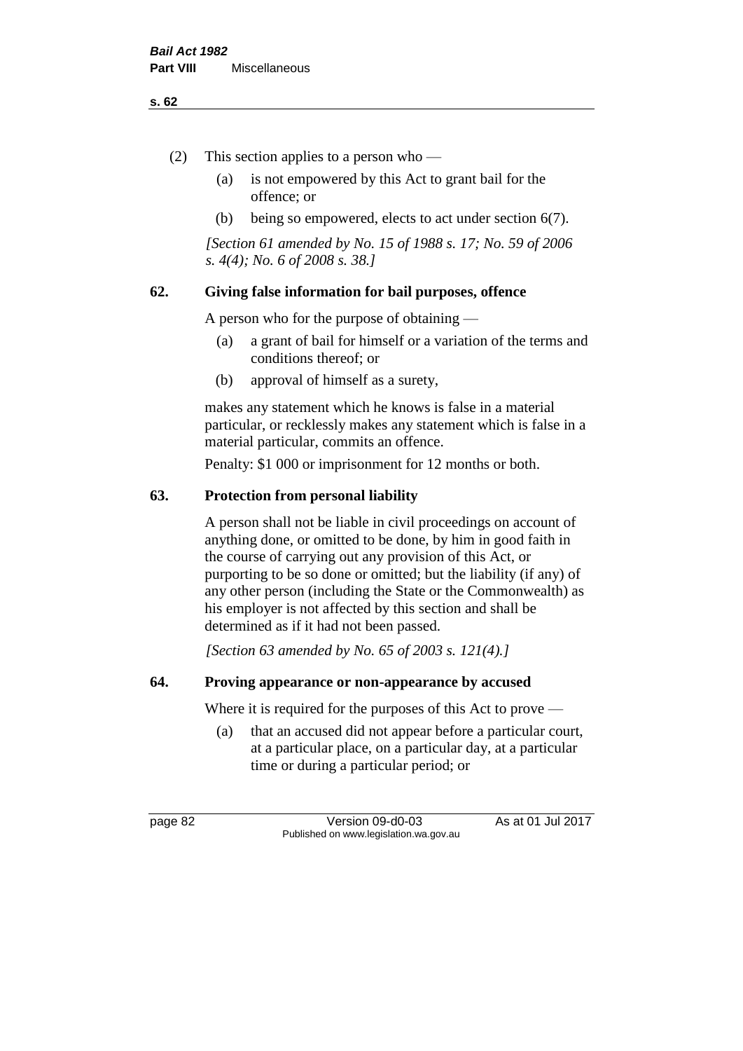#### **s. 62**

- (2) This section applies to a person who
	- (a) is not empowered by this Act to grant bail for the offence; or
	- (b) being so empowered, elects to act under section 6(7).

*[Section 61 amended by No. 15 of 1988 s. 17; No. 59 of 2006 s. 4(4); No. 6 of 2008 s. 38.]* 

# **62. Giving false information for bail purposes, offence**

A person who for the purpose of obtaining —

- (a) a grant of bail for himself or a variation of the terms and conditions thereof; or
- (b) approval of himself as a surety,

makes any statement which he knows is false in a material particular, or recklessly makes any statement which is false in a material particular, commits an offence.

Penalty: \$1 000 or imprisonment for 12 months or both.

# **63. Protection from personal liability**

A person shall not be liable in civil proceedings on account of anything done, or omitted to be done, by him in good faith in the course of carrying out any provision of this Act, or purporting to be so done or omitted; but the liability (if any) of any other person (including the State or the Commonwealth) as his employer is not affected by this section and shall be determined as if it had not been passed.

*[Section 63 amended by No. 65 of 2003 s. 121(4).]*

## **64. Proving appearance or non-appearance by accused**

Where it is required for the purposes of this Act to prove —

(a) that an accused did not appear before a particular court, at a particular place, on a particular day, at a particular time or during a particular period; or

page 82 Version 09-d0-03 As at 01 Jul 2017 Published on www.legislation.wa.gov.au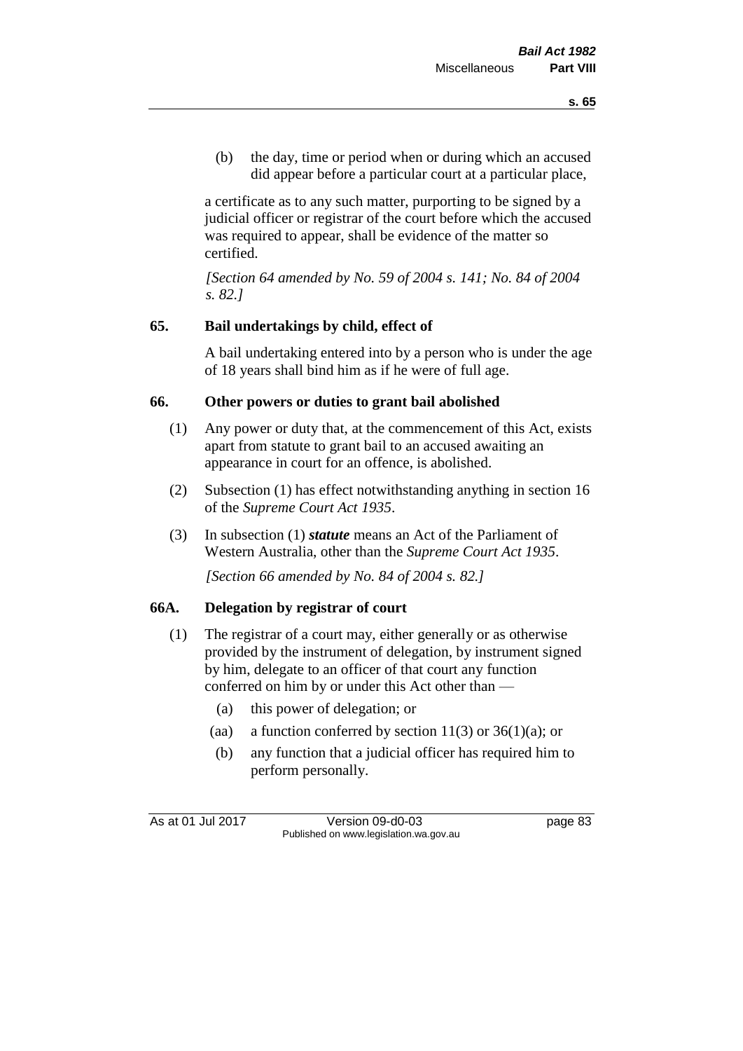(b) the day, time or period when or during which an accused did appear before a particular court at a particular place,

a certificate as to any such matter, purporting to be signed by a judicial officer or registrar of the court before which the accused was required to appear, shall be evidence of the matter so certified.

*[Section 64 amended by No. 59 of 2004 s. 141; No. 84 of 2004 s. 82.]* 

# **65. Bail undertakings by child, effect of**

A bail undertaking entered into by a person who is under the age of 18 years shall bind him as if he were of full age.

# **66. Other powers or duties to grant bail abolished**

- (1) Any power or duty that, at the commencement of this Act, exists apart from statute to grant bail to an accused awaiting an appearance in court for an offence, is abolished.
- (2) Subsection (1) has effect notwithstanding anything in section 16 of the *Supreme Court Act 1935*.
- (3) In subsection (1) *statute* means an Act of the Parliament of Western Australia, other than the *Supreme Court Act 1935*.

*[Section 66 amended by No. 84 of 2004 s. 82.]*

## **66A. Delegation by registrar of court**

- (1) The registrar of a court may, either generally or as otherwise provided by the instrument of delegation, by instrument signed by him, delegate to an officer of that court any function conferred on him by or under this Act other than —
	- (a) this power of delegation; or
	- (aa) a function conferred by section  $11(3)$  or  $36(1)(a)$ ; or
	- (b) any function that a judicial officer has required him to perform personally.

As at 01 Jul 2017 Version 09-d0-03 page 83 Published on www.legislation.wa.gov.au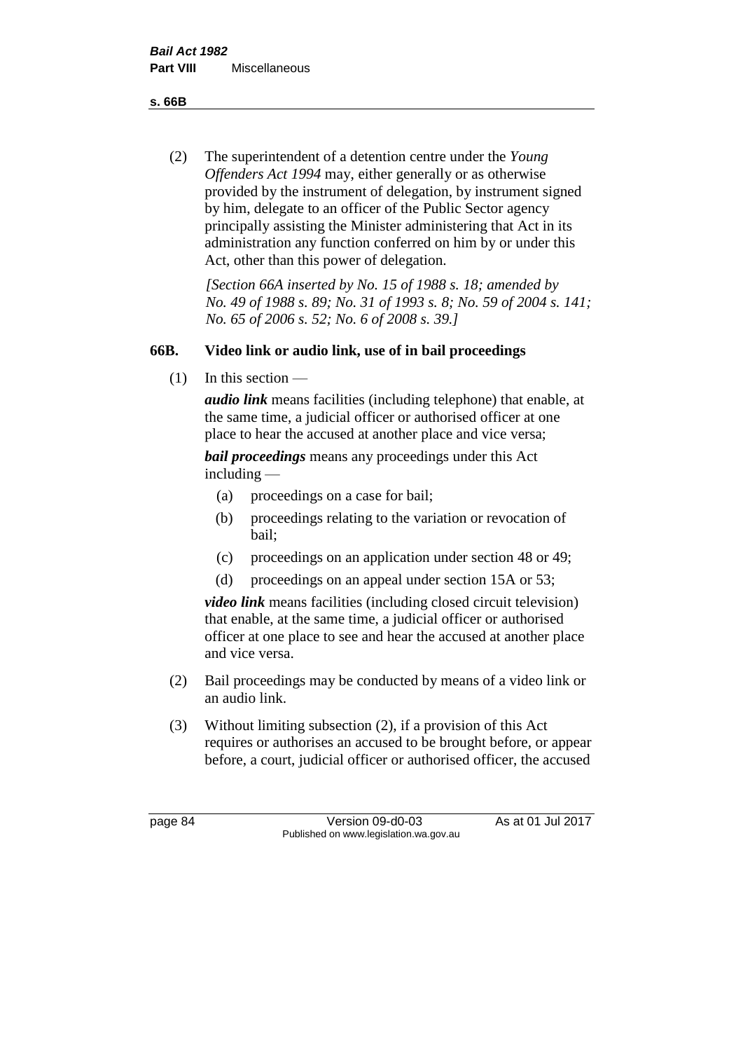**s. 66B**

(2) The superintendent of a detention centre under the *Young Offenders Act 1994* may, either generally or as otherwise provided by the instrument of delegation, by instrument signed by him, delegate to an officer of the Public Sector agency principally assisting the Minister administering that Act in its administration any function conferred on him by or under this Act, other than this power of delegation.

*[Section 66A inserted by No. 15 of 1988 s. 18; amended by No. 49 of 1988 s. 89; No. 31 of 1993 s. 8; No. 59 of 2004 s. 141; No. 65 of 2006 s. 52; No. 6 of 2008 s. 39.]* 

# **66B. Video link or audio link, use of in bail proceedings**

 $(1)$  In this section —

*audio link* means facilities (including telephone) that enable, at the same time, a judicial officer or authorised officer at one place to hear the accused at another place and vice versa;

*bail proceedings* means any proceedings under this Act including —

- (a) proceedings on a case for bail;
- (b) proceedings relating to the variation or revocation of bail;
- (c) proceedings on an application under section 48 or 49;
- (d) proceedings on an appeal under section 15A or 53;

*video link* means facilities (including closed circuit television) that enable, at the same time, a judicial officer or authorised officer at one place to see and hear the accused at another place and vice versa.

- (2) Bail proceedings may be conducted by means of a video link or an audio link.
- (3) Without limiting subsection (2), if a provision of this Act requires or authorises an accused to be brought before, or appear before, a court, judicial officer or authorised officer, the accused

page 84 Version 09-d0-03 As at 01 Jul 2017 Published on www.legislation.wa.gov.au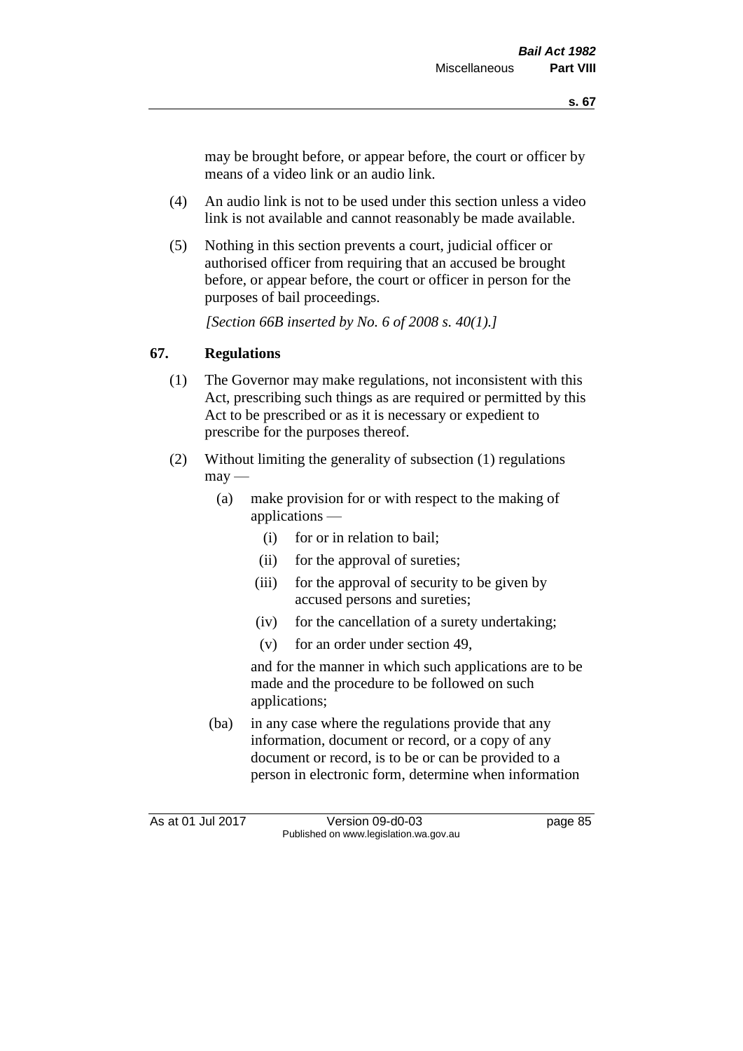may be brought before, or appear before, the court or officer by means of a video link or an audio link.

- (4) An audio link is not to be used under this section unless a video link is not available and cannot reasonably be made available.
- (5) Nothing in this section prevents a court, judicial officer or authorised officer from requiring that an accused be brought before, or appear before, the court or officer in person for the purposes of bail proceedings.

*[Section 66B inserted by No. 6 of 2008 s. 40(1).]*

## **67. Regulations**

- (1) The Governor may make regulations, not inconsistent with this Act, prescribing such things as are required or permitted by this Act to be prescribed or as it is necessary or expedient to prescribe for the purposes thereof.
- (2) Without limiting the generality of subsection (1) regulations  $\text{max}$  —
	- (a) make provision for or with respect to the making of applications —
		- (i) for or in relation to bail;
		- (ii) for the approval of sureties;
		- (iii) for the approval of security to be given by accused persons and sureties;
		- (iv) for the cancellation of a surety undertaking;
		- (v) for an order under section 49,

and for the manner in which such applications are to be made and the procedure to be followed on such applications;

(ba) in any case where the regulations provide that any information, document or record, or a copy of any document or record, is to be or can be provided to a person in electronic form, determine when information

As at 01 Jul 2017 Version 09-d0-03 page 85 Published on www.legislation.wa.gov.au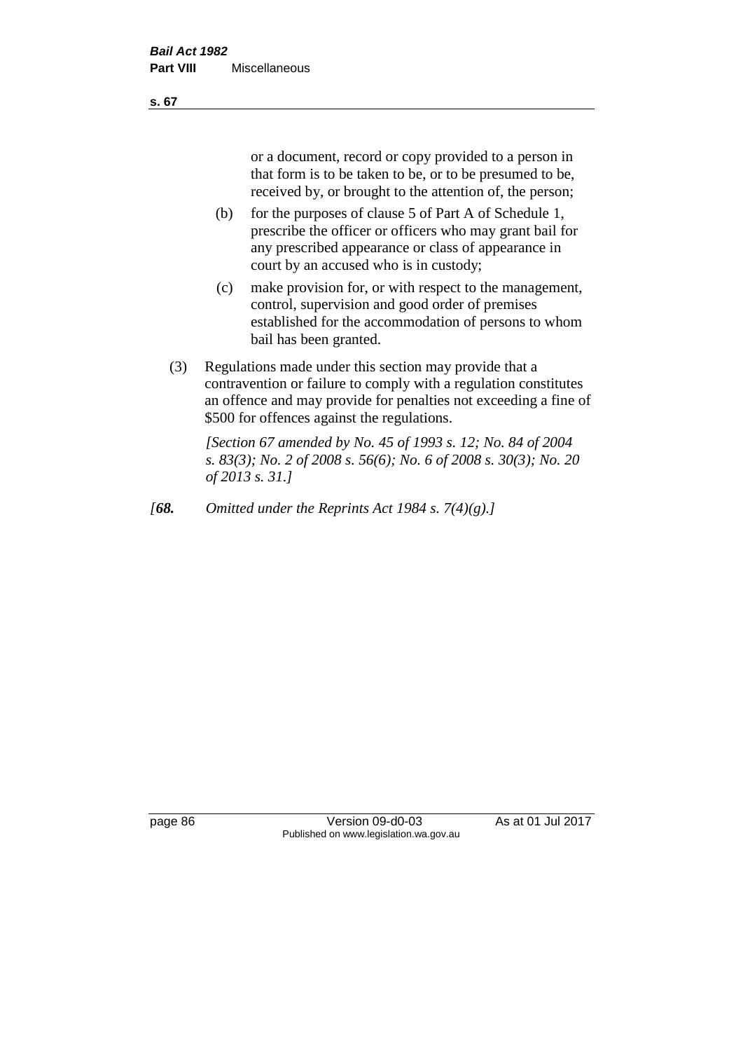or a document, record or copy provided to a person in that form is to be taken to be, or to be presumed to be, received by, or brought to the attention of, the person;

- (b) for the purposes of clause 5 of Part A of Schedule 1, prescribe the officer or officers who may grant bail for any prescribed appearance or class of appearance in court by an accused who is in custody;
- (c) make provision for, or with respect to the management, control, supervision and good order of premises established for the accommodation of persons to whom bail has been granted.
- (3) Regulations made under this section may provide that a contravention or failure to comply with a regulation constitutes an offence and may provide for penalties not exceeding a fine of \$500 for offences against the regulations.

*[Section 67 amended by No. 45 of 1993 s. 12; No. 84 of 2004 s. 83(3); No. 2 of 2008 s. 56(6); No. 6 of 2008 s. 30(3); No. 20 of 2013 s. 31.]* 

*[68. Omitted under the Reprints Act 1984 s. 7(4)(g).]*

page 86 Version 09-d0-03 As at 01 Jul 2017 Published on www.legislation.wa.gov.au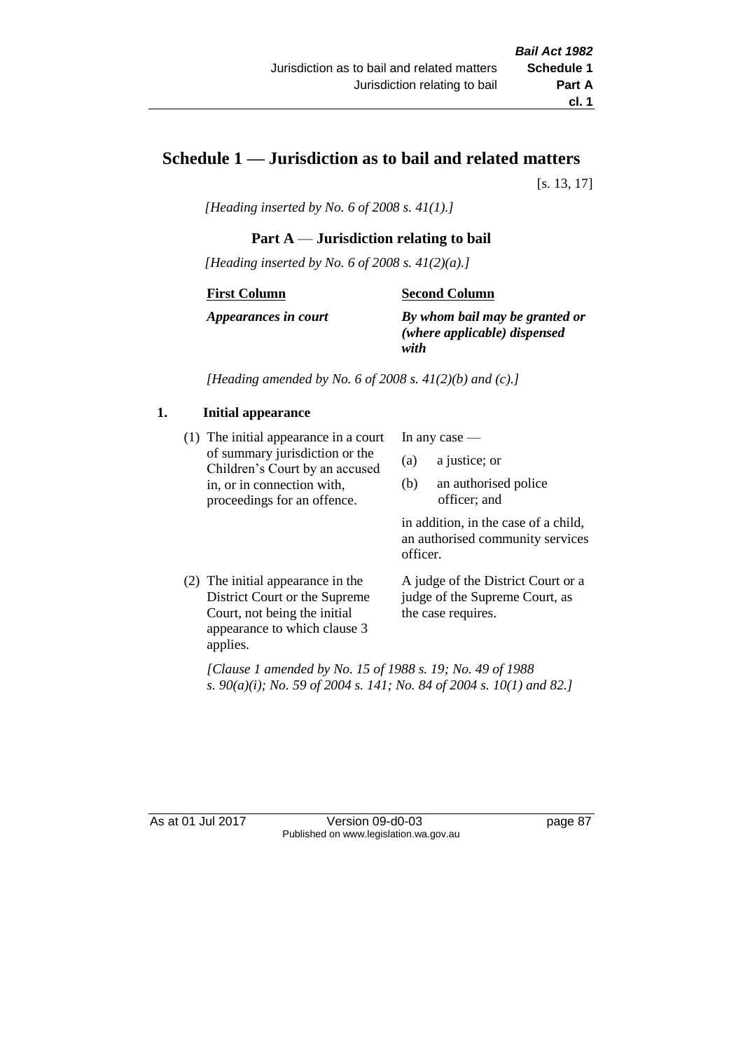# **Schedule 1 — Jurisdiction as to bail and related matters**

[s. 13, 17]

*[Heading inserted by No. 6 of 2008 s. 41(1).]*

# **Part A** — **Jurisdiction relating to bail**

*[Heading inserted by No. 6 of 2008 s. 41(2)(a).]*

#### **First Column**

#### **Second Column**

*Appearances in court*

*By whom bail may be granted or (where applicable) dispensed with*

*[Heading amended by No. 6 of 2008 s. 41(2)(b) and (c).]*

# **1. Initial appearance**

(1) The initial appearance in a court of summary jurisdiction or the Children's Court by an accused in, or in connection with, proceedings for an offence.

In any case —

- (a) a justice; or
- (b) an authorised police officer; and

in addition, in the case of a child, an authorised community services officer.

(2) The initial appearance in the District Court or the Supreme Court, not being the initial appearance to which clause 3 applies. A judge of the District Court or a judge of the Supreme Court, as the case requires.

*[Clause 1 amended by No. 15 of 1988 s. 19; No. 49 of 1988 s. 90(a)(i); No. 59 of 2004 s. 141; No. 84 of 2004 s. 10(1) and 82.]*

As at 01 Jul 2017 Version 09-d0-03 page 87 Published on www.legislation.wa.gov.au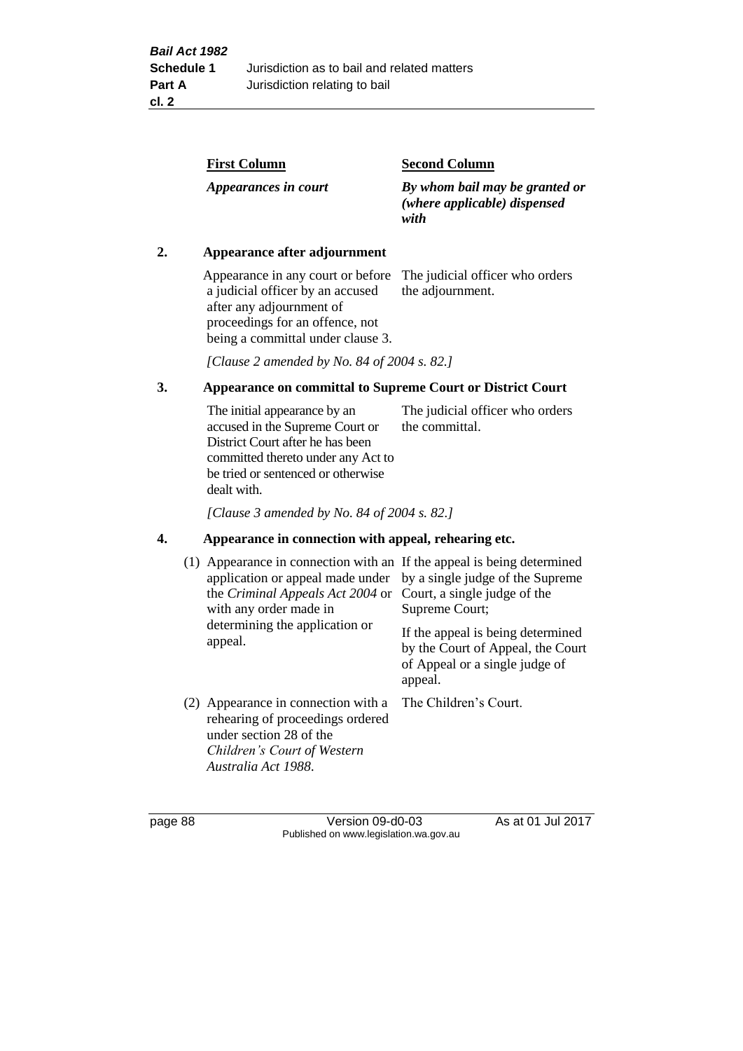| <b>First Column</b>  | <b>Second Column</b>                                                   |
|----------------------|------------------------------------------------------------------------|
| Appearances in court | By whom bail may be granted or<br>(where applicable) dispensed<br>with |

#### **2. Appearance after adjournment**

Appearance in any court or before The judicial officer who orders a judicial officer by an accused after any adjournment of proceedings for an offence, not being a committal under clause 3.

the adjournment.

*[Clause 2 amended by No. 84 of 2004 s. 82.]*

## **3. Appearance on committal to Supreme Court or District Court**

The initial appearance by an accused in the Supreme Court or District Court after he has been committed thereto under any Act to be tried or sentenced or otherwise dealt with. The judicial officer who orders the committal.

*[Clause 3 amended by No. 84 of 2004 s. 82.]*

## **4. Appearance in connection with appeal, rehearing etc.**

| (1) Appearance in connection with an If the appeal is being determined<br>application or appeal made under<br>the Criminal Appeals Act 2004 or<br>with any order made in<br>determining the application or<br>appeal. | by a single judge of the Supreme<br>Court, a single judge of the<br>Supreme Court;<br>If the appeal is being determined<br>by the Court of Appeal, the Court<br>of Appeal or a single judge of<br>appeal. |
|-----------------------------------------------------------------------------------------------------------------------------------------------------------------------------------------------------------------------|-----------------------------------------------------------------------------------------------------------------------------------------------------------------------------------------------------------|
| (2) Appearance in connection with a<br>rehearing of proceedings ordered<br>under section 28 of the<br>Children's Court of Western<br>Australia Act 1988.                                                              | The Children's Court.                                                                                                                                                                                     |

page 88 Version 09-d0-03 As at 01 Jul 2017 Published on www.legislation.wa.gov.au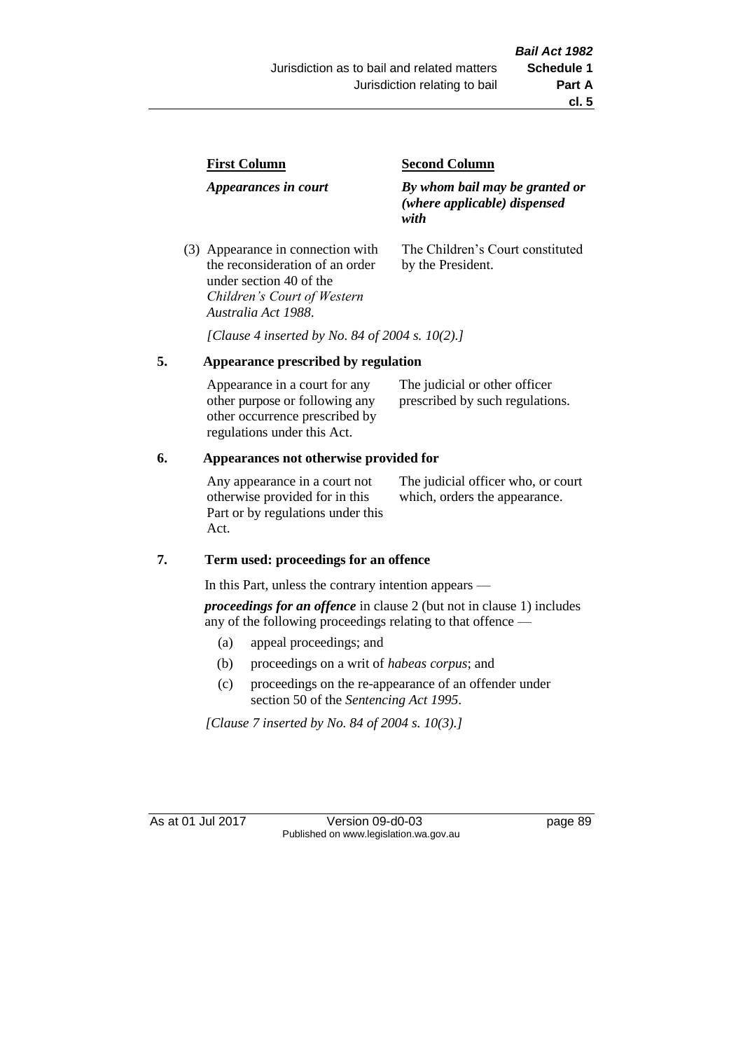| <b>First Column</b>                                                  | <b>Second Column</b>                                                   |  |
|----------------------------------------------------------------------|------------------------------------------------------------------------|--|
| Appearances in court                                                 | By whom bail may be granted or<br>(where applicable) dispensed<br>with |  |
| (3) Appearance in connection with<br>the reconsideration of an order | The Children's Court constituted<br>by the President.                  |  |

*[Clause 4 inserted by No. 84 of 2004 s. 10(2).]*

#### **5. Appearance prescribed by regulation**

under section 40 of the *Children's Court of Western* 

*Australia Act 1988*.

| Appearance in a court for any  | The judicial or other officer   |
|--------------------------------|---------------------------------|
| other purpose or following any | prescribed by such regulations. |
| other occurrence prescribed by |                                 |
| regulations under this Act.    |                                 |

#### **6. Appearances not otherwise provided for**

Any appearance in a court not otherwise provided for in this Part or by regulations under this Act.

The judicial officer who, or court which, orders the appearance.

#### **7. Term used: proceedings for an offence**

In this Part, unless the contrary intention appears —

*proceedings for an offence* in clause 2 (but not in clause 1) includes any of the following proceedings relating to that offence —

- (a) appeal proceedings; and
- (b) proceedings on a writ of *habeas corpus*; and
- (c) proceedings on the re-appearance of an offender under section 50 of the *Sentencing Act 1995*.

*[Clause 7 inserted by No. 84 of 2004 s. 10(3).]*

As at 01 Jul 2017 Version 09-d0-03 page 89 Published on www.legislation.wa.gov.au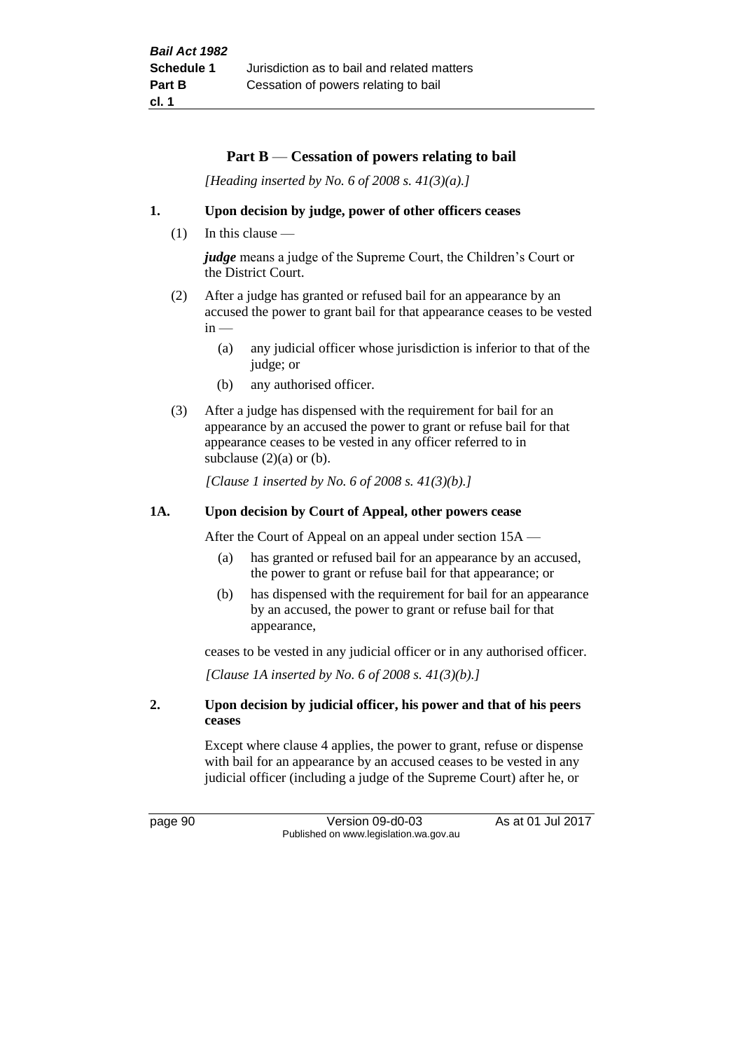#### **Part B** — **Cessation of powers relating to bail**

*[Heading inserted by No. 6 of 2008 s. 41(3)(a).]*

#### **1. Upon decision by judge, power of other officers ceases**

(1) In this clause —

*judge* means a judge of the Supreme Court, the Children's Court or the District Court.

- (2) After a judge has granted or refused bail for an appearance by an accused the power to grant bail for that appearance ceases to be vested  $in -$ 
	- (a) any judicial officer whose jurisdiction is inferior to that of the judge; or
	- (b) any authorised officer.
- (3) After a judge has dispensed with the requirement for bail for an appearance by an accused the power to grant or refuse bail for that appearance ceases to be vested in any officer referred to in subclause  $(2)(a)$  or  $(b)$ .

*[Clause 1 inserted by No. 6 of 2008 s. 41(3)(b).]*

#### **1A. Upon decision by Court of Appeal, other powers cease**

After the Court of Appeal on an appeal under section 15A —

- (a) has granted or refused bail for an appearance by an accused, the power to grant or refuse bail for that appearance; or
- (b) has dispensed with the requirement for bail for an appearance by an accused, the power to grant or refuse bail for that appearance,

ceases to be vested in any judicial officer or in any authorised officer.

*[Clause 1A inserted by No. 6 of 2008 s. 41(3)(b).]*

#### **2. Upon decision by judicial officer, his power and that of his peers ceases**

Except where clause 4 applies, the power to grant, refuse or dispense with bail for an appearance by an accused ceases to be vested in any judicial officer (including a judge of the Supreme Court) after he, or

page 90 Version 09-d0-03 As at 01 Jul 2017 Published on www.legislation.wa.gov.au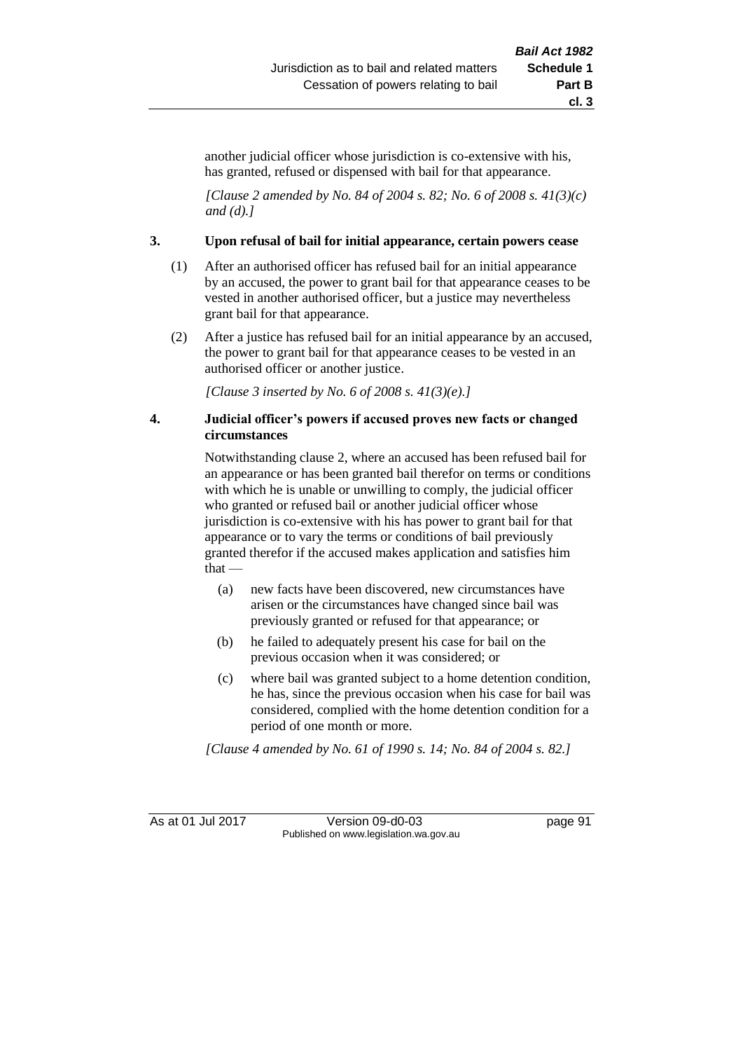another judicial officer whose jurisdiction is co-extensive with his, has granted, refused or dispensed with bail for that appearance.

*[Clause 2 amended by No. 84 of 2004 s. 82; No. 6 of 2008 s. 41(3)(c) and (d).]*

#### **3. Upon refusal of bail for initial appearance, certain powers cease**

- (1) After an authorised officer has refused bail for an initial appearance by an accused, the power to grant bail for that appearance ceases to be vested in another authorised officer, but a justice may nevertheless grant bail for that appearance.
- (2) After a justice has refused bail for an initial appearance by an accused, the power to grant bail for that appearance ceases to be vested in an authorised officer or another justice.

*[Clause 3 inserted by No. 6 of 2008 s. 41(3)(e).]*

#### **4. Judicial officer's powers if accused proves new facts or changed circumstances**

Notwithstanding clause 2, where an accused has been refused bail for an appearance or has been granted bail therefor on terms or conditions with which he is unable or unwilling to comply, the judicial officer who granted or refused bail or another judicial officer whose jurisdiction is co-extensive with his has power to grant bail for that appearance or to vary the terms or conditions of bail previously granted therefor if the accused makes application and satisfies him that —

- (a) new facts have been discovered, new circumstances have arisen or the circumstances have changed since bail was previously granted or refused for that appearance; or
- (b) he failed to adequately present his case for bail on the previous occasion when it was considered; or
- (c) where bail was granted subject to a home detention condition, he has, since the previous occasion when his case for bail was considered, complied with the home detention condition for a period of one month or more.

*[Clause 4 amended by No. 61 of 1990 s. 14; No. 84 of 2004 s. 82.]*

As at 01 Jul 2017 Version 09-d0-03 page 91 Published on www.legislation.wa.gov.au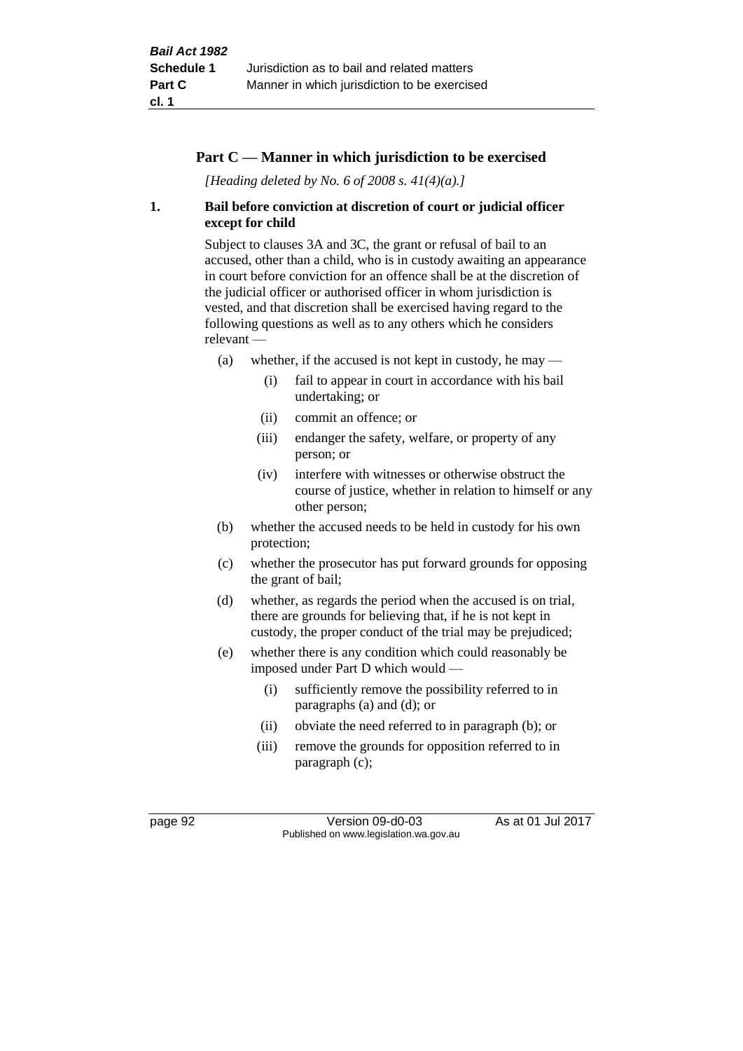## **Part C — Manner in which jurisdiction to be exercised**

*[Heading deleted by No. 6 of 2008 s. 41(4)(a).]*

## **1. Bail before conviction at discretion of court or judicial officer except for child**

Subject to clauses 3A and 3C, the grant or refusal of bail to an accused, other than a child, who is in custody awaiting an appearance in court before conviction for an offence shall be at the discretion of the judicial officer or authorised officer in whom jurisdiction is vested, and that discretion shall be exercised having regard to the following questions as well as to any others which he considers relevant —

- (a) whether, if the accused is not kept in custody, he may  $-$ 
	- (i) fail to appear in court in accordance with his bail undertaking; or
	- (ii) commit an offence; or
	- (iii) endanger the safety, welfare, or property of any person; or
	- (iv) interfere with witnesses or otherwise obstruct the course of justice, whether in relation to himself or any other person;
- (b) whether the accused needs to be held in custody for his own protection;
- (c) whether the prosecutor has put forward grounds for opposing the grant of bail;
- (d) whether, as regards the period when the accused is on trial, there are grounds for believing that, if he is not kept in custody, the proper conduct of the trial may be prejudiced;
- (e) whether there is any condition which could reasonably be imposed under Part D which would —
	- (i) sufficiently remove the possibility referred to in paragraphs (a) and (d); or
	- (ii) obviate the need referred to in paragraph (b); or
	- (iii) remove the grounds for opposition referred to in paragraph (c);

page 92 Version 09-d0-03 As at 01 Jul 2017 Published on www.legislation.wa.gov.au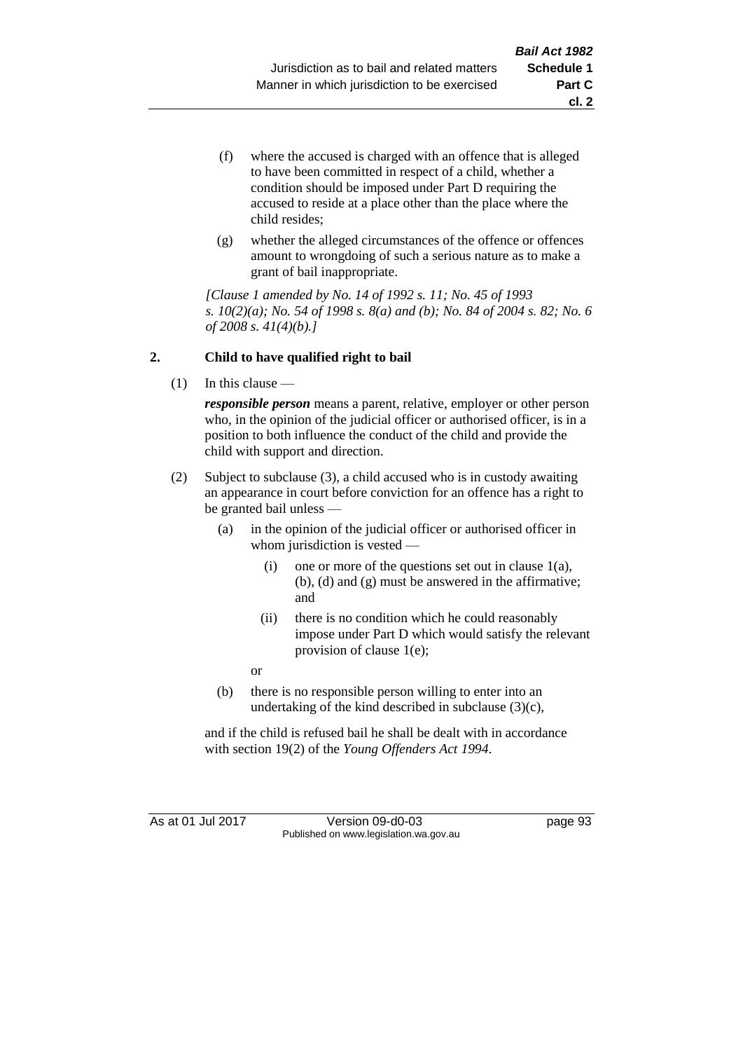- (f) where the accused is charged with an offence that is alleged to have been committed in respect of a child, whether a condition should be imposed under Part D requiring the accused to reside at a place other than the place where the child resides;
- (g) whether the alleged circumstances of the offence or offences amount to wrongdoing of such a serious nature as to make a grant of bail inappropriate.

*[Clause 1 amended by No. 14 of 1992 s. 11; No. 45 of 1993 s. 10(2)(a); No. 54 of 1998 s. 8(a) and (b); No. 84 of 2004 s. 82; No. 6 of 2008 s. 41(4)(b).]*

## **2. Child to have qualified right to bail**

(1) In this clause —

*responsible person* means a parent, relative, employer or other person who, in the opinion of the judicial officer or authorised officer, is in a position to both influence the conduct of the child and provide the child with support and direction.

- (2) Subject to subclause (3), a child accused who is in custody awaiting an appearance in court before conviction for an offence has a right to be granted bail unless —
	- (a) in the opinion of the judicial officer or authorised officer in whom jurisdiction is vested —
		- (i) one or more of the questions set out in clause  $1(a)$ , (b), (d) and (g) must be answered in the affirmative; and
		- (ii) there is no condition which he could reasonably impose under Part D which would satisfy the relevant provision of clause 1(e);

or

(b) there is no responsible person willing to enter into an undertaking of the kind described in subclause (3)(c),

and if the child is refused bail he shall be dealt with in accordance with section 19(2) of the *Young Offenders Act 1994*.

As at 01 Jul 2017 Version 09-d0-03 page 93 Published on www.legislation.wa.gov.au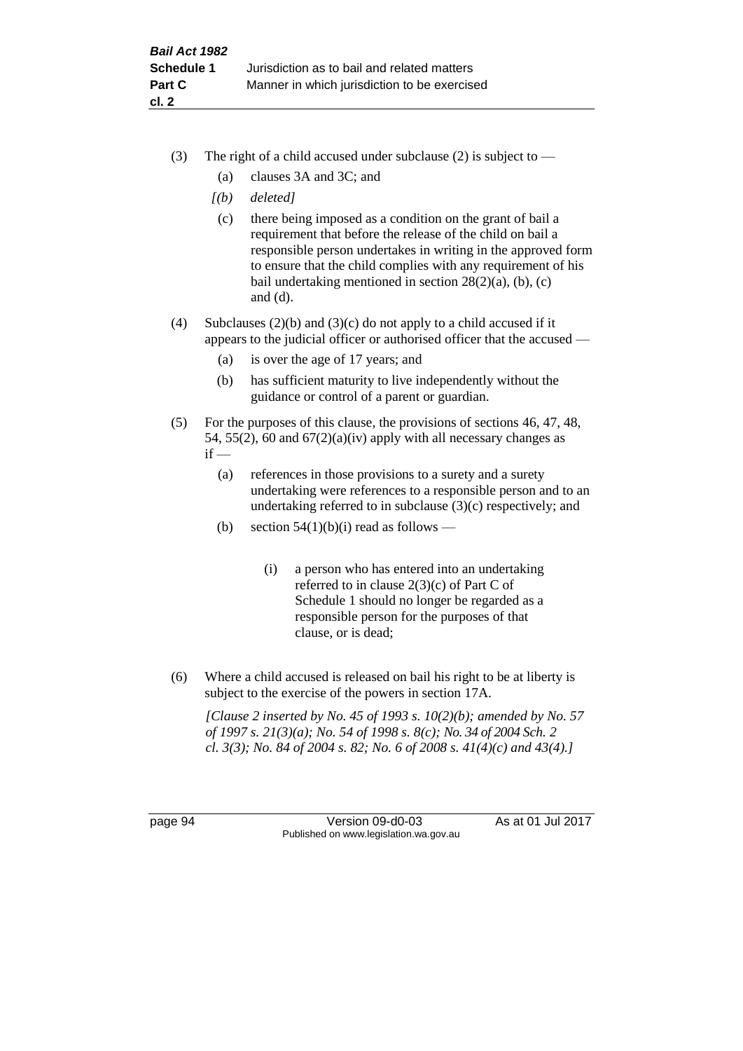- (3) The right of a child accused under subclause (2) is subject to  $-$ 
	- (a) clauses 3A and 3C; and
	- *[(b) deleted]*
	- (c) there being imposed as a condition on the grant of bail a requirement that before the release of the child on bail a responsible person undertakes in writing in the approved form to ensure that the child complies with any requirement of his bail undertaking mentioned in section  $28(2)(a)$ , (b), (c) and (d).
- (4) Subclauses (2)(b) and (3)(c) do not apply to a child accused if it appears to the judicial officer or authorised officer that the accused —
	- (a) is over the age of 17 years; and
	- (b) has sufficient maturity to live independently without the guidance or control of a parent or guardian.
- (5) For the purposes of this clause, the provisions of sections 46, 47, 48, 54, 55(2), 60 and  $67(2)(a)(iv)$  apply with all necessary changes as  $if -$ 
	- (a) references in those provisions to a surety and a surety undertaking were references to a responsible person and to an undertaking referred to in subclause (3)(c) respectively; and
	- (b) section  $54(1)(b)(i)$  read as follows
		- (i) a person who has entered into an undertaking referred to in clause 2(3)(c) of Part C of Schedule 1 should no longer be regarded as a responsible person for the purposes of that clause, or is dead;
- (6) Where a child accused is released on bail his right to be at liberty is subject to the exercise of the powers in section 17A.

*[Clause 2 inserted by No. 45 of 1993 s. 10(2)(b); amended by No. 57 of 1997 s. 21(3)(a); No. 54 of 1998 s. 8(c); No. 34 of 2004 Sch. 2 cl. 3(3); No. 84 of 2004 s. 82; No. 6 of 2008 s. 41(4)(c) and 43(4).]*

page 94 Version 09-d0-03 As at 01 Jul 2017 Published on www.legislation.wa.gov.au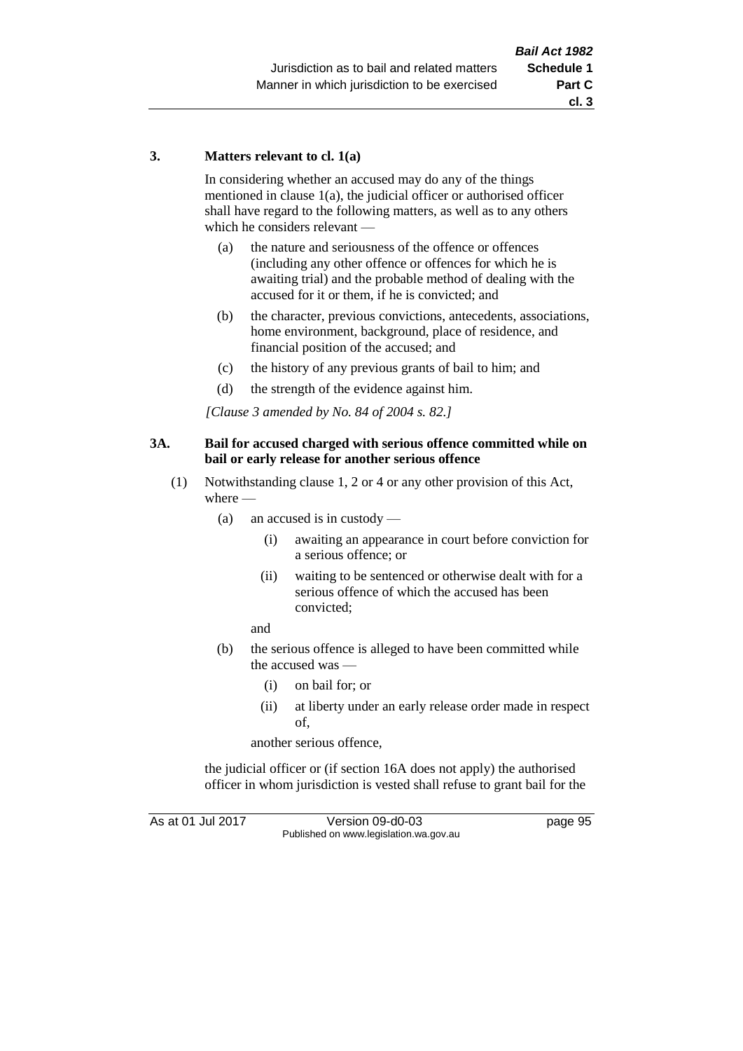#### **3. Matters relevant to cl. 1(a)**

In considering whether an accused may do any of the things mentioned in clause 1(a), the judicial officer or authorised officer shall have regard to the following matters, as well as to any others which he considers relevant —

- (a) the nature and seriousness of the offence or offences (including any other offence or offences for which he is awaiting trial) and the probable method of dealing with the accused for it or them, if he is convicted; and
- (b) the character, previous convictions, antecedents, associations, home environment, background, place of residence, and financial position of the accused; and
- (c) the history of any previous grants of bail to him; and
- (d) the strength of the evidence against him.

*[Clause 3 amended by No. 84 of 2004 s. 82.]*

#### **3A. Bail for accused charged with serious offence committed while on bail or early release for another serious offence**

- (1) Notwithstanding clause 1, 2 or 4 or any other provision of this Act, where —
	- (a) an accused is in custody
		- (i) awaiting an appearance in court before conviction for a serious offence; or
		- (ii) waiting to be sentenced or otherwise dealt with for a serious offence of which the accused has been convicted;

and

- (b) the serious offence is alleged to have been committed while the accused was —
	- (i) on bail for; or
	- (ii) at liberty under an early release order made in respect of,

another serious offence,

the judicial officer or (if section 16A does not apply) the authorised officer in whom jurisdiction is vested shall refuse to grant bail for the

As at 01 Jul 2017 Version 09-d0-03 page 95 Published on www.legislation.wa.gov.au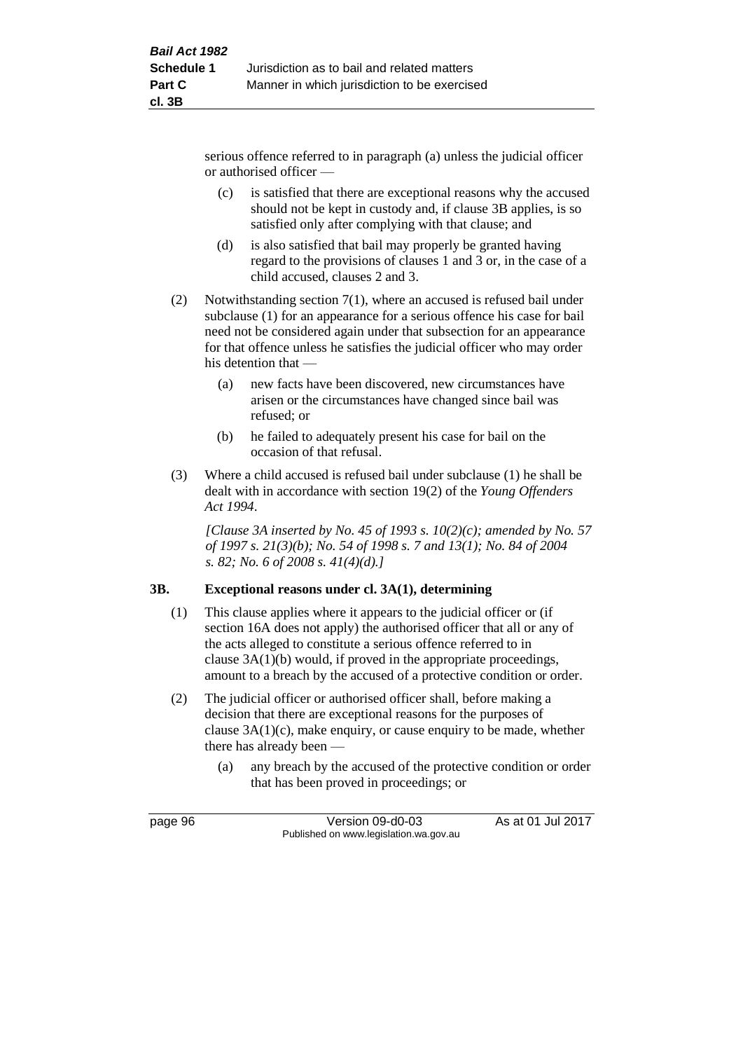serious offence referred to in paragraph (a) unless the judicial officer or authorised officer —

- (c) is satisfied that there are exceptional reasons why the accused should not be kept in custody and, if clause 3B applies, is so satisfied only after complying with that clause; and
- (d) is also satisfied that bail may properly be granted having regard to the provisions of clauses 1 and 3 or, in the case of a child accused, clauses 2 and 3.
- (2) Notwithstanding section 7(1), where an accused is refused bail under subclause (1) for an appearance for a serious offence his case for bail need not be considered again under that subsection for an appearance for that offence unless he satisfies the judicial officer who may order his detention that —
	- (a) new facts have been discovered, new circumstances have arisen or the circumstances have changed since bail was refused; or
	- (b) he failed to adequately present his case for bail on the occasion of that refusal.
- (3) Where a child accused is refused bail under subclause (1) he shall be dealt with in accordance with section 19(2) of the *Young Offenders Act 1994*.

*[Clause 3A inserted by No. 45 of 1993 s. 10(2)(c); amended by No. 57 of 1997 s. 21(3)(b); No. 54 of 1998 s. 7 and 13(1); No. 84 of 2004 s. 82; No. 6 of 2008 s. 41(4)(d).]*

## **3B. Exceptional reasons under cl. 3A(1), determining**

- (1) This clause applies where it appears to the judicial officer or (if section 16A does not apply) the authorised officer that all or any of the acts alleged to constitute a serious offence referred to in clause 3A(1)(b) would, if proved in the appropriate proceedings, amount to a breach by the accused of a protective condition or order.
- (2) The judicial officer or authorised officer shall, before making a decision that there are exceptional reasons for the purposes of clause 3A(1)(c), make enquiry, or cause enquiry to be made, whether there has already been —
	- (a) any breach by the accused of the protective condition or order that has been proved in proceedings; or

page 96 Version 09-d0-03 As at 01 Jul 2017 Published on www.legislation.wa.gov.au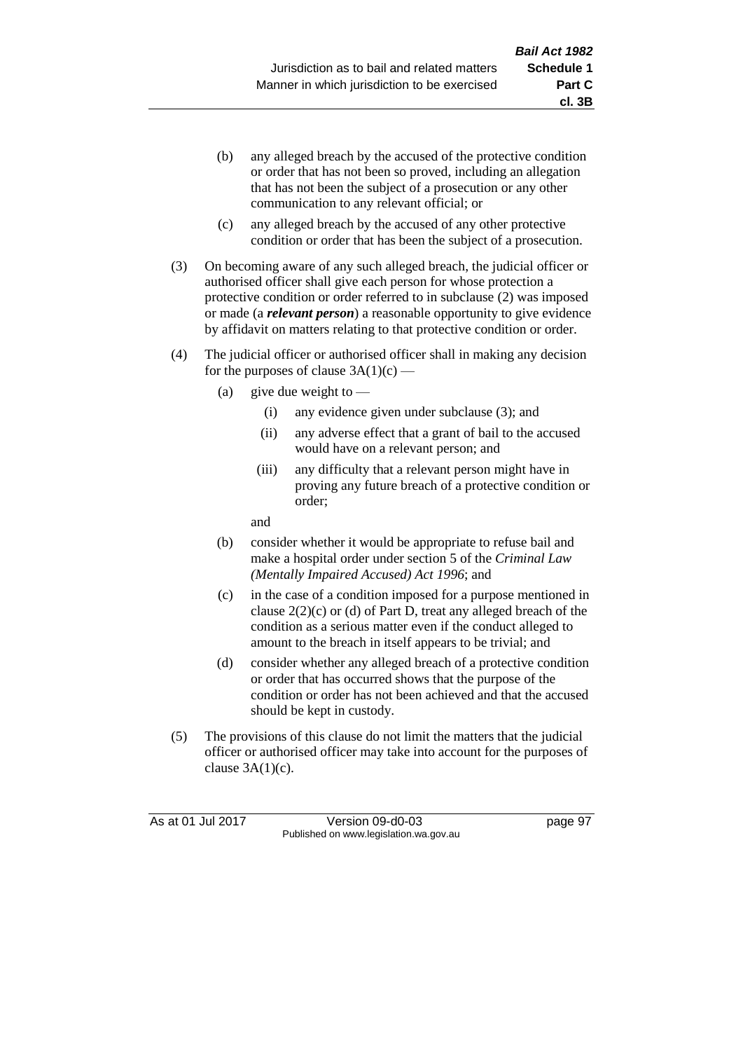- (b) any alleged breach by the accused of the protective condition or order that has not been so proved, including an allegation that has not been the subject of a prosecution or any other communication to any relevant official; or
- (c) any alleged breach by the accused of any other protective condition or order that has been the subject of a prosecution.
- (3) On becoming aware of any such alleged breach, the judicial officer or authorised officer shall give each person for whose protection a protective condition or order referred to in subclause (2) was imposed or made (a *relevant person*) a reasonable opportunity to give evidence by affidavit on matters relating to that protective condition or order.
- (4) The judicial officer or authorised officer shall in making any decision for the purposes of clause  $3A(1)(c)$  —
	- (a) give due weight to  $-$ 
		- (i) any evidence given under subclause (3); and
		- (ii) any adverse effect that a grant of bail to the accused would have on a relevant person; and
		- (iii) any difficulty that a relevant person might have in proving any future breach of a protective condition or order;

and

- (b) consider whether it would be appropriate to refuse bail and make a hospital order under section 5 of the *Criminal Law (Mentally Impaired Accused) Act 1996*; and
- (c) in the case of a condition imposed for a purpose mentioned in clause  $2(2)(c)$  or (d) of Part D, treat any alleged breach of the condition as a serious matter even if the conduct alleged to amount to the breach in itself appears to be trivial; and
- (d) consider whether any alleged breach of a protective condition or order that has occurred shows that the purpose of the condition or order has not been achieved and that the accused should be kept in custody.
- (5) The provisions of this clause do not limit the matters that the judicial officer or authorised officer may take into account for the purposes of clause  $3A(1)(c)$ .

As at 01 Jul 2017 Version 09-d0-03 page 97 Published on www.legislation.wa.gov.au

**cl. 3B**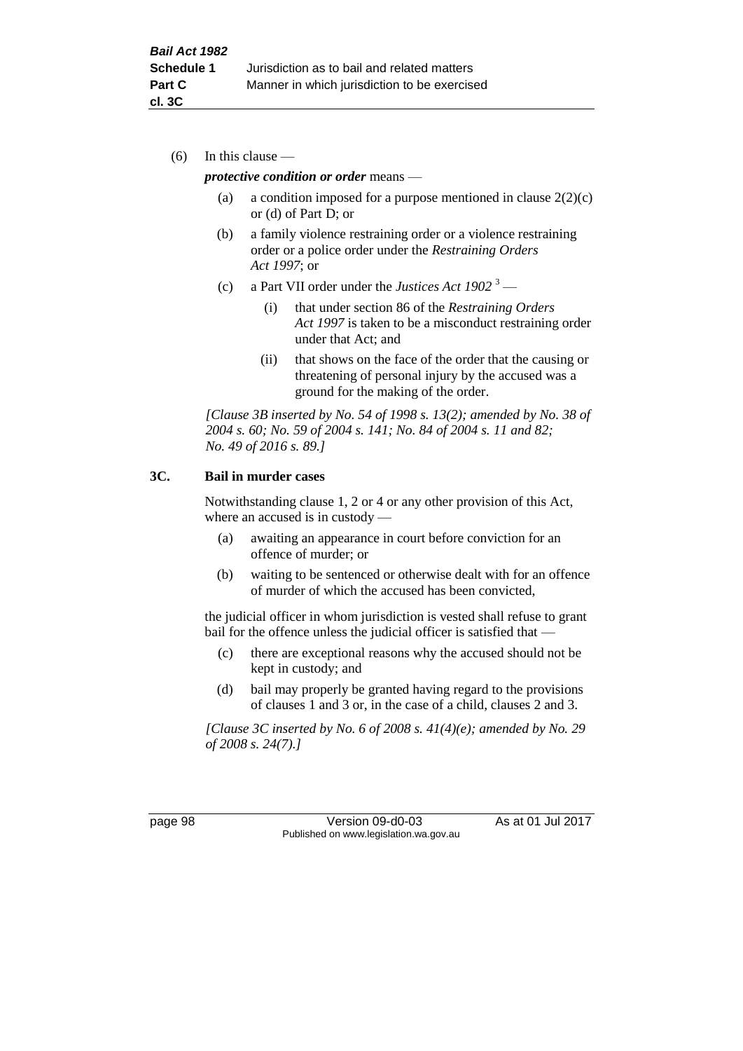(6) In this clause —

#### *protective condition or order* means —

- (a) a condition imposed for a purpose mentioned in clause  $2(2)(c)$ or (d) of Part D; or
- (b) a family violence restraining order or a violence restraining order or a police order under the *Restraining Orders Act 1997*; or
- (c) a Part VII order under the *Justices Act 1902* <sup>3</sup>
	- (i) that under section 86 of the *Restraining Orders Act 1997* is taken to be a misconduct restraining order under that Act; and
	- (ii) that shows on the face of the order that the causing or threatening of personal injury by the accused was a ground for the making of the order.

*[Clause 3B inserted by No. 54 of 1998 s. 13(2); amended by No. 38 of 2004 s. 60; No. 59 of 2004 s. 141; No. 84 of 2004 s. 11 and 82; No. 49 of 2016 s. 89.]*

## **3C. Bail in murder cases**

Notwithstanding clause 1, 2 or 4 or any other provision of this Act, where an accused is in custody —

- (a) awaiting an appearance in court before conviction for an offence of murder; or
- (b) waiting to be sentenced or otherwise dealt with for an offence of murder of which the accused has been convicted,

the judicial officer in whom jurisdiction is vested shall refuse to grant bail for the offence unless the judicial officer is satisfied that —

- (c) there are exceptional reasons why the accused should not be kept in custody; and
- (d) bail may properly be granted having regard to the provisions of clauses 1 and 3 or, in the case of a child, clauses 2 and 3.

*[Clause 3C inserted by No. 6 of 2008 s. 41(4)(e); amended by No. 29 of 2008 s. 24(7).]*

page 98 Version 09-d0-03 As at 01 Jul 2017 Published on www.legislation.wa.gov.au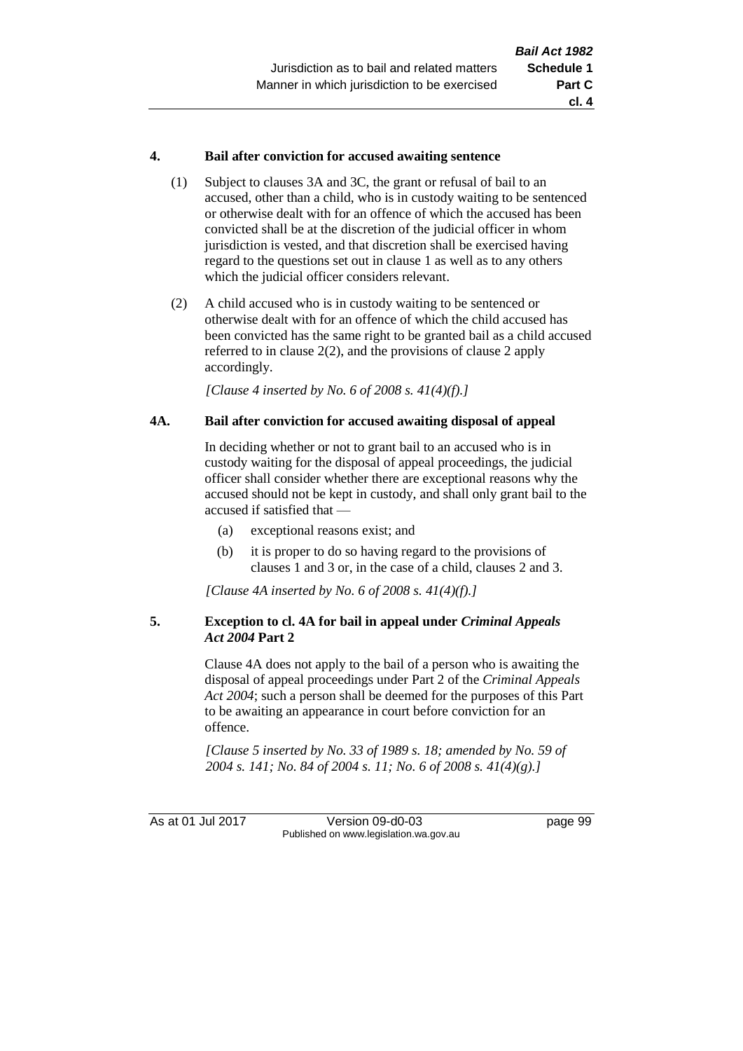# **4. Bail after conviction for accused awaiting sentence**

- (1) Subject to clauses 3A and 3C, the grant or refusal of bail to an accused, other than a child, who is in custody waiting to be sentenced or otherwise dealt with for an offence of which the accused has been convicted shall be at the discretion of the judicial officer in whom jurisdiction is vested, and that discretion shall be exercised having regard to the questions set out in clause 1 as well as to any others which the judicial officer considers relevant.
- (2) A child accused who is in custody waiting to be sentenced or otherwise dealt with for an offence of which the child accused has been convicted has the same right to be granted bail as a child accused referred to in clause 2(2), and the provisions of clause 2 apply accordingly.

*[Clause 4 inserted by No. 6 of 2008 s. 41(4)(f).]*

# **4A. Bail after conviction for accused awaiting disposal of appeal**

In deciding whether or not to grant bail to an accused who is in custody waiting for the disposal of appeal proceedings, the judicial officer shall consider whether there are exceptional reasons why the accused should not be kept in custody, and shall only grant bail to the accused if satisfied that —

- (a) exceptional reasons exist; and
- (b) it is proper to do so having regard to the provisions of clauses 1 and 3 or, in the case of a child, clauses 2 and 3.

*[Clause 4A inserted by No. 6 of 2008 s. 41(4)(f).]*

# **5. Exception to cl. 4A for bail in appeal under** *Criminal Appeals Act 2004* **Part 2**

Clause 4A does not apply to the bail of a person who is awaiting the disposal of appeal proceedings under Part 2 of the *Criminal Appeals Act 2004*; such a person shall be deemed for the purposes of this Part to be awaiting an appearance in court before conviction for an offence.

*[Clause 5 inserted by No. 33 of 1989 s. 18; amended by No. 59 of 2004 s. 141; No. 84 of 2004 s. 11; No. 6 of 2008 s. 41(4)(g).]*

As at 01 Jul 2017 Version 09-d0-03 page 99 Published on www.legislation.wa.gov.au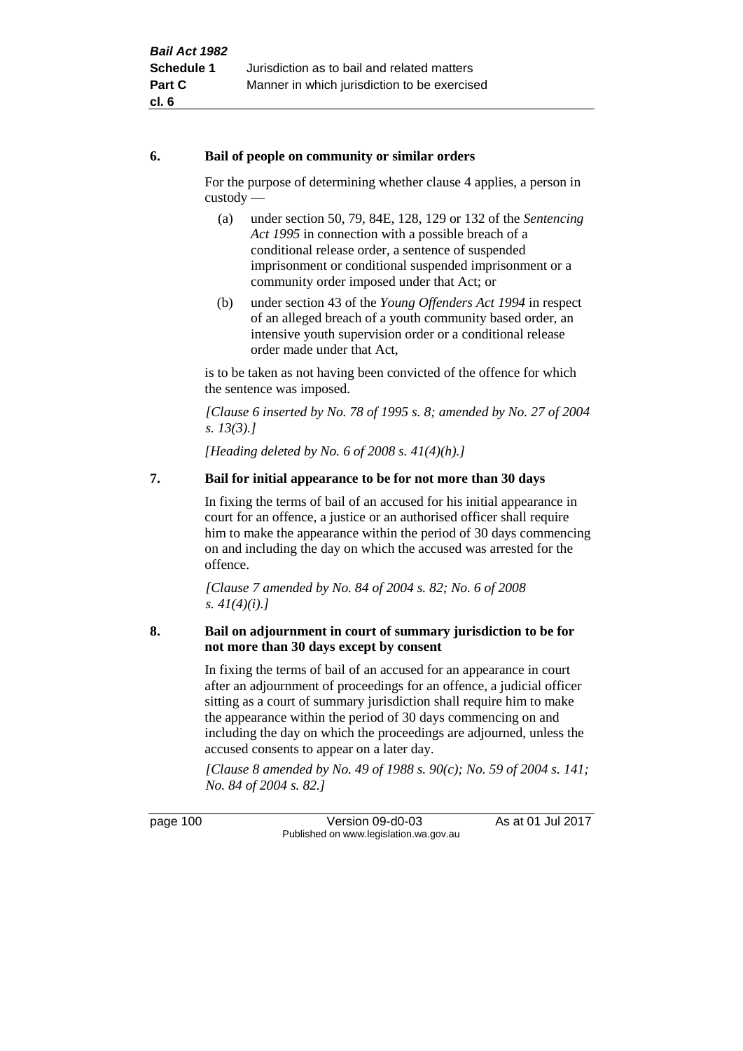### **6. Bail of people on community or similar orders**

For the purpose of determining whether clause 4 applies, a person in custody —

- (a) under section 50, 79, 84E, 128, 129 or 132 of the *Sentencing Act 1995* in connection with a possible breach of a conditional release order, a sentence of suspended imprisonment or conditional suspended imprisonment or a community order imposed under that Act; or
- (b) under section 43 of the *Young Offenders Act 1994* in respect of an alleged breach of a youth community based order, an intensive youth supervision order or a conditional release order made under that Act,

is to be taken as not having been convicted of the offence for which the sentence was imposed.

*[Clause 6 inserted by No. 78 of 1995 s. 8; amended by No. 27 of 2004 s. 13(3).]*

*[Heading deleted by No. 6 of 2008 s. 41(4)(h).]*

# **7. Bail for initial appearance to be for not more than 30 days**

In fixing the terms of bail of an accused for his initial appearance in court for an offence, a justice or an authorised officer shall require him to make the appearance within the period of 30 days commencing on and including the day on which the accused was arrested for the offence.

*[Clause 7 amended by No. 84 of 2004 s. 82; No. 6 of 2008 s. 41(4)(i).]*

# **8. Bail on adjournment in court of summary jurisdiction to be for not more than 30 days except by consent**

In fixing the terms of bail of an accused for an appearance in court after an adjournment of proceedings for an offence, a judicial officer sitting as a court of summary jurisdiction shall require him to make the appearance within the period of 30 days commencing on and including the day on which the proceedings are adjourned, unless the accused consents to appear on a later day.

*[Clause 8 amended by No. 49 of 1988 s. 90(c); No. 59 of 2004 s. 141; No. 84 of 2004 s. 82.]*

page 100 Version 09-d0-03 As at 01 Jul 2017 Published on www.legislation.wa.gov.au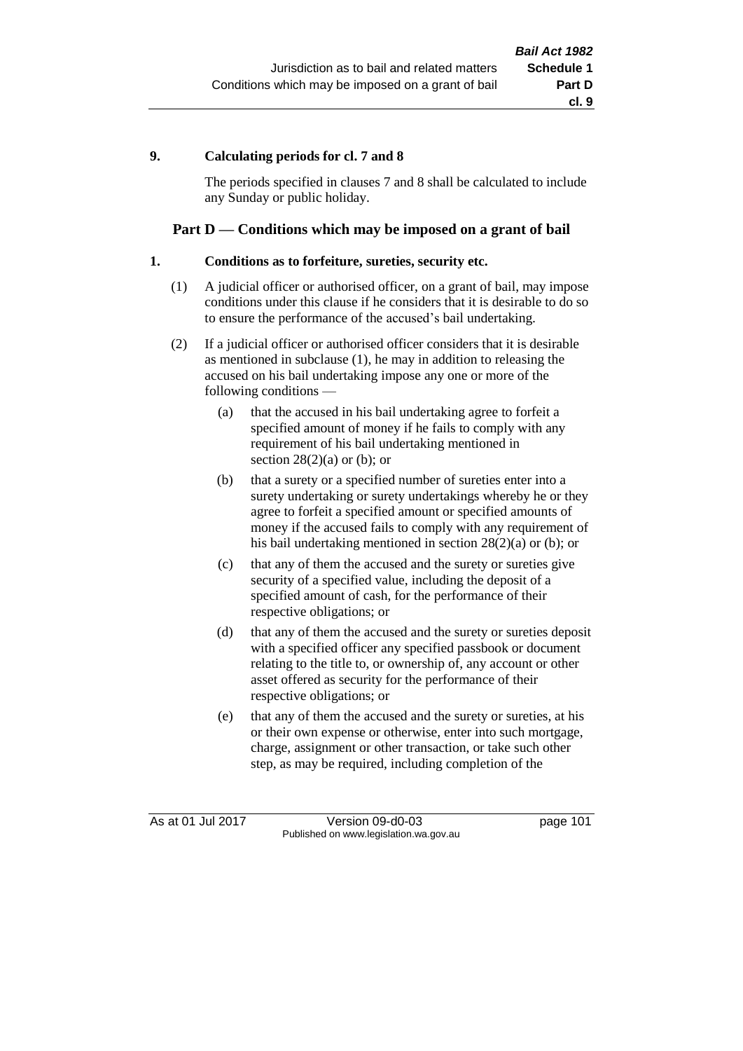# **9. Calculating periods for cl. 7 and 8**

The periods specified in clauses 7 and 8 shall be calculated to include any Sunday or public holiday.

# **Part D — Conditions which may be imposed on a grant of bail**

### **1. Conditions as to forfeiture, sureties, security etc.**

- (1) A judicial officer or authorised officer, on a grant of bail, may impose conditions under this clause if he considers that it is desirable to do so to ensure the performance of the accused's bail undertaking.
- (2) If a judicial officer or authorised officer considers that it is desirable as mentioned in subclause (1), he may in addition to releasing the accused on his bail undertaking impose any one or more of the following conditions —
	- (a) that the accused in his bail undertaking agree to forfeit a specified amount of money if he fails to comply with any requirement of his bail undertaking mentioned in section  $28(2)(a)$  or (b); or
	- (b) that a surety or a specified number of sureties enter into a surety undertaking or surety undertakings whereby he or they agree to forfeit a specified amount or specified amounts of money if the accused fails to comply with any requirement of his bail undertaking mentioned in section 28(2)(a) or (b); or
	- (c) that any of them the accused and the surety or sureties give security of a specified value, including the deposit of a specified amount of cash, for the performance of their respective obligations; or
	- (d) that any of them the accused and the surety or sureties deposit with a specified officer any specified passbook or document relating to the title to, or ownership of, any account or other asset offered as security for the performance of their respective obligations; or
	- (e) that any of them the accused and the surety or sureties, at his or their own expense or otherwise, enter into such mortgage, charge, assignment or other transaction, or take such other step, as may be required, including completion of the

As at 01 Jul 2017 Version 09-d0-03 page 101 Published on www.legislation.wa.gov.au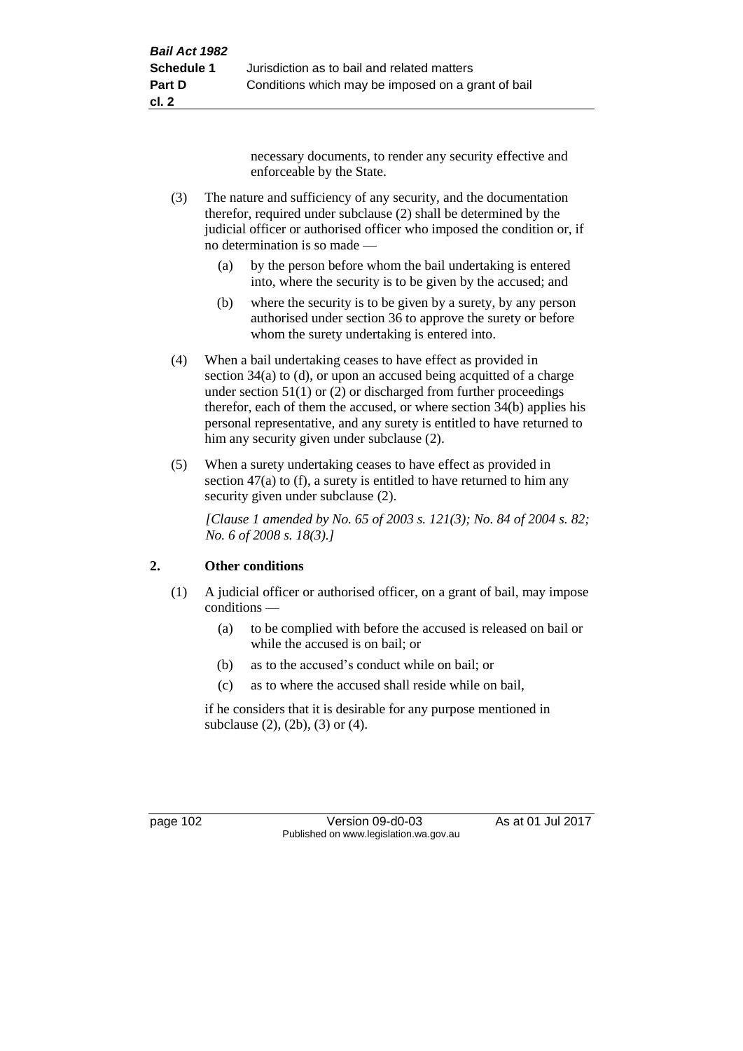necessary documents, to render any security effective and enforceable by the State.

- (3) The nature and sufficiency of any security, and the documentation therefor, required under subclause (2) shall be determined by the judicial officer or authorised officer who imposed the condition or, if no determination is so made —
	- (a) by the person before whom the bail undertaking is entered into, where the security is to be given by the accused; and
	- (b) where the security is to be given by a surety, by any person authorised under section 36 to approve the surety or before whom the surety undertaking is entered into.
- (4) When a bail undertaking ceases to have effect as provided in section 34(a) to (d), or upon an accused being acquitted of a charge under section  $51(1)$  or (2) or discharged from further proceedings therefor, each of them the accused, or where section 34(b) applies his personal representative, and any surety is entitled to have returned to him any security given under subclause (2).
- (5) When a surety undertaking ceases to have effect as provided in section 47(a) to (f), a surety is entitled to have returned to him any security given under subclause  $(2)$ .

*[Clause 1 amended by No. 65 of 2003 s. 121(3); No. 84 of 2004 s. 82; No. 6 of 2008 s. 18(3).]*

# **2. Other conditions**

- (1) A judicial officer or authorised officer, on a grant of bail, may impose conditions —
	- (a) to be complied with before the accused is released on bail or while the accused is on bail; or
	- (b) as to the accused's conduct while on bail; or
	- (c) as to where the accused shall reside while on bail,

if he considers that it is desirable for any purpose mentioned in subclause (2), (2b), (3) or (4).

page 102 Version 09-d0-03 As at 01 Jul 2017 Published on www.legislation.wa.gov.au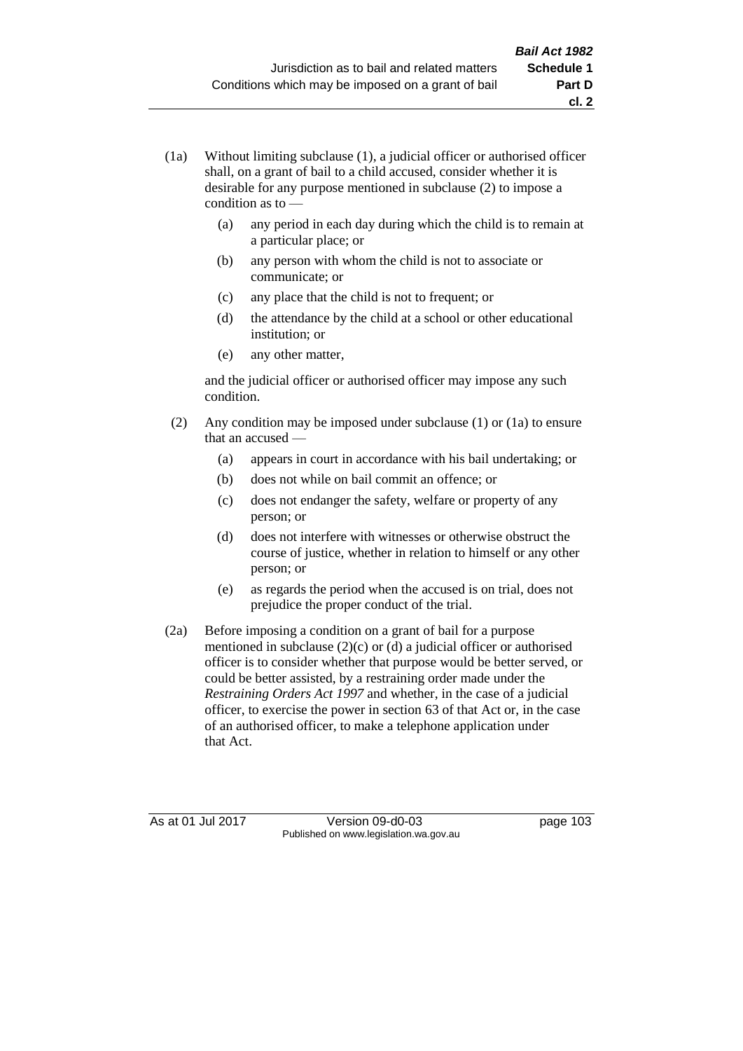- (1a) Without limiting subclause (1), a judicial officer or authorised officer shall, on a grant of bail to a child accused, consider whether it is desirable for any purpose mentioned in subclause (2) to impose a condition as to —
	- (a) any period in each day during which the child is to remain at a particular place; or
	- (b) any person with whom the child is not to associate or communicate; or
	- (c) any place that the child is not to frequent; or
	- (d) the attendance by the child at a school or other educational institution; or
	- (e) any other matter,

and the judicial officer or authorised officer may impose any such condition.

- (2) Any condition may be imposed under subclause (1) or (1a) to ensure that an accused —
	- (a) appears in court in accordance with his bail undertaking; or
	- (b) does not while on bail commit an offence; or
	- (c) does not endanger the safety, welfare or property of any person; or
	- (d) does not interfere with witnesses or otherwise obstruct the course of justice, whether in relation to himself or any other person; or
	- (e) as regards the period when the accused is on trial, does not prejudice the proper conduct of the trial.
- (2a) Before imposing a condition on a grant of bail for a purpose mentioned in subclause (2)(c) or (d) a judicial officer or authorised officer is to consider whether that purpose would be better served, or could be better assisted, by a restraining order made under the *Restraining Orders Act 1997* and whether, in the case of a judicial officer, to exercise the power in section 63 of that Act or, in the case of an authorised officer, to make a telephone application under that Act.

As at 01 Jul 2017 Version 09-d0-03 page 103 Published on www.legislation.wa.gov.au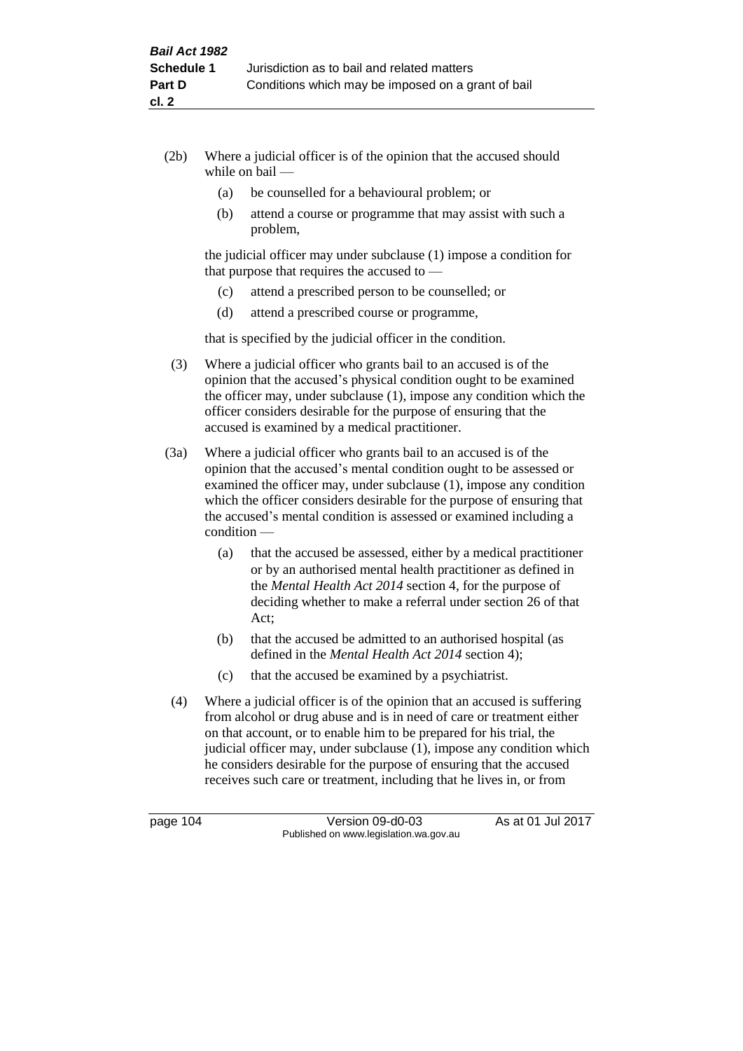- (2b) Where a judicial officer is of the opinion that the accused should while on bail —
	- (a) be counselled for a behavioural problem; or
	- (b) attend a course or programme that may assist with such a problem,

the judicial officer may under subclause (1) impose a condition for that purpose that requires the accused to —

- (c) attend a prescribed person to be counselled; or
- (d) attend a prescribed course or programme,

that is specified by the judicial officer in the condition.

- (3) Where a judicial officer who grants bail to an accused is of the opinion that the accused's physical condition ought to be examined the officer may, under subclause (1), impose any condition which the officer considers desirable for the purpose of ensuring that the accused is examined by a medical practitioner.
- (3a) Where a judicial officer who grants bail to an accused is of the opinion that the accused's mental condition ought to be assessed or examined the officer may, under subclause (1), impose any condition which the officer considers desirable for the purpose of ensuring that the accused's mental condition is assessed or examined including a condition —
	- (a) that the accused be assessed, either by a medical practitioner or by an authorised mental health practitioner as defined in the *Mental Health Act 2014* section 4, for the purpose of deciding whether to make a referral under section 26 of that Act;
	- (b) that the accused be admitted to an authorised hospital (as defined in the *Mental Health Act 2014* section 4);
	- (c) that the accused be examined by a psychiatrist.
- (4) Where a judicial officer is of the opinion that an accused is suffering from alcohol or drug abuse and is in need of care or treatment either on that account, or to enable him to be prepared for his trial, the judicial officer may, under subclause (1), impose any condition which he considers desirable for the purpose of ensuring that the accused receives such care or treatment, including that he lives in, or from

page 104 Version 09-d0-03 As at 01 Jul 2017 Published on www.legislation.wa.gov.au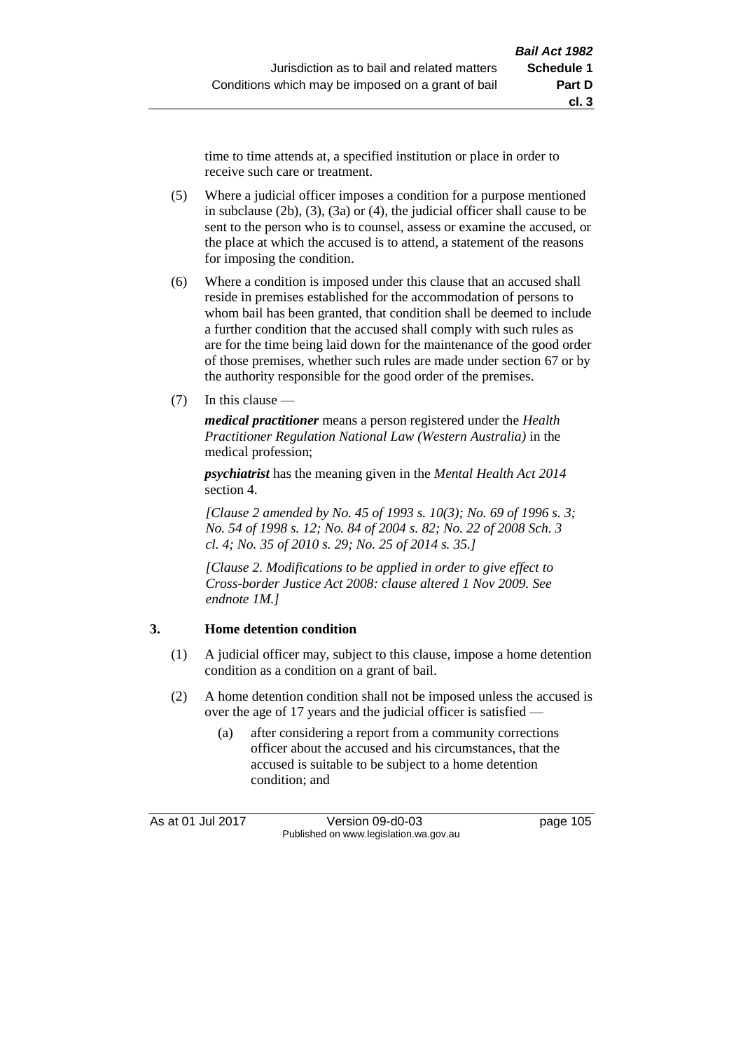time to time attends at, a specified institution or place in order to receive such care or treatment.

- (5) Where a judicial officer imposes a condition for a purpose mentioned in subclause (2b), (3), (3a) or (4), the judicial officer shall cause to be sent to the person who is to counsel, assess or examine the accused, or the place at which the accused is to attend, a statement of the reasons for imposing the condition.
- (6) Where a condition is imposed under this clause that an accused shall reside in premises established for the accommodation of persons to whom bail has been granted, that condition shall be deemed to include a further condition that the accused shall comply with such rules as are for the time being laid down for the maintenance of the good order of those premises, whether such rules are made under section 67 or by the authority responsible for the good order of the premises.
- (7) In this clause —

*medical practitioner* means a person registered under the *Health Practitioner Regulation National Law (Western Australia)* in the medical profession;

*psychiatrist* has the meaning given in the *Mental Health Act 2014* section 4.

*[Clause 2 amended by No. 45 of 1993 s. 10(3); No. 69 of 1996 s. 3; No. 54 of 1998 s. 12; No. 84 of 2004 s. 82; No. 22 of 2008 Sch. 3 cl. 4; No. 35 of 2010 s. 29; No. 25 of 2014 s. 35.]*

*[Clause 2. Modifications to be applied in order to give effect to Cross-border Justice Act 2008: clause altered 1 Nov 2009. See endnote 1M.]*

# **3. Home detention condition**

- (1) A judicial officer may, subject to this clause, impose a home detention condition as a condition on a grant of bail.
- (2) A home detention condition shall not be imposed unless the accused is over the age of 17 years and the judicial officer is satisfied -
	- (a) after considering a report from a community corrections officer about the accused and his circumstances, that the accused is suitable to be subject to a home detention condition; and

As at 01 Jul 2017 Version 09-d0-03 page 105 Published on www.legislation.wa.gov.au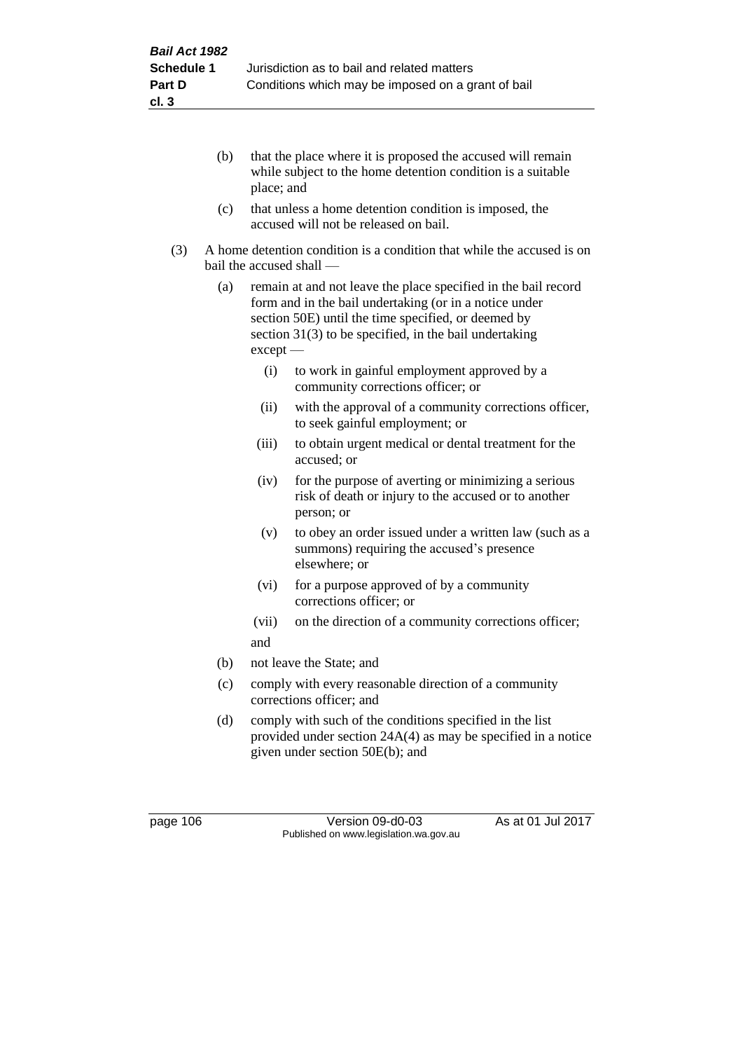- (b) that the place where it is proposed the accused will remain while subject to the home detention condition is a suitable place; and
- (c) that unless a home detention condition is imposed, the accused will not be released on bail.
- (3) A home detention condition is a condition that while the accused is on bail the accused shall —
	- (a) remain at and not leave the place specified in the bail record form and in the bail undertaking (or in a notice under section 50E) until the time specified, or deemed by section 31(3) to be specified, in the bail undertaking except —
		- (i) to work in gainful employment approved by a community corrections officer; or
		- (ii) with the approval of a community corrections officer, to seek gainful employment; or
		- (iii) to obtain urgent medical or dental treatment for the accused; or
		- (iv) for the purpose of averting or minimizing a serious risk of death or injury to the accused or to another person; or
		- (v) to obey an order issued under a written law (such as a summons) requiring the accused's presence elsewhere; or
		- (vi) for a purpose approved of by a community corrections officer; or
		- (vii) on the direction of a community corrections officer; and
	- (b) not leave the State; and
	- (c) comply with every reasonable direction of a community corrections officer; and
	- (d) comply with such of the conditions specified in the list provided under section 24A(4) as may be specified in a notice given under section 50E(b); and

page 106 Version 09-d0-03 As at 01 Jul 2017 Published on www.legislation.wa.gov.au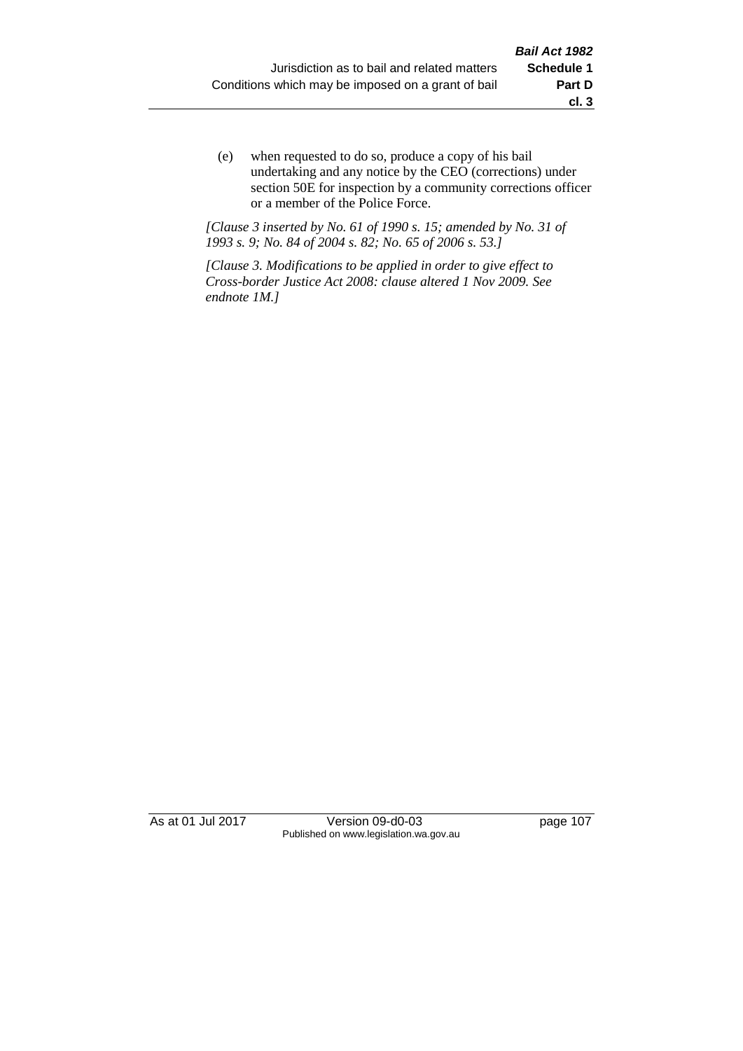(e) when requested to do so, produce a copy of his bail undertaking and any notice by the CEO (corrections) under section 50E for inspection by a community corrections officer or a member of the Police Force.

*[Clause 3 inserted by No. 61 of 1990 s. 15; amended by No. 31 of 1993 s. 9; No. 84 of 2004 s. 82; No. 65 of 2006 s. 53.]*

*[Clause 3. Modifications to be applied in order to give effect to Cross-border Justice Act 2008: clause altered 1 Nov 2009. See endnote 1M.]*

As at 01 Jul 2017 Version 09-d0-03 page 107 Published on www.legislation.wa.gov.au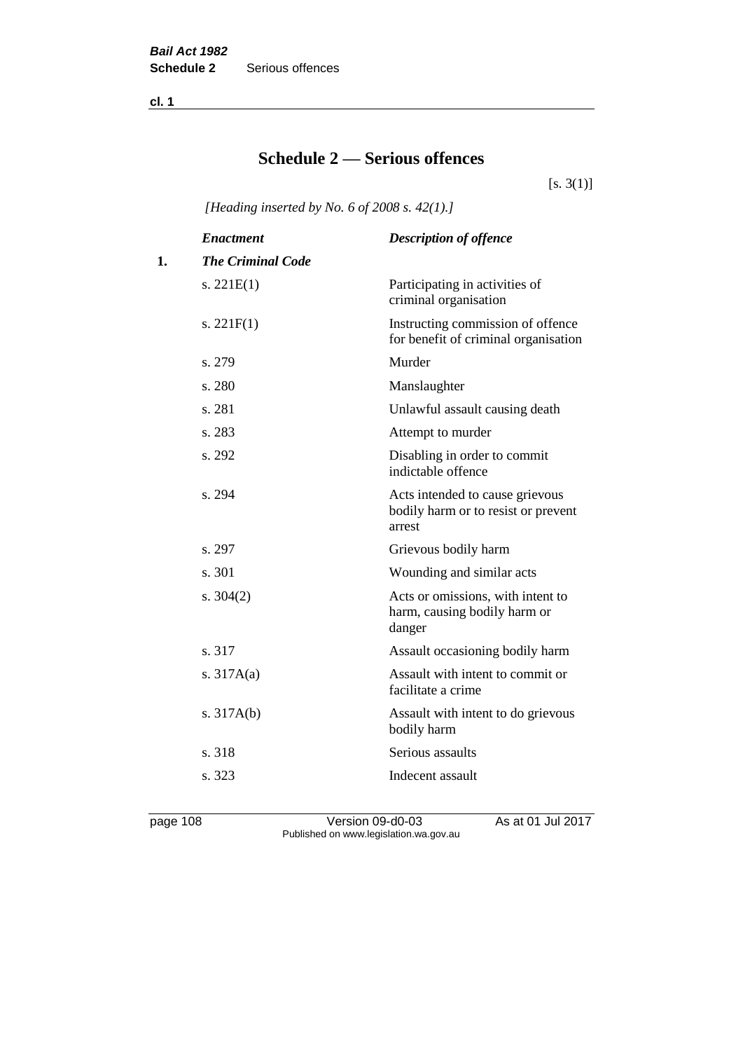**cl. 1**

# **Schedule 2 — Serious offences**

 $[s. 3(1)]$ 

*[Heading inserted by No. 6 of 2008 s. 42(1).]*

|    | <b>Enactment</b>         | <b>Description of offence</b>                                                    |
|----|--------------------------|----------------------------------------------------------------------------------|
| 1. | <b>The Criminal Code</b> |                                                                                  |
|    | s. $221E(1)$             | Participating in activities of<br>criminal organisation                          |
|    | s. $221F(1)$             | Instructing commission of offence<br>for benefit of criminal organisation        |
|    | s. 279                   | Murder                                                                           |
|    | s. 280                   | Manslaughter                                                                     |
|    | s. 281                   | Unlawful assault causing death                                                   |
|    | s. 283                   | Attempt to murder                                                                |
|    | s. 292                   | Disabling in order to commit<br>indictable offence                               |
|    | s. 294                   | Acts intended to cause grievous<br>bodily harm or to resist or prevent<br>arrest |
|    | s. 297                   | Grievous bodily harm                                                             |
|    | s. 301                   | Wounding and similar acts                                                        |
|    | s. $304(2)$              | Acts or omissions, with intent to<br>harm, causing bodily harm or<br>danger      |
|    | s. 317                   | Assault occasioning bodily harm                                                  |
|    | s. $317A(a)$             | Assault with intent to commit or<br>facilitate a crime                           |
|    | s. $317A(b)$             | Assault with intent to do grievous<br>bodily harm                                |
|    | s. 318                   | Serious assaults                                                                 |
|    | s. 323                   | Indecent assault                                                                 |
|    |                          |                                                                                  |

page 108 Version 09-d0-03 As at 01 Jul 2017 Published on www.legislation.wa.gov.au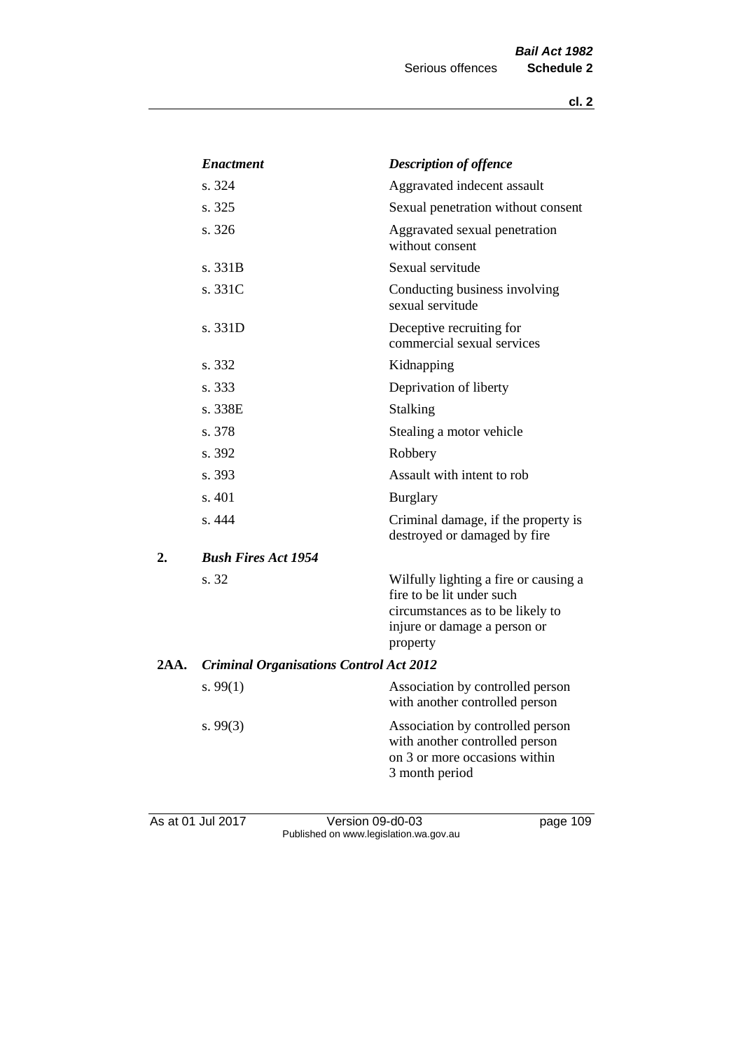|      | <b>Enactment</b>                               | <b>Description of offence</b>                                                                                                                                                               |  |
|------|------------------------------------------------|---------------------------------------------------------------------------------------------------------------------------------------------------------------------------------------------|--|
|      | s. 324                                         | Aggravated indecent assault                                                                                                                                                                 |  |
|      | s. 325                                         | Sexual penetration without consent                                                                                                                                                          |  |
|      | s. 326                                         | Aggravated sexual penetration<br>without consent                                                                                                                                            |  |
|      | s. 331B                                        | Sexual servitude                                                                                                                                                                            |  |
|      | s. 331C                                        | Conducting business involving<br>sexual servitude                                                                                                                                           |  |
|      | s. 331D                                        | Deceptive recruiting for<br>commercial sexual services                                                                                                                                      |  |
|      | s. 332                                         | Kidnapping                                                                                                                                                                                  |  |
|      | s. 333                                         | Deprivation of liberty                                                                                                                                                                      |  |
|      | s. 338E                                        | Stalking                                                                                                                                                                                    |  |
|      | s. 378                                         | Stealing a motor vehicle                                                                                                                                                                    |  |
|      | s. 392                                         | Robbery                                                                                                                                                                                     |  |
|      | s. 393                                         | Assault with intent to rob                                                                                                                                                                  |  |
|      | s. 401                                         | <b>Burglary</b>                                                                                                                                                                             |  |
|      | s. 444                                         | Criminal damage, if the property is<br>destroyed or damaged by fire                                                                                                                         |  |
| 2.   | <b>Bush Fires Act 1954</b>                     |                                                                                                                                                                                             |  |
|      | s. 32                                          | Wilfully lighting a fire or causing a<br>fire to be lit under such<br>circumstances as to be likely to<br>injure or damage a person or<br>property                                          |  |
| 2AA. | <b>Criminal Organisations Control Act 2012</b> | Association by controlled person<br>with another controlled person<br>Association by controlled person<br>with another controlled person<br>on 3 or more occasions within<br>3 month period |  |
|      | s. $99(1)$                                     |                                                                                                                                                                                             |  |
|      | s. $99(3)$                                     |                                                                                                                                                                                             |  |
|      |                                                |                                                                                                                                                                                             |  |

As at 01 Jul 2017 Version 09-d0-03 page 109 Published on www.legislation.wa.gov.au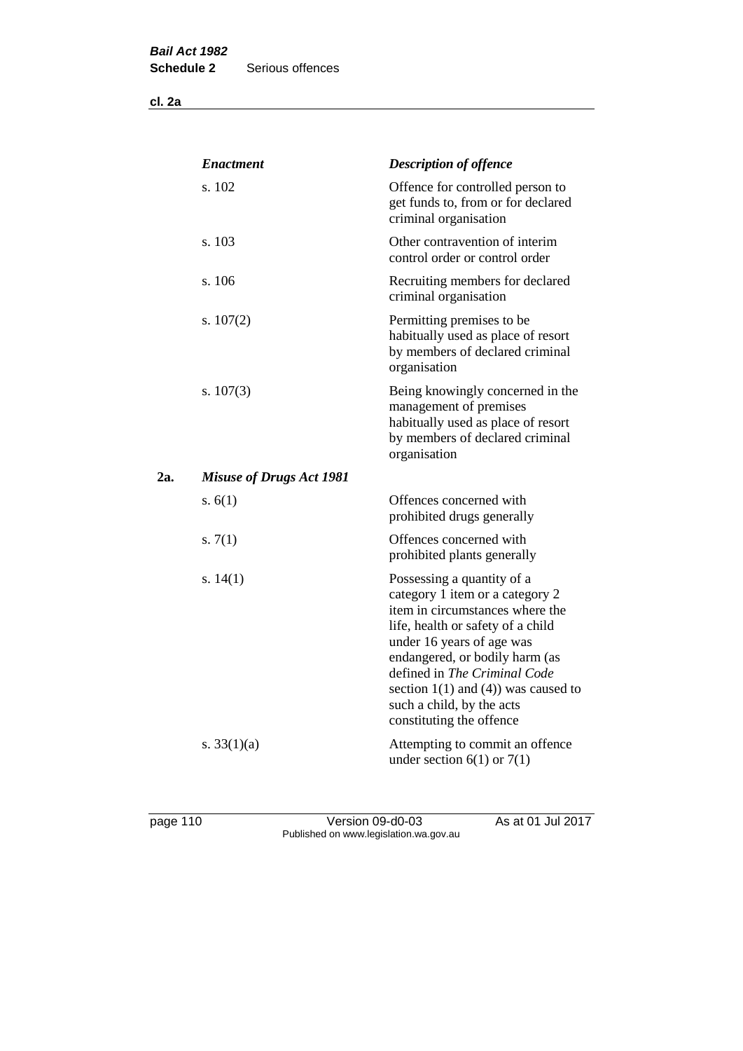**cl. 2a**

|     | <b>Enactment</b>                | <b>Description of offence</b>                                                                                                                                                                                                                                                                                                             |
|-----|---------------------------------|-------------------------------------------------------------------------------------------------------------------------------------------------------------------------------------------------------------------------------------------------------------------------------------------------------------------------------------------|
|     | s. 102                          | Offence for controlled person to<br>get funds to, from or for declared<br>criminal organisation                                                                                                                                                                                                                                           |
|     | s. 103                          | Other contravention of interim<br>control order or control order                                                                                                                                                                                                                                                                          |
|     | s. 106                          | Recruiting members for declared<br>criminal organisation                                                                                                                                                                                                                                                                                  |
|     | s. $107(2)$                     | Permitting premises to be<br>habitually used as place of resort<br>by members of declared criminal<br>organisation                                                                                                                                                                                                                        |
|     | s. $107(3)$                     | Being knowingly concerned in the<br>management of premises<br>habitually used as place of resort<br>by members of declared criminal<br>organisation                                                                                                                                                                                       |
| 2a. | <b>Misuse of Drugs Act 1981</b> |                                                                                                                                                                                                                                                                                                                                           |
|     | s. $6(1)$                       | Offences concerned with<br>prohibited drugs generally                                                                                                                                                                                                                                                                                     |
|     | s. $7(1)$                       | Offences concerned with<br>prohibited plants generally                                                                                                                                                                                                                                                                                    |
|     | s. $14(1)$                      | Possessing a quantity of a<br>category 1 item or a category 2<br>item in circumstances where the<br>life, health or safety of a child<br>under 16 years of age was<br>endangered, or bodily harm (as<br>defined in The Criminal Code<br>section $1(1)$ and $(4)$ ) was caused to<br>such a child, by the acts<br>constituting the offence |
|     | s. $33(1)(a)$                   | Attempting to commit an offence<br>under section $6(1)$ or $7(1)$                                                                                                                                                                                                                                                                         |

page 110 Version 09-d0-03 As at 01 Jul 2017 Published on www.legislation.wa.gov.au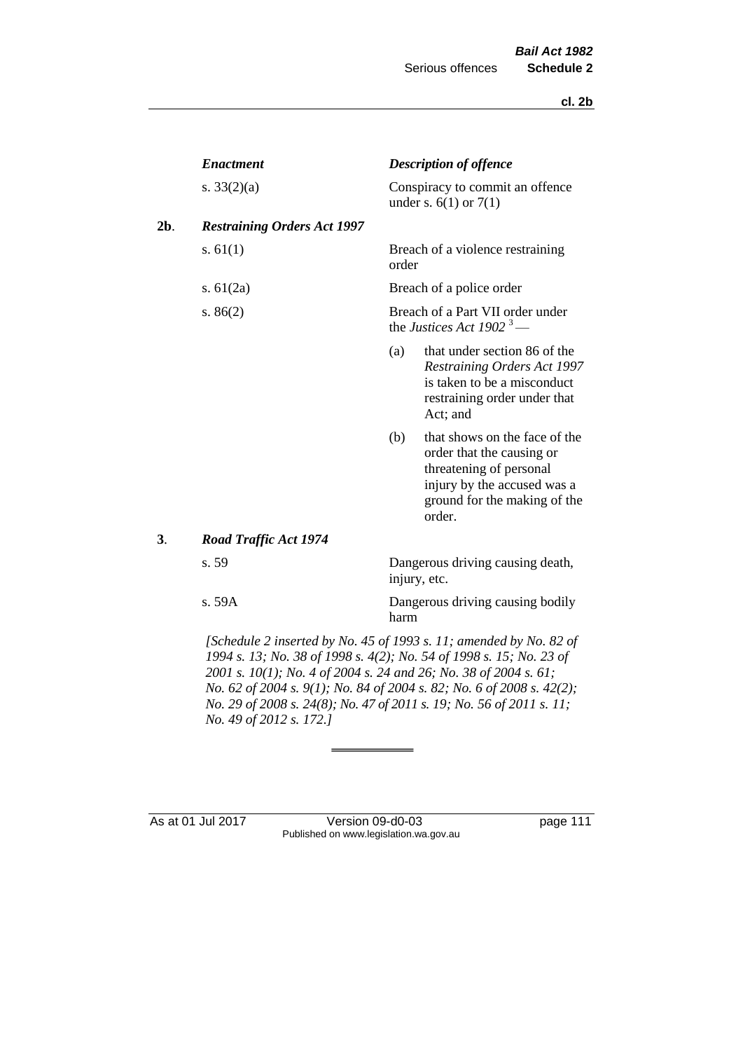|                                                                    | <b>Enactment</b>                   | <b>Description of offence</b>                                                                                                                                         |  |  |
|--------------------------------------------------------------------|------------------------------------|-----------------------------------------------------------------------------------------------------------------------------------------------------------------------|--|--|
|                                                                    | s. $33(2)(a)$                      | Conspiracy to commit an offence<br>under s. $6(1)$ or $7(1)$                                                                                                          |  |  |
| $2b$ .                                                             | <b>Restraining Orders Act 1997</b> |                                                                                                                                                                       |  |  |
|                                                                    | s. $61(1)$                         | Breach of a violence restraining<br>order                                                                                                                             |  |  |
|                                                                    | s. $61(2a)$                        | Breach of a police order                                                                                                                                              |  |  |
|                                                                    | s. $86(2)$                         | Breach of a Part VII order under<br>the Justices Act 1902 <sup>3</sup> —                                                                                              |  |  |
|                                                                    |                                    | that under section 86 of the<br>(a)<br>Restraining Orders Act 1997<br>is taken to be a misconduct<br>restraining order under that<br>Act; and                         |  |  |
|                                                                    |                                    | that shows on the face of the<br>(b)<br>order that the causing or<br>threatening of personal<br>injury by the accused was a<br>ground for the making of the<br>order. |  |  |
| 3.                                                                 | <b>Road Traffic Act 1974</b>       |                                                                                                                                                                       |  |  |
|                                                                    | s. 59                              | Dangerous driving causing death,<br>injury, etc.                                                                                                                      |  |  |
|                                                                    | s. 59A                             | Dangerous driving causing bodily<br>harm                                                                                                                              |  |  |
| [Schedule 2 inserted by No. 45 of 1993 s. 11; amended by No. 82 of |                                    |                                                                                                                                                                       |  |  |

*1994 s. 13; No. 38 of 1998 s. 4(2); No. 54 of 1998 s. 15; No. 23 of 2001 s. 10(1); No. 4 of 2004 s. 24 and 26; No. 38 of 2004 s. 61; No. 62 of 2004 s. 9(1); No. 84 of 2004 s. 82; No. 6 of 2008 s. 42(2); No. 29 of 2008 s. 24(8); No. 47 of 2011 s. 19; No. 56 of 2011 s. 11; No. 49 of 2012 s. 172.]* 

As at 01 Jul 2017 Version 09-d0-03 page 111 Published on www.legislation.wa.gov.au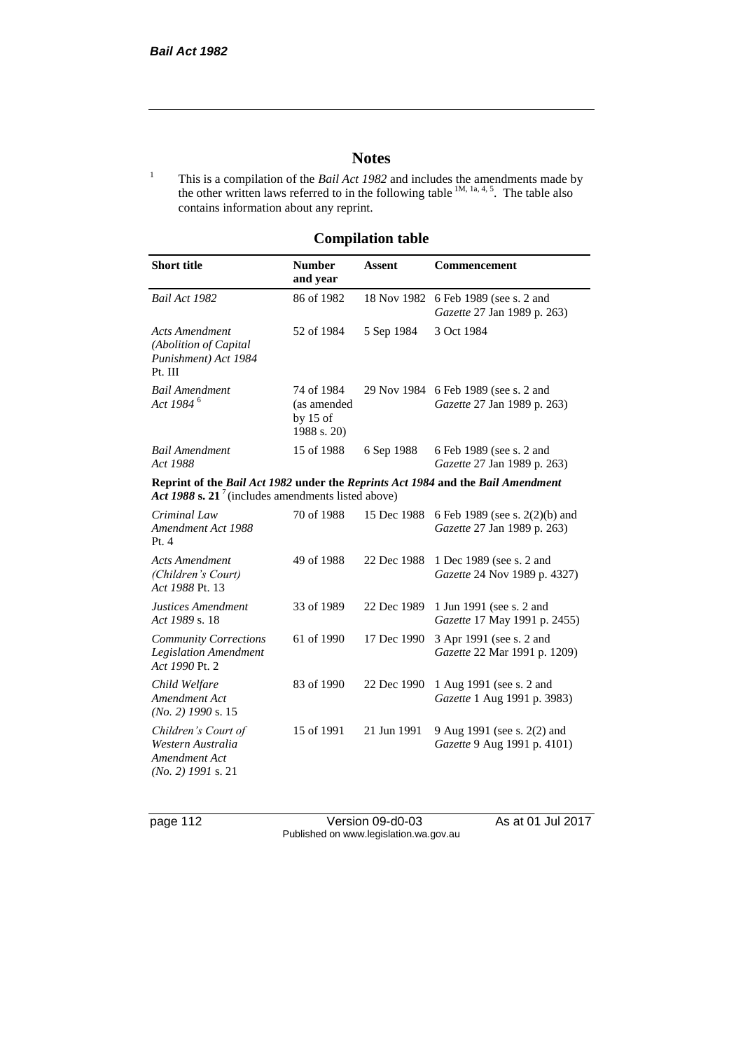# **Notes**

<sup>1</sup> This is a compilation of the *Bail Act 1982* and includes the amendments made by the other written laws referred to in the following table  $^{1M, 1a, 4, 5}$ . The table also contains information about any reprint.

# **Compilation table**

| <b>Short title</b>                                                                                                                                | <b>Number</b><br>and year                              | Assent      | Commencement                                                        |
|---------------------------------------------------------------------------------------------------------------------------------------------------|--------------------------------------------------------|-------------|---------------------------------------------------------------------|
| Bail Act 1982                                                                                                                                     | 86 of 1982                                             | 18 Nov 1982 | 6 Feb 1989 (see s. 2 and<br>Gazette 27 Jan 1989 p. 263)             |
| <b>Acts Amendment</b><br>(Abolition of Capital<br>Punishment) Act 1984<br>Pt. III                                                                 | 52 of 1984                                             | 5 Sep 1984  | 3 Oct 1984                                                          |
| <b>Bail Amendment</b><br>Act 1984 <sup>6</sup>                                                                                                    | 74 of 1984<br>(as amended<br>by $15$ of<br>1988 s. 20) |             | 29 Nov 1984 6 Feb 1989 (see s. 2 and<br>Gazette 27 Jan 1989 p. 263) |
| <b>Bail Amendment</b><br>Act 1988                                                                                                                 | 15 of 1988                                             | 6 Sep 1988  | 6 Feb 1989 (see s. 2 and<br>Gazette 27 Jan 1989 p. 263)             |
| Reprint of the Bail Act 1982 under the Reprints Act 1984 and the Bail Amendment<br>Act 1988 s. 21 <sup>7</sup> (includes amendments listed above) |                                                        |             |                                                                     |
| Criminal Law<br>Amendment Act 1988<br>Pt.4                                                                                                        | 70 of 1988                                             | 15 Dec 1988 | 6 Feb 1989 (see s. 2(2)(b) and<br>Gazette 27 Jan 1989 p. 263)       |
| <b>Acts Amendment</b><br>(Children's Court)<br>Act 1988 Pt. 13                                                                                    | 49 of 1988                                             | 22 Dec 1988 | 1 Dec 1989 (see s. 2 and<br>Gazette 24 Nov 1989 p. 4327)            |
| Justices Amendment<br>Act 1989 s. 18                                                                                                              | 33 of 1989                                             | 22 Dec 1989 | 1 Jun 1991 (see s. 2 and<br>Gazette 17 May 1991 p. 2455)            |
| <b>Community Corrections</b><br><b>Legislation Amendment</b><br>Act 1990 Pt. 2                                                                    | 61 of 1990                                             | 17 Dec 1990 | 3 Apr 1991 (see s. 2 and<br>Gazette 22 Mar 1991 p. 1209)            |
| Child Welfare<br>Amendment Act<br>$(No. 2)$ 1990 s. 15                                                                                            | 83 of 1990                                             | 22 Dec 1990 | 1 Aug 1991 (see s. 2 and<br>Gazette 1 Aug 1991 p. 3983)             |
| Children's Court of<br>Western Australia<br>Amendment Act<br>$(No. 2)$ 1991 s. 21                                                                 | 15 of 1991                                             | 21 Jun 1991 | 9 Aug 1991 (see s. 2(2) and<br>Gazette 9 Aug 1991 p. 4101)          |

page 112 Version 09-d0-03 As at 01 Jul 2017 Published on www.legislation.wa.gov.au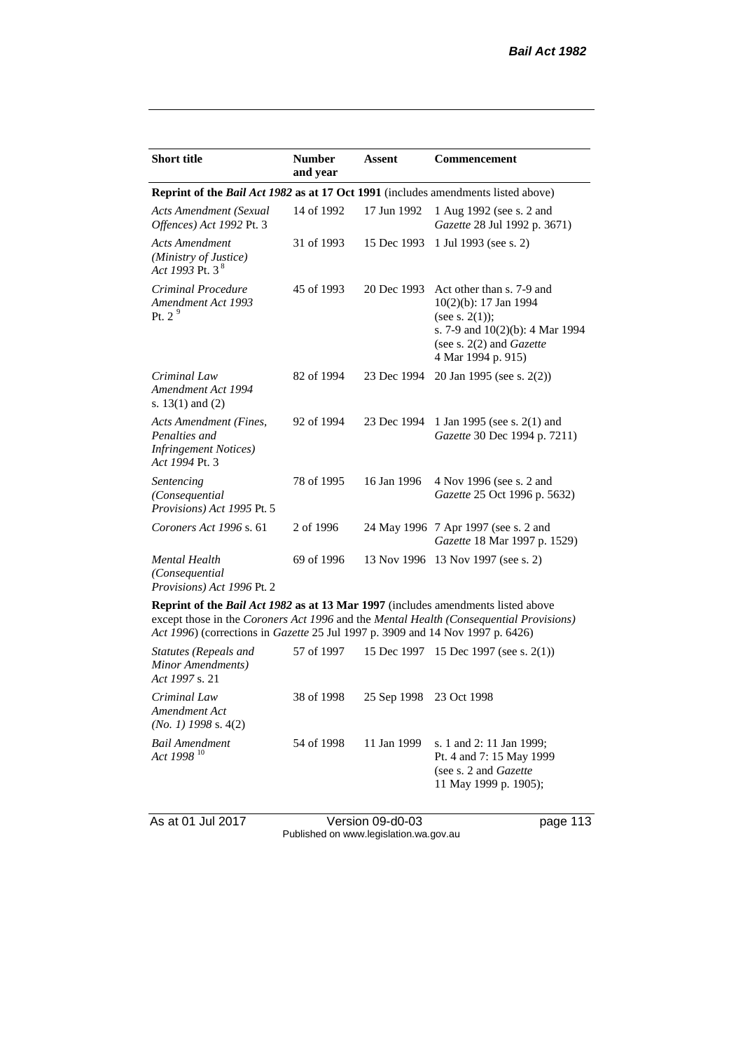| <b>Short title</b>                                                                                | <b>Number</b><br>and year | Assent      | <b>Commencement</b>                                                                                                                                                   |
|---------------------------------------------------------------------------------------------------|---------------------------|-------------|-----------------------------------------------------------------------------------------------------------------------------------------------------------------------|
| Reprint of the <i>Bail Act 1982</i> as at 17 Oct 1991 (includes amendments listed above)          |                           |             |                                                                                                                                                                       |
| <b>Acts Amendment (Sexual</b><br>Offences) Act 1992 Pt. 3                                         | 14 of 1992                | 17 Jun 1992 | 1 Aug 1992 (see s. 2 and<br>Gazette 28 Jul 1992 p. 3671)                                                                                                              |
| <b>Acts Amendment</b><br>(Ministry of Justice)<br>Act 1993 Pt. $3^8$                              | 31 of 1993                | 15 Dec 1993 | 1 Jul 1993 (see s. 2)                                                                                                                                                 |
| Criminal Procedure<br>Amendment Act 1993<br>Pt. $2^9$                                             | 45 of 1993                | 20 Dec 1993 | Act other than s. 7-9 and<br>10(2)(b): 17 Jan 1994<br>(see s. $2(1)$ );<br>s. 7-9 and 10(2)(b): 4 Mar 1994<br>(see s. $2(2)$ and <i>Gazette</i><br>4 Mar 1994 p. 915) |
| Criminal Law<br>Amendment Act 1994<br>s. $13(1)$ and $(2)$                                        | 82 of 1994                | 23 Dec 1994 | 20 Jan 1995 (see s. 2(2))                                                                                                                                             |
| <b>Acts Amendment (Fines,</b><br>Penalties and<br><b>Infringement Notices</b> )<br>Act 1994 Pt. 3 | 92 of 1994                | 23 Dec 1994 | 1 Jan 1995 (see s. 2(1) and<br>Gazette 30 Dec 1994 p. 7211)                                                                                                           |
| Sentencing<br>(Consequential<br>Provisions) Act 1995 Pt. 5                                        | 78 of 1995                | 16 Jan 1996 | 4 Nov 1996 (see s. 2 and<br>Gazette 25 Oct 1996 p. 5632)                                                                                                              |
| Coroners Act 1996 s. 61                                                                           | 2 of 1996                 |             | 24 May 1996 7 Apr 1997 (see s. 2 and<br>Gazette 18 Mar 1997 p. 1529)                                                                                                  |
| Mental Health<br>(Consequential<br>Provisions) Act 1996 Pt. 2                                     | 69 of 1996                |             | 13 Nov 1996 13 Nov 1997 (see s. 2)                                                                                                                                    |
|                                                                                                   |                           |             |                                                                                                                                                                       |

**Reprint of the** *Bail Act 1982* **as at 13 Mar 1997** (includes amendments listed above except those in the *Coroners Act 1996* and the *Mental Health (Consequential Provisions) Act 1996*) (corrections in *Gazette* 25 Jul 1997 p. 3909 and 14 Nov 1997 p. 6426)

| Statutes (Repeals and<br>Minor Amendments)<br>Act 1997 s. 21 | 57 of 1997 |                         | 15 Dec 1997 15 Dec 1997 (see s. 2(1))                                                                         |
|--------------------------------------------------------------|------------|-------------------------|---------------------------------------------------------------------------------------------------------------|
| Criminal Law<br>Amendment Act<br>$(No. 1)$ 1998 s. 4(2)      | 38 of 1998 | 25 Sep 1998 23 Oct 1998 |                                                                                                               |
| Bail Amendment<br>Act 1998 <sup>10</sup>                     | 54 of 1998 | 11 Jan 1999             | s. 1 and 2: 11 Jan 1999;<br>Pt. 4 and 7: 15 May 1999<br>(see s. 2 and <i>Gazette</i><br>11 May 1999 p. 1905); |

As at 01 Jul 2017 Version 09-d0-03 page 113 Published on www.legislation.wa.gov.au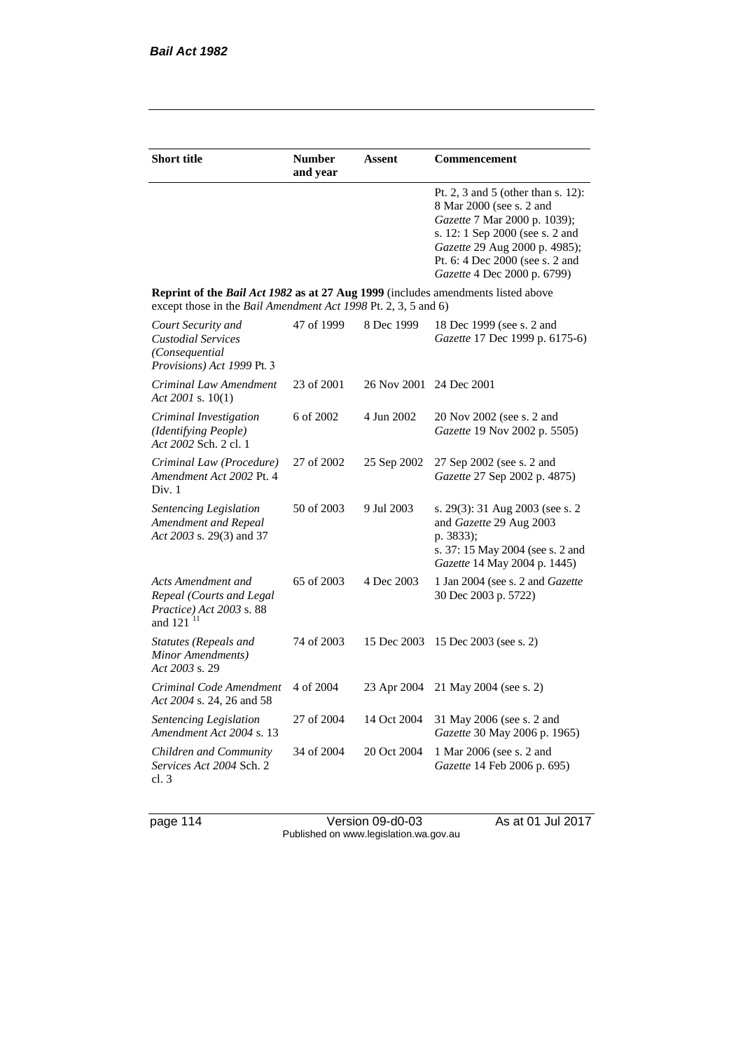| <b>Short title</b>                                                                                                                                        | <b>Number</b><br>and year | Assent                  | Commencement                                                                                                                                                                                                                         |
|-----------------------------------------------------------------------------------------------------------------------------------------------------------|---------------------------|-------------------------|--------------------------------------------------------------------------------------------------------------------------------------------------------------------------------------------------------------------------------------|
|                                                                                                                                                           |                           |                         | Pt. 2, 3 and 5 (other than s. 12):<br>8 Mar 2000 (see s. 2 and<br>Gazette 7 Mar 2000 p. 1039);<br>s. 12: 1 Sep 2000 (see s. 2 and<br>Gazette 29 Aug 2000 p. 4985);<br>Pt. 6: 4 Dec 2000 (see s. 2 and<br>Gazette 4 Dec 2000 p. 6799) |
| <b>Reprint of the Bail Act 1982 as at 27 Aug 1999</b> (includes amendments listed above<br>except those in the Bail Amendment Act 1998 Pt. 2, 3, 5 and 6) |                           |                         |                                                                                                                                                                                                                                      |
| Court Security and<br><b>Custodial Services</b><br>(Consequential<br>Provisions) Act 1999 Pt. 3                                                           | 47 of 1999                | 8 Dec 1999              | 18 Dec 1999 (see s. 2 and<br>Gazette 17 Dec 1999 p. 6175-6)                                                                                                                                                                          |
| Criminal Law Amendment<br>Act 2001 s. $10(1)$                                                                                                             | 23 of 2001                | 26 Nov 2001 24 Dec 2001 |                                                                                                                                                                                                                                      |
| Criminal Investigation<br>(Identifying People)<br>Act 2002 Sch. 2 cl. 1                                                                                   | 6 of 2002                 | 4 Jun 2002              | 20 Nov 2002 (see s. 2 and<br>Gazette 19 Nov 2002 p. 5505)                                                                                                                                                                            |
| Criminal Law (Procedure)<br>Amendment Act 2002 Pt. 4<br>Div. 1                                                                                            | 27 of 2002                | 25 Sep 2002             | 27 Sep 2002 (see s. 2 and<br>Gazette 27 Sep 2002 p. 4875)                                                                                                                                                                            |
| <b>Sentencing Legislation</b><br>Amendment and Repeal<br>Act 2003 s. 29(3) and 37                                                                         | 50 of 2003                | 9 Jul 2003              | s. 29(3): 31 Aug 2003 (see s. 2)<br>and Gazette 29 Aug 2003<br>p. 3833);<br>s. 37: 15 May 2004 (see s. 2 and<br>Gazette 14 May 2004 p. 1445)                                                                                         |
| Acts Amendment and<br>Repeal (Courts and Legal<br>Practice) Act 2003 s. 88<br>and 121 <sup>11</sup>                                                       | 65 of 2003                | 4 Dec 2003              | 1 Jan 2004 (see s. 2 and Gazette<br>30 Dec 2003 p. 5722)                                                                                                                                                                             |
| <b>Statutes (Repeals and</b><br>Minor Amendments)<br>Act 2003 s. 29                                                                                       | 74 of 2003                | 15 Dec 2003             | 15 Dec 2003 (see s. 2)                                                                                                                                                                                                               |
| Criminal Code Amendment<br>Act 2004 s. 24, 26 and 58                                                                                                      | 4 of 2004                 | 23 Apr 2004             | 21 May 2004 (see s. 2)                                                                                                                                                                                                               |
| Sentencing Legislation<br>Amendment Act 2004 s. 13                                                                                                        | 27 of 2004                | 14 Oct 2004             | 31 May 2006 (see s. 2 and<br><i>Gazette</i> 30 May 2006 p. 1965)                                                                                                                                                                     |
| Children and Community<br>Services Act 2004 Sch. 2<br>cl.3                                                                                                | 34 of 2004                | 20 Oct 2004             | 1 Mar 2006 (see s. 2 and<br>Gazette 14 Feb 2006 p. 695)                                                                                                                                                                              |

page 114 Version 09-d0-03 As at 01 Jul 2017 Published on www.legislation.wa.gov.au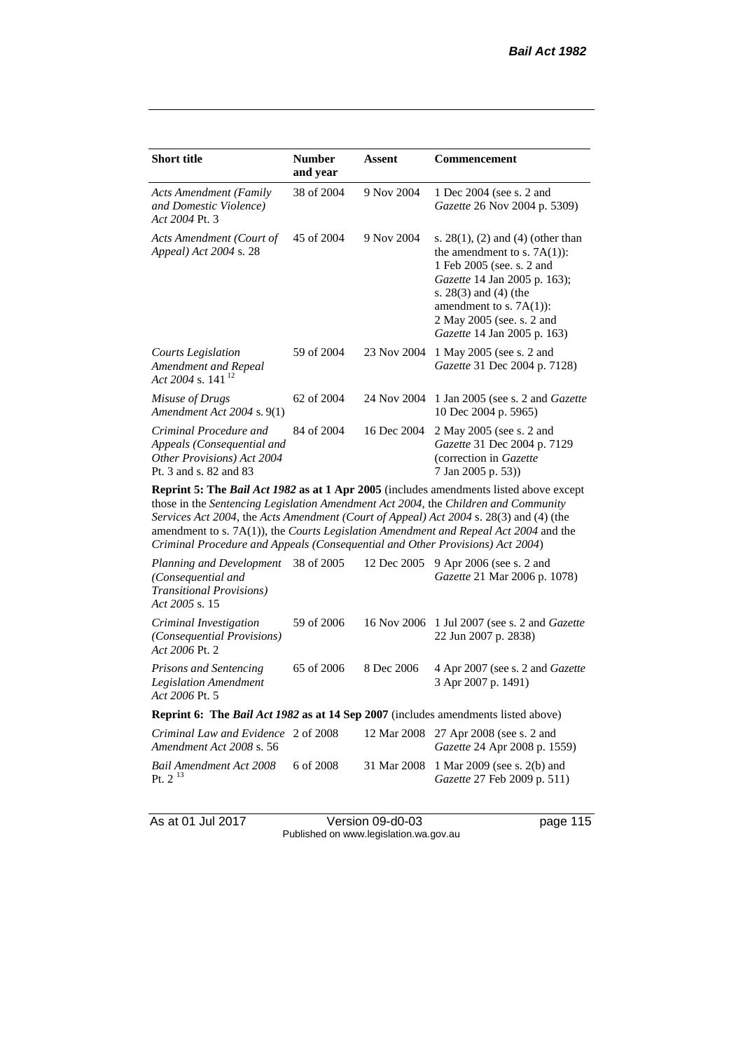| <b>Short title</b>                                                                                           | <b>Number</b><br>and year | <b>Assent</b> | Commencement                                                                                                                                                                                                                                                           |  |  |
|--------------------------------------------------------------------------------------------------------------|---------------------------|---------------|------------------------------------------------------------------------------------------------------------------------------------------------------------------------------------------------------------------------------------------------------------------------|--|--|
| <b>Acts Amendment (Family</b><br>and Domestic Violence)<br>Act 2004 Pt. 3                                    | 38 of 2004                | 9 Nov 2004    | 1 Dec 2004 (see s. 2 and<br><i>Gazette</i> 26 Nov 2004 p. 5309)                                                                                                                                                                                                        |  |  |
| Acts Amendment (Court of<br>Appeal) Act 2004 s. 28                                                           | 45 of 2004                | 9 Nov 2004    | s. $28(1)$ , (2) and (4) (other than<br>the amendment to s. $7A(1)$ :<br>1 Feb 2005 (see. s. 2 and<br><i>Gazette</i> 14 Jan 2005 p. 163);<br>s. $28(3)$ and $(4)$ (the<br>amendment to s. $7A(1)$ :<br>2 May 2005 (see. s. 2 and<br><i>Gazette</i> 14 Jan 2005 p. 163) |  |  |
| <b>Courts Legislation</b><br>Amendment and Repeal<br>Act 2004 s. 141 <sup>12</sup>                           | 59 of 2004                | 23 Nov 2004   | 1 May 2005 (see s. 2 and<br>Gazette 31 Dec 2004 p. 7128)                                                                                                                                                                                                               |  |  |
| Misuse of Drugs<br>Amendment Act 2004 s. 9(1)                                                                | 62 of 2004                | 24 Nov 2004   | 1 Jan 2005 (see s. 2 and <i>Gazette</i><br>10 Dec 2004 p. 5965)                                                                                                                                                                                                        |  |  |
| Criminal Procedure and<br>Appeals (Consequential and<br>Other Provisions) Act 2004<br>Pt. 3 and s. 82 and 83 | 84 of 2004                | 16 Dec 2004   | 2 May 2005 (see s. 2 and<br>Gazette 31 Dec 2004 p. 7129<br>(correction in Gazette)<br>7 Jan 2005 p. 53))                                                                                                                                                               |  |  |
| <b>Reparint 5: The Rail Act 1082 as at 1 Apr 2005</b> (includes amondments listed above except               |                           |               |                                                                                                                                                                                                                                                                        |  |  |

**Reprint 5: The** *Bail Act 1982* **as at 1 Apr 2005** (includes amendments listed above except those in the *Sentencing Legislation Amendment Act 2004*, the *Children and Community Services Act 2004*, the *Acts Amendment (Court of Appeal) Act 2004* s. 28(3) and (4) (the amendment to s. 7A(1)), the *Courts Legislation Amendment and Repeal Act 2004* and the *Criminal Procedure and Appeals (Consequential and Other Provisions) Act 2004*)

| Planning and Development<br>(Consequential and<br><b>Transitional Provisions</b> )<br>Act 2005 s. 15 | 38 of 2005 | 12 Dec 2005 | 9 Apr 2006 (see s. 2 and<br>Gazette 21 Mar 2006 p. 1078)                      |
|------------------------------------------------------------------------------------------------------|------------|-------------|-------------------------------------------------------------------------------|
| Criminal Investigation<br>(Consequential Provisions)<br>Act 2006 Pt. 2                               | 59 of 2006 |             | 16 Nov 2006 1 Jul 2007 (see s. 2 and <i>Gazette</i><br>22 Jun 2007 p. 2838)   |
| <b>Prisons and Sentencing</b><br><b>Legislation Amendment</b><br>Act 2006 Pt. 5                      | 65 of 2006 | 8 Dec 2006  | 4 Apr 2007 (see s. 2 and Gazette<br>3 Apr 2007 p. 1491)                       |
| <b>Reprint 6: The Bail Act 1982 as at 14 Sep 2007</b> (includes amendments listed above)             |            |             |                                                                               |
| Criminal Law and Evidence 2 of 2008<br>Amendment Act 2008 s. 56                                      |            |             | 12 Mar 2008 27 Apr 2008 (see s. 2 and<br><i>Gazette</i> 24 Apr 2008 p. 1559)  |
| Bail Amendment Act 2008<br>Pt. $2^{13}$                                                              | 6 of 2008  |             | 31 Mar 2008 1 Mar 2009 (see s. 2(b) and<br><i>Gazette</i> 27 Feb 2009 p. 511) |

As at 01 Jul 2017 Version 09-d0-03 page 115 Published on www.legislation.wa.gov.au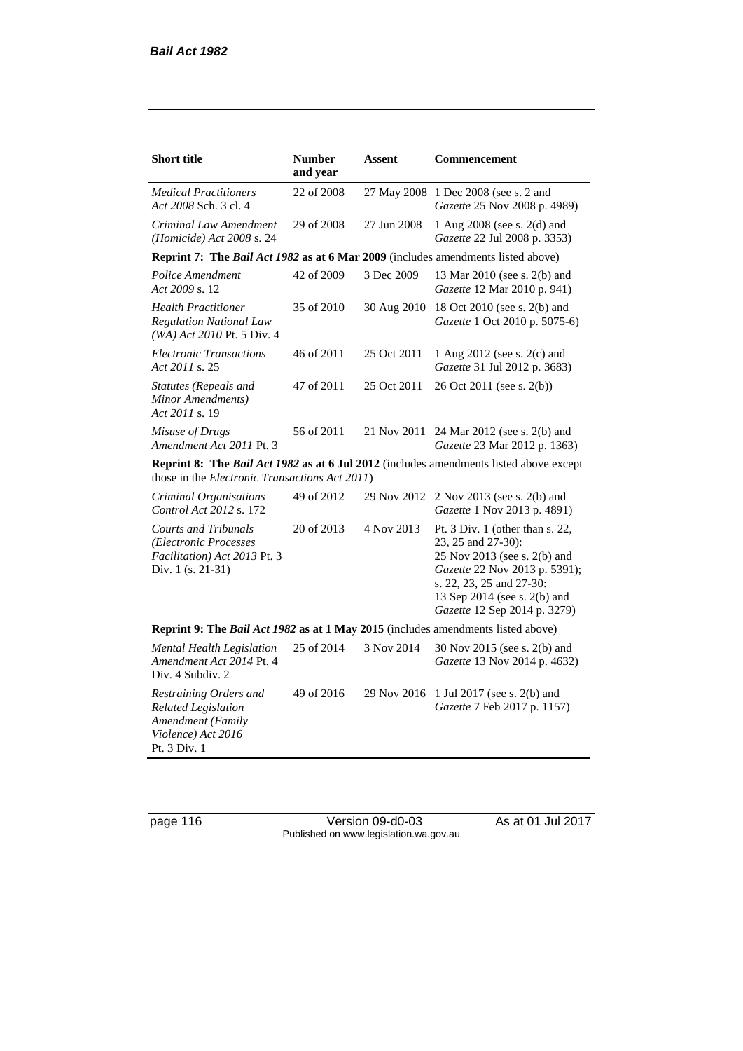| <b>Short title</b>                                                                                              | <b>Number</b><br>and year | Assent      | Commencement                                                                                                                                                                                                         |
|-----------------------------------------------------------------------------------------------------------------|---------------------------|-------------|----------------------------------------------------------------------------------------------------------------------------------------------------------------------------------------------------------------------|
| <b>Medical Practitioners</b><br>Act 2008 Sch. 3 cl. 4                                                           | 22 of 2008                |             | 27 May 2008 1 Dec 2008 (see s. 2 and<br>Gazette 25 Nov 2008 p. 4989)                                                                                                                                                 |
| Criminal Law Amendment<br>(Homicide) Act 2008 s. 24                                                             | 29 of 2008                | 27 Jun 2008 | 1 Aug 2008 (see s. 2(d) and<br>Gazette 22 Jul 2008 p. 3353)                                                                                                                                                          |
| <b>Reprint 7: The Bail Act 1982 as at 6 Mar 2009</b> (includes amendments listed above)                         |                           |             |                                                                                                                                                                                                                      |
| Police Amendment<br>Act 2009 s. 12                                                                              | 42 of 2009                | 3 Dec 2009  | 13 Mar 2010 (see s. 2(b) and<br>Gazette 12 Mar 2010 p. 941)                                                                                                                                                          |
| <b>Health Practitioner</b><br><b>Regulation National Law</b><br>$(WA)$ Act 2010 Pt. 5 Div. 4                    | 35 of 2010                | 30 Aug 2010 | 18 Oct 2010 (see s. 2(b) and<br>Gazette 1 Oct 2010 p. 5075-6)                                                                                                                                                        |
| <b>Electronic Transactions</b><br>Act 2011 s. 25                                                                | 46 of 2011                | 25 Oct 2011 | 1 Aug 2012 (see s. 2(c) and<br>Gazette 31 Jul 2012 p. 3683)                                                                                                                                                          |
| <b>Statutes (Repeals and</b><br>Minor Amendments)<br>Act 2011 s. 19                                             | 47 of 2011                | 25 Oct 2011 | 26 Oct 2011 (see s. 2(b))                                                                                                                                                                                            |
| Misuse of Drugs<br>Amendment Act 2011 Pt. 3                                                                     | 56 of 2011                | 21 Nov 2011 | 24 Mar 2012 (see s. 2(b) and<br>Gazette 23 Mar 2012 p. 1363)                                                                                                                                                         |
| those in the Electronic Transactions Act 2011)                                                                  |                           |             | <b>Reprint 8: The Bail Act 1982 as at 6 Jul 2012</b> (includes amendments listed above except                                                                                                                        |
| Criminal Organisations<br>Control Act 2012 s. 172                                                               | 49 of 2012                | 29 Nov 2012 | 2 Nov 2013 (see s. 2(b) and<br>Gazette 1 Nov 2013 p. 4891)                                                                                                                                                           |
| <b>Courts and Tribunals</b><br>(Electronic Processes<br>Facilitation) Act 2013 Pt. 3<br>Div. $1$ (s. 21-31)     | 20 of 2013                | 4 Nov 2013  | Pt. $3$ Div. 1 (other than s. 22,<br>23, 25 and 27-30):<br>25 Nov 2013 (see s. 2(b) and<br>Gazette 22 Nov 2013 p. 5391);<br>s. 22, 23, 25 and 27-30:<br>13 Sep 2014 (see s. 2(b) and<br>Gazette 12 Sep 2014 p. 3279) |
| Reprint 9: The Bail Act 1982 as at 1 May 2015 (includes amendments listed above)                                |                           |             |                                                                                                                                                                                                                      |
| <b>Mental Health Legislation</b><br>Amendment Act 2014 Pt. 4<br>Div. 4 Subdiv. 2                                | 25 of 2014                | 3 Nov 2014  | 30 Nov 2015 (see s. 2(b) and<br>Gazette 13 Nov 2014 p. 4632)                                                                                                                                                         |
| Restraining Orders and<br><b>Related Legislation</b><br>Amendment (Family<br>Violence) Act 2016<br>Pt. 3 Div. 1 | 49 of 2016                | 29 Nov 2016 | 1 Jul 2017 (see s. 2(b) and<br>Gazette 7 Feb 2017 p. 1157)                                                                                                                                                           |

page 116 Version 09-d0-03 As at 01 Jul 2017 Published on www.legislation.wa.gov.au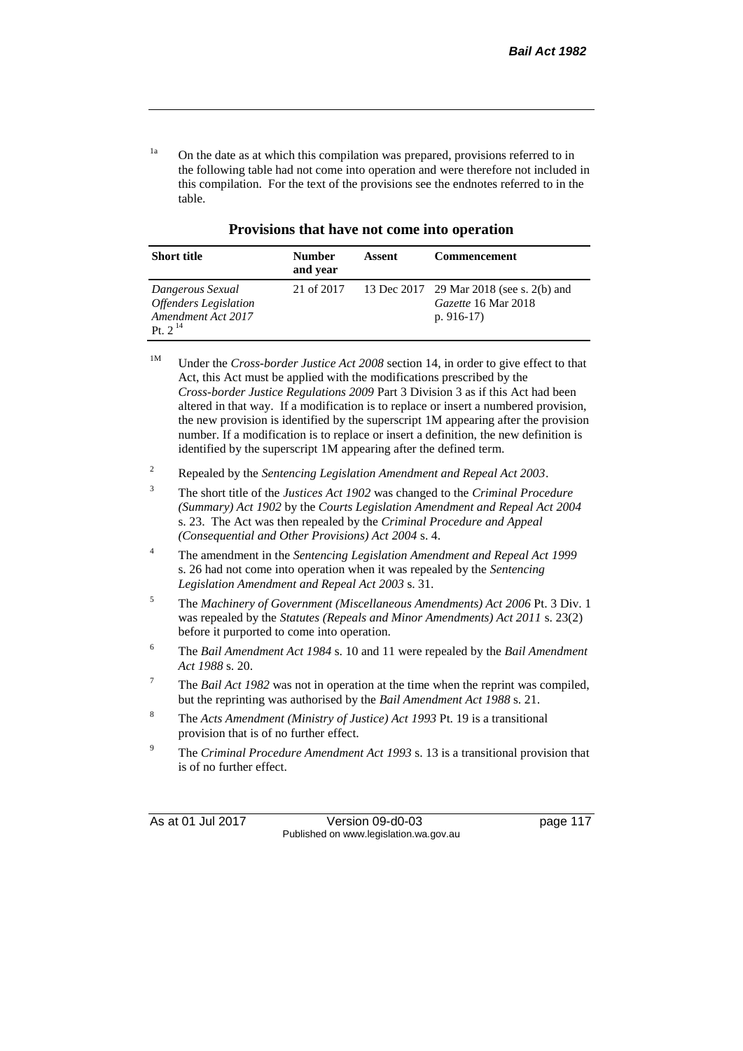<sup>1a</sup> On the date as at which this compilation was prepared, provisions referred to in the following table had not come into operation and were therefore not included in this compilation. For the text of the provisions see the endnotes referred to in the table.

| <b>Short title</b>                                                                    | <b>Number</b><br>and year | Assent | <b>Commencement</b>                                                            |
|---------------------------------------------------------------------------------------|---------------------------|--------|--------------------------------------------------------------------------------|
| Dangerous Sexual<br><b>Offenders</b> Legislation<br>Amendment Act 2017<br>$Pt 2^{14}$ | 21 of 2017                |        | 13 Dec 2017 29 Mar 2018 (see s. 2(b) and<br>Gazette 16 Mar 2018<br>p. $916-17$ |

**Provisions that have not come into operation**

<sup>1M</sup> Under the *Cross-border Justice Act 2008* section 14, in order to give effect to that Act, this Act must be applied with the modifications prescribed by the *Cross-border Justice Regulations 2009* Part 3 Division 3 as if this Act had been altered in that way. If a modification is to replace or insert a numbered provision, the new provision is identified by the superscript 1M appearing after the provision number. If a modification is to replace or insert a definition, the new definition is identified by the superscript 1M appearing after the defined term.

<sup>2</sup> Repealed by the *Sentencing Legislation Amendment and Repeal Act 2003*.

- <sup>3</sup> The short title of the *Justices Act 1902* was changed to the *Criminal Procedure (Summary) Act 1902* by the *Courts Legislation Amendment and Repeal Act 2004*  s. 23. The Act was then repealed by the *Criminal Procedure and Appeal (Consequential and Other Provisions) Act 2004* s. 4.
- <sup>4</sup> The amendment in the *Sentencing Legislation Amendment and Repeal Act 1999* s. 26 had not come into operation when it was repealed by the *Sentencing Legislation Amendment and Repeal Act 2003* s. 31.
- <sup>5</sup> The *Machinery of Government (Miscellaneous Amendments) Act 2006* Pt. 3 Div. 1 was repealed by the *Statutes (Repeals and Minor Amendments) Act 2011* s. 23(2) before it purported to come into operation.
- <sup>6</sup> The *Bail Amendment Act 1984* s. 10 and 11 were repealed by the *Bail Amendment Act 1988* s. 20.
- <sup>7</sup> The *Bail Act 1982* was not in operation at the time when the reprint was compiled, but the reprinting was authorised by the *Bail Amendment Act 1988* s. 21.
- <sup>8</sup> The *Acts Amendment (Ministry of Justice) Act 1993* Pt. 19 is a transitional provision that is of no further effect.
- <sup>9</sup> The *Criminal Procedure Amendment Act 1993* s. 13 is a transitional provision that is of no further effect.

As at 01 Jul 2017 Version 09-d0-03 page 117 Published on www.legislation.wa.gov.au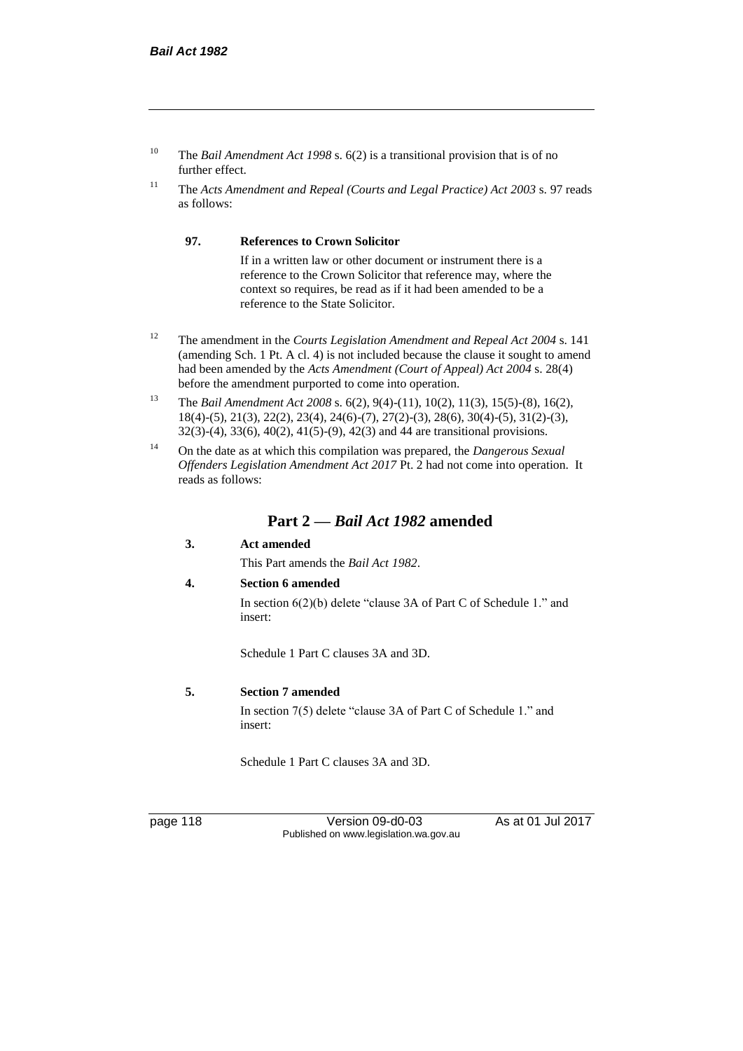- <sup>10</sup> The *Bail Amendment Act 1998* s. 6(2) is a transitional provision that is of no further effect.
- <sup>11</sup> The *Acts Amendment and Repeal (Courts and Legal Practice) Act 2003* s. 97 reads as follows:

#### **97. References to Crown Solicitor**

If in a written law or other document or instrument there is a reference to the Crown Solicitor that reference may, where the context so requires, be read as if it had been amended to be a reference to the State Solicitor.

- <sup>12</sup> The amendment in the *Courts Legislation Amendment and Repeal Act 2004* s. 141 (amending Sch. 1 Pt. A cl. 4) is not included because the clause it sought to amend had been amended by the *Acts Amendment (Court of Appeal) Act 2004* s. 28(4) before the amendment purported to come into operation.
- <sup>13</sup> The *Bail Amendment Act 2008* s. 6(2), 9(4)-(11), 10(2), 11(3), 15(5)-(8), 16(2), 18(4)-(5), 21(3), 22(2), 23(4), 24(6)-(7), 27(2)-(3), 28(6), 30(4)-(5), 31(2)-(3), 32(3)-(4), 33(6), 40(2), 41(5)-(9), 42(3) and 44 are transitional provisions.
- <sup>14</sup> On the date as at which this compilation was prepared, the *Dangerous Sexual Offenders Legislation Amendment Act 2017* Pt. 2 had not come into operation. It reads as follows:

# **Part 2 —** *Bail Act 1982* **amended**

#### **3. Act amended**

This Part amends the *Bail Act 1982*.

#### **4. Section 6 amended**

In section 6(2)(b) delete "clause 3A of Part C of Schedule 1." and insert:

Schedule 1 Part C clauses 3A and 3D.

# **5. Section 7 amended**

In section 7(5) delete "clause 3A of Part C of Schedule 1." and insert:

Schedule 1 Part C clauses 3A and 3D.

page 118 Version 09-d0-03 As at 01 Jul 2017 Published on www.legislation.wa.gov.au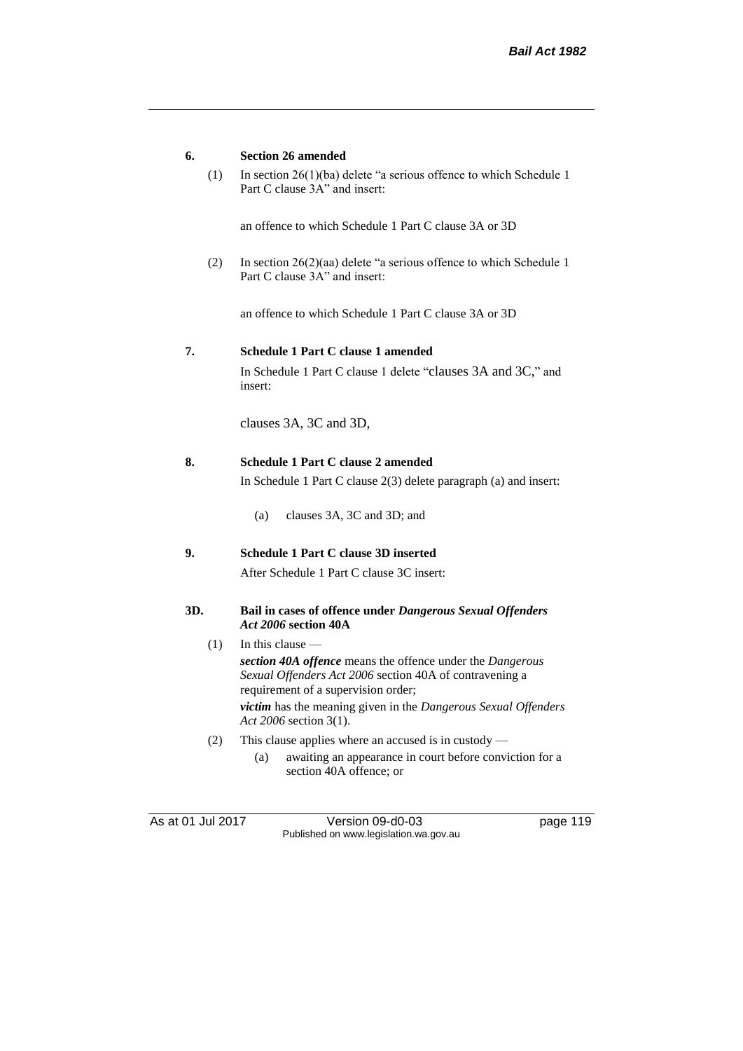#### **6. Section 26 amended**

(1) In section 26(1)(ba) delete "a serious offence to which Schedule 1 Part C clause  $3A$ " and insert:

an offence to which Schedule 1 Part C clause 3A or 3D

(2) In section 26(2)(aa) delete "a serious offence to which Schedule 1 Part C clause 3A" and insert:

an offence to which Schedule 1 Part C clause 3A or 3D

### **7. Schedule 1 Part C clause 1 amended**

In Schedule 1 Part C clause 1 delete "clauses 3A and 3C," and insert:

clauses 3A, 3C and 3D,

### **8. Schedule 1 Part C clause 2 amended**

In Schedule 1 Part C clause 2(3) delete paragraph (a) and insert:

(a) clauses 3A, 3C and 3D; and

### **9. Schedule 1 Part C clause 3D inserted**

After Schedule 1 Part C clause 3C insert:

#### **3D. Bail in cases of offence under** *Dangerous Sexual Offenders Act 2006* **section 40A**

# (1) In this clause *section 40A offence* means the offence under the *Dangerous*

*Sexual Offenders Act 2006* section 40A of contravening a requirement of a supervision order; *victim* has the meaning given in the *Dangerous Sexual Offenders Act 2006* section 3(1).

- (2) This clause applies where an accused is in custody
	- (a) awaiting an appearance in court before conviction for a section 40A offence; or

As at 01 Jul 2017 Version 09-d0-03 page 119 Published on www.legislation.wa.gov.au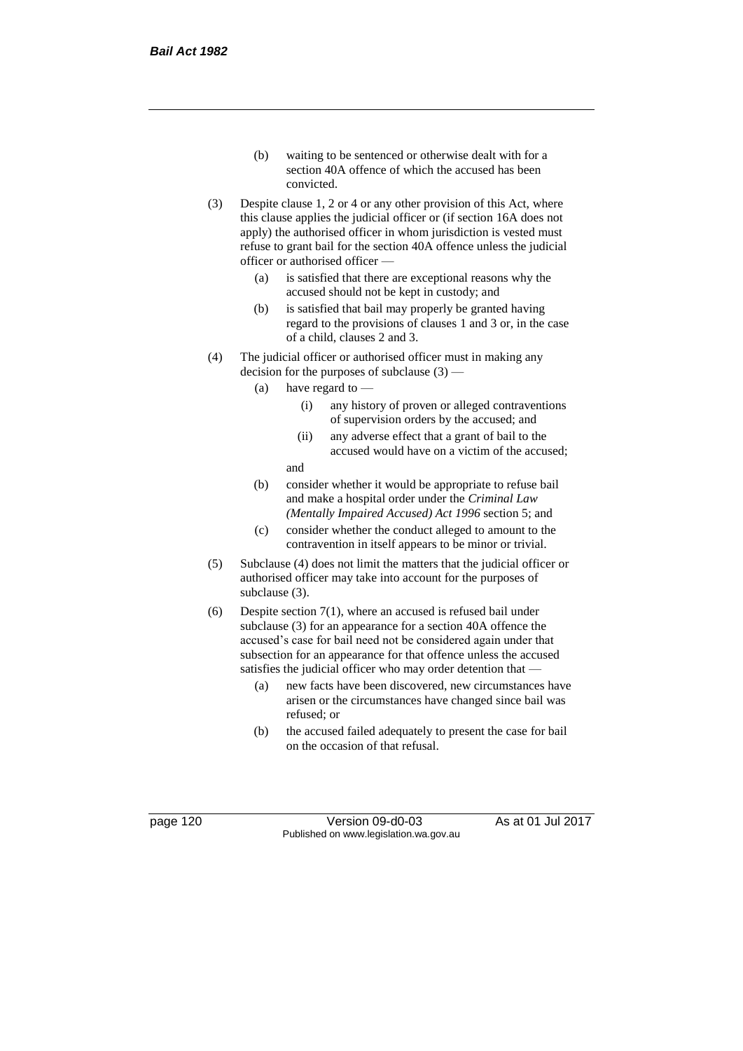- (b) waiting to be sentenced or otherwise dealt with for a section 40A offence of which the accused has been convicted.
- (3) Despite clause 1, 2 or 4 or any other provision of this Act, where this clause applies the judicial officer or (if section 16A does not apply) the authorised officer in whom jurisdiction is vested must refuse to grant bail for the section 40A offence unless the judicial officer or authorised officer —
	- (a) is satisfied that there are exceptional reasons why the accused should not be kept in custody; and
	- (b) is satisfied that bail may properly be granted having regard to the provisions of clauses 1 and 3 or, in the case of a child, clauses 2 and 3.
- (4) The judicial officer or authorised officer must in making any decision for the purposes of subclause (3) —
	- (a) have regard to  $-$ 
		- (i) any history of proven or alleged contraventions of supervision orders by the accused; and
		- (ii) any adverse effect that a grant of bail to the accused would have on a victim of the accused; and
	- (b) consider whether it would be appropriate to refuse bail and make a hospital order under the *Criminal Law (Mentally Impaired Accused) Act 1996* section 5; and
	- (c) consider whether the conduct alleged to amount to the contravention in itself appears to be minor or trivial.
- (5) Subclause (4) does not limit the matters that the judicial officer or authorised officer may take into account for the purposes of subclause (3).
- (6) Despite section 7(1), where an accused is refused bail under subclause (3) for an appearance for a section 40A offence the accused's case for bail need not be considered again under that subsection for an appearance for that offence unless the accused satisfies the judicial officer who may order detention that —
	- (a) new facts have been discovered, new circumstances have arisen or the circumstances have changed since bail was refused; or
	- (b) the accused failed adequately to present the case for bail on the occasion of that refusal.

page 120 Version 09-d0-03 As at 01 Jul 2017 Published on www.legislation.wa.gov.au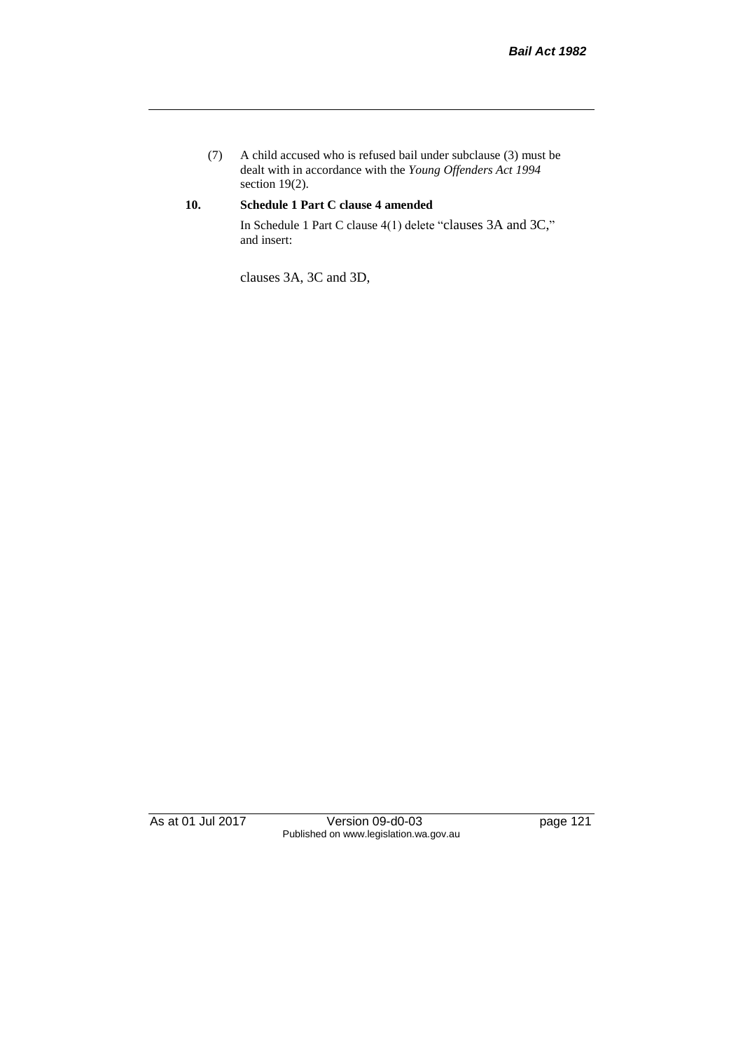(7) A child accused who is refused bail under subclause (3) must be dealt with in accordance with the *Young Offenders Act 1994* section 19(2).

### **10. Schedule 1 Part C clause 4 amended**

In Schedule 1 Part C clause 4(1) delete "clauses 3A and 3C," and insert:

clauses 3A, 3C and 3D,

As at 01 Jul 2017 Version 09-d0-03 page 121 Published on www.legislation.wa.gov.au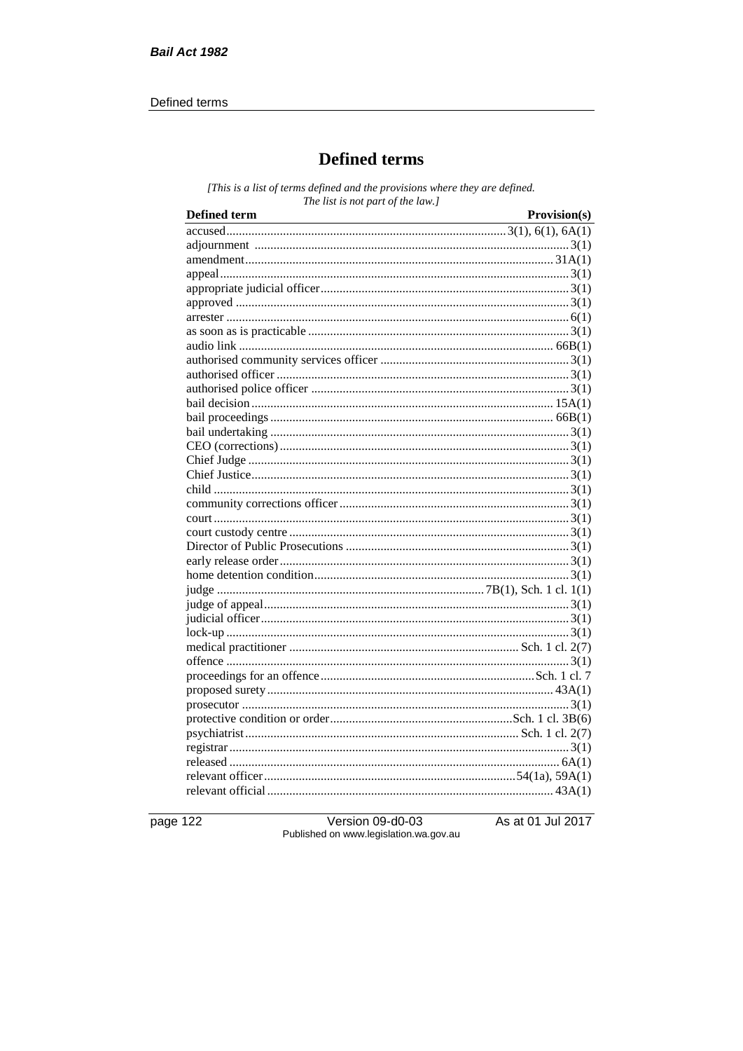### Defined terms

# **Defined terms**

[This is a list of terms defined and the provisions where they are defined. The list is not part of the law.]

| <b>Defined term</b><br><u> 2008 - Andrea Andrew Maria (b. 1982)</u> | Provision(s) |
|---------------------------------------------------------------------|--------------|
|                                                                     |              |
|                                                                     |              |
|                                                                     |              |
|                                                                     |              |
|                                                                     |              |
|                                                                     |              |
|                                                                     |              |
|                                                                     |              |
|                                                                     |              |
|                                                                     |              |
|                                                                     |              |
|                                                                     |              |
|                                                                     |              |
|                                                                     |              |
|                                                                     |              |
|                                                                     |              |
|                                                                     |              |
|                                                                     |              |
|                                                                     |              |
|                                                                     |              |
|                                                                     |              |
|                                                                     |              |
|                                                                     |              |
|                                                                     |              |
|                                                                     |              |
|                                                                     |              |
|                                                                     |              |
|                                                                     |              |
|                                                                     |              |
|                                                                     |              |
|                                                                     |              |
|                                                                     |              |
|                                                                     |              |
|                                                                     |              |
|                                                                     |              |
|                                                                     |              |
|                                                                     |              |
|                                                                     |              |
|                                                                     |              |
|                                                                     |              |

page 122

Version 09-d0-03 Published on www.legislation.wa.gov.au As at 01 Jul 2017